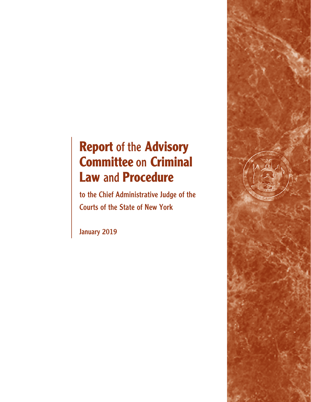# **Report** of the **Advisory Committee** on **Criminal Law** and **Procedure**

to the Chief Administrative Judge of the Courts of the State of New York

January 2019

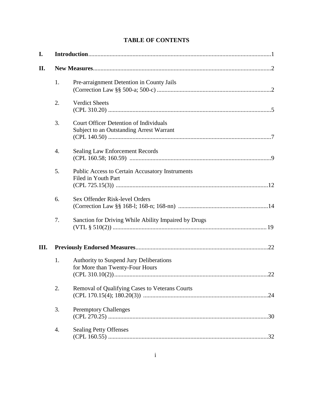|  | <b>TABLE OF CONTENTS</b> |
|--|--------------------------|
|--|--------------------------|

| I.  |    |                                                                                           |
|-----|----|-------------------------------------------------------------------------------------------|
| II. |    |                                                                                           |
|     | 1. | Pre-arraignment Detention in County Jails                                                 |
|     | 2. | <b>Verdict Sheets</b>                                                                     |
|     | 3. | <b>Court Officer Detention of Individuals</b><br>Subject to an Outstanding Arrest Warrant |
|     | 4. | <b>Sealing Law Enforcement Records</b>                                                    |
|     | 5. | Public Access to Certain Accusatory Instruments<br>Filed in Youth Part                    |
|     | 6. | Sex Offender Risk-level Orders                                                            |
|     | 7. | Sanction for Driving While Ability Impaired by Drugs                                      |
| Ш.  |    |                                                                                           |
|     | 1. | Authority to Suspend Jury Deliberations<br>for More than Twenty-Four Hours<br>.22         |
|     | 2. | Removal of Qualifying Cases to Veterans Courts                                            |
|     | 3. | <b>Peremptory Challenges</b>                                                              |
|     | 4. | <b>Sealing Petty Offenses</b>                                                             |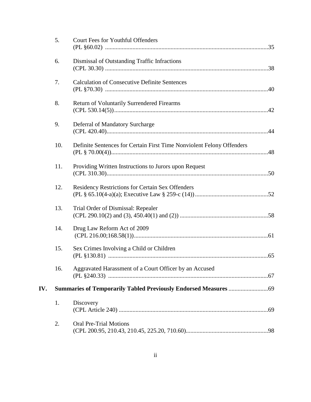|     | 5.  | Court Fees for Youthful Offenders                                       |  |
|-----|-----|-------------------------------------------------------------------------|--|
|     | 6.  | Dismissal of Outstanding Traffic Infractions                            |  |
|     | 7.  | <b>Calculation of Consecutive Definite Sentences</b>                    |  |
|     | 8.  | <b>Return of Voluntarily Surrendered Firearms</b>                       |  |
|     | 9.  | Deferral of Mandatory Surcharge                                         |  |
|     | 10. | Definite Sentences for Certain First Time Nonviolent Felony Offenders   |  |
|     | 11. | Providing Written Instructions to Jurors upon Request                   |  |
|     | 12. | <b>Residency Restrictions for Certain Sex Offenders</b>                 |  |
|     | 13. | Trial Order of Dismissal: Repealer                                      |  |
|     | 14. | Drug Law Reform Act of 2009                                             |  |
|     | 15. | Sex Crimes Involving a Child or Children                                |  |
|     | 16. | Aggravated Harassment of a Court Officer by an Accused                  |  |
| IV. |     | <b>Summaries of Temporarily Tabled Previously Endorsed Measures </b> 69 |  |
|     | 1.  | Discovery                                                               |  |
|     | 2.  | <b>Oral Pre-Trial Motions</b>                                           |  |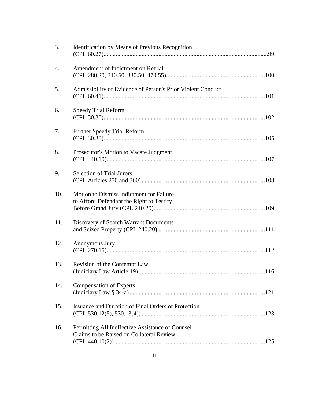| 3.  | Identification by Means of Previous Recognition                                              |
|-----|----------------------------------------------------------------------------------------------|
| 4.  | Amendment of Indictment on Retrial                                                           |
| 5.  | Admissibility of Evidence of Person's Prior Violent Conduct                                  |
| 6.  | <b>Speedy Trial Reform</b>                                                                   |
| 7.  | <b>Further Speedy Trial Reform</b>                                                           |
| 8.  | Prosecutor's Motion to Vacate Judgment                                                       |
| 9.  | <b>Selection of Trial Jurors</b>                                                             |
| 10. | Motion to Dismiss Indictment for Failure<br>to Afford Defendant the Right to Testify         |
| 11. | Discovery of Search Warrant Documents                                                        |
| 12. | Anonymous Jury                                                                               |
| 13. | Revision of the Contempt Law<br>116                                                          |
| 14. | <b>Compensation of Experts</b>                                                               |
| 15. | Issuance and Duration of Final Orders of Protection                                          |
| 16. | Permitting All Ineffective Assistance of Counsel<br>Claims to be Raised on Collateral Review |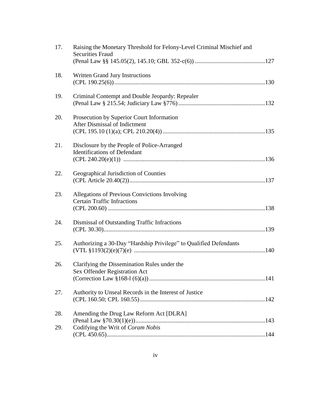| 17. | Raising the Monetary Threshold for Felony-Level Criminal Mischief and<br><b>Securities Fraud</b> |  |
|-----|--------------------------------------------------------------------------------------------------|--|
|     |                                                                                                  |  |
| 18. | Written Grand Jury Instructions                                                                  |  |
| 19. | Criminal Contempt and Double Jeopardy: Repealer                                                  |  |
| 20. | Prosecution by Superior Court Information<br>After Dismissal of Indictment                       |  |
| 21. | Disclosure by the People of Police-Arranged<br><b>Identifications of Defendant</b>               |  |
| 22. | Geographical Jurisdiction of Counties                                                            |  |
| 23. | Allegations of Previous Convictions Involving<br><b>Certain Traffic Infractions</b>              |  |
| 24. | Dismissal of Outstanding Traffic Infractions                                                     |  |
| 25. | Authorizing a 30-Day "Hardship Privilege" to Qualified Defendants                                |  |
| 26. | Clarifying the Dissemination Rules under the<br>Sex Offender Registration Act                    |  |
| 27. | Authority to Unseal Records in the Interest of Justice                                           |  |
| 28. | Amending the Drug Law Reform Act [DLRA]                                                          |  |
| 29. | Codifying the Writ of Coram Nobis                                                                |  |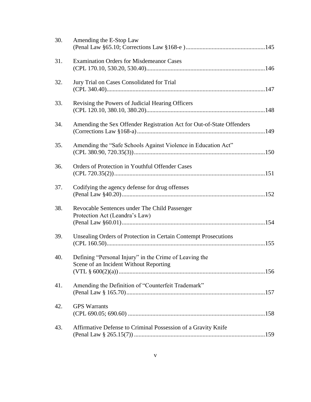| 30. | Amending the E-Stop Law                                                                          |  |
|-----|--------------------------------------------------------------------------------------------------|--|
| 31. | <b>Examination Orders for Misdemeanor Cases</b>                                                  |  |
| 32. | Jury Trial on Cases Consolidated for Trial                                                       |  |
| 33. | Revising the Powers of Judicial Hearing Officers                                                 |  |
| 34. | Amending the Sex Offender Registration Act for Out-of-State Offenders                            |  |
| 35. | Amending the "Safe Schools Against Violence in Education Act"                                    |  |
| 36. | Orders of Protection in Youthful Offender Cases                                                  |  |
| 37. | Codifying the agency defense for drug offenses                                                   |  |
| 38. | Revocable Sentences under The Child Passenger<br>Protection Act (Leandra's Law)                  |  |
| 39. | Unsealing Orders of Protection in Certain Contempt Prosecutions                                  |  |
| 40. | Defining "Personal Injury" in the Crime of Leaving the<br>Scene of an Incident Without Reporting |  |
| 41. | Amending the Definition of "Counterfeit Trademark"                                               |  |
| 42. | <b>GPS Warrants</b>                                                                              |  |
| 43. | Affirmative Defense to Criminal Possession of a Gravity Knife                                    |  |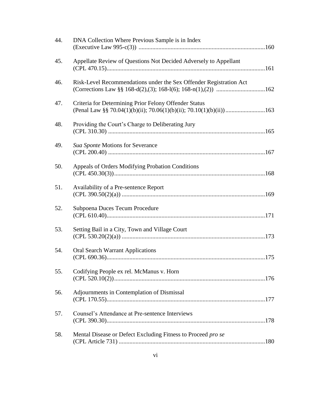| 44. | DNA Collection Where Previous Sample is in Index                   |  |
|-----|--------------------------------------------------------------------|--|
| 45. | Appellate Review of Questions Not Decided Adversely to Appellant   |  |
| 46. | Risk-Level Recommendations under the Sex Offender Registration Act |  |
| 47. | Criteria for Determining Prior Felony Offender Status              |  |
| 48. | Providing the Court's Charge to Deliberating Jury                  |  |
| 49. | Sua Sponte Motions for Severance                                   |  |
| 50. | Appeals of Orders Modifying Probation Conditions                   |  |
| 51. | Availability of a Pre-sentence Report                              |  |
| 52. | Subpoena Duces Tecum Procedure                                     |  |
| 53. | Setting Bail in a City, Town and Village Court                     |  |
| 54. | <b>Oral Search Warrant Applications</b>                            |  |
| 55. | Codifying People ex rel. McManus v. Horn                           |  |
| 56. | Adjournments in Contemplation of Dismissal                         |  |
| 57. | Counsel's Attendance at Pre-sentence Interviews                    |  |
| 58. | Mental Disease or Defect Excluding Fitness to Proceed pro se       |  |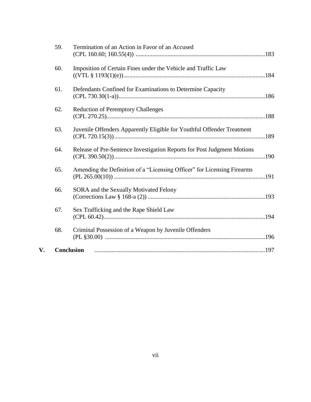|    | 59.               | Termination of an Action in Favor of an Accused                         |
|----|-------------------|-------------------------------------------------------------------------|
|    | 60.               | Imposition of Certain Fines under the Vehicle and Traffic Law           |
|    | 61.               | Defendants Confined for Examinations to Determine Capacity              |
|    | 62.               | <b>Reduction of Peremptory Challenges</b>                               |
|    | 63.               | Juvenile Offenders Apparently Eligible for Youthful Offender Treatment  |
|    | 64.               | Release of Pre-Sentence Investigation Reports for Post Judgment Motions |
|    | 65.               | Amending the Definition of a "Licensing Officer" for Licensing Firearms |
|    | 66.               | SORA and the Sexually Motivated Felony                                  |
|    | 67.               | Sex Trafficking and the Rape Shield Law                                 |
|    | 68.               | Criminal Possession of a Weapon by Juvenile Offenders                   |
| V. | <b>Conclusion</b> |                                                                         |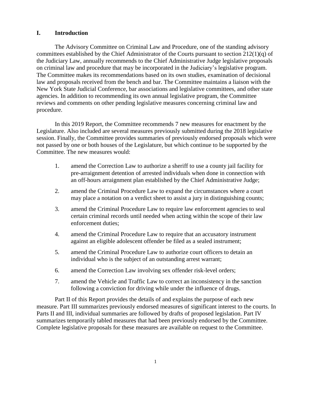## **I. Introduction**

The Advisory Committee on Criminal Law and Procedure, one of the standing advisory committees established by the Chief Administrator of the Courts pursuant to section 212(1)(q) of the Judiciary Law, annually recommends to the Chief Administrative Judge legislative proposals on criminal law and procedure that may be incorporated in the Judiciary's legislative program. The Committee makes its recommendations based on its own studies, examination of decisional law and proposals received from the bench and bar. The Committee maintains a liaison with the New York State Judicial Conference, bar associations and legislative committees, and other state agencies. In addition to recommending its own annual legislative program, the Committee reviews and comments on other pending legislative measures concerning criminal law and procedure.

In this 2019 Report, the Committee recommends 7 new measures for enactment by the Legislature. Also included are several measures previously submitted during the 2018 legislative session. Finally, the Committee provides summaries of previously endorsed proposals which were not passed by one or both houses of the Legislature, but which continue to be supported by the Committee. The new measures would:

- 1. amend the Correction Law to authorize a sheriff to use a county jail facility for pre-arraignment detention of arrested individuals when done in connection with an off-hours arraignment plan established by the Chief Administrative Judge;
- 2. amend the Criminal Procedure Law to expand the circumstances where a court may place a notation on a verdict sheet to assist a jury in distinguishing counts;
- 3. amend the Criminal Procedure Law to require law enforcement agencies to seal certain criminal records until needed when acting within the scope of their law enforcement duties;
- 4. amend the Criminal Procedure Law to require that an accusatory instrument against an eligible adolescent offender be filed as a sealed instrument;
- 5. amend the Criminal Procedure Law to authorize court officers to detain an individual who is the subject of an outstanding arrest warrant;
- 6. amend the Correction Law involving sex offender risk-level orders;
- 7. amend the Vehicle and Traffic Law to correct an inconsistency in the sanction following a conviction for driving while under the influence of drugs.

Part II of this Report provides the details of and explains the purpose of each new measure. Part III summarizes previously endorsed measures of significant interest to the courts. In Parts II and III, individual summaries are followed by drafts of proposed legislation. Part IV summarizes temporarily tabled measures that had been previously endorsed by the Committee. Complete legislative proposals for these measures are available on request to the Committee.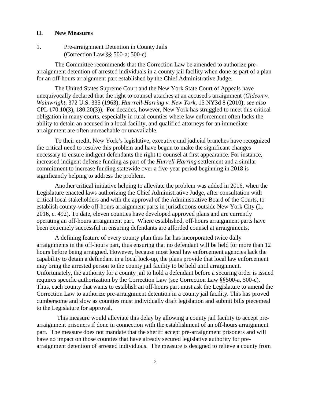## **II. New Measures**

1. Pre-arraignment Detention in County Jails (Correction Law §§ 500-a; 500-c)

The Committee recommends that the Correction Law be amended to authorize prearraignment detention of arrested individuals in a county jail facility when done as part of a plan for an off-hours arraignment part established by the Chief Administrative Judge.

The United States Supreme Court and the New York State Court of Appeals have unequivocally declared that the right to counsel attaches at an accused's arraignment (*Gideon v. Wainwright*, 372 U.S. 335 (1963); *Hurrrell-Harring v. New York*, 15 NY3d 8 (2010); *see also* CPL 170.10(3), 180.20(3)). For decades, however, New York has struggled to meet this critical obligation in many courts, especially in rural counties where law enforcement often lacks the ability to detain an accused in a local facility, and qualified attorneys for an immediate arraignment are often unreachable or unavailable.

To their credit, New York's legislative, executive and judicial branches have recognized the critical need to resolve this problem and have begun to make the significant changes necessary to ensure indigent defendants the right to counsel at first appearance. For instance, increased indigent defense funding as part of the *Hurrell-Harring* settlement and a similar commitment to increase funding statewide over a five-year period beginning in 2018 is significantly helping to address the problem.

Another critical initiative helping to alleviate the problem was added in 2016, when the Legislature enacted laws authorizing the Chief Administrative Judge, after consultation with critical local stakeholders and with the approval of the Administrative Board of the Courts, to establish county-wide off-hours arraignment parts in jurisdictions outside New York City (L. 2016, c. 492). To date, eleven counties have developed approved plans and are currently operating an off-hours arraignment part. Where established, off-hours arraignment parts have been extremely successful in ensuring defendants are afforded counsel at arraignments.

A defining feature of every county plan thus far has incorporated twice daily arraignments in the off-hours part, thus ensuring that no defendant will be held for more than 12 hours before being arraigned. However, because most local law enforcement agencies lack the capability to detain a defendant in a local lock-up, the plans provide that local law enforcement may bring the arrested person to the county jail facility to be held until arraignment. Unfortunately, the authority for a county jail to hold a defendant before a securing order is issued requires specific authorization by the Correction Law (see Correction Law §§500-a, 500-c). Thus, each county that wants to establish an off-hours part must ask the Legislature to amend the Correction Law to authorize pre-arraignment detention in a county jail facility. This has proved cumbersome and slow as counties must individually draft legislation and submit bills piecemeal to the Legislature for approval.

This measure would alleviate this delay by allowing a county jail facility to accept prearraignment prisoners if done in connection with the establishment of an off-hours arraignment part. The measure does not mandate that the sheriff accept pre-arraignment prisoners and will have no impact on those counties that have already secured legislative authority for prearraignment detention of arrested individuals. The measure is designed to relieve a county from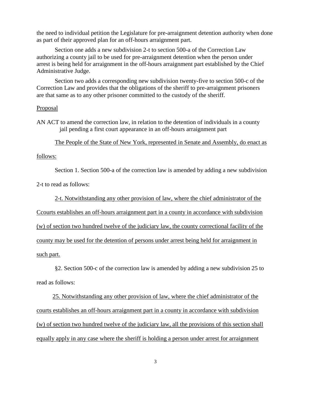the need to individual petition the Legislature for pre-arraignment detention authority when done as part of their approved plan for an off-hours arraignment part.

Section one adds a new subdivision 2-t to section 500-a of the Correction Law authorizing a county jail to be used for pre-arraignment detention when the person under arrest is being held for arraignment in the off-hours arraignment part established by the Chief Administrative Judge.

Section two adds a corresponding new subdivision twenty-five to section 500-c of the Correction Law and provides that the obligations of the sheriff to pre-arraignment prisoners are that same as to any other prisoner committed to the custody of the sheriff.

#### Proposal

AN ACT to amend the correction law, in relation to the detention of individuals in a county jail pending a first court appearance in an off-hours arraignment part

The People of the State of New York, represented in Senate and Assembly, do enact as

follows:

Section 1. Section 500-a of the correction law is amended by adding a new subdivision

2-t to read as follows:

2-t. Notwithstanding any other provision of law, where the chief administrator of the

Ccourts establishes an off-hours arraignment part in a county in accordance with subdivision (w) of section two hundred twelve of the judiciary law, the county correctional facility of the county may be used for the detention of persons under arrest being held for arraignment in such part.

§2. Section 500-c of the correction law is amended by adding a new subdivision 25 to read as follows:

25. Notwithstanding any other provision of law, where the chief administrator of the courts establishes an off-hours arraignment part in a county in accordance with subdivision (w) of section two hundred twelve of the judiciary law, all the provisions of this section shall equally apply in any case where the sheriff is holding a person under arrest for arraignment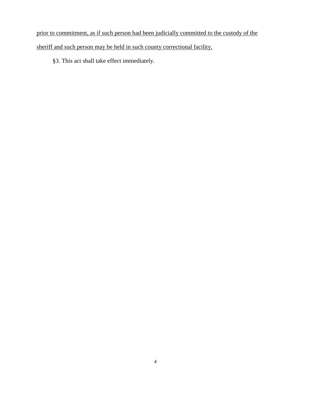prior to commitment, as if such person had been judicially committed to the custody of the sheriff and such person may be held in such county correctional facility.

§3. This act shall take effect immediately.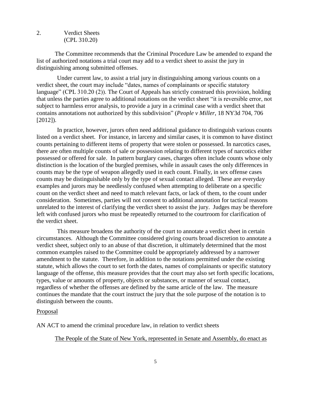#### 2. Verdict Sheets (CPL 310.20)

The Committee recommends that the Criminal Procedure Law be amended to expand the list of authorized notations a trial court may add to a verdict sheet to assist the jury in distinguishing among submitted offenses.

Under current law, to assist a trial jury in distinguishing among various counts on a verdict sheet, the court may include "dates, names of complainants or specific statutory language" (CPL 310.20 (2)). The Court of Appeals has strictly construed this provision, holding that unless the parties agree to additional notations on the verdict sheet "it is reversible error, not subject to harmless error analysis, to provide a jury in a criminal case with a verdict sheet that contains annotations not authorized by this subdivision" (*People v Miller*, 18 NY3d 704, 706 [2012]).

In practice, however, jurors often need additional guidance to distinguish various counts listed on a verdict sheet. For instance, in larceny and similar cases, it is common to have distinct counts pertaining to different items of property that were stolen or possessed. In narcotics cases, there are often multiple counts of sale or possession relating to different types of narcotics either possessed or offered for sale. In pattern burglary cases, charges often include counts whose only distinction is the location of the burgled premises, while in assault cases the only differences in counts may be the type of weapon allegedly used in each count. Finally, in sex offense cases counts may be distinguishable only by the type of sexual contact alleged. These are everyday examples and jurors may be needlessly confused when attempting to deliberate on a specific count on the verdict sheet and need to match relevant facts, or lack of them, to the count under consideration. Sometimes, parties will not consent to additional annotation for tactical reasons unrelated to the interest of clarifying the verdict sheet to assist the jury. Judges may be therefore left with confused jurors who must be repeatedly returned to the courtroom for clarification of the verdict sheet.

This measure broadens the authority of the court to annotate a verdict sheet in certain circumstances. Although the Committee considered giving courts broad discretion to annotate a verdict sheet, subject only to an abuse of that discretion, it ultimately determined that the most common examples raised to the Committee could be appropriately addressed by a narrower amendment to the statute. Therefore, in addition to the notations permitted under the existing statute, which allows the court to set forth the dates, names of complainants or specific statutory language of the offense, this measure provides that the court may also set forth specific locations, types, value or amounts of property, objects or substances, or manner of sexual contact, regardless of whether the offenses are defined by the same article of the law. The measure continues the mandate that the court instruct the jury that the sole purpose of the notation is to distinguish between the counts.

## Proposal

AN ACT to amend the criminal procedure law, in relation to verdict sheets

The People of the State of New York, represented in Senate and Assembly, do enact as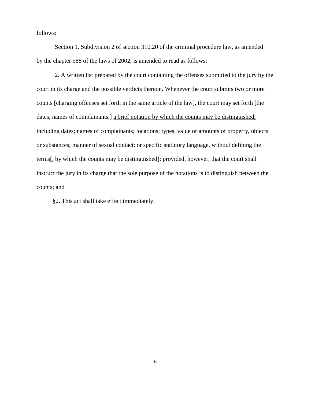## follows:

Section 1. Subdivision 2 of section 310.20 of the criminal procedure law, as amended by the chapter 588 of the laws of 2002, is amended to read as follows:

2. A written list prepared by the court containing the offenses submitted to the jury by the court in its charge and the possible verdicts thereon. Whenever the court submits two or more counts [charging offenses set forth in the same article of the law], the court may set forth [the dates, names of complainants,] a brief notation by which the counts may be distinguished, including dates; names of complainants; locations; types, value or amounts of property, objects or substances; manner of sexual contact; or specific statutory language, without defining the terms[, by which the counts may be distinguished]; provided, however, that the court shall instruct the jury in its charge that the sole purpose of the notations is to distinguish between the counts; and

§2. This act shall take effect immediately.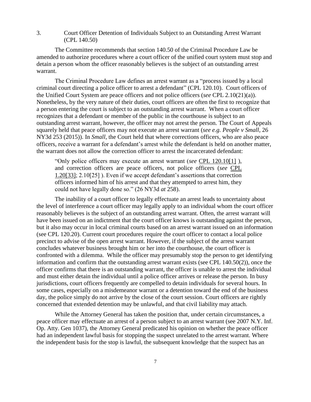3. Court Officer Detention of Individuals Subject to an Outstanding Arrest Warrant (CPL 140.50)

The Committee recommends that section 140.50 of the Criminal Procedure Law be amended to authorize procedures where a court officer of the unified court system must stop and detain a person whom the officer reasonably believes is the subject of an outstanding arrest warrant.

The Criminal Procedure Law defines an arrest warrant as a "process issued by a local criminal court directing a police officer to arrest a defendant" (CPL 120.10). Court officers of the Unified Court System are peace officers and not police officers (*see* CPL 2.10(21)(a)). Nonetheless, by the very nature of their duties, court officers are often the first to recognize that a person entering the court is subject to an outstanding arrest warrant. When a court officer recognizes that a defendant or member of the public in the courthouse is subject to an outstanding arrest warrant, however, the officer may not arrest the person. The Court of Appeals squarely held that peace officers may not execute an arrest warrant (*see e.g. People v Small*, 26 NY3d 253 (2015)). In *Small*, the Court held that where corrections officers, who are also peace officers, receive a warrant for a defendant's arrest while the defendant is held on another matter, the warrant does not allow the correction officer to arrest the incarcerated defendant:

"Only police officers may execute an arrest warrant (*see* [CPL 120.10\[1\]](http://www.westlaw.com/Link/Document/FullText?findType=L&pubNum=1000066&cite=NYCMS120.10&originatingDoc=Ida80c62c8ec211e5a795ac035416da91&refType=LQ&originationContext=document&vr=3.0&rs=cblt1.0&transitionType=DocumentItem&contextData=(sc.Search)) ), and correction officers are peace officers, not police officers (*see* [CPL](http://www.westlaw.com/Link/Document/FullText?findType=L&pubNum=1000066&cite=NYCMS1.20&originatingDoc=Ida80c62c8ec211e5a795ac035416da91&refType=LQ&originationContext=document&vr=3.0&rs=cblt1.0&transitionType=DocumentItem&contextData=(sc.Search))  [1.20\[33\];](http://www.westlaw.com/Link/Document/FullText?findType=L&pubNum=1000066&cite=NYCMS1.20&originatingDoc=Ida80c62c8ec211e5a795ac035416da91&refType=LQ&originationContext=document&vr=3.0&rs=cblt1.0&transitionType=DocumentItem&contextData=(sc.Search)) 2.10[25] ). Even if we accept defendant's assertions that correction officers informed him of his arrest and that they attempted to arrest him, they could not have legally done so." (26 NY3d *at* 258).

The inability of a court officer to legally effectuate an arrest leads to uncertainty about the level of interference a court officer may legally apply to an individual whom the court officer reasonably believes is the subject of an outstanding arrest warrant. Often, the arrest warrant will have been issued on an indictment that the court officer knows is outstanding against the person, but it also may occur in local criminal courts based on an arrest warrant issued on an information (see CPL 120.20). Current court procedures require the court officer to contact a local police precinct to advise of the open arrest warrant. However, if the subject of the arrest warrant concludes whatever business brought him or her into the courthouse, the court officer is confronted with a dilemma. While the officer may presumably stop the person to get identifying information and confirm that the outstanding arrest warrant exists (see CPL 140.50(2)), once the officer confirms that there is an outstanding warrant, the officer is unable to arrest the individual and must either detain the individual until a police officer arrives or release the person. In busy jurisdictions, court officers frequently are compelled to detain individuals for several hours. In some cases, especially on a misdemeanor warrant or a detention toward the end of the business day, the police simply do not arrive by the close of the court session. Court officers are rightly concerned that extended detention may be unlawful, and that civil liability may attach.

While the Attorney General has taken the position that, under certain circumstances, a peace officer may effectuate an arrest of a person subject to an arrest warrant (see 2007 N.Y. Inf. Op. Atty. Gen 1037), the Attorney General predicated his opinion on whether the peace officer had an independent lawful basis for stopping the suspect unrelated to the arrest warrant. Where the independent basis for the stop is lawful, the subsequent knowledge that the suspect has an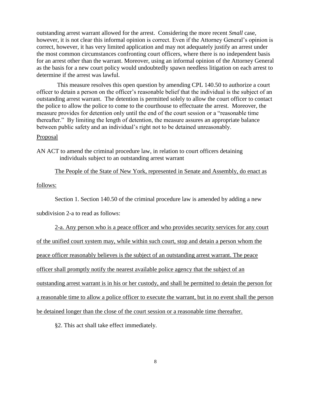outstanding arrest warrant allowed for the arrest. Considering the more recent *Small* case, however, it is not clear this informal opinion is correct. Even if the Attorney General's opinion is correct, however, it has very limited application and may not adequately justify an arrest under the most common circumstances confronting court officers, where there is no independent basis for an arrest other than the warrant. Moreover, using an informal opinion of the Attorney General as the basis for a new court policy would undoubtedly spawn needless litigation on each arrest to determine if the arrest was lawful.

This measure resolves this open question by amending CPL 140.50 to authorize a court officer to detain a person on the officer's reasonable belief that the individual is the subject of an outstanding arrest warrant. The detention is permitted solely to allow the court officer to contact the police to allow the police to come to the courthouse to effectuate the arrest. Moreover, the measure provides for detention only until the end of the court session or a "reasonable time thereafter." By limiting the length of detention, the measure assures an appropriate balance between public safety and an individual's right not to be detained unreasonably.

# Proposal

AN ACT to amend the criminal procedure law, in relation to court officers detaining individuals subject to an outstanding arrest warrant

# The People of the State of New York, represented in Senate and Assembly, do enact as

follows:

Section 1. Section 140.50 of the criminal procedure law is amended by adding a new

subdivision 2-a to read as follows:

2-a. Any person who is a peace officer and who provides security services for any court of the unified court system may, while within such court, stop and detain a person whom the peace officer reasonably believes is the subject of an outstanding arrest warrant. The peace officer shall promptly notify the nearest available police agency that the subject of an outstanding arrest warrant is in his or her custody, and shall be permitted to detain the person for a reasonable time to allow a police officer to execute the warrant, but in no event shall the person be detained longer than the close of the court session or a reasonable time thereafter.

§2. This act shall take effect immediately.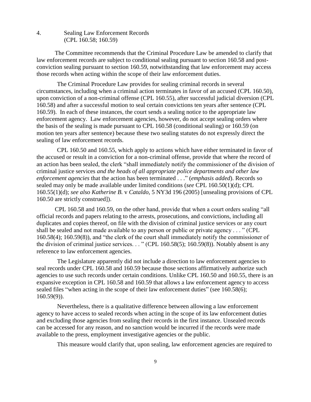4. Sealing Law Enforcement Records (CPL 160.58; 160.59)

The Committee recommends that the Criminal Procedure Law be amended to clarify that law enforcement records are subject to conditional sealing pursuant to section 160.58 and postconviction sealing pursuant to section 160.59, notwithstanding that law enforcement may access those records when acting within the scope of their law enforcement duties.

The Criminal Procedure Law provides for sealing criminal records in several circumstances, including when a criminal action terminates in favor of an accused (CPL 160.50), upon conviction of a non-criminal offense (CPL 160.55), after successful judicial diversion (CPL 160.58) and after a successful motion to seal certain convictions ten years after sentence (CPL 160.59). In each of these instances, the court sends a sealing notice to the appropriate law enforcement agency. Law enforcement agencies, however, do not accept sealing orders where the basis of the sealing is made pursuant to CPL 160.58 (conditional sealing) or 160.59 (on motion ten years after sentence) because these two sealing statutes do not expressly direct the sealing of law enforcement records.

CPL 160.50 and 160.55, which apply to actions which have either terminated in favor of the accused or result in a conviction for a non-criminal offense, provide that where the record of an action has been sealed, the clerk "shall immediately notify the commissioner of the division of criminal justice services *and the heads of all appropriate police departments and other law enforcement agencies* that the action has been terminated . . ." (*emphasis added*). Records so sealed may only be made available under limited conditions (*see* CPL 160.50(1)(d); CPL 160.55(1)(d); *see also Katherine B.* v *Cataldo,* 5 NY3d 196 (2005) [unsealing provisions of CPL 160.50 are strictly construed]).

CPL 160.58 and 160.59, on the other hand, provide that when a court orders sealing "all official records and papers relating to the arrests, prosecutions, and convictions, including all duplicates and copies thereof, on file with the division of criminal justice services or any court shall be sealed and not made available to any person or public or private agency . . . " (CPL 160.58(4); 160.59(8)), and "the clerk of the court shall immediately notify the commissioner of the division of criminal justice services. . . " (CPL 160.58(5); 160.59(8)). Notably absent is any reference to law enforcement agencies.

The Legislature apparently did not include a direction to law enforcement agencies to seal records under CPL 160.58 and 160.59 because those sections affirmatively authorize such agencies to use such records under certain conditions. Unlike CPL 160.50 and 160.55, there is an expansive exception in CPL 160.58 and 160.59 that allows a law enforcement agency to access sealed files "when acting in the scope of their law enforcement duties" (see 160.58(6); 160.59(9)).

Nevertheless, there is a qualitative difference between allowing a law enforcement agency to have access to sealed records when acting in the scope of its law enforcement duties and excluding those agencies from sealing their records in the first instance. Unsealed records can be accessed for any reason, and no sanction would be incurred if the records were made available to the press, employment investigative agencies or the public.

This measure would clarify that, upon sealing, law enforcement agencies are required to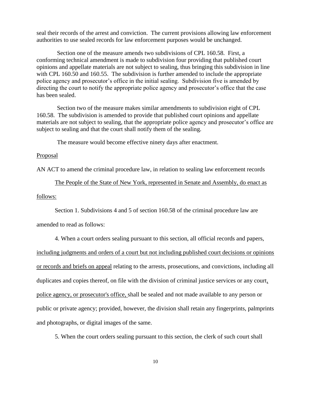seal their records of the arrest and conviction. The current provisions allowing law enforcement authorities to use sealed records for law enforcement purposes would be unchanged.

Section one of the measure amends two subdivisions of CPL 160.58. First, a conforming technical amendment is made to subdivision four providing that published court opinions and appellate materials are not subject to sealing, thus bringing this subdivision in line with CPL 160.50 and 160.55. The subdivision is further amended to include the appropriate police agency and prosecutor's office in the initial sealing. Subdivision five is amended by directing the court to notify the appropriate police agency and prosecutor's office that the case has been sealed.

Section two of the measure makes similar amendments to subdivision eight of CPL 160.58. The subdivision is amended to provide that published court opinions and appellate materials are not subject to sealing, that the appropriate police agency and prosecutor's office are subject to sealing and that the court shall notify them of the sealing.

The measure would become effective ninety days after enactment.

Proposal

AN ACT to amend the criminal procedure law, in relation to sealing law enforcement records

The People of the State of New York, represented in Senate and Assembly, do enact as follows:

Section 1. Subdivisions 4 and 5 of section 160.58 of the criminal procedure law are

amended to read as follows:

4. When a court orders sealing pursuant to this section, all official records and papers, including judgments and orders of a court but not including published court decisions or opinions or records and briefs on appeal relating to the arrests, prosecutions, and convictions, including all duplicates and copies thereof, on file with the division of criminal justice services or any court, police agency, or prosecutor's office, shall be sealed and not made available to any person or public or private agency; provided, however, the division shall retain any fingerprints, palmprints and photographs, or digital images of the same.

5. When the court orders sealing pursuant to this section, the clerk of such court shall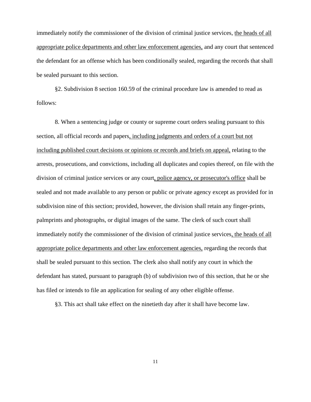immediately notify the commissioner of the division of criminal justice services, the heads of all appropriate police departments and other law enforcement agencies, and any court that sentenced the defendant for an offense which has been conditionally sealed, regarding the records that shall be sealed pursuant to this section.

§2. Subdivision 8 section 160.59 of the criminal procedure law is amended to read as follows:

8. When a sentencing judge or county or supreme court orders sealing pursuant to this section, all official records and papers, including judgments and orders of a court but not including published court decisions or opinions or records and briefs on appeal, relating to the arrests, prosecutions, and convictions, including all duplicates and copies thereof, on file with the division of criminal justice services or any court, police agency, or prosecutor's office shall be sealed and not made available to any person or public or private agency except as provided for in subdivision nine of this section; provided, however, the division shall retain any finger-prints, palmprints and photographs, or digital images of the same. The clerk of such court shall immediately notify the commissioner of the division of criminal justice services, the heads of all appropriate police departments and other law enforcement agencies, regarding the records that shall be sealed pursuant to this section. The clerk also shall notify any court in which the defendant has stated, pursuant to paragraph (b) of subdivision two of this section, that he or she has filed or intends to file an application for sealing of any other eligible offense.

§3. This act shall take effect on the ninetieth day after it shall have become law.

11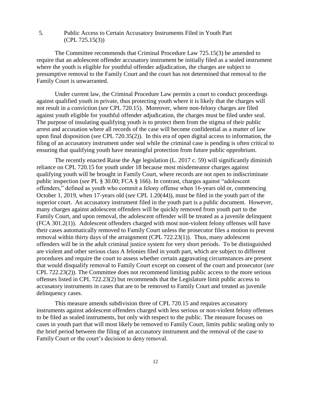5. Public Access to Certain Accusatory Instruments Filed in Youth Part (CPL 725.15(3))

The Committee recommends that Criminal Procedure Law 725.15(3) be amended to require that an adolescent offender accusatory instrument be initially filed as a sealed instrument where the youth is eligible for youthful offender adjudication, the charges are subject to presumptive removal to the Family Court and the court has not determined that removal to the Family Court is unwarranted.

Under current law, the Criminal Procedure Law permits a court to conduct proceedings against qualified youth in private, thus protecting youth where it is likely that the charges will not result in a conviction (*see* CPL 720.15). Moreover, where non-felony charges are filed against youth eligible for youthful offender adjudication, the charges must be filed under seal. The purpose of insulating qualifying youth is to protect them from the stigma of their public arrest and accusation where all records of the case will become confidential as a matter of law upon final disposition (*see* CPL 720.35(2)). In this era of open digital access to information, the filing of an accusatory instrument under seal while the criminal case is pending is often critical to ensuring that qualifying youth have meaningful protection from future public opprobrium.

The recently enacted Raise the Age legislation (L. 2017 c. 59) will significantly diminish reliance on CPL 720.15 for youth under 18 because most misdemeanor charges against qualifying youth will be brought in Family Court, where records are not open to indiscriminate public inspection (*see* PL § 30.00; FCA § 166). In contrast, charges against "adolescent offenders," defined as youth who commit a felony offense when 16-years old or, commencing October 1, 2019, when 17-years old (*see* CPL 1.20(44)), must be filed in the youth part of the superior court. An accusatory instrument filed in the youth part is a public document. However, many charges against adolescent offenders will be quickly removed from youth part to the Family Court, and upon removal, the adolescent offender will be treated as a juvenile delinquent (FCA 301.2(1)). Adolescent offenders charged with most non-violent felony offenses will have their cases automatically removed to Family Court unless the prosecutor files a motion to prevent removal within thirty days of the arraignment (CPL 722.23(1)). Thus, many adolescent offenders will be in the adult criminal justice system for very short periods. To be distinguished are violent and other serious class A felonies filed in youth part, which are subject to different procedures and require the court to assess whether certain aggravating circumstances are present that would disqualify removal to Family Court except on consent of the court and prosecutor (*see* CPL 722.23(2)). The Committee does not recommend limiting public access to the more serious offenses listed in CPL 722.23(2) but recommends that the Legislature limit public access to accusatory instruments in cases that are to be removed to Family Court and treated as juvenile delinquency cases.

This measure amends subdivision three of CPL 720.15 and requires accusatory instruments against adolescent offenders charged with less serious or non-violent felony offenses to be filed as sealed instruments, but only with respect to the public. The measure focuses on cases in youth part that will most likely be removed to Family Court, limits public sealing only to the brief period between the filing of an accusatory instrument and the removal of the case to Family Court or the court's decision to deny removal.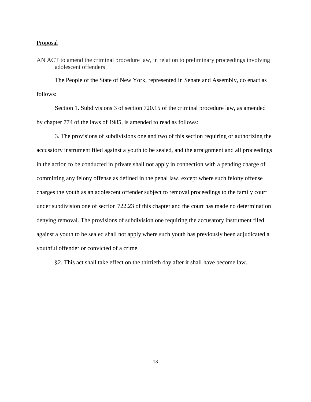# Proposal

AN ACT to amend the criminal procedure law, in relation to preliminary proceedings involving adolescent offenders

The People of the State of New York, represented in Senate and Assembly, do enact as follows:

Section 1. Subdivisions 3 of section 720.15 of the criminal procedure law, as amended by chapter 774 of the laws of 1985, is amended to read as follows:

3. The provisions of subdivisions one and two of this section requiring or authorizing the accusatory instrument filed against a youth to be sealed, and the arraignment and all proceedings in the action to be conducted in private shall not apply in connection with a pending charge of committing any felony offense as defined in the penal law, except where such felony offense charges the youth as an adolescent offender subject to removal proceedings to the family court under subdivision one of section 722.23 of this chapter and the court has made no determination denying removal. The provisions of subdivision one requiring the accusatory instrument filed against a youth to be sealed shall not apply where such youth has previously been adjudicated a youthful offender or convicted of a crime.

§2. This act shall take effect on the thirtieth day after it shall have become law.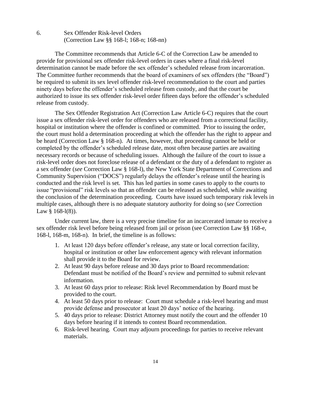6. Sex Offender Risk-level Orders (Correction Law §§ 168-l; 168-n; 168-nn)

The Committee recommends that Article 6-C of the Correction Law be amended to provide for provisional sex offender risk-level orders in cases where a final risk-level determination cannot be made before the sex offender's scheduled release from incarceration. The Committee further recommends that the board of examiners of sex offenders (the "Board") be required to submit its sex level offender risk-level recommendation to the court and parties ninety days before the offender's scheduled release from custody, and that the court be authorized to issue its sex offender risk-level order fifteen days before the offender's scheduled release from custody.

The Sex Offender Registration Act (Correction Law Article 6-C) requires that the court issue a sex offender risk-level order for offenders who are released from a correctional facility, hospital or institution where the offender is confined or committed. Prior to issuing the order, the court must hold a determination proceeding at which the offender has the right to appear and be heard (Correction Law § 168-n). At times, however, that proceeding cannot be held or completed by the offender's scheduled release date, most often because parties are awaiting necessary records or because of scheduling issues. Although the failure of the court to issue a risk-level order does not foreclose release of a defendant or the duty of a defendant to register as a sex offender (*see* Correction Law § 168-l), the New York State Department of Corrections and Community Supervision ("DOCS") regularly delays the offender's release until the hearing is conducted and the risk level is set. This has led parties in some cases to apply to the courts to issue "provisional" risk levels so that an offender can be released as scheduled, while awaiting the conclusion of the determination proceeding. Courts have issued such temporary risk levels in multiple cases, although there is no adequate statutory authority for doing so (*see* Correction Law  $§$  168-l(8)).

Under current law, there is a very precise timeline for an incarcerated inmate to receive a sex offender risk level before being released from jail or prison (see Correction Law §§ 168-e, 168-l, 168-m, 168-n). In brief, the timeline is as follows:

- 1. At least 120 days before offender's release, any state or local correction facility, hospital or institution or other law enforcement agency with relevant information shall provide it to the Board for review.
- 2. At least 90 days before release and 30 days prior to Board recommendation: Defendant must be notified of the Board's review and permitted to submit relevant information.
- 3. At least 60 days prior to release: Risk level Recommendation by Board must be provided to the court.
- 4. At least 50 days prior to release: Court must schedule a risk-level hearing and must provide defense and prosecutor at least 20 days' notice of the hearing.
- 5. 40 days prior to release: District Attorney must notify the court and the offender 10 days before hearing if it intends to contest Board recommendation.
- 6. Risk-level hearing. Court may adjourn proceedings for parties to receive relevant materials.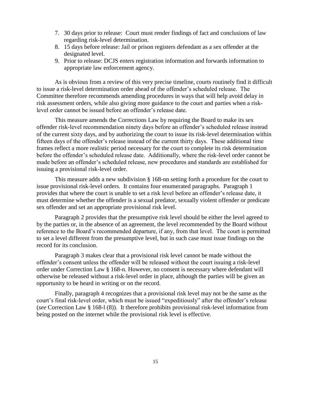- 7. 30 days prior to release: Court must render findings of fact and conclusions of law regarding risk-level determination.
- 8. 15 days before release: Jail or prison registers defendant as a sex offender at the designated level.
- 9. Prior to release: DCJS enters registration information and forwards information to appropriate law enforcement agency.

As is obvious from a review of this very precise timeline, courts routinely find it difficult to issue a risk-level determination order ahead of the offender's scheduled release. The Committee therefore recommends amending procedures in ways that will help avoid delay in risk assessment orders, while also giving more guidance to the court and parties when a risklevel order cannot be issued before an offender's release date.

This measure amends the Corrections Law by requiring the Board to make its sex offender risk-level recommendation ninety days before an offender's scheduled release instead of the current sixty days, and by authorizing the court to issue its risk-level determination within fifteen days of the offender's release instead of the current thirty days. These additional time frames reflect a more realistic period necessary for the court to complete its risk determination before the offender's scheduled release date. Additionally, where the risk-level order cannot be made before an offender's scheduled release, new procedures and standards are established for issuing a provisional risk-level order.

This measure adds a new subdivision § 168-nn setting forth a procedure for the court to issue provisional risk-level orders. It contains four enumerated paragraphs. Paragraph 1 provides that where the court is unable to set a risk level before an offender's release date, it must determine whether the offender is a sexual predator, sexually violent offender or predicate sex offender and set an appropriate provisional risk level.

Paragraph 2 provides that the presumptive risk level should be either the level agreed to by the parties or, in the absence of an agreement, the level recommended by the Board without reference to the Board's recommended departure, if any, from that level. The court is permitted to set a level different from the presumptive level, but in such case must issue findings on the record for its conclusion.

Paragraph 3 makes clear that a provisional risk level cannot be made without the offender's consent unless the offender will be released without the court issuing a risk-level order under Correction Law § 168-n. However, no consent is necessary where defendant will otherwise be released without a risk-level order in place, although the parties will be given an opportunity to be heard in writing or on the record.

Finally, paragraph 4 recognizes that a provisional risk level may not be the same as the court's final risk-level order, which must be issued "expeditiously" after the offender's release (*see* Correction Law § 168-l (8)). It therefore prohibits provisional risk-level information from being posted on the internet while the provisional risk level is effective.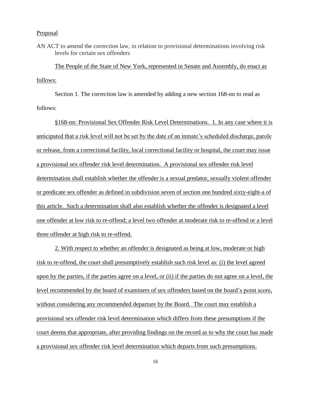## Proposal

AN ACT to amend the correction law, in relation to provisional determinations involving risk levels for certain sex offenders

The People of the State of New York, represented in Senate and Assembly, do enact as follows:

Section 1. The correction law is amended by adding a new section 168-nn to read as follows:

§168-nn: Provisional Sex Offender Risk Level Determinations. 1. In any case where it is anticipated that a risk level will not be set by the date of an inmate's scheduled discharge, parole or release, from a correctional facility, local correctional facility or hospital, the court may issue a provisional sex offender risk level determination. A provisional sex offender risk level determination shall establish whether the offender is a sexual predator, sexually violent offender or predicate sex offender as defined in subdivision seven of section one hundred sixty-eight-a of this article. Such a determination shall also establish whether the offender is designated a level one offender at low risk to re-offend; a level two offender at moderate risk to re-offend or a level three offender at high risk to re-offend.

2. With respect to whether an offender is designated as being at low, moderate or high risk to re-offend, the court shall presumptively establish such risk level as: (i) the level agreed upon by the parties, if the parties agree on a level, or (ii) if the parties do not agree on a level, the level recommended by the board of examiners of sex offenders based on the board's point score, without considering any recommended departure by the Board. The court may establish a provisional sex offender risk level determination which differs from these presumptions if the court deems that appropriate, after providing findings on the record as to why the court has made a provisional sex offender risk level determination which departs from such presumptions.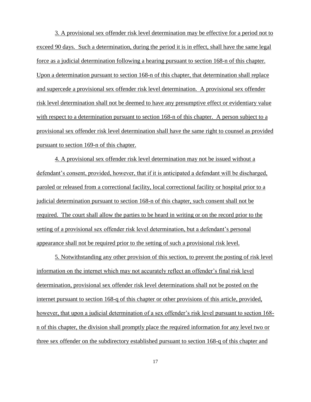3. A provisional sex offender risk level determination may be effective for a period not to exceed 90 days. Such a determination, during the period it is in effect, shall have the same legal force as a judicial determination following a hearing pursuant to section 168-n of this chapter. Upon a determination pursuant to section 168-n of this chapter, that determination shall replace and supercede a provisional sex offender risk level determination. A provisional sex offender risk level determination shall not be deemed to have any presumptive effect or evidentiary value with respect to a determination pursuant to section 168-n of this chapter. A person subject to a provisional sex offender risk level determination shall have the same right to counsel as provided pursuant to section 169-n of this chapter.

4. A provisional sex offender risk level determination may not be issued without a defendant's consent, provided, however, that if it is anticipated a defendant will be discharged, paroled or released from a correctional facility, local correctional facility or hospital prior to a judicial determination pursuant to section 168-n of this chapter, such consent shall not be required. The court shall allow the parties to be heard in writing or on the record prior to the setting of a provisional sex offender risk level determination, but a defendant's personal appearance shall not be required prior to the setting of such a provisional risk level.

5. Notwithstanding any other provision of this section, to prevent the posting of risk level information on the internet which may not accurately reflect an offender's final risk level determination, provisional sex offender risk level determinations shall not be posted on the internet pursuant to section 168-q of this chapter or other provisions of this article, provided, however, that upon a judicial determination of a sex offender's risk level pursuant to section 168 n of this chapter, the division shall promptly place the required information for any level two or three sex offender on the subdirectory established pursuant to section 168-q of this chapter and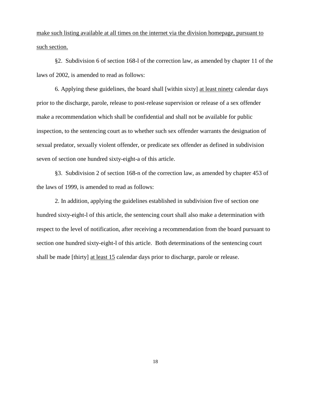make such listing available at all times on the internet via the division homepage, pursuant to such section.

§2. Subdivision 6 of section 168-l of the correction law, as amended by chapter 11 of the laws of 2002, is amended to read as follows:

6. Applying these guidelines, the board shall [within sixty] at least ninety calendar days prior to the discharge, parole, release to post-release supervision or release of a sex offender make a recommendation which shall be confidential and shall not be available for public inspection, to the sentencing court as to whether such sex offender warrants the designation of sexual predator, sexually violent offender, or predicate sex offender as defined in subdivision seven of section one hundred sixty-eight-a of this article.

§3. Subdivision 2 of section 168-n of the correction law, as amended by chapter 453 of the laws of 1999, is amended to read as follows:

2. In addition, applying the guidelines established in subdivision five of section one hundred sixty-eight-l of this article, the sentencing court shall also make a determination with respect to the level of notification, after receiving a recommendation from the board pursuant to section one hundred sixty-eight-l of this article. Both determinations of the sentencing court shall be made [thirty] at least 15 calendar days prior to discharge, parole or release.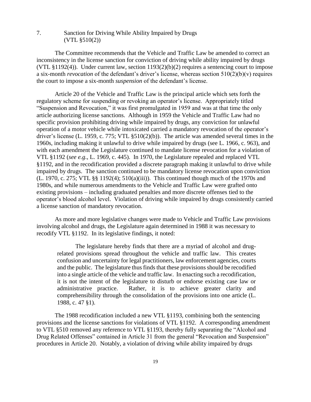7. Sanction for Driving While Ability Impaired by Drugs (VTL §510(2))

The Committee recommends that the Vehicle and Traffic Law be amended to correct an inconsistency in the license sanction for conviction of driving while ability impaired by drugs (VTL  $$1192(4)$ ). Under current law, section  $1193(2)(b)(2)$  requires a sentencing court to impose a six-month *revocation* of the defendant's driver's license, whereas section 510(2)(b)(v) requires the court to impose a six-month *suspension* of the defendant's license.

Article 20 of the Vehicle and Traffic Law is the principal article which sets forth the regulatory scheme for suspending or revoking an operator's license. Appropriately titled "Suspension and Revocation," it was first promulgated in 1959 and was at that time the only article authorizing license sanctions. Although in 1959 the Vehicle and Traffic Law had no specific provision prohibiting driving while impaired by drugs, any conviction for unlawful operation of a motor vehicle while intoxicated carried a mandatory revocation of the operator's driver's license (L. 1959, c. 775; VTL §510(2)(b)). The article was amended several times in the 1960s, including making it unlawful to drive while impaired by drugs (see L. 1966, c. 963), and with each amendment the Legislature continued to mandate license revocation for a violation of VTL §1192 (*see e.g*., L. 1969, c. 445). In 1970, the Legislature repealed and replaced VTL §1192, and in the recodification provided a discrete paragraph making it unlawful to drive while impaired by drugs. The sanction continued to be mandatory license revocation upon conviction (L. 1970, c. 275; VTL §§ 1192(4); 510(a)(iii)). This continued though much of the 1970s and 1980s, and while numerous amendments to the Vehicle and Traffic Law were grafted onto existing provisions – including graduated penalties and more discrete offenses tied to the operator's blood alcohol level. Violation of driving while impaired by drugs consistently carried a license sanction of mandatory revocation.

As more and more legislative changes were made to Vehicle and Traffic Law provisions involving alcohol and drugs, the Legislature again determined in 1988 it was necessary to recodify VTL §1192. In its legislative findings, it noted:

The legislature hereby finds that there are a myriad of alcohol and drugrelated provisions spread throughout the vehicle and traffic law. This creates confusion and uncertainty for legal practitioners, law enforcement agencies, courts and the public. The legislature thus finds that these provisions should be recodified into a single article of the vehicle and traffic law. In enacting such a recodification, it is not the intent of the legislature to disturb or endorse existing case law or administrative practice. Rather, it is to achieve greater clarity and comprehensibility through the consolidation of the provisions into one article (L. 1988, c. 47 §1).

The 1988 recodification included a new VTL §1193, combining both the sentencing provisions and the license sanctions for violations of VTL §1192. A corresponding amendment to VTL §510 removed any reference to VTL §1193, thereby fully separating the "Alcohol and Drug Related Offenses" contained in Article 31 from the general "Revocation and Suspension" procedures in Article 20. Notably, a violation of driving while ability impaired by drugs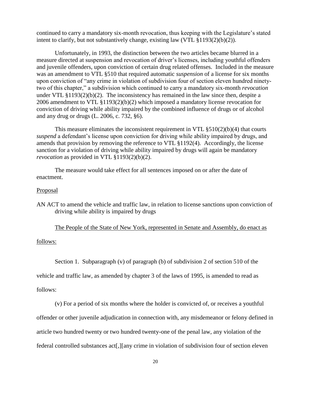continued to carry a mandatory six-month revocation, thus keeping with the Legislature's stated intent to clarify, but not substantively change, existing law (VTL §1193(2)(b)(2)).

Unfortunately, in 1993, the distinction between the two articles became blurred in a measure directed at suspension and revocation of driver's licenses, including youthful offenders and juvenile offenders, upon conviction of certain drug related offenses. Included in the measure was an amendment to VTL §510 that required automatic *suspension* of a license for six months upon conviction of "any crime in violation of subdivision four of section eleven hundred ninetytwo of this chapter," a subdivision which continued to carry a mandatory six-month *revocation* under VTL  $\S1193(2)(b)(2)$ . The inconsistency has remained in the law since then, despite a 2006 amendment to VTL §1193(2)(b)(2) which imposed a mandatory license revocation for conviction of driving while ability impaired by the combined influence of drugs or of alcohol and any drug or drugs (L. 2006, c. 732, §6).

This measure eliminates the inconsistent requirement in VTL  $\S510(2)(b)(4)$  that courts *suspend* a defendant's license upon conviction for driving while ability impaired by drugs, and amends that provision by removing the reference to VTL §1192(4). Accordingly, the license sanction for a violation of driving while ability impaired by drugs will again be mandatory *revocation* as provided in VTL §1193(2)(b)(2).

The measure would take effect for all sentences imposed on or after the date of enactment.

#### Proposal

AN ACT to amend the vehicle and traffic law, in relation to license sanctions upon conviction of driving while ability is impaired by drugs

## The People of the State of New York, represented in Senate and Assembly, do enact as

#### follows:

Section 1. Subparagraph (v) of paragraph (b) of subdivision 2 of section 510 of the

vehicle and traffic law, as amended by chapter 3 of the laws of 1995, is amended to read as

follows:

(v) For a period of six months where the holder is convicted of, or receives a youthful

offender or other juvenile adjudication in connection with, any misdemeanor or felony defined in

article two hundred twenty or two hundred twenty-one of the penal law, any violation of the

federal controlled substances act[,][any crime in violation of subdivision four of section eleven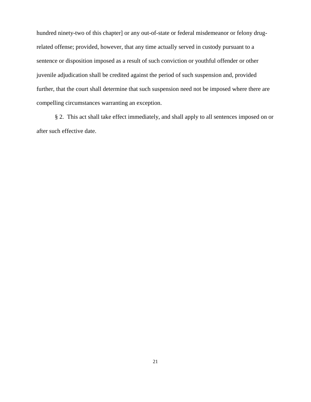hundred ninety-two of this chapter] or any out-of-state or federal misdemeanor or felony drugrelated offense; provided, however, that any time actually served in custody pursuant to a sentence or disposition imposed as a result of such conviction or youthful offender or other juvenile adjudication shall be credited against the period of such suspension and, provided further, that the court shall determine that such suspension need not be imposed where there are compelling circumstances warranting an exception.

§ 2. This act shall take effect immediately, and shall apply to all sentences imposed on or after such effective date.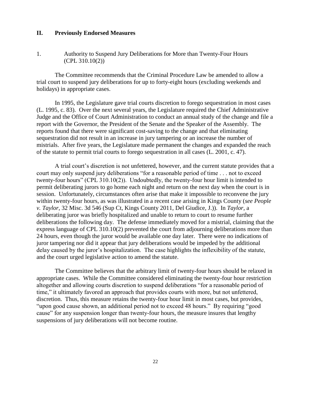## **II. Previously Endorsed Measures**

1. Authority to Suspend Jury Deliberations for More than Twenty-Four Hours (CPL 310.10(2))

The Committee recommends that the Criminal Procedure Law be amended to allow a trial court to suspend jury deliberations for up to forty-eight hours (excluding weekends and holidays) in appropriate cases.

In 1995, the Legislature gave trial courts discretion to forego sequestration in most cases (L. 1995, c. 83). Over the next several years, the Legislature required the Chief Administrative Judge and the Office of Court Administration to conduct an annual study of the change and file a report with the Governor, the President of the Senate and the Speaker of the Assembly. The reports found that there were significant cost-saving to the change and that eliminating sequestration did not result in an increase in jury tampering or an increase the number of mistrials. After five years, the Legislature made permanent the changes and expanded the reach of the statute to permit trial courts to forego sequestration in all cases (L. 2001, c. 47).

A trial court's discretion is not unfettered, however, and the current statute provides that a court may only suspend jury deliberations "for a reasonable period of time . . . not to exceed twenty-four hours" (CPL 310.10(2)). Undoubtedly, the twenty-four hour limit is intended to permit deliberating jurors to go home each night and return on the next day when the court is in session. Unfortunately, circumstances often arise that make it impossible to reconvene the jury within twenty-four hours, as was illustrated in a recent case arising in Kings County (*see People v. Taylor*, 32 Misc. 3d 546 (Sup Ct, Kings County 2011, Del Giudice, J.)). In *Taylor*, a deliberating juror was briefly hospitalized and unable to return to court to resume further deliberations the following day. The defense immediately moved for a mistrial, claiming that the express language of CPL 310.10(2) prevented the court from adjourning deliberations more than 24 hours, even though the juror would be available one day later. There were no indications of juror tampering nor did it appear that jury deliberations would be impeded by the additional delay caused by the juror's hospitalization. The case highlights the inflexibility of the statute, and the court urged legislative action to amend the statute.

The Committee believes that the arbitrary limit of twenty-four hours should be relaxed in appropriate cases. While the Committee considered eliminating the twenty-four hour restriction altogether and allowing courts discretion to suspend deliberations "for a reasonable period of time," it ultimately favored an approach that provides courts with more, but not unfettered, discretion. Thus, this measure retains the twenty-four hour limit in most cases, but provides, "upon good cause shown, an additional period not to exceed 48 hours." By requiring "good cause" for any suspension longer than twenty-four hours, the measure insures that lengthy suspensions of jury deliberations will not become routine.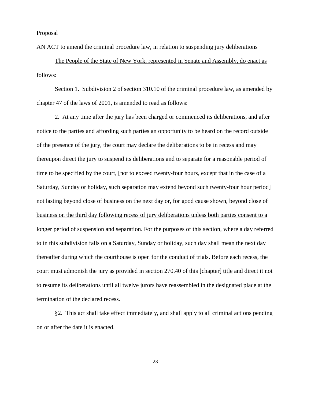## Proposal

AN ACT to amend the criminal procedure law, in relation to suspending jury deliberations

The People of the State of New York, represented in Senate and Assembly, do enact as follows:

Section 1. Subdivision 2 of section 310.10 of the criminal procedure law, as amended by chapter 47 of the laws of 2001, is amended to read as follows:

2. At any time after the jury has been charged or commenced its deliberations, and after notice to the parties and affording such parties an opportunity to be heard on the record outside of the presence of the jury, the court may declare the deliberations to be in recess and may thereupon direct the jury to suspend its deliberations and to separate for a reasonable period of time to be specified by the court, [not to exceed twenty-four hours, except that in the case of a Saturday, Sunday or holiday, such separation may extend beyond such twenty-four hour period] not lasting beyond close of business on the next day or, for good cause shown, beyond close of business on the third day following recess of jury deliberations unless both parties consent to a longer period of suspension and separation. For the purposes of this section, where a day referred to in this subdivision falls on a Saturday, Sunday or holiday, such day shall mean the next day thereafter during which the courthouse is open for the conduct of trials. Before each recess, the court must admonish the jury as provided in section 270.40 of this [chapter] title and direct it not to resume its deliberations until all twelve jurors have reassembled in the designated place at the termination of the declared recess.

§2. This act shall take effect immediately, and shall apply to all criminal actions pending on or after the date it is enacted.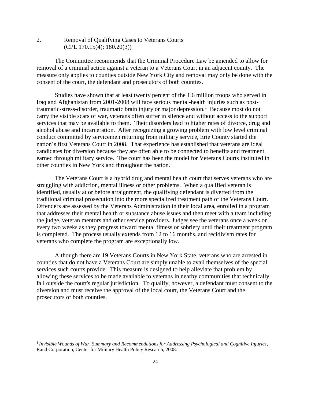2. Removal of Qualifying Cases to Veterans Courts (CPL 170.15(4); 180.20(3))

The Committee recommends that the Criminal Procedure Law be amended to allow for removal of a criminal action against a veteran to a Veterans Court in an adjacent county. The measure only applies to counties outside New York City and removal may only be done with the consent of the court, the defendant and prosecutors of both counties.

Studies have shown that at least twenty percent of the 1.6 million troops who served in Iraq and Afghanistan from 2001-2008 will face serious mental-health injuries such as posttraumatic-stress-disorder, traumatic brain injury or major depression.<sup>1</sup> Because most do not carry the visible scars of war, veterans often suffer in silence and without access to the support services that may be available to them. Their disorders lead to higher rates of divorce, drug and alcohol abuse and incarceration. After recognizing a growing problem with low level criminal conduct committed by servicemen returning from military service, Erie County started the nation's first Veterans Court in 2008. That experience has established that veterans are ideal candidates for diversion because they are often able to be connected to benefits and treatment earned through military service. The court has been the model for Veterans Courts instituted in other counties in New York and throughout the nation.

The Veterans Court is a hybrid drug and mental health court that serves veterans who are struggling with addiction, mental illness or other problems. When a qualified veteran is identified, usually at or before arraignment, the qualifying defendant is diverted from the traditional criminal prosecution into the more specialized treatment path of the Veterans Court. Offenders are assessed by the Veterans Administration in their local area, enrolled in a program that addresses their mental health or substance abuse issues and then meet with a team including the judge, veteran mentors and other service providers. Judges see the veterans once a week or every two weeks as they progress toward mental fitness or sobriety until their treatment program is completed. The process usually extends from 12 to 16 months, and recidivism rates for veterans who complete the program are exceptionally low.

Although there are 19 Veterans Courts in New York State, veterans who are arrested in counties that do not have a Veterans Court are simply unable to avail themselves of the special services such courts provide. This measure is designed to help alleviate that problem by allowing these services to be made available to veterans in nearby communities that technically fall outside the court's regular jurisdiction. To qualify, however, a defendant must consent to the diversion and must receive the approval of the local court, the Veterans Court and the prosecutors of both counties.

 $\overline{a}$ 

<sup>&</sup>lt;sup>1</sup> Invisible Wounds of War, Summary and Recommendations for Addressing Psychological and Cognitive Injuries, Rand Corporation, Center for Military Health Policy Research, 2008.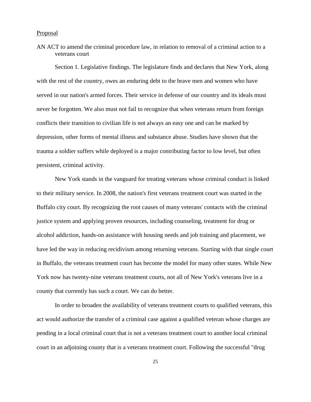## Proposal

AN ACT to amend the criminal procedure law, in relation to removal of a criminal action to a veterans court

Section 1. Legislative findings. The legislature finds and declares that New York, along with the rest of the country, owes an enduring debt to the brave men and women who have served in our nation's armed forces. Their service in defense of our country and its ideals must never be forgotten. We also must not fail to recognize that when veterans return from foreign conflicts their transition to civilian life is not always an easy one and can be marked by depression, other forms of mental illness and substance abuse. Studies have shown that the trauma a soldier suffers while deployed is a major contributing factor to low level, but often persistent, criminal activity.

New York stands in the vanguard for treating veterans whose criminal conduct is linked to their military service. In 2008, the nation's first veterans treatment court was started in the Buffalo city court. By recognizing the root causes of many veterans' contacts with the criminal justice system and applying proven resources, including counseling, treatment for drug or alcohol addiction, hands-on assistance with housing needs and job training and placement, we have led the way in reducing recidivism among returning veterans. Starting with that single court in Buffalo, the veterans treatment court has become the model for many other states. While New York now has twenty-nine veterans treatment courts, not all of New York's veterans live in a county that currently has such a court. We can do better.

In order to broaden the availability of veterans treatment courts to qualified veterans, this act would authorize the transfer of a criminal case against a qualified veteran whose charges are pending in a local criminal court that is not a veterans treatment court to another local criminal court in an adjoining county that is a veterans treatment court. Following the successful "drug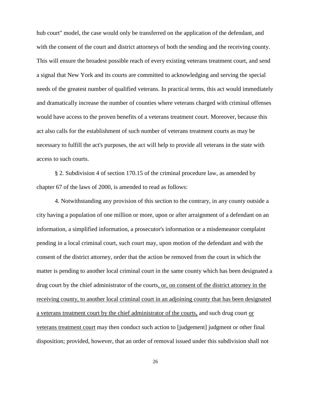hub court" model, the case would only be transferred on the application of the defendant, and with the consent of the court and district attorneys of both the sending and the receiving county. This will ensure the broadest possible reach of every existing veterans treatment court, and send a signal that New York and its courts are committed to acknowledging and serving the special needs of the greatest number of qualified veterans. In practical terms, this act would immediately and dramatically increase the number of counties where veterans charged with criminal offenses would have access to the proven benefits of a veterans treatment court. Moreover, because this act also calls for the establishment of such number of veterans treatment courts as may be necessary to fulfill the act's purposes, the act will help to provide all veterans in the state with access to such courts.

§ 2. Subdivision 4 of section 170.15 of the criminal procedure law, as amended by chapter 67 of the laws of 2000, is amended to read as follows:

4. Notwithstanding any provision of this section to the contrary, in any county outside a city having a population of one million or more, upon or after arraignment of a defendant on an information, a simplified information, a prosecutor's information or a misdemeanor complaint pending in a local criminal court, such court may, upon motion of the defendant and with the consent of the district attorney, order that the action be removed from the court in which the matter is pending to another local criminal court in the same county which has been designated a drug court by the chief administrator of the courts, or, on consent of the district attorney in the receiving county, to another local criminal court in an adjoining county that has been designated a veterans treatment court by the chief administrator of the courts, and such drug court or veterans treatment court may then conduct such action to [judgement] judgment or other final disposition; provided, however, that an order of removal issued under this subdivision shall not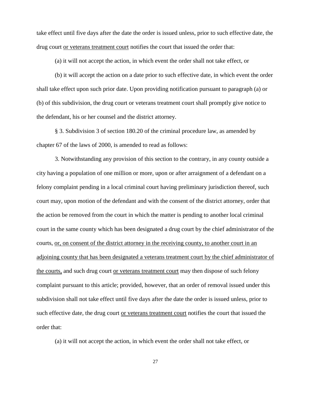take effect until five days after the date the order is issued unless, prior to such effective date, the drug court or veterans treatment court notifies the court that issued the order that:

(a) it will not accept the action, in which event the order shall not take effect, or

(b) it will accept the action on a date prior to such effective date, in which event the order shall take effect upon such prior date. Upon providing notification pursuant to paragraph (a) or (b) of this subdivision, the drug court or veterans treatment court shall promptly give notice to the defendant, his or her counsel and the district attorney.

§ 3. Subdivision 3 of section 180.20 of the criminal procedure law, as amended by chapter 67 of the laws of 2000, is amended to read as follows:

3. Notwithstanding any provision of this section to the contrary, in any county outside a city having a population of one million or more, upon or after arraignment of a defendant on a felony complaint pending in a local criminal court having preliminary jurisdiction thereof, such court may, upon motion of the defendant and with the consent of the district attorney, order that the action be removed from the court in which the matter is pending to another local criminal court in the same county which has been designated a drug court by the chief administrator of the courts, or, on consent of the district attorney in the receiving county, to another court in an adjoining county that has been designated a veterans treatment court by the chief administrator of the courts, and such drug court or veterans treatment court may then dispose of such felony complaint pursuant to this article; provided, however, that an order of removal issued under this subdivision shall not take effect until five days after the date the order is issued unless, prior to such effective date, the drug court or veterans treatment court notifies the court that issued the order that:

(a) it will not accept the action, in which event the order shall not take effect, or

27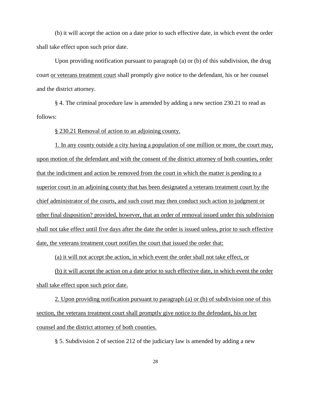(b) it will accept the action on a date prior to such effective date, in which event the order shall take effect upon such prior date.

Upon providing notification pursuant to paragraph (a) or (b) of this subdivision, the drug court or veterans treatment court shall promptly give notice to the defendant, his or her counsel and the district attorney.

§ 4. The criminal procedure law is amended by adding a new section 230.21 to read as follows:

§ 230.21 Removal of action to an adjoining county.

1. In any county outside a city having a population of one million or more, the court may, upon motion of the defendant and with the consent of the district attorney of both counties, order that the indictment and action be removed from the court in which the matter is pending to a superior court in an adjoining county that has been designated a veterans treatment court by the chief administrator of the courts, and such court may then conduct such action to judgment or other final disposition? provided, however, that an order of removal issued under this subdivision shall not take effect until five days after the date the order is issued unless, prior to such effective date, the veterans treatment court notifies the court that issued the order that:

(a) it will not accept the action, in which event the order shall not take effect, or

(b) it will accept the action on a date prior to such effective date, in which event the order shall take effect upon such prior date.

2. Upon providing notification pursuant to paragraph (a) or (b) of subdivision one of this section, the veterans treatment court shall promptly give notice to the defendant, his or her counsel and the district attorney of both counties.

§ 5. Subdivision 2 of section 212 of the judiciary law is amended by adding a new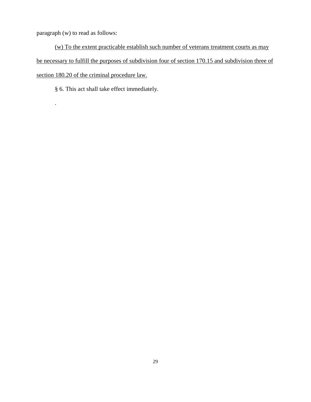paragraph (w) to read as follows:

.

(w) To the extent practicable establish such number of veterans treatment courts as may be necessary to fulfill the purposes of subdivision four of section 170.15 and subdivision three of section 180.20 of the criminal procedure law.

§ 6. This act shall take effect immediately.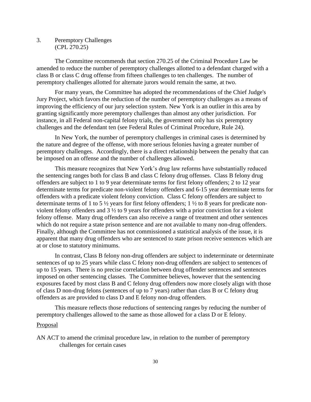# 3. Peremptory Challenges (CPL 270.25)

The Committee recommends that section 270.25 of the Criminal Procedure Law be amended to reduce the number of peremptory challenges allotted to a defendant charged with a class B or class C drug offense from fifteen challenges to ten challenges. The number of peremptory challenges allotted for alternate jurors would remain the same, at two.

For many years, the Committee has adopted the recommendations of the Chief Judge's Jury Project, which favors the reduction of the number of peremptory challenges as a means of improving the efficiency of our jury selection system. New York is an outlier in this area by granting significantly more peremptory challenges than almost any other jurisdiction. For instance, in all Federal non-capital felony trials, the government only has six peremptory challenges and the defendant ten (see Federal Rules of Criminal Procedure, Rule 24).

In New York, the number of peremptory challenges in criminal cases is determined by the nature and degree of the offense, with more serious felonies having a greater number of peremptory challenges. Accordingly, there is a direct relationship between the penalty that can be imposed on an offense and the number of challenges allowed.

This measure recognizes that New York's drug law reforms have substantially reduced the sentencing ranges both for class B and class C felony drug offenses. Class B felony drug offenders are subject to 1 to 9 year determinate terms for first felony offenders; 2 to 12 year determinate terms for predicate non-violent felony offenders and 6-15 year determinate terms for offenders with a predicate violent felony conviction. Class C felony offenders are subject to determinate terms of 1 to 5  $\frac{1}{2}$  years for first felony offenders; 1  $\frac{1}{2}$  to 8 years for predicate nonviolent felony offenders and 3 ½ to 9 years for offenders with a prior conviction for a violent felony offense. Many drug offenders can also receive a range of treatment and other sentences which do not require a state prison sentence and are not available to many non-drug offenders. Finally, although the Committee has not commissioned a statistical analysis of the issue, it is apparent that many drug offenders who are sentenced to state prison receive sentences which are at or close to statutory minimums.

In contrast, Class B felony non-drug offenders are subject to indeterminate or determinate sentences of up to 25 years while class C felony non-drug offenders are subject to sentences of up to 15 years. There is no precise correlation between drug offender sentences and sentences imposed on other sentencing classes. The Committee believes, however that the sentencing exposures faced by most class B and C felony drug offenders now more closely align with those of class D non-drug felons (sentences of up to 7 years) rather than class B or C felony drug offenders as are provided to class D and E felony non-drug offenders.

This measure reflects those reductions of sentencing ranges by reducing the number of peremptory challenges allowed to the same as those allowed for a class D or E felony.

### Proposal

AN ACT to amend the criminal procedure law, in relation to the number of peremptory challenges for certain cases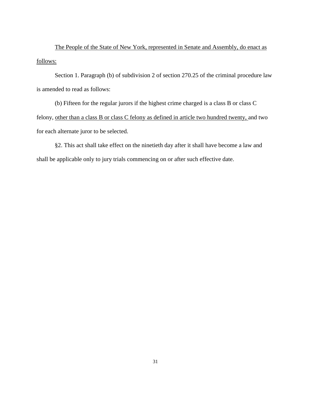The People of the State of New York, represented in Senate and Assembly, do enact as follows:

Section 1. Paragraph (b) of subdivision 2 of section 270.25 of the criminal procedure law is amended to read as follows:

(b) Fifteen for the regular jurors if the highest crime charged is a class B or class C felony, other than a class B or class C felony as defined in article two hundred twenty, and two for each alternate juror to be selected.

§2. This act shall take effect on the ninetieth day after it shall have become a law and shall be applicable only to jury trials commencing on or after such effective date.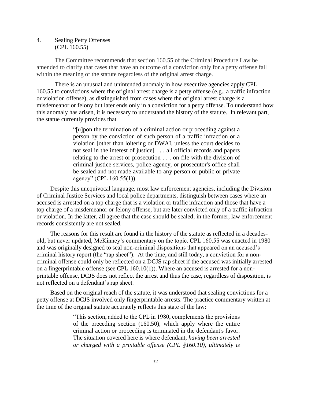## 4. Sealing Petty Offenses (CPL 160.55)

The Committee recommends that section 160.55 of the Criminal Procedure Law be amended to clarify that cases that have an outcome of a conviction only for a petty offense fall within the meaning of the statute regardless of the original arrest charge.

There is an unusual and unintended anomaly in how executive agencies apply CPL 160.55 to convictions where the original arrest charge is a petty offense (e.g., a traffic infraction or violation offense), as distinguished from cases where the original arrest charge is a misdemeanor or felony but later ends only in a conviction for a petty offense. To understand how this anomaly has arisen, it is necessary to understand the history of the statute. In relevant part, the statue currently provides that

> "[u]pon the termination of a criminal action or proceeding against a person by the conviction of such person of a traffic infraction or a violation [other than loitering or DWAI, unless the court decides to not seal in the interest of justice] . . . all official records and papers relating to the arrest or prosecution . . . on file with the division of criminal justice services, police agency, or prosecutor's office shall be sealed and not made available to any person or public or private agency" (CPL 160.55(1)).

Despite this unequivocal language, most law enforcement agencies, including the Division of Criminal Justice Services and local police departments, distinguish between cases where an accused is arrested on a top charge that is a violation or traffic infraction and those that have a top charge of a misdemeanor or felony offense, but are later convicted only of a traffic infraction or violation. In the latter, all agree that the case should be sealed; in the former, law enforcement records consistently are not sealed.

The reasons for this result are found in the history of the statute as reflected in a decadesold, but never updated, McKinney's commentary on the topic. CPL 160.55 was enacted in 1980 and was originally designed to seal non-criminal dispositions that appeared on an accused's criminal history report (the "rap sheet"). At the time, and still today, a conviction for a noncriminal offense could only be reflected on a DCJS rap sheet if the accused was initially arrested on a fingerprintable offense (see CPL 160.10(1)). Where an accused is arrested for a nonprintable offense, DCJS does not reflect the arrest and thus the case, regardless of disposition, is not reflected on a defendant's rap sheet.

Based on the original reach of the statute, it was understood that sealing convictions for a petty offense at DCJS involved only fingerprintable arrests. The practice commentary written at the time of the original statute accurately reflects this state of the law:

> "This section, added to the CPL in 1980, complements the provisions of the preceding section (160.50), which apply where the entire criminal action or proceeding is terminated in the defendant's favor. The situation covered here is where defendant, *having been arrested or charged with a printable offense (CPL §160.10), ultimately is*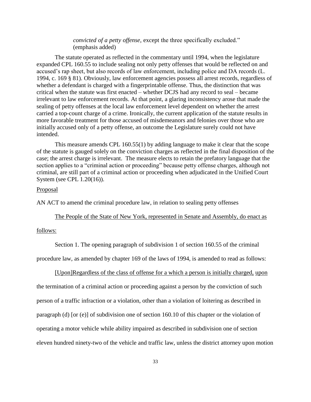*convicted of a petty offense*, except the three specifically excluded." (emphasis added)

The statute operated as reflected in the commentary until 1994, when the legislature expanded CPL 160.55 to include sealing not only petty offenses that would be reflected on and accused's rap sheet, but also records of law enforcement, including police and DA records (L. 1994, c. 169 § 81). Obviously, law enforcement agencies possess all arrest records, regardless of whether a defendant is charged with a fingerprintable offense. Thus, the distinction that was critical when the statute was first enacted – whether DCJS had any record to seal – became irrelevant to law enforcement records. At that point, a glaring inconsistency arose that made the sealing of petty offenses at the local law enforcement level dependent on whether the arrest carried a top-count charge of a crime. Ironically, the current application of the statute results in more favorable treatment for those accused of misdemeanors and felonies over those who are initially accused only of a petty offense, an outcome the Legislature surely could not have intended.

This measure amends CPL 160.55(1) by adding language to make it clear that the scope of the statute is gauged solely on the conviction charges as reflected in the final disposition of the case; the arrest charge is irrelevant. The measure elects to retain the prefatory language that the section applies to a "criminal action or proceeding" because petty offense charges, although not criminal, are still part of a criminal action or proceeding when adjudicated in the Unified Court System (see CPL 1.20(16)).

### Proposal

AN ACT to amend the criminal procedure law, in relation to sealing petty offenses

The People of the State of New York, represented in Senate and Assembly, do enact as

### follows:

Section 1. The opening paragraph of subdivision 1 of section 160.55 of the criminal

procedure law, as amended by chapter 169 of the laws of 1994, is amended to read as follows:

[Upon]Regardless of the class of offense for a which a person is initially charged, upon the termination of a criminal action or proceeding against a person by the conviction of such person of a traffic infraction or a violation, other than a violation of loitering as described in paragraph (d) [or (e)] of subdivision one of section 160.10 of this chapter or the violation of operating a motor vehicle while ability impaired as described in subdivision one of section eleven hundred ninety-two of the vehicle and traffic law, unless the district attorney upon motion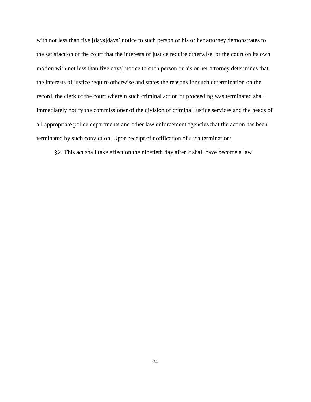with not less than five [days]days' notice to such person or his or her attorney demonstrates to the satisfaction of the court that the interests of justice require otherwise, or the court on its own motion with not less than five days' notice to such person or his or her attorney determines that the interests of justice require otherwise and states the reasons for such determination on the record, the clerk of the court wherein such criminal action or proceeding was terminated shall immediately notify the commissioner of the division of criminal justice services and the heads of all appropriate police departments and other law enforcement agencies that the action has been terminated by such conviction. Upon receipt of notification of such termination:

§2. This act shall take effect on the ninetieth day after it shall have become a law.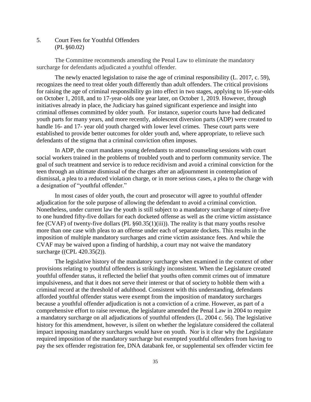# 5. Court Fees for Youthful Offenders (PL §60.02)

The Committee recommends amending the Penal Law to eliminate the mandatory surcharge for defendants adjudicated a youthful offender.

The newly enacted legislation to raise the age of criminal responsibility (L. 2017, c. 59), recognizes the need to treat older youth differently than adult offenders. The critical provisions for raising the age of criminal responsibility go into effect in two stages, applying to 16-year-olds on October 1, 2018, and to 17-year-olds one year later, on October 1, 2019. However, through initiatives already in place, the Judiciary has gained significant experience and insight into criminal offenses committed by older youth. For instance, superior courts have had dedicated youth parts for many years, and more recently, adolescent diversion parts (ADP) were created to handle 16- and 17- year old youth charged with lower level crimes. These court parts were established to provide better outcomes for older youth and, where appropriate, to relieve such defendants of the stigma that a criminal conviction often imposes.

In ADP, the court mandates young defendants to attend counseling sessions with court social workers trained in the problems of troubled youth and to perform community service. The goal of such treatment and service is to reduce recidivism and avoid a criminal conviction for the teen through an ultimate dismissal of the charges after an adjournment in contemplation of dismissal, a plea to a reduced violation charge, or in more serious cases, a plea to the charge with a designation of "youthful offender."

In most cases of older youth, the court and prosecutor will agree to youthful offender adjudication for the sole purpose of allowing the defendant to avoid a criminal conviction. Nonetheless, under current law the youth is still subject to a mandatory surcharge of ninety-five to one hundred fifty-five dollars for each docketed offense as well as the crime victim assistance fee (CVAF) of twenty-five dollars (PL §60.35(1)(iii)). The reality is that many youths resolve more than one case with pleas to an offense under each of separate dockets. This results in the imposition of multiple mandatory surcharges and crime victim assistance fees. And while the CVAF may be waived upon a finding of hardship, a court may not waive the mandatory surcharge ((CPL 420.35(2)).

The legislative history of the mandatory surcharge when examined in the context of other provisions relating to youthful offenders is strikingly inconsistent. When the Legislature created youthful offender status, it reflected the belief that youths often commit crimes out of immature impulsiveness, and that it does not serve their interest or that of society to hobble them with a criminal record at the threshold of adulthood. Consistent with this understanding, defendants afforded youthful offender status were exempt from the imposition of mandatory surcharges because a youthful offender adjudication is not a conviction of a crime. However, as part of a comprehensive effort to raise revenue, the legislature amended the Penal Law in 2004 to require a mandatory surcharge on all adjudications of youthful offenders (L. 2004 c. 56). The legislative history for this amendment, however, is silent on whether the legislature considered the collateral impact imposing mandatory surcharges would have on youth. Nor is it clear why the Legislature required imposition of the mandatory surcharge but exempted youthful offenders from having to pay the sex offender registration fee, DNA databank fee, or supplemental sex offender victim fee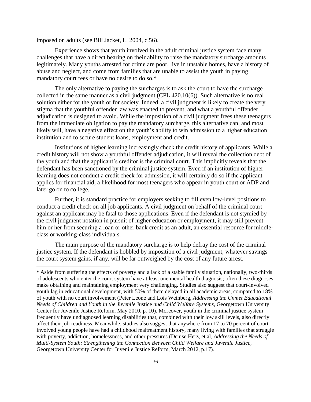imposed on adults (see Bill Jacket, L. 2004, c.56).

 $\overline{a}$ 

Experience shows that youth involved in the adult criminal justice system face many challenges that have a direct bearing on their ability to raise the mandatory surcharge amounts legitimately. Many youths arrested for crime are poor, live in unstable homes, have a history of abuse and neglect, and come from families that are unable to assist the youth in paying mandatory court fees or have no desire to do so.\*

The only alternative to paying the surcharges is to ask the court to have the surcharge collected in the same manner as a civil judgment (CPL 420.10(6)). Such alternative is no real solution either for the youth or for society. Indeed, a civil judgment is likely to create the very stigma that the youthful offender law was enacted to prevent, and what a youthful offender adjudication is designed to avoid. While the imposition of a civil judgment frees these teenagers from the immediate obligation to pay the mandatory surcharge, this alternative can, and most likely will, have a negative effect on the youth's ability to win admission to a higher education institution and to secure student loans, employment and credit.

Institutions of higher learning increasingly check the credit history of applicants. While a credit history will not show a youthful offender adjudication, it will reveal the collection debt of the youth and that the applicant's creditor is the criminal court. This implicitly reveals that the defendant has been sanctioned by the criminal justice system. Even if an institution of higher learning does not conduct a credit check for admission, it will certainly do so if the applicant applies for financial aid, a likelihood for most teenagers who appear in youth court or ADP and later go on to college.

Further, it is standard practice for employers seeking to fill even low-level positions to conduct a credit check on all job applicants. A civil judgment on behalf of the criminal court against an applicant may be fatal to those applications. Even if the defendant is not stymied by the civil judgment notation in pursuit of higher education or employment, it may still prevent him or her from securing a loan or other bank credit as an adult, an essential resource for middleclass or working-class individuals.

The main purpose of the mandatory surcharge is to help defray the cost of the criminal justice system. If the defendant is hobbled by imposition of a civil judgment, whatever savings the court system gains, if any, will be far outweighed by the cost of any future arrest,

<sup>\*</sup> Aside from suffering the effects of poverty and a lack of a stable family situation, nationally, two-thirds of adolescents who enter the court system have at least one mental health diagnosis; often these diagnoses make obtaining and maintaining employment very challenging. Studies also suggest that court-involved youth lag in educational development, with 50% of them delayed in all academic areas, compared to 18% of youth with no court involvement (Peter Leone and Lois Weinberg, *Addressing the Unmet Educational Needs of Children and Youth in the Juvenile* Justice *and Child Welfare Systems*, Georgetown University Center for Juvenile Justice Reform, May 2010, p. 10). Moreover, youth in the criminal justice system frequently have undiagnosed learning disabilities that, combined with their low skill levels, also directly affect their job-readiness. Meanwhile, studies also suggest that anywhere from 17 to 70 percent of courtinvolved young people have had a childhood maltreatment history, many living with families that struggle with poverty, addiction, homelessness, and other pressures (Denise Herz, et al, *Addressing the Needs of Multi-System Youth: Strengthening the Connection Between Child Welfare and Juvenile Justice,*  Georgetown University Center for Juvenile Justice Reform, March 2012, p.17)*.*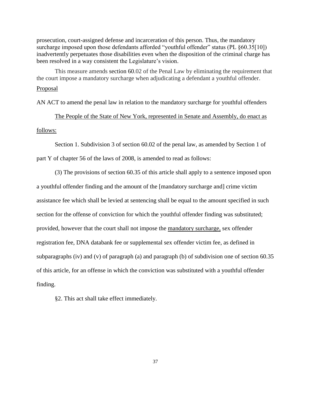prosecution, court-assigned defense and incarceration of this person. Thus, the mandatory surcharge imposed upon those defendants afforded "youthful offender" status (PL §60.35[10]) inadvertently perpetuates those disabilities even when the disposition of the criminal charge has been resolved in a way consistent the Legislature's vision.

This measure amends section 60.02 of the Penal Law by eliminating the requirement that the court impose a mandatory surcharge when adjudicating a defendant a youthful offender.

### Proposal

AN ACT to amend the penal law in relation to the mandatory surcharge for youthful offenders

The People of the State of New York, represented in Senate and Assembly, do enact as follows:

Section 1. Subdivision 3 of section 60.02 of the penal law, as amended by Section 1 of part Y of chapter 56 of the laws of 2008, is amended to read as follows:

(3) The provisions of section 60.35 of this article shall apply to a sentence imposed upon a youthful offender finding and the amount of the [mandatory surcharge and] crime victim assistance fee which shall be levied at sentencing shall be equal to the amount specified in such section for the offense of conviction for which the youthful offender finding was substituted; provided, however that the court shall not impose the mandatory surcharge, sex offender registration fee, DNA databank fee or supplemental sex offender victim fee, as defined in subparagraphs (iv) and (v) of paragraph (a) and paragraph (b) of subdivision one of section 60.35 of this article, for an offense in which the conviction was substituted with a youthful offender finding.

§2. This act shall take effect immediately.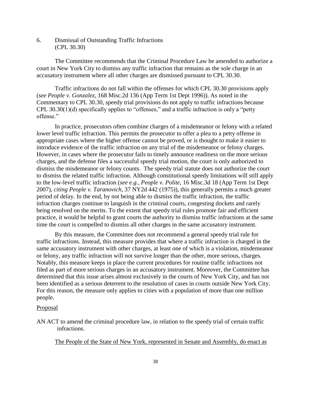6. Dismissal of Outstanding Traffic Infractions (CPL 30.30)

The Committee recommends that the Criminal Procedure Law be amended to authorize a court in New York City to dismiss any traffic infraction that remains as the sole charge in an accusatory instrument where all other charges are dismissed pursuant to CPL 30.30.

Traffic infractions do not fall within the offenses for which CPL 30.30 provisions apply (*see People v. Gonzalez*, 168 Misc.2d 136 (App Term 1st Dept 1996)). As noted in the Commentary to CPL 30.30, speedy trial provisions do not apply to traffic infractions because CPL 30.30(1)(d) specifically applies to "offenses," and a traffic infraction is only a "petty offense."

In practice, prosecutors often combine charges of a misdemeanor or felony with a related lower level traffic infraction. This permits the prosecutor to offer a plea to a petty offense in appropriate cases where the higher offense cannot be proved, or is thought to make it easier to introduce evidence of the traffic infraction on any trial of the misdemeanor or felony charges. However, in cases where the prosecutor fails to timely announce readiness on the more serious charges, and the defense files a successful speedy trial motion, the court is only authorized to dismiss the misdemeanor or felony counts. The speedy trial statute does not authorize the court to dismiss the related traffic infraction. Although constitutional speedy limitations will still apply to the low-level traffic infraction (*see e.g., People v. Polite,* 16 Misc.3d 18 (App Term 1st Dept 2007), *citing People v. Taranovich*, 37 NY2d 442 (1975)), this generally permits a much greater period of delay. In the end, by not being able to dismiss the traffic infraction, the traffic infraction charges continue to languish in the criminal courts, congesting dockets and rarely being resolved on the merits. To the extent that speedy trial rules promote fair and efficient practice, it would be helpful to grant courts the authority to dismiss traffic infractions at the same time the court is compelled to dismiss all other charges in the same accusatory instrument.

By this measure, the Committee does not recommend a general speedy trial rule for traffic infractions. Instead, this measure provides that where a traffic infraction is charged in the same accusatory instrument with other charges, at least one of which is a violation, misdemeanor or felony, any traffic infraction will not survive longer than the other, more serious, charges. Notably, this measure keeps in place the current procedures for routine traffic infractions not filed as part of more serious charges in an accusatory instrument. Moreover, the Committee has determined that this issue arises almost exclusively in the courts of New York City, and has not been identified as a serious deterrent to the resolution of cases in courts outside New York City. For this reason, the measure only applies to cities with a population of more than one million people.

### Proposal

AN ACT to amend the criminal procedure law, in relation to the speedy trial of certain traffic infractions.

The People of the State of New York, represented in Senate and Assembly, do enact as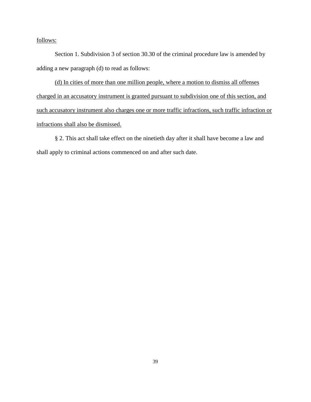follows:

Section 1. Subdivision 3 of section 30.30 of the criminal procedure law is amended by adding a new paragraph (d) to read as follows:

(d) In cities of more than one million people, where a motion to dismiss all offenses charged in an accusatory instrument is granted pursuant to subdivision one of this section, and such accusatory instrument also charges one or more traffic infractions, such traffic infraction or infractions shall also be dismissed.

§ 2. This act shall take effect on the ninetieth day after it shall have become a law and shall apply to criminal actions commenced on and after such date.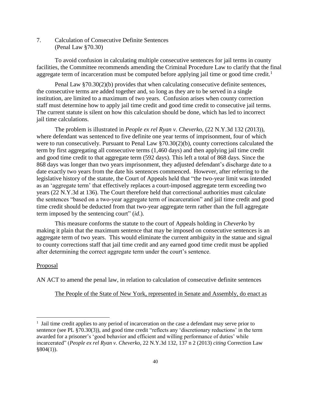7. Calculation of Consecutive Definite Sentences (Penal Law §70.30)

To avoid confusion in calculating multiple consecutive sentences for jail terms in county facilities, the Committee recommends amending the Criminal Procedure Law to clarify that the final aggregate term of incarceration must be computed before applying jail time or good time credit.<sup>1</sup>

Penal Law §70.30(2)(b) provides that when calculating consecutive definite sentences, the consecutive terms are added together and, so long as they are to be served in a single institution, are limited to a maximum of two years. Confusion arises when county correction staff must determine how to apply jail time credit and good time credit to consecutive jail terms. The current statute is silent on how this calculation should be done, which has led to incorrect jail time calculations.

The problem is illustrated in *People ex rel Ryan v. Cheverko,* (22 N.Y.3d 132 (2013)), where defendant was sentenced to five definite one year terms of imprisonment, four of which were to run consecutively. Pursuant to Penal Law §70.30(2)(b), county corrections calculated the term by first aggregating all consecutive terms (1,460 days) and then applying jail time credit and good time credit to that aggregate term (592 days). This left a total of 868 days. Since the 868 days was longer than two years imprisonment, they adjusted defendant's discharge date to a date exactly two years from the date his sentences commenced. However, after referring to the legislative history of the statute, the Court of Appeals held that "the two-year limit was intended as an 'aggregate term' that effectively replaces a court-imposed aggregate term exceeding two years (22 N.Y.3d at 136). The Court therefore held that correctional authorities must calculate the sentences "based on a two-year aggregate term of incarceration" and jail time credit and good time credit should be deducted from that two-year aggregate term rather than the full aggregate term imposed by the sentencing court" (*id*.).

This measure conforms the statute to the court of Appeals holding in *Cheverko* by making it plain that the maximum sentence that may be imposed on consecutive sentences is an aggregate term of two years. This would eliminate the current ambiguity in the statue and signal to county corrections staff that jail time credit and any earned good time credit must be applied after determining the correct aggregate term under the court's sentence.

### Proposal

 $\overline{a}$ 

AN ACT to amend the penal law, in relation to calculation of consecutive definite sentences

### The People of the State of New York, represented in Senate and Assembly, do enact as

<sup>&</sup>lt;sup>1</sup> Jail time credit applies to any period of incarceration on the case a defendant may serve prior to sentence (see PL §70.30(3)), and good time credit "reflects any 'discretionary reductions' in the term awarded for a prisoner's 'good behavior and efficient and willing performance of duties' while incarcerated" (*People ex rel Ryan v. Cheverko*, 22 N.Y.3d 132, 137 n 2 (2013) *citing* [Correction Law](http://www.westlaw.com/Link/Document/FullText?findType=L&pubNum=1000064&cite=NYCTS804&originatingDoc=Ibacf942d52ae11e39ac8bab74931929c&refType=LQ&originationContext=document&vr=3.0&rs=cblt1.0&transitionType=DocumentItem&contextData=(sc.UserEnteredCitation))   $§804(1)$ ).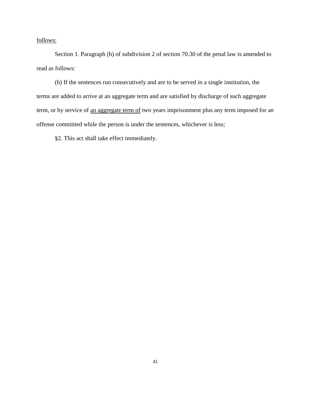follows:

Section 1. Paragraph (b) of subdivision 2 of section 70.30 of the penal law is amended to read as follows:

(b) If the sentences run consecutively and are to be served in a single institution, the terms are added to arrive at an aggregate term and are satisfied by discharge of such aggregate term, or by service of an aggregate term of two years imprisonment plus any term imposed for an offense committed while the person is under the sentences, whichever is less;

§2. This act shall take effect immediately.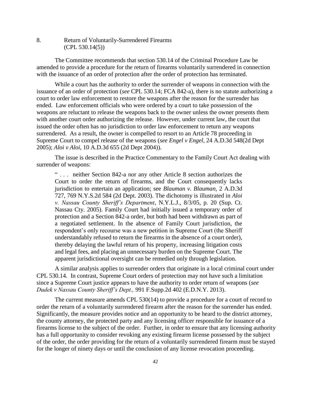### 8. Return of Voluntarily-Surrendered Firearms (CPL 530.14(5))

The Committee recommends that section 530.14 of the Criminal Procedure Law be amended to provide a procedure for the return of firearms voluntarily surrendered in connection with the issuance of an order of protection after the order of protection has terminated.

While a court has the authority to order the surrender of weapons in connection with the issuance of an order of protection (*see* CPL 530.14; FCA 842-a), there is no statute authorizing a court to order law enforcement to restore the weapons after the reason for the surrender has ended. Law enforcement officials who were ordered by a court to take possession of the weapons are reluctant to release the weapons back to the owner unless the owner presents them with another court order authorizing the release. However, under current law, the court that issued the order often has no jurisdiction to order law enforcement to return any weapons surrendered. As a result, the owner is compelled to resort to an Article 78 proceeding in Supreme Court to compel release of the weapons (*see Engel v Engel*, 24 A.D.3d 548(2d Dept 2005); *Aloi v Aloi*, 10 A.D.3d 655 (2d Dept 2004)).

The issue is described in the Practice Commentary to the Family Court Act dealing with surrender of weapons:

" . . . neither Section 842-a nor any other Article 8 section authorizes the Court to order the return of firearms, and the Court consequently lacks jurisdiction to entertain an application; see *[Blauman v. Blauman](http://www.westlaw.com/Link/Document/FullText?findType=Y&serNum=2003944489&pubNum=0000602&originatingDoc=N4CA99820666111E2A39DEAF3A2200237&refType=RP&originationContext=document&vr=3.0&rs=cblt1.0&transitionType=DocumentItem&contextData=(sc.DocLink))*, 2 A.D.3d [727, 769 N.Y.S.2d 584 \(2d Dept. 2003\).](http://www.westlaw.com/Link/Document/FullText?findType=Y&serNum=2003944489&pubNum=0000602&originatingDoc=N4CA99820666111E2A39DEAF3A2200237&refType=RP&originationContext=document&vr=3.0&rs=cblt1.0&transitionType=DocumentItem&contextData=(sc.DocLink)) The dichotomy is illustrated in *Aloi v. Nassau County Sheriff's Department*, N.Y.L.J., 8/3/05, p. 20 (Sup. Ct. Nassau Cty. 2005). Family Court had initially issued a temporary order of protection and a Section 842-a order, but both had been withdrawn as part of a negotiated settlement. In the absence of Family Court jurisdiction, the respondent's only recourse was a new petition in Supreme Court (the Sheriff understandably refused to return the firearms in the absence of a court order), thereby delaying the lawful return of his property, increasing litigation costs and legal fees, and placing an unnecessary burden on the Supreme Court. The apparent jurisdictional oversight can be remedied only through legislation.

A similar analysis applies to surrender orders that originate in a local criminal court under CPL 530.14. In contrast, Supreme Court orders of protection may not have such a limitation since a Supreme Court justice appears to have the authority to order return of weapons (*see Dudek v Nassau County Sheriff's Dept.,* 991 F.Supp.2d 402 (E.D.N.Y. 2013).

The current measure amends CPL 530(14) to provide a procedure for a court of record to order the return of a voluntarily surrendered firearm after the reason for the surrender has ended. Significantly, the measure provides notice and an opportunity to be heard to the district attorney, the county attorney, the protected party and any licensing officer responsible for issuance of a firearms license to the subject of the order. Further, in order to ensure that any licensing authority has a full opportunity to consider revoking any existing firearm license possessed by the subject of the order, the order providing for the return of a voluntarily surrendered firearm must be stayed for the longer of ninety days or until the conclusion of any license revocation proceeding.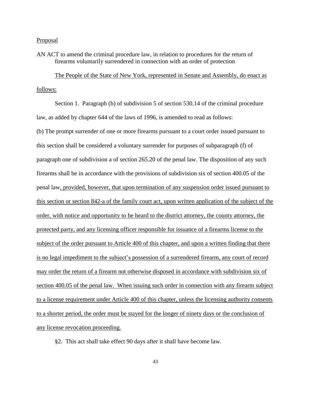### Proposal

AN ACT to amend the criminal procedure law, in relation to procedures for the return of firearms voluntarily surrendered in connection with an order of protection

The People of the State of New York, represented in Senate and Assembly, do enact as follows:

Section 1. Paragraph (b) of subdivision 5 of section 530.14 of the criminal procedure law, as added by chapter 644 of the laws of 1996, is amended to read as follows: (b) The prompt surrender of one or more firearms pursuant to a court order issued pursuant to this section shall be considered a voluntary surrender for purposes of subparagraph (f) of paragraph one of subdivision a of [section 265.20 of the penal law.](http://www.westlaw.com/Link/Document/FullText?findType=L&pubNum=1000115&cite=NYPES265.20&originatingDoc=N4CD710C0666111E2A39DEAF3A2200237&refType=LQ&originationContext=document&vr=3.0&rs=cblt1.0&transitionType=DocumentItem&contextData=(sc.Search)) The disposition of any such firearms shall be in accordance with the provisions of [subdivision six of section 400.05 of the](http://www.westlaw.com/Link/Document/FullText?findType=L&pubNum=1000115&cite=NYPES400.05&originatingDoc=N4CD710C0666111E2A39DEAF3A2200237&refType=SP&originationContext=document&vr=3.0&rs=cblt1.0&transitionType=DocumentItem&contextData=(sc.Search)#co_pp_98690000d3140)  [penal law,](http://www.westlaw.com/Link/Document/FullText?findType=L&pubNum=1000115&cite=NYPES400.05&originatingDoc=N4CD710C0666111E2A39DEAF3A2200237&refType=SP&originationContext=document&vr=3.0&rs=cblt1.0&transitionType=DocumentItem&contextData=(sc.Search)#co_pp_98690000d3140) provided, however, that upon termination of any suspension order issued pursuant to this section or section 842-a of the family court act, upon written application of the subject of the order, with notice and opportunity to be heard to the district attorney, the county attorney, the protected party, and any licensing officer responsible for issuance of a firearms license to the subject of the order pursuant to Article 400 of this chapter, and upon a written finding that there is no legal impediment to the subject's possession of a surrendered firearm, any court of record may order the return of a firearm not otherwise disposed in accordance with subdivision six of section 400.05 of the penal law. When issuing such order in connection with any firearm subject to a license requirement under Article 400 of this chapter, unless the licensing authority consents to a shorter period, the order must be stayed for the longer of ninety days or the conclusion of any license revocation proceeding.

§2. This act shall take effect 90 days after it shall have become law.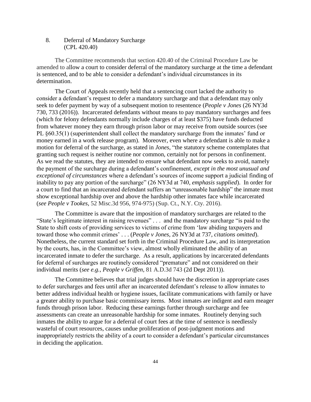# 8. Deferral of Mandatory Surcharge (CPL 420.40)

The Committee recommends that section 420.40 of the Criminal Procedure Law be amended to allow a court to consider deferral of the mandatory surcharge at the time a defendant is sentenced, and to be able to consider a defendant's individual circumstances in its determination.

The Court of Appeals recently held that a sentencing court lacked the authority to consider a defendant's request to defer a mandatory surcharge and that a defendant may only seek to defer payment by way of a subsequent motion to resentence (*People v Jones* (26 NY3d 730, 733 (2016)). Incarcerated defendants without means to pay mandatory surcharges and fees (which for felony defendants normally include charges of at least \$375) have funds deducted from whatever money they earn through prison labor or may receive from outside sources (see PL §60.35(1) (superintendent shall collect the mandatory surcharge from the inmates' fund or money earned in a work release program). Moreover, even where a defendant is able to make a motion for deferral of the surcharge, as stated in *Jones*, "the statutory scheme contemplates that granting such request is neither routine nor common, certainly not for persons in confinement. As we read the statutes, they are intended to ensure what defendant now seeks to avoid, namely the payment of the surcharge during a defendant's confinement, *except in the most unusual and exceptional of circumstances* where a defendant's sources of income support a judicial finding of inability to pay any portion of the surcharge" (26 NY3d at 740, *emphasis supplied*). In order for a court to find that an incarcerated defendant suffers an "unreasonable hardship" the inmate must show exceptional hardship over and above the hardship other inmates face while incarcerated (*see People v Tookes*, 52 Misc.3d 956, 974-975) (Sup. Ct., N.Y. Cty. 2016).

The Committee is aware that the imposition of mandatory surcharges are related to the "State's legitimate interest in raising revenues" . . . and the mandatory surcharge "is paid to the State to shift costs of providing services to victims of crime from 'law abiding taxpayers and toward those who commit crimes' . . . (*People v Jones*, 26 NY3d at 737, *citations omitted*). Nonetheless, the current standard set forth in the Criminal Procedure Law, and its interpretation by the courts, has, in the Committee's view, almost wholly eliminated the ability of an incarcerated inmate to defer the surcharge. As a result, applications by incarcerated defendants for deferral of surcharges are routinely considered "premature" and not considered on their individual merits (*see e.g., People v Griffen*, 81 A.D.3d 743 (2d Dept 2011)).

The Committee believes that trial judges should have the discretion in appropriate cases to defer surcharges and fees until after an incarcerated defendant's release to allow inmates to better address individual health or hygiene issues, facilitate communications with family or have a greater ability to purchase basic commissary items. Most inmates are indigent and earn meager funds through prison labor. Reducing these earnings further through surcharge and fee assessments can create an unreasonable hardship for some inmates. Routinely denying such inmates the ability to argue for a deferral of court fees at the time of sentence is needlessly wasteful of court resources, causes undue proliferation of post-judgment motions and inappropriately restricts the ability of a court to consider a defendant's particular circumstances in deciding the application.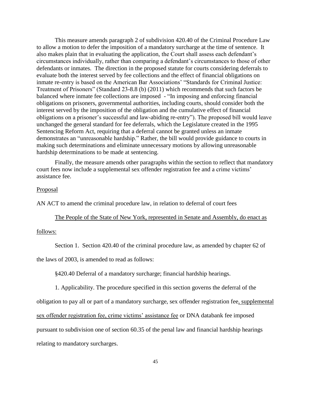This measure amends paragraph 2 of subdivision 420.40 of the Criminal Procedure Law to allow a motion to defer the imposition of a mandatory surcharge at the time of sentence. It also makes plain that in evaluating the application, the Court shall assess each defendant's circumstances individually, rather than comparing a defendant's circumstances to those of other defendants or inmates. The direction in the proposed statute for courts considering deferrals to evaluate both the interest served by fee collections and the effect of financial obligations on inmate re-entry is based on the American Bar Associations' "Standards for Criminal Justice: Treatment of Prisoners" (Standard 23-8.8 (b) (2011) which recommends that such factors be balanced where inmate fee collections are imposed - "In imposing and enforcing financial obligations on prisoners, governmental authorities, including courts, should consider both the interest served by the imposition of the obligation and the cumulative effect of financial obligations on a prisoner's successful and law-abiding re-entry"). The proposed bill would leave unchanged the general standard for fee deferrals, which the Legislature created in the 1995 Sentencing Reform Act, requiring that a deferral cannot be granted unless an inmate demonstrates an "unreasonable hardship." Rather, the bill would provide guidance to courts in making such determinations and eliminate unnecessary motions by allowing unreasonable hardship determinations to be made at sentencing.

Finally, the measure amends other paragraphs within the section to reflect that mandatory court fees now include a supplemental sex offender registration fee and a crime victims' assistance fee.

### Proposal

AN ACT to amend the criminal procedure law, in relation to deferral of court fees

The People of the State of New York, represented in Senate and Assembly, do enact as

### follows:

Section 1. Section 420.40 of the criminal procedure law, as amended by chapter 62 of

the laws of 2003, is amended to read as follows:

§420.40 Deferral of a mandatory surcharge; financial hardship hearings.

1. Applicability. The procedure specified in this section governs the deferral of the

obligation to pay all or part of a mandatory surcharge, sex offender registration fee, supplemental

sex offender registration fee, crime victims' assistance fee or DNA databank fee imposed

pursuant to [subdivision one of section 60.35 of the penal law](http://www.westlaw.com/Link/Document/FullText?findType=L&pubNum=1000115&cite=NYPES60.35&originatingDoc=N97B83E60881311D881E9FEF4A4D44D69&refType=SP&originationContext=document&vr=3.0&rs=cblt1.0&transitionType=DocumentItem&contextData=(sc.DocLink)#co_pp_2add000034c06) and financial hardship hearings

relating to mandatory surcharges.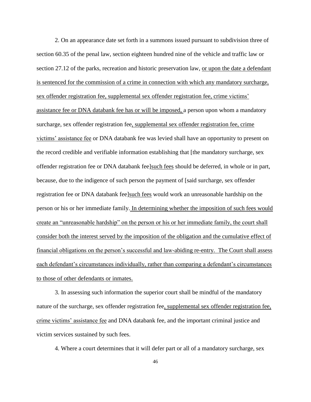2. On an appearance date set forth in a summons issued pursuant to [subdivision three of](http://www.westlaw.com/Link/Document/FullText?findType=L&pubNum=1000115&cite=NYPES60.35&originatingDoc=N97B83E60881311D881E9FEF4A4D44D69&refType=SP&originationContext=document&vr=3.0&rs=cblt1.0&transitionType=DocumentItem&contextData=(sc.DocLink)#co_pp_236f00000e5f2)  [section 60.35 of the penal law,](http://www.westlaw.com/Link/Document/FullText?findType=L&pubNum=1000115&cite=NYPES60.35&originatingDoc=N97B83E60881311D881E9FEF4A4D44D69&refType=SP&originationContext=document&vr=3.0&rs=cblt1.0&transitionType=DocumentItem&contextData=(sc.DocLink)#co_pp_236f00000e5f2) [section eighteen hundred nine of the vehicle and traffic law](http://www.westlaw.com/Link/Document/FullText?findType=L&pubNum=1000155&cite=NYVTS1809&originatingDoc=N97B83E60881311D881E9FEF4A4D44D69&refType=LQ&originationContext=document&vr=3.0&rs=cblt1.0&transitionType=DocumentItem&contextData=(sc.DocLink)) or [section 27.12 of the parks, recreation and historic preservation law,](http://www.westlaw.com/Link/Document/FullText?findType=L&pubNum=1000113&cite=NYPKS27.12&originatingDoc=N97B83E60881311D881E9FEF4A4D44D69&refType=LQ&originationContext=document&vr=3.0&rs=cblt1.0&transitionType=DocumentItem&contextData=(sc.DocLink)) or upon the date a defendant is sentenced for the commission of a crime in connection with which any mandatory surcharge, sex offender registration fee, supplemental sex offender registration fee, crime victims' assistance fee or DNA databank fee has or will be imposed, a person upon whom a mandatory surcharge, sex offender registration fee, supplemental sex offender registration fee, crime victims' assistance fee or DNA databank fee was levied shall have an opportunity to present on the record credible and verifiable information establishing that [the mandatory surcharge, sex offender registration fee or DNA databank fee]such fees should be deferred, in whole or in part, because, due to the indigence of such person the payment of [said surcharge, sex offender registration fee or DNA databank fee]such fees would work an unreasonable hardship on the person or his or her immediate family. In determining whether the imposition of such fees would create an "unreasonable hardship" on the person or his or her immediate family, the court shall consider both the interest served by the imposition of the obligation and the cumulative effect of financial obligations on the person's successful and law-abiding re-entry. The Court shall assess each defendant's circumstances individually, rather than comparing a defendant's circumstances to those of other defendants or inmates.

3. In assessing such information the superior court shall be mindful of the mandatory nature of the surcharge, sex offender registration fee, supplemental sex offender registration fee, crime victims' assistance fee and DNA databank fee, and the important criminal justice and victim services sustained by such fees.

4. Where a court determines that it will defer part or all of a mandatory surcharge, sex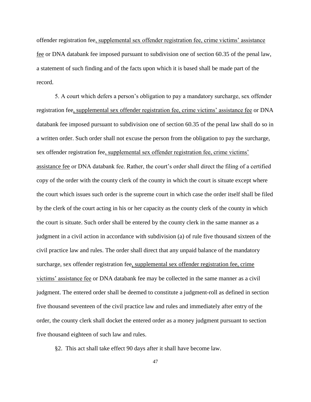offender registration fee, supplemental sex offender registration fee, crime victims' assistance fee or DNA databank fee imposed pursuant to [subdivision one of section 60.35 of the penal law,](http://www.westlaw.com/Link/Document/FullText?findType=L&pubNum=1000115&cite=NYPES60.35&originatingDoc=N97B83E60881311D881E9FEF4A4D44D69&refType=SP&originationContext=document&vr=3.0&rs=cblt1.0&transitionType=DocumentItem&contextData=(sc.DocLink)#co_pp_2add000034c06) a statement of such finding and of the facts upon which it is based shall be made part of the record.

5. A court which defers a person's obligation to pay a mandatory surcharge, sex offender registration fee, supplemental sex offender registration fee, crime victims' assistance fee or DNA databank fee imposed pursuant to [subdivision one of section 60.35 of the penal law](http://www.westlaw.com/Link/Document/FullText?findType=L&pubNum=1000115&cite=NYPES60.35&originatingDoc=N97B83E60881311D881E9FEF4A4D44D69&refType=SP&originationContext=document&vr=3.0&rs=cblt1.0&transitionType=DocumentItem&contextData=(sc.DocLink)#co_pp_2add000034c06) shall do so in a written order. Such order shall not excuse the person from the obligation to pay the surcharge, sex offender registration fee, supplemental sex offender registration fee, crime victims' assistance fee or DNA databank fee. Rather, the court's order shall direct the filing of a certified copy of the order with the county clerk of the county in which the court is situate except where the court which issues such order is the supreme court in which case the order itself shall be filed by the clerk of the court acting in his or her capacity as the county clerk of the county in which the court is situate. Such order shall be entered by the county clerk in the same manner as a judgment in a civil action in accordance with [subdivision \(a\) of rule five thousand sixteen of the](http://www.westlaw.com/Link/Document/FullText?findType=L&pubNum=1000059&cite=NYCPR5016&originatingDoc=N97B83E60881311D881E9FEF4A4D44D69&refType=SP&originationContext=document&vr=3.0&rs=cblt1.0&transitionType=DocumentItem&contextData=(sc.DocLink)#co_pp_8b3b0000958a4)  [civil practice law and rules.](http://www.westlaw.com/Link/Document/FullText?findType=L&pubNum=1000059&cite=NYCPR5016&originatingDoc=N97B83E60881311D881E9FEF4A4D44D69&refType=SP&originationContext=document&vr=3.0&rs=cblt1.0&transitionType=DocumentItem&contextData=(sc.DocLink)#co_pp_8b3b0000958a4) The order shall direct that any unpaid balance of the mandatory surcharge, sex offender registration fee, supplemental sex offender registration fee, crime victims' assistance fee or DNA databank fee may be collected in the same manner as a civil judgment. The entered order shall be deemed to constitute a judgment-roll as defined in [section](http://www.westlaw.com/Link/Document/FullText?findType=L&pubNum=1000059&cite=NYCPR5017&originatingDoc=N97B83E60881311D881E9FEF4A4D44D69&refType=LQ&originationContext=document&vr=3.0&rs=cblt1.0&transitionType=DocumentItem&contextData=(sc.DocLink))  [five thousand seventeen of the civil practice law and rules](http://www.westlaw.com/Link/Document/FullText?findType=L&pubNum=1000059&cite=NYCPR5017&originatingDoc=N97B83E60881311D881E9FEF4A4D44D69&refType=LQ&originationContext=document&vr=3.0&rs=cblt1.0&transitionType=DocumentItem&contextData=(sc.DocLink)) and immediately after entry of the order, the county clerk shall docket the entered order as a money judgment pursuant to section five thousand eighteen of such law and rules.

§2. This act shall take effect 90 days after it shall have become law.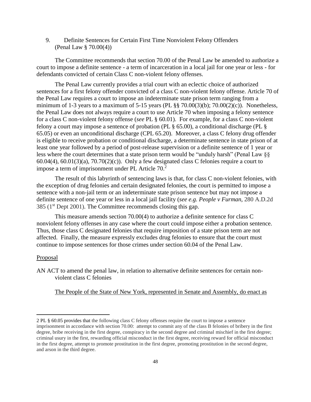9. Definite Sentences for Certain First Time Nonviolent Felony Offenders (Penal Law § 70.00(4))

The Committee recommends that section 70.00 of the Penal Law be amended to authorize a court to impose a definite sentence - a term of incarceration in a local jail for one year or less - for defendants convicted of certain Class C non-violent felony offenses.

The Penal Law currently provides a trial court with an eclectic choice of authorized sentences for a first felony offender convicted of a class C non-violent felony offense. Article 70 of the Penal Law requires a court to impose an indeterminate state prison term ranging from a minimum of 1-3 years to a maximum of 5-15 years [\(PL](http://www.westlaw.com/Link/Document/FullText?findType=L&pubNum=1000300&cite=NYPES70.00&originatingDoc=Id4d69363d97a11d99439b076ef9ec4de&refType=LQ&originationContext=document&vr=3.0&rs=cblt1.0&transitionType=DocumentItem&contextData=(sc.Search))  $\S$ § 70.00(3)(b); 70.00(2)(c)). Nonetheless, the Penal Law does not always require a court to use Article 70 when imposing a felony sentence for a class C non-violent felony offense (*see* PL § 60.01). For example, for a class C non-violent felony a court may impose a sentence of probation (PL § 65.00), a conditional discharge (PL § 65.05) or even an unconditional discharge (CPL 65.20). Moreover, a class C felony drug offender is eligible to receive probation or conditional discharge, a determinate sentence in state prison of at least one year followed by a period of post-release supervision or a definite sentence of 1 year or less where the court determines that a state prison term would be "unduly harsh" (Penal Law §§  $60.04(4)$ ,  $60.01(3)(a)$ ,  $70.70(2)(c)$ ). Only a few designated class C felonies require a court to impose a term of imprisonment under PL Article 70.<sup>2</sup>

The result of this labyrinth of sentencing laws is that, for class C non-violent felonies, with the exception of drug felonies and certain designated felonies, the court is permitted to impose a sentence with a non-jail term or an indeterminate state prison sentence but may not impose a definite sentence of one year or less in a local jail facility (*see e.g. People v Furman*, 280 A.D.2d  $385$  (1<sup>st</sup> Dept 2001). The Committee recommends closing this gap.

This measure amends section 70.00(4) to authorize a definite sentence for class C nonviolent felony offenses in any case where the court could impose either a probation sentence. Thus, those class C designated felonies that require imposition of a state prison term are not affected. Finally, the measure expressly excludes drug felonies to ensure that the court must continue to impose sentences for those crimes under section 60.04 of the Penal Law.

#### Proposal

 $\overline{a}$ 

AN ACT to amend the penal law, in relation to alternative definite sentences for certain nonviolent class C felonies

### The People of the State of New York, represented in Senate and Assembly, do enact as

<sup>2</sup> PL § 60.05 provides that the following class C felony offenses require the court to impose a sentence imprisonment in accordance with section 70.00: attempt to commit any of the class B felonies of bribery in the first degree, bribe receiving in the first degree, conspiracy in the second degree and criminal mischief in the first degree; criminal usury in the first, rewarding official misconduct in the first degree, receiving reward for official misconduct in the first degree, attempt to promote prostitution in the first degree, promoting prostitution in the second degree, and arson in the third degree.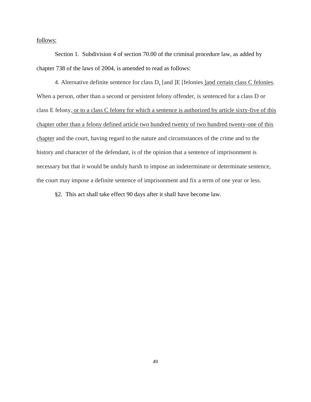follows:

Section 1. Subdivision 4 of section 70.00 of the criminal procedure law, as added by chapter 738 of the laws of 2004, is amended to read as follows:

4. Alternative definite sentence for class D, [and ]E [felonies ]and certain class C felonies. When a person, other than a second or persistent felony offender, is sentenced for a class D or class E felony, or to a class C felony for which a sentence is authorized by article sixty-five of this chapter other than a felony defined article two hundred twenty of two hundred twenty-one of this chapter and the court, having regard to the nature and circumstances of the crime and to the history and character of the defendant, is of the opinion that a sentence of imprisonment is necessary but that it would be unduly harsh to impose an indeterminate or determinate sentence, the court may impose a definite sentence of imprisonment and fix a term of one year or less.

§2. This act shall take effect 90 days after it shall have become law.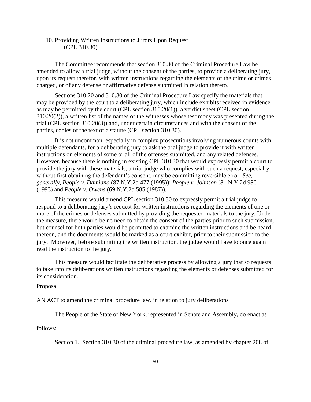# 10. Providing Written Instructions to Jurors Upon Request (CPL 310.30)

The Committee recommends that section 310.30 of the Criminal Procedure Law be amended to allow a trial judge, without the consent of the parties, to provide a deliberating jury, upon its request therefor, with written instructions regarding the elements of the crime or crimes charged, or of any defense or affirmative defense submitted in relation thereto.

Sections 310.20 and 310.30 of the Criminal Procedure Law specify the materials that may be provided by the court to a deliberating jury, which include exhibits received in evidence as may be permitted by the court (CPL section 310.20(1)), a verdict sheet (CPL section 310.20(2)), a written list of the names of the witnesses whose testimony was presented during the trial (CPL section 310.20(3)) and, under certain circumstances and with the consent of the parties, copies of the text of a statute (CPL section 310.30).

It is not uncommon, especially in complex prosecutions involving numerous counts with multiple defendants, for a deliberating jury to ask the trial judge to provide it with written instructions on elements of some or all of the offenses submitted, and any related defenses. However, because there is nothing in existing CPL 310.30 that would expressly permit a court to provide the jury with these materials, a trial judge who complies with such a request, especially without first obtaining the defendant's consent, may be committing reversible error. *See, generally, People v. Damiano* (87 N.Y.2d 477 (1995)); *People v. Johnson* (81 N.Y.2d 980 (1993) and *People v. Owens* (69 N.Y.2d 585 (1987)).

This measure would amend CPL section 310.30 to expressly permit a trial judge to respond to a deliberating jury's request for written instructions regarding the elements of one or more of the crimes or defenses submitted by providing the requested materials to the jury. Under the measure, there would be no need to obtain the consent of the parties prior to such submission, but counsel for both parties would be permitted to examine the written instructions and be heard thereon, and the documents would be marked as a court exhibit, prior to their submission to the jury. Moreover, before submitting the written instruction, the judge would have to once again read the instruction to the jury.

This measure would facilitate the deliberative process by allowing a jury that so requests to take into its deliberations written instructions regarding the elements or defenses submitted for its consideration.

### Proposal

AN ACT to amend the criminal procedure law, in relation to jury deliberations

### The People of the State of New York, represented in Senate and Assembly, do enact as

#### follows:

Section 1. Section 310.30 of the criminal procedure law, as amended by chapter 208 of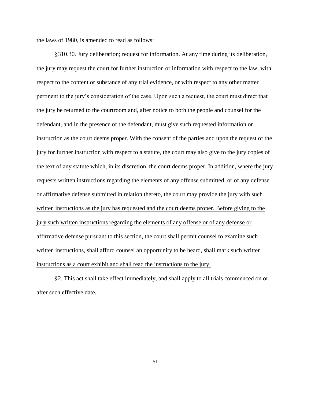the laws of 1980, is amended to read as follows:

§310.30. Jury deliberation; request for information. At any time during its deliberation, the jury may request the court for further instruction or information with respect to the law, with respect to the content or substance of any trial evidence, or with respect to any other matter pertinent to the jury's consideration of the case. Upon such a request, the court must direct that the jury be returned to the courtroom and, after notice to both the people and counsel for the defendant, and in the presence of the defendant, must give such requested information or instruction as the court deems proper. With the consent of the parties and upon the request of the jury for further instruction with respect to a statute, the court may also give to the jury copies of the text of any statute which, in its discretion, the court deems proper. In addition, where the jury requests written instructions regarding the elements of any offense submitted, or of any defense or affirmative defense submitted in relation thereto, the court may provide the jury with such written instructions as the jury has requested and the court deems proper. Before giving to the jury such written instructions regarding the elements of any offense or of any defense or affirmative defense pursuant to this section, the court shall permit counsel to examine such written instructions, shall afford counsel an opportunity to be heard, shall mark such written instructions as a court exhibit and shall read the instructions to the jury.

§2. This act shall take effect immediately, and shall apply to all trials commenced on or after such effective date.

51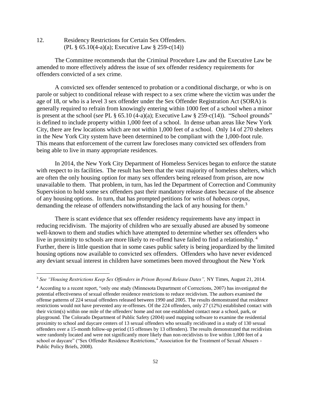12. Residency Restrictions for Certain Sex Offenders. (PL § 65.10(4-a)(a); Executive Law § 259-c(14))

The Committee recommends that the Criminal Procedure Law and the Executive Law be amended to more effectively address the issue of sex offender residency requirements for offenders convicted of a sex crime.

A convicted sex offender sentenced to probation or a conditional discharge, or who is on parole or subject to conditional release with respect to a sex crime where the victim was under the age of 18, or who is a level 3 sex offender under the Sex Offender Registration Act (SORA) is generally required to refrain from knowingly entering within 1000 feet of a school when a minor is present at the school (see PL  $\S 65.10$  (4-a)(a); Executive Law  $\S 259$ -c(14)). "School grounds" is defined to include property within 1,000 feet of a school. In dense urban areas like New York City, there are few locations which are not within 1,000 feet of a school. Only 14 of 270 shelters in the New York City system have been determined to be compliant with the 1,000-foot rule. This means that enforcement of the current law forecloses many convicted sex offenders from being able to live in many appropriate residences.

In 2014, the New York City Department of Homeless Services began to enforce the statute with respect to its facilities. The result has been that the vast majority of homeless shelters, which are often the only housing option for many sex offenders being released from prison, are now unavailable to them. That problem, in turn, has led the Department of Correction and Community Supervision to hold some sex offenders past their mandatory release dates because of the absence of any housing options. In turn, that has prompted petitions for writs of *habeas corpus*, demanding the release of offenders notwithstanding the lack of any housing for them.<sup>3</sup>

There is scant evidence that sex offender residency requirements have any impact in reducing recidivism. The majority of children who are sexually abused are abused by someone well-known to them and studies which have attempted to determine whether sex offenders who live in proximity to schools are more likely to re-offend have failed to find a relationship.<sup>4</sup> Further, there is little question that in some cases public safety is being jeopardized by the limited housing options now available to convicted sex offenders. Offenders who have never evidenced any deviant sexual interest in children have sometimes been moved throughout the New York

 $\overline{a}$ 

<sup>3</sup> *See "Housing Restrictions Keep Sex Offenders in Prison Beyond Release Dates",* NY Times, August 21, 2014.

<sup>4</sup> According to a recent report, "only one study (Minnesota Department of Corrections, 2007) has investigated the potential effectiveness of sexual offender residence restrictions to reduce recidivism. The authors examined the offense patterns of 224 sexual offenders released between 1990 and 2005. The results demonstrated that residence restrictions would not have prevented any re-offenses. Of the 224 offenders, only 27 (12%) established contact with their victim(s) within one mile of the offenders' home and not one established contact near a school, park, or playground. The Colorado Department of Public Safety (2004) used mapping software to examine the residential proximity to school and daycare centers of 13 sexual offenders who sexually recidivated in a study of 130 sexual offenders over a 15-month follow-up period (15 offenses by 13 offenders). The results demonstrated that recidivists were randomly located and were not significantly more likely than non-recidivists to live within 1,000 feet of a school or daycare" ("Sex Offender Residence Restrictions," Association for the Treatment of Sexual Abusers - Public Policy Briefs, 2008).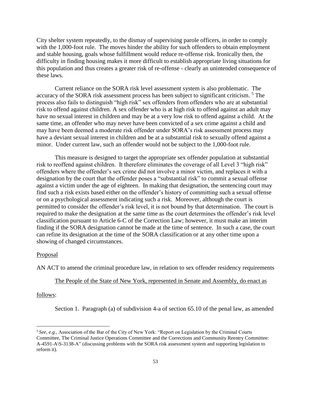City shelter system repeatedly, to the dismay of supervising parole officers, in order to comply with the 1,000-foot rule. The moves hinder the ability for such offenders to obtain employment and stable housing, goals whose fulfillment would reduce re-offense risk. Ironically then, the difficulty in finding housing makes it more difficult to establish appropriate living situations for this population and thus creates a greater risk of re-offense - clearly an unintended consequence of these laws.

Current reliance on the SORA risk level assessment system is also problematic. The accuracy of the SORA risk assessment process has been subject to significant criticism.<sup>5</sup> The process also fails to distinguish "high risk" sex offenders from offenders who are at substantial risk to offend against children. A sex offender who is at high risk to offend against an adult may have no sexual interest in children and may be at a very low risk to offend against a child. At the same time, an offender who may never have been convicted of a sex crime against a child and may have been deemed a moderate risk offender under SORA's risk assessment process may have a deviant sexual interest in children and be at a substantial risk to sexually offend against a minor. Under current law, such an offender would not be subject to the 1,000-foot rule.

This measure is designed to target the appropriate sex offender population at substantial risk to reoffend against children. It therefore eliminates the coverage of all Level 3 "high risk" offenders where the offender's sex crime did not involve a minor victim, and replaces it with a designation by the court that the offender poses a "substantial risk" to commit a sexual offense against a victim under the age of eighteen. In making that designation, the sentencing court may find such a risk exists based either on the offender's history of committing such a sexual offense or on a psychological assessment indicating such a risk. Moreover, although the court is permitted to consider the offender's risk level, it is not bound by that determination. The court is required to make the designation at the same time as the court determines the offender's risk level classification pursuant to Article 6-C of the Correction Law; however, it must make an interim finding if the SORA designation cannot be made at the time of sentence. In such a case, the court can refine its designation at the time of the SORA classification or at any other time upon a showing of changed circumstances.

#### Proposal

AN ACT to amend the criminal procedure law, in relation to sex offender residency requirements

### The People of the State of New York, represented in Senate and Assembly, do enact as

#### follows:

 $\overline{a}$ 

Section 1. Paragraph (a) of subdivision 4-a of section 65.10 of the penal law, as amended

<sup>5</sup> *See, e.g.,* Association of the Bar of the City of New York: "Report on Legislation by the Criminal Courts Committee, The Criminal Justice Operations Committee and the Corrections and Community Reentry Committee: A-4591-A\S-3138-A" (discussing problems with the SORA risk assessment system and supporting legislation to reform it).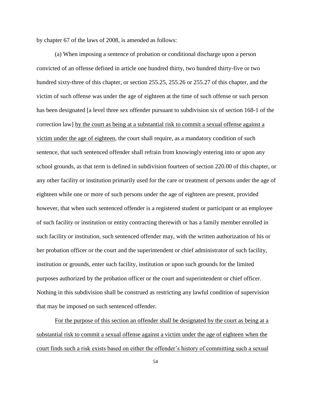by chapter 67 of the laws of 2008, is amended as follows:

(a) When imposing a sentence of probation or conditional discharge upon a person convicted of an offense defined in article one hundred thirty, two hundred thirty-five or two hundred sixty-three of this chapter, or section 255.25, 255.26 or 255.27 of this chapter, and the victim of such offense was under the age of eighteen at the time of such offense or such person has been designated [a level three sex offender pursuant to subdivision six of section 168-1 of the correction law] by the court as being at a substantial risk to commit a sexual offense against a victim under the age of eighteen, the court shall require, as a mandatory condition of such sentence, that such sentenced offender shall refrain from knowingly entering into or upon any school grounds, as that term is defined in subdivision fourteen of section 220.00 of this chapter, or any other facility or institution primarily used for the care or treatment of persons under the age of eighteen while one or more of such persons under the age of eighteen are present, provided however, that when such sentenced offender is a registered student or participant or an employee of such facility or institution or entity contracting therewith or has a family member enrolled in such facility or institution, such sentenced offender may, with the written authorization of his or her probation officer or the court and the superintendent or chief administrator of such facility, institution or grounds, enter such facility, institution or upon such grounds for the limited purposes authorized by the probation officer or the court and superintendent or chief officer. Nothing in this subdivision shall be construed as restricting any lawful condition of supervision that may be imposed on such sentenced offender.

For the purpose of this section an offender shall be designated by the court as being at a substantial risk to commit a sexual offense against a victim under the age of eighteen when the court finds such a risk exists based on either the offender's history of committing such a sexual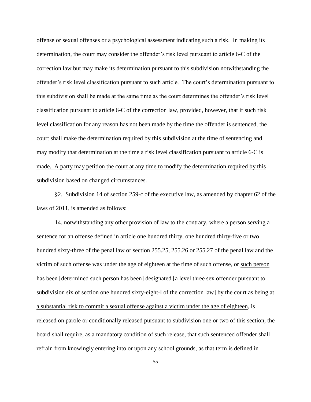offense or sexual offenses or a psychological assessment indicating such a risk. In making its determination, the court may consider the offender's risk level pursuant to article 6-C of the correction law but may make its determination pursuant to this subdivision notwithstanding the offender's risk level classification pursuant to such article. The court's determination pursuant to this subdivision shall be made at the same time as the court determines the offender's risk level classification pursuant to article 6-C of the correction law, provided, however, that if such risk level classification for any reason has not been made by the time the offender is sentenced, the court shall make the determination required by this subdivision at the time of sentencing and may modify that determination at the time a risk level classification pursuant to article 6-C is made. A party may petition the court at any time to modify the determination required by this subdivision based on changed circumstances.

§2. Subdivision 14 of section 259-c of the executive law, as amended by chapter 62 of the laws of 2011, is amended as follows:

14. notwithstanding any other provision of law to the contrary, where a person serving a sentence for an offense defined in article one hundred thirty, one hundred thirty-five or two hundred sixty-three of the penal law or section 255.25, 255.26 or 255.27 of the penal law and the victim of such offense was under the age of eighteen at the time of such offense, or such person has been [determined such person has been] designated [a level three sex offender pursuant to subdivision six of section one hundred sixty-eight-l of the correction law] by the court as being at a substantial risk to commit a sexual offense against a victim under the age of eighteen, is released on parole or conditionally released pursuant to subdivision one or two of this section, the board shall require, as a mandatory condition of such release, that such sentenced offender shall refrain from knowingly entering into or upon any school grounds, as that term is defined in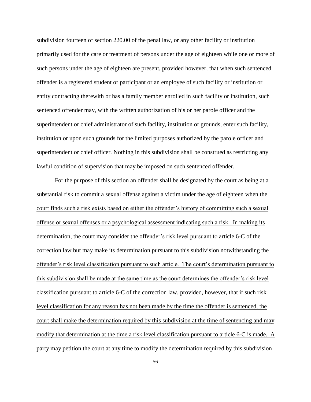subdivision fourteen of section 220.00 of the penal law, or any other facility or institution primarily used for the care or treatment of persons under the age of eighteen while one or more of such persons under the age of eighteen are present, provided however, that when such sentenced offender is a registered student or participant or an employee of such facility or institution or entity contracting therewith or has a family member enrolled in such facility or institution, such sentenced offender may, with the written authorization of his or her parole officer and the superintendent or chief administrator of such facility, institution or grounds, enter such facility, institution or upon such grounds for the limited purposes authorized by the parole officer and superintendent or chief officer. Nothing in this subdivision shall be construed as restricting any lawful condition of supervision that may be imposed on such sentenced offender.

For the purpose of this section an offender shall be designated by the court as being at a substantial risk to commit a sexual offense against a victim under the age of eighteen when the court finds such a risk exists based on either the offender's history of committing such a sexual offense or sexual offenses or a psychological assessment indicating such a risk. In making its determination, the court may consider the offender's risk level pursuant to article 6-C of the correction law but may make its determination pursuant to this subdivision notwithstanding the offender's risk level classification pursuant to such article. The court's determination pursuant to this subdivision shall be made at the same time as the court determines the offender's risk level classification pursuant to article 6-C of the correction law, provided, however, that if such risk level classification for any reason has not been made by the time the offender is sentenced, the court shall make the determination required by this subdivision at the time of sentencing and may modify that determination at the time a risk level classification pursuant to article 6-C is made. A party may petition the court at any time to modify the determination required by this subdivision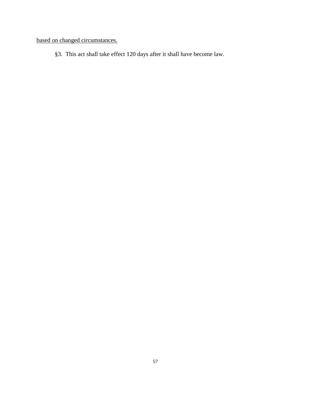# based on changed circumstances.

§3. This act shall take effect 120 days after it shall have become law.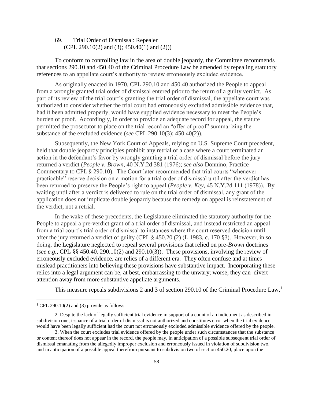69. Trial Order of Dismissal: Repealer (CPL 290.10(2) and (3);  $450.40(1)$  and (2)))

To conform to controlling law in the area of double jeopardy, the Committee recommends that sections 290.10 and 450.40 of the Criminal Procedure Law be amended by repealing statutory references to an appellate court's authority to review erroneously excluded evidence.

As originally enacted in 1970, CPL 290.10 and 450.40 authorized the People to appeal from a wrongly granted trial order of dismissal entered prior to the return of a guilty verdict. As part of its review of the trial court's granting the trial order of dismissal, the appellate court was authorized to consider whether the trial court had erroneously excluded admissible evidence that, had it been admitted properly, would have supplied evidence necessary to meet the People's burden of proof. Accordingly, in order to provide an adequate record for appeal, the statute permitted the prosecutor to place on the trial record an "offer of proof" summarizing the substance of the excluded evidence (*see* CPL 290.10(3); 450.40(2)).

Subsequently, the New York Court of Appeals, relying on U.S. Supreme Court precedent, held that double jeopardy principles prohibit any retrial of a case where a court terminated an action in the defendant's favor by wrongly granting a trial order of dismissal before the jury returned a verdict (*People v. Brown*, 40 N.Y.2d 381 (1976); s*ee also* Donnino, Practice Commentary to CPL § 290.10). The Court later recommended that trial courts "whenever practicable" reserve decision on a motion for a trial order of dismissal until after the verdict has been returned to preserve the People's right to appeal (*People v. Key*, 45 N.Y.2d 111 (1978)). By waiting until after a verdict is delivered to rule on the trial order of dismissal, any grant of the application does not implicate double jeopardy because the remedy on appeal is reinstatement of the verdict, not a retrial.

In the wake of these precedents, the Legislature eliminated the statutory authority for the People to appeal a pre-verdict grant of a trial order of dismissal, and instead restricted an appeal from a trial court's trial order of dismissal to instances where the court reserved decision until after the jury returned a verdict of guilty (CPL § 450.20 (2) (L.1983, c. 170 §3). However, in so doing, the Legislature neglected to repeal several provisions that relied on pre-*Brown* doctrines (*see e.g.,* CPL §§ 450.40. 290.10(2) and 290.10(3)). These provisions, involving the review of erroneously excluded evidence, are relics of a different era. They often confuse and at times mislead practitioners into believing these provisions have substantive impact. Incorporating these relics into a legal argument can be, at best, embarrassing to the unwary; worse, they can divert attention away from more substantive appellate arguments.

This measure repeals subdivisions 2 and 3 of section 290.10 of the Criminal Procedure Law,<sup>1</sup>

 $\overline{a}$ 

<sup>&</sup>lt;sup>1</sup> CPL 290.10(2) and (3) provide as follows:

<sup>2.</sup> Despite the lack of legally sufficient trial evidence in support of a count of an indictment as described in subdivision one, issuance of a trial order of dismissal is not authorized and constitutes error when the trial evidence would have been legally sufficient had the court not erroneously excluded admissible evidence offered by the people.

<sup>3.</sup> When the court excludes trial evidence offered by the people under such circumstances that the substance or content thereof does not appear in the record, the people may, in anticipation of a possible subsequent trial order of dismissal emanating from the allegedly improper exclusion and erroneously issued in violation of subdivision two, and in anticipation of a possible appeal therefrom pursuant to [subdivision two of section 450.20,](https://a.next.westlaw.com/Link/Document/FullText?findType=L&pubNum=1000066&cite=NYCMS450.20&originatingDoc=N97A99860881311D881E9FEF4A4D44D69&refType=SP&originationContext=document&transitionType=DocumentItem&contextData=(sc.Search)#co_pp_57e60000f6d46) place upon the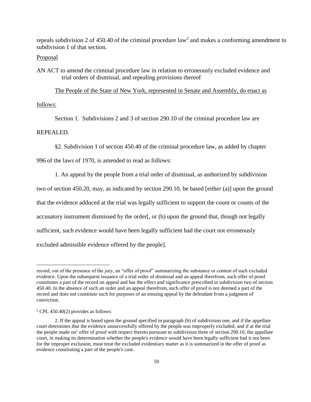repeals subdivision 2 of 450.40 of the criminal procedure  $law<sup>2</sup>$  and makes a conforming amendment to subdivision 1 of that section.

#### Proposal

AN ACT to amend the criminal procedure law in relation to erroneously excluded evidence and trial orders of dismissal, and repealing provisions thereof

The People of the State of New York, represented in Senate and Assembly, do enact as follows:

Section 1. Subdivisions 2 and 3 of section 290.10 of the criminal procedure law are

REPEALED.

 $\overline{a}$ 

§2. Subdivision 1 of section 450.40 of the criminal procedure law, as added by chapter

996 of the laws of 1970, is amended to read as follows:

1. An appeal by the people from a trial order of dismissal, as authorized by [subdivision](https://a.next.westlaw.com/Link/Document/FullText?findType=L&pubNum=1000066&cite=NYCMS450.20&originatingDoc=N983ED380881311D881E9FEF4A4D44D69&refType=SP&originationContext=document&transitionType=DocumentItem&contextData=(sc.Search)#co_pp_57e60000f6d46)  [two of section 450.20,](https://a.next.westlaw.com/Link/Document/FullText?findType=L&pubNum=1000066&cite=NYCMS450.20&originatingDoc=N983ED380881311D881E9FEF4A4D44D69&refType=SP&originationContext=document&transitionType=DocumentItem&contextData=(sc.Search)#co_pp_57e60000f6d46) may, as indicated by [section 290.10,](https://a.next.westlaw.com/Link/Document/FullText?findType=L&pubNum=1000066&cite=NYCMS290.10&originatingDoc=N983ED380881311D881E9FEF4A4D44D69&refType=LQ&originationContext=document&transitionType=DocumentItem&contextData=(sc.Search)) be based [either (a)] upon the ground that the evidence adduced at the trial was legally sufficient to support the count or counts of the accusatory instrument dismissed by the order[, or (b) upon the ground that, though not legally sufficient, such evidence would have been legally sufficient had the court not erroneously excluded admissible evidence offered by the people].

record, out of the presence of the jury, an "offer of proof" summarizing the substance or content of such excluded evidence. Upon the subsequent issuance of a trial order of dismissal and an appeal therefrom, such offer of proof constitutes a part of the record on appeal and has the effect and significance prescribed in [subdivision two of section](https://a.next.westlaw.com/Link/Document/FullText?findType=L&pubNum=1000066&cite=NYCMS450.40&originatingDoc=N97A99860881311D881E9FEF4A4D44D69&refType=SP&originationContext=document&transitionType=DocumentItem&contextData=(sc.Search)#co_pp_57e60000f6d46)  [450.40.](https://a.next.westlaw.com/Link/Document/FullText?findType=L&pubNum=1000066&cite=NYCMS450.40&originatingDoc=N97A99860881311D881E9FEF4A4D44D69&refType=SP&originationContext=document&transitionType=DocumentItem&contextData=(sc.Search)#co_pp_57e60000f6d46) In the absence of such an order and an appeal therefrom, such offer of proof is not deemed a part of the record and does not constitute such for purposes of an ensuing appeal by the defendant from a judgment of conviction.

 $2$  CPL 450.40(2) provides as follows:

<sup>2.</sup> If the appeal is based upon the ground specified in paragraph (b) of subdivision one, and if the appellate court determines that the evidence unsuccessfully offered by the people was improperly excluded, and if at the trial the people made on<sup>[1](https://a.next.westlaw.com/Document/N983ED380881311D881E9FEF4A4D44D69/View/FullText.html?transitionType=SearchItem&contextData=(sc.Search)#co_footnote_IA919743022EF11DF903AA501EE2C3178)</sup> offer of proof with respect thereto pursuant to [subdivision three of section 290.10,](https://a.next.westlaw.com/Link/Document/FullText?findType=L&pubNum=1000066&cite=NYCMS290.10&originatingDoc=N983ED380881311D881E9FEF4A4D44D69&refType=SP&originationContext=document&transitionType=DocumentItem&contextData=(sc.Search)#co_pp_236f00000e5f2) the appellate court, in making its determination whether the people's evidence would have been legally sufficient had it not been for the improper exclusion, must treat the excluded evidentiary matter as it is summarized in the offer of proof as evidence constituting a part of the people's case.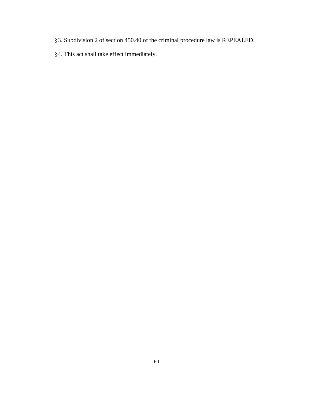- §3. Subdivision 2 of section 450.40 of the criminal procedure law is REPEALED.
- §4. This act shall take effect immediately.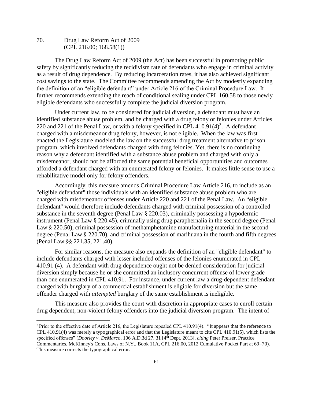70. Drug Law Reform Act of 2009 (CPL 216.00; 168.58(1))

 $\overline{a}$ 

The Drug Law Reform Act of 2009 (the Act) has been successful in promoting public safety by significantly reducing the recidivism rate of defendants who engage in criminal activity as a result of drug dependence. By reducing incarceration rates, it has also achieved significant cost savings to the state. The Committee recommends amending the Act by modestly expanding the definition of an "eligible defendant" under Article 216 of the Criminal Procedure Law. It further recommends extending the reach of conditional sealing under CPL 160.58 to those newly eligible defendants who successfully complete the judicial diversion program.

Under current law, to be considered for judicial diversion, a defendant must have an identified substance abuse problem, and be charged with a drug felony or felonies under Articles 220 and 221 of the Penal Law, or with a felony specified in CPL  $410.91(4)^3$ . A defendant charged with a misdemeanor drug felony, however, is not eligible. When the law was first enacted the Legislature modeled the law on the successful drug treatment alternative to prison program, which involved defendants charged with drug felonies. Yet, there is no continuing reason why a defendant identified with a substance abuse problem and charged with only a misdemeanor, should not be afforded the same potential beneficial opportunities and outcomes afforded a defendant charged with an enumerated felony or felonies. It makes little sense to use a rehabilitative model only for felony offenders.

Accordingly, this measure amends Criminal Procedure Law Article 216, to include as an "eligible defendant" those individuals with an identified substance abuse problem who are charged with misdemeanor offenses under Article 220 and 221 of the Penal Law. An "eligible defendant" would therefore include defendants charged with criminal possession of a controlled substance in the seventh degree (Penal Law § 220.03), criminally possessing a hypodermic instrument (Penal Law § 220.45), criminally using drug paraphernalia in the second degree (Penal Law § 220.50), criminal possession of methamphetamine manufacturing material in the second degree (Penal Law § 220.70), and criminal possession of marihuana in the fourth and fifth degrees (Penal Law §§ 221.35, 221.40).

For similar reasons, the measure also expands the definition of an "eligible defendant" to include defendants charged with lesser included offenses of the felonies enumerated in CPL 410.91 (4). A defendant with drug dependence ought not be denied consideration for judicial diversion simply because he or she committed an inclusory concurrent offense of lower grade than one enumerated in CPL 410.91. For instance, under current law a drug-dependent defendant charged with burglary of a commercial establishment is eligible for diversion but the same offender charged with *attempted* burglary of the same establishment is ineligible.

This measure also provides the court with discretion in appropriate cases to enroll certain drug dependent, non-violent felony offenders into the judicial diversion program. The intent of

<sup>&</sup>lt;sup>3</sup> Prior to the effective date of Article 216, the Legislature repealed CPL 410.91(4). "It appears that the reference to CPL 410.91(4) was merely a typographical error and that the Legislature meant to cite CPL 410.91(5), which lists the specified offenses" (*Doorley v. DeMarco*, 106 A.D.3d 27, 31 [4<sup>th</sup> Dept. 2013], *citing* Peter Preiser, Practice Commentaries, McKinney's Cons. Laws of N.Y., Book 11A, CPL 216.00, 2012 Cumulative Pocket Part at 69–70). This measure corrects the typographical error.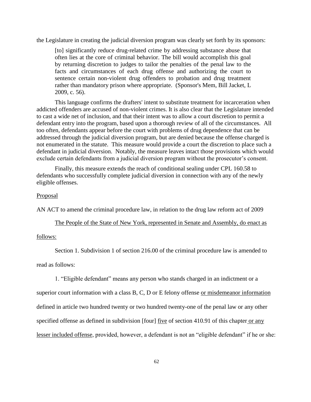the Legislature in creating the judicial diversion program was clearly set forth by its sponsors:

[to] significantly reduce drug-related crime by addressing substance abuse that often lies at the core of criminal behavior. The bill would accomplish this goal by returning discretion to judges to tailor the penalties of the penal law to the facts and circumstances of each drug offense and authorizing the court to sentence certain non-violent drug offenders to probation and drug treatment rather than mandatory prison where appropriate. (Sponsor's Mem, Bill Jacket, L 2009, c. 56).

This language confirms the drafters' intent to substitute treatment for incarceration when addicted offenders are accused of non-violent crimes. It is also clear that the Legislature intended to cast a wide net of inclusion, and that their intent was to allow a court discretion to permit a defendant entry into the program, based upon a thorough review of all of the circumstances. All too often, defendants appear before the court with problems of drug dependence that can be addressed through the judicial diversion program, but are denied because the offense charged is not enumerated in the statute. This measure would provide a court the discretion to place such a defendant in judicial diversion. Notably, the measure leaves intact those provisions which would exclude certain defendants from a judicial diversion program without the prosecutor's consent.

Finally, this measure extends the reach of conditional sealing under CPL 160.58 to defendants who successfully complete judicial diversion in connection with any of the newly eligible offenses.

### Proposal

AN ACT to amend the criminal procedure law, in relation to the drug law reform act of 2009

The People of the State of New York, represented in Senate and Assembly, do enact as

#### follows:

Section 1. Subdivision 1 of section 216.00 of the criminal procedure law is amended to

read as follows:

1. "Eligible defendant" means any person who stands charged in an indictment or a

superior court information with a class B, C, D or E felony offense or misdemeanor information defined in article two hundred twenty or two hundred twenty-one of the penal law or any other specified offense as defined in subdivision [four] <u>five</u> of section 410.91 of this chapter or any lesser included offense, provided, however, a defendant is not an "eligible defendant" if he or she: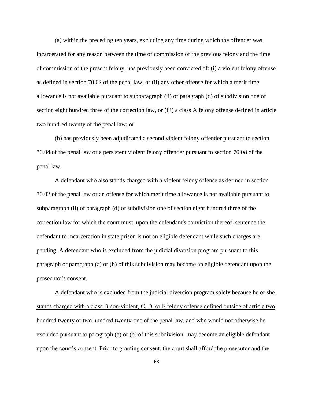(a) within the preceding ten years, excluding any time during which the offender was incarcerated for any reason between the time of commission of the previous felony and the time of commission of the present felony, has previously been convicted of: (i) a violent felony offense as defined in section 70.02 of the penal law, or (ii) any other offense for which a merit time allowance is not available pursuant to subparagraph (ii) of paragraph (d) of subdivision one of section eight hundred three of the correction law, or (iii) a class A felony offense defined in article two hundred twenty of the penal law; or

(b) has previously been adjudicated a second violent felony offender pursuant to section 70.04 of the penal law or a persistent violent felony offender pursuant to section 70.08 of the penal law.

A defendant who also stands charged with a violent felony offense as defined in section 70.02 of the penal law or an offense for which merit time allowance is not available pursuant to subparagraph (ii) of paragraph (d) of subdivision one of section eight hundred three of the correction law for which the court must, upon the defendant's conviction thereof, sentence the defendant to incarceration in state prison is not an eligible defendant while such charges are pending. A defendant who is excluded from the judicial diversion program pursuant to this paragraph or paragraph (a) or (b) of this subdivision may become an eligible defendant upon the prosecutor's consent.

A defendant who is excluded from the judicial diversion program solely because he or she stands charged with a class B non-violent, C, D, or E felony offense defined outside of article two hundred twenty or two hundred twenty-one of the penal law, and who would not otherwise be excluded pursuant to paragraph (a) or (b) of this subdivision, may become an eligible defendant upon the court's consent. Prior to granting consent, the court shall afford the prosecutor and the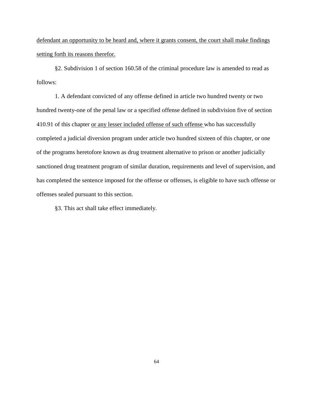defendant an opportunity to be heard and, where it grants consent, the court shall make findings setting forth its reasons therefor.

§2. Subdivision 1 of section 160.58 of the criminal procedure law is amended to read as follows:

1. A defendant convicted of any offense defined in article two hundred twenty or two hundred twenty-one of the penal law or a specified offense defined in subdivision five of section 410.91 of this chapter or any lesser included offense of such offense who has successfully completed a judicial diversion program under article two hundred sixteen of this chapter, or one of the programs heretofore known as drug treatment alternative to prison or another judicially sanctioned drug treatment program of similar duration, requirements and level of supervision, and has completed the sentence imposed for the offense or offenses, is eligible to have such offense or offenses sealed pursuant to this section.

§3. This act shall take effect immediately.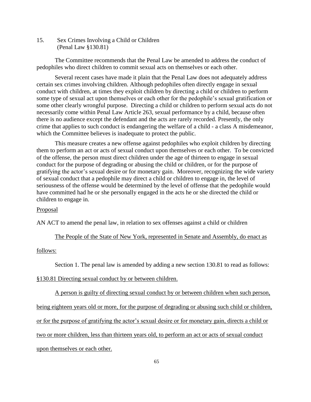15. Sex Crimes Involving a Child or Children (Penal Law §130.81)

The Committee recommends that the Penal Law be amended to address the conduct of pedophiles who direct children to commit sexual acts on themselves or each other.

Several recent cases have made it plain that the Penal Law does not adequately address certain sex crimes involving children. Although pedophiles often directly engage in sexual conduct with children, at times they exploit children by directing a child or children to perform some type of sexual act upon themselves or each other for the pedophile's sexual gratification or some other clearly wrongful purpose. Directing a child or children to perform sexual acts do not necessarily come within Penal Law Article 263, sexual performance by a child, because often there is no audience except the defendant and the acts are rarely recorded. Presently, the only crime that applies to such conduct is endangering the welfare of a child - a class A misdemeanor, which the Committee believes is inadequate to protect the public.

This measure creates a new offense against pedophiles who exploit children by directing them to perform an act or acts of sexual conduct upon themselves or each other. To be convicted of the offense, the person must direct children under the age of thirteen to engage in sexual conduct for the purpose of degrading or abusing the child or children, or for the purpose of gratifying the actor's sexual desire or for monetary gain. Moreover, recognizing the wide variety of sexual conduct that a pedophile may direct a child or children to engage in, the level of seriousness of the offense would be determined by the level of offense that the pedophile would have committed had he or she personally engaged in the acts he or she directed the child or children to engage in.

# Proposal

AN ACT to amend the penal law, in relation to sex offenses against a child or children

## The People of the State of New York, represented in Senate and Assembly, do enact as

## follows:

Section 1. The penal law is amended by adding a new section 130.81 to read as follows:

§130.81 Directing sexual conduct by or between children.

A person is guilty of directing sexual conduct by or between children when such person,

being eighteen years old or more, for the purpose of degrading or abusing such child or children,

or for the purpose of gratifying the actor's sexual desire or for monetary gain, directs a child or

two or more children, less than thirteen years old, to perform an act or acts of sexual conduct

upon themselves or each other.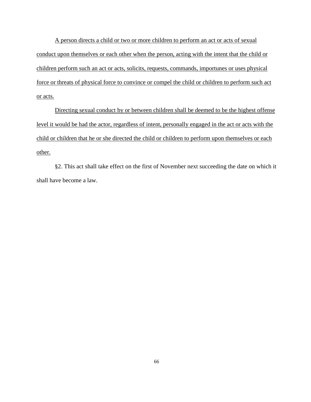A person directs a child or two or more children to perform an act or acts of sexual conduct upon themselves or each other when the person, acting with the intent that the child or children perform such an act or acts, solicits, requests, commands, importunes or uses physical force or threats of physical force to convince or compel the child or children to perform such act or acts.

Directing sexual conduct by or between children shall be deemed to be the highest offense level it would be had the actor, regardless of intent, personally engaged in the act or acts with the child or children that he or she directed the child or children to perform upon themselves or each other.

§2. This act shall take effect on the first of November next succeeding the date on which it shall have become a law.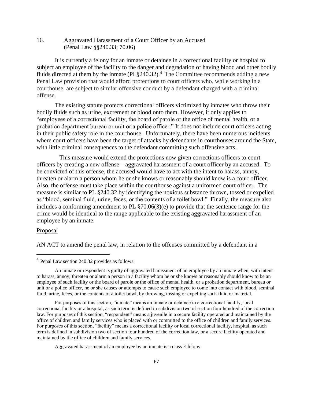# 16. Aggravated Harassment of a Court Officer by an Accused (Penal Law §§240.33; 70.06)

It is currently a felony for an inmate or detainee in a correctional facility or hospital to subject an employee of the facility to the danger and degradation of having blood and other bodily fluids directed at them by the inmate  $(PL\$ {240.32}).<sup>4</sup> The Committee recommends adding a new Penal Law provision that would afford protections to court officers who, while working in a courthouse, are subject to similar offensive conduct by a defendant charged with a criminal offense.

The existing statute protects correctional officers victimized by inmates who throw their bodily fluids such as urine, excrement or blood onto them. However, it only applies to "employees of a correctional facility, the board of parole or the office of mental health, or a probation department bureau or unit or a police officer." It does not include court officers acting in their public safety role in the courthouse. Unfortunately, there have been numerous incidents where court officers have been the target of attacks by defendants in courthouses around the State, with little criminal consequences to the defendant committing such offensive acts.

This measure would extend the protections now given corrections officers to court officers by creating a new offense – aggravated harassment of a court officer by an accused. To be convicted of this offense, the accused would have to act with the intent to harass, annoy, threaten or alarm a person whom he or she knows or reasonably should know is a court officer. Also, the offense must take place within the courthouse against a uniformed court officer. The measure is similar to PL §240.32 by identifying the noxious substance thrown, tossed or expelled as "blood, seminal fluid, urine, feces, or the contents of a toilet bowl." Finally, the measure also includes a conforming amendment to PL §70.06(3)(e) to provide that the sentence range for the crime would be identical to the range applicable to the existing aggravated harassment of an employee by an inmate.

#### Proposal

 $\overline{a}$ 

AN ACT to amend the penal law, in relation to the offenses committed by a defendant in a

Aggravated harassment of an employee by an inmate is a class E felony.

<sup>4</sup> Penal Law section 240.32 provides as follows:

An inmate or respondent is guilty of aggravated harassment of an employee by an inmate when, with intent to harass, annoy, threaten or alarm a person in a facility whom he or she knows or reasonably should know to be an employee of such facility or the board of parole or the office of mental health, or a probation department, bureau or unit or a police officer, he or she causes or attempts to cause such employee to come into contact with blood, seminal fluid, urine, feces, or the contents of a toilet bowl, by throwing, tossing or expelling such fluid or material.

For purposes of this section, "inmate" means an inmate or detainee in a correctional facility, local correctional facility or a hospital, as such term is defined in [subdivision two of section four hundred of the correction](http://www.westlaw.com/Link/Document/FullText?findType=L&pubNum=1000064&cite=NYCTS400&originatingDoc=N79FD29B002FE11E3A4729A2D73907544&refType=LQ&originationContext=document&vr=3.0&rs=cblt1.0&transitionType=DocumentItem&contextData=(sc.DocLink))  [law.](http://www.westlaw.com/Link/Document/FullText?findType=L&pubNum=1000064&cite=NYCTS400&originatingDoc=N79FD29B002FE11E3A4729A2D73907544&refType=LQ&originationContext=document&vr=3.0&rs=cblt1.0&transitionType=DocumentItem&contextData=(sc.DocLink)) For purposes of this section, "respondent" means a juvenile in a secure facility operated and maintained by the office of children and family services who is placed with or committed to the office of children and family services. For purposes of this section, "facility" means a correctional facility or local correctional facility, hospital, as such term is defined in [subdivision two of section four hundred of the correction law,](http://www.westlaw.com/Link/Document/FullText?findType=L&pubNum=1000064&cite=NYCTS400&originatingDoc=N79FD29B002FE11E3A4729A2D73907544&refType=LQ&originationContext=document&vr=3.0&rs=cblt1.0&transitionType=DocumentItem&contextData=(sc.DocLink)) or a secure facility operated and maintained by the office of children and family services.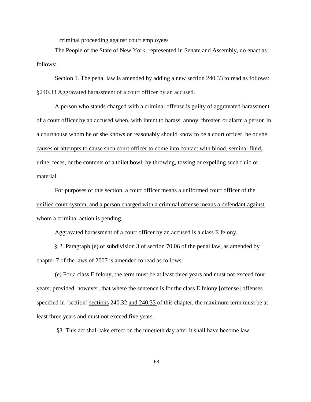criminal proceeding against court employees

The People of the State of New York, represented in Senate and Assembly, do enact as follows:

Section 1. The penal law is amended by adding a new section 240.33 to read as follows: §240.33 Aggravated harassment of a court officer by an accused.

A person who stands charged with a criminal offense is guilty of aggravated harassment of a court officer by an accused when, with intent to harass, annoy, threaten or alarm a person in a courthouse whom he or she knows or reasonably should know to be a court officer, he or she causes or attempts to cause such court officer to come into contact with blood, seminal fluid, urine, feces, or the contents of a toilet bowl, by throwing, tossing or expelling such fluid or material.

For purposes of this section, a court officer means a uniformed court officer of the unified court system, and a person charged with a criminal offense means a defendant against whom a criminal action is pending.

Aggravated harassment of a court officer by an accused is a class E felony.

§ 2. Paragraph (e) of subdivision 3 of section 70.06 of the penal law, as amended by chapter 7 of the laws of 2007 is amended to read as follows:

(e) For a class E felony, the term must be at least three years and must not exceed four years; provided, however, that where the sentence is for the class E felony [offense] offenses specified in [section] sections 240.32 and 240.33 of this chapter, the maximum term must be at least three years and must not exceed five years.

§3. This act shall take effect on the ninetieth day after it shall have become law.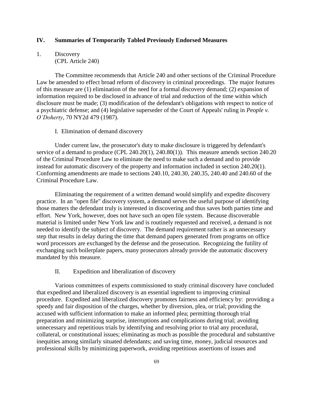# **IV. Summaries of Temporarily Tabled Previously Endorsed Measures**

# 1. Discovery (CPL Article 240)

The Committee recommends that Article 240 and other sections of the Criminal Procedure Law be amended to effect broad reform of discovery in criminal proceedings. The major features of this measure are (1) elimination of the need for a formal discovery demand; (2) expansion of information required to be disclosed in advance of trial and reduction of the time within which disclosure must be made; (3) modification of the defendant's obligations with respect to notice of a psychiatric defense; and (4) legislative superseder of the Court of Appeals' ruling in *People v. O'Doherty*, 70 NY2d 479 (1987).

## I. Elimination of demand discovery

Under current law, the prosecutor's duty to make disclosure is triggered by defendant's service of a demand to produce (CPL 240.20(1), 240.80(1)). This measure amends section 240.20 of the Criminal Procedure Law to eliminate the need to make such a demand and to provide instead for automatic discovery of the property and information included in section 240.20(1). Conforming amendments are made to sections 240.10, 240.30, 240.35, 240.40 and 240.60 of the Criminal Procedure Law.

Eliminating the requirement of a written demand would simplify and expedite discovery practice. In an "open file" discovery system, a demand serves the useful purpose of identifying those matters the defendant truly is interested in discovering and thus saves both parties time and effort. New York, however, does not have such an open file system. Because discoverable material is limited under New York law and is routinely requested and received, a demand is not needed to identify the subject of discovery. The demand requirement rather is an unnecessary step that results in delay during the time that demand papers generated from programs on office word processors are exchanged by the defense and the prosecution. Recognizing the futility of exchanging such boilerplate papers, many prosecutors already provide the automatic discovery mandated by this measure.

# II. Expedition and liberalization of discovery

Various committees of experts commissioned to study criminal discovery have concluded that expedited and liberalized discovery is an essential ingredient to improving criminal procedure. Expedited and liberalized discovery promotes fairness and efficiency by: providing a speedy and fair disposition of the charges, whether by diversion, plea, or trial; providing the accused with sufficient information to make an informed plea; permitting thorough trial preparation and minimizing surprise, interruptions and complications during trial; avoiding unnecessary and repetitious trials by identifying and resolving prior to trial any procedural, collateral, or constitutional issues; eliminating as much as possible the procedural and substantive inequities among similarly situated defendants; and saving time, money, judicial resources and professional skills by minimizing paperwork, avoiding repetitious assertions of issues and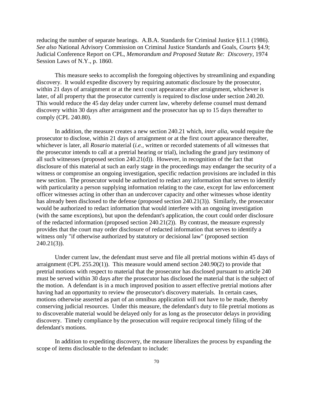reducing the number of separate hearings. A.B.A. Standards for Criminal Justice §11.1 (1986). *See also* National Advisory Commission on Criminal Justice Standards and Goals, *Courts* §4.9; Judicial Conference Report on CPL, *Memorandum and Proposed Statute Re: Discovery*, 1974 Session Laws of N.Y., p. 1860.

This measure seeks to accomplish the foregoing objectives by streamlining and expanding discovery. It would expedite discovery by requiring automatic disclosure by the prosecutor, within 21 days of arraignment or at the next court appearance after arraignment, whichever is later, of all property that the prosecutor currently is required to disclose under section 240.20. This would reduce the 45 day delay under current law, whereby defense counsel must demand discovery within 30 days after arraignment and the prosecutor has up to 15 days thereafter to comply (CPL 240.80).

In addition, the measure creates a new section 240.21 which, *inter alia*, would require the prosecutor to disclose, within 21 days of arraignment or at the first court appearance thereafter, whichever is later, all *Rosario* material (*i.e.,* written or recorded statements of all witnesses that the prosecutor intends to call at a pretrial hearing or trial), including the grand jury testimony of all such witnesses (proposed section 240.21(d)). However, in recognition of the fact that disclosure of this material at such an early stage in the proceedings may endanger the security of a witness or compromise an ongoing investigation, specific redaction provisions are included in this new section. The prosecutor would be authorized to redact any information that serves to identify with particularity a person supplying information relating to the case, except for law enforcement officer witnesses acting in other than an undercover capacity and other witnesses whose identity has already been disclosed to the defense (proposed section 240.21(3)). Similarly, the prosecutor would be authorized to redact information that would interfere with an ongoing investigation (with the same exceptions), but upon the defendant's application, the court could order disclosure of the redacted information (proposed section 240.21(2)). By contrast, the measure expressly provides that the court may order disclosure of redacted information that serves to identify a witness only "if otherwise authorized by statutory or decisional law" (proposed section  $240.21(3)$ ).

Under current law, the defendant must serve and file all pretrial motions within 45 days of arraignment (CPL 255.20(1)). This measure would amend section 240.90(2) to provide that pretrial motions with respect to material that the prosecutor has disclosed pursuant to article 240 must be served within 30 days after the prosecutor has disclosed the material that is the subject of the motion. A defendant is in a much improved position to assert effective pretrial motions after having had an opportunity to review the prosecutor's discovery materials. In certain cases, motions otherwise asserted as part of an omnibus application will not have to be made, thereby conserving judicial resources. Under this measure, the defendant's duty to file pretrial motions as to discoverable material would be delayed only for as long as the prosecutor delays in providing discovery. Timely compliance by the prosecution will require reciprocal timely filing of the defendant's motions.

In addition to expediting discovery, the measure liberalizes the process by expanding the scope of items disclosable to the defendant to include: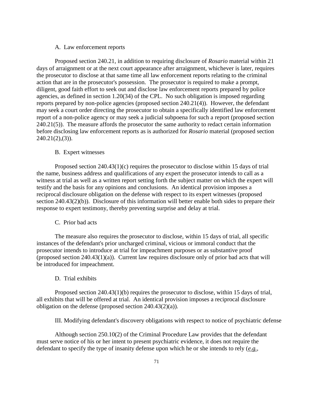# A. Law enforcement reports

Proposed section 240.21, in addition to requiring disclosure of *Rosario* material within 21 days of arraignment or at the next court appearance after arraignment, whichever is later, requires the prosecutor to disclose at that same time all law enforcement reports relating to the criminal action that are in the prosecutor's possession. The prosecutor is required to make a prompt, diligent, good faith effort to seek out and disclose law enforcement reports prepared by police agencies, as defined in section 1.20(34) of the CPL. No such obligation is imposed regarding reports prepared by non-police agencies (proposed section 240.21(4)). However, the defendant may seek a court order directing the prosecutor to obtain a specifically identified law enforcement report of a non-police agency or may seek a judicial subpoena for such a report (proposed section 240.21(5)). The measure affords the prosecutor the same authority to redact certain information before disclosing law enforcement reports as is authorized for *Rosario* material (proposed section  $240.21(2),(3)$ ).

# B. Expert witnesses

Proposed section 240.43(1)(c) requires the prosecutor to disclose within 15 days of trial the name, business address and qualifications of any expert the prosecutor intends to call as a witness at trial as well as a written report setting forth the subject matter on which the expert will testify and the basis for any opinions and conclusions. An identical provision imposes a reciprocal disclosure obligation on the defense with respect to its expert witnesses (proposed section 240.43(2)(b)). Disclosure of this information will better enable both sides to prepare their response to expert testimony, thereby preventing surprise and delay at trial.

#### C. Prior bad acts

The measure also requires the prosecutor to disclose, within 15 days of trial, all specific instances of the defendant's prior uncharged criminal, vicious or immoral conduct that the prosecutor intends to introduce at trial for impeachment purposes or as substantive proof (proposed section 240.43(1)(a)). Current law requires disclosure only of prior bad acts that will be introduced for impeachment.

#### D. Trial exhibits

Proposed section 240.43(1)(b) requires the prosecutor to disclose, within 15 days of trial, all exhibits that will be offered at trial. An identical provision imposes a reciprocal disclosure obligation on the defense (proposed section 240.43(2)(a)).

III. Modifying defendant's discovery obligations with respect to notice of psychiatric defense

Although section 250.10(2) of the Criminal Procedure Law provides that the defendant must serve notice of his or her intent to present psychiatric evidence, it does not require the defendant to specify the type of insanity defense upon which he or she intends to rely (*e.g.,*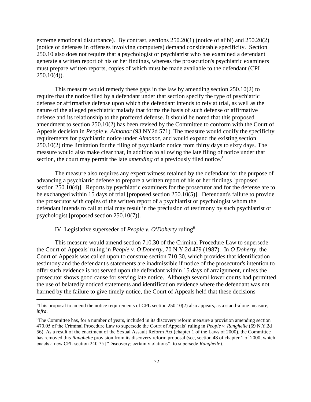extreme emotional disturbance). By contrast, sections 250.20(1) (notice of alibi) and 250.20(2) (notice of defenses in offenses involving computers) demand considerable specificity. Section 250.10 also does not require that a psychologist or psychiatrist who has examined a defendant generate a written report of his or her findings, whereas the prosecution's psychiatric examiners must prepare written reports, copies of which must be made available to the defendant (CPL 250.10(4)).

This measure would remedy these gaps in the law by amending section 250.10(2) to require that the notice filed by a defendant under that section specify the type of psychiatric defense or affirmative defense upon which the defendant intends to rely at trial, as well as the nature of the alleged psychiatric malady that forms the basis of such defense or affirmative defense and its relationship to the proffered defense. It should be noted that this proposed amendment to section 250.10(2) has been revised by the Committee to conform with the Court of Appeals decision in *People v. Almonor* (93 NY2d 571). The measure would codify the specificity requirements for psychiatric notice under *Almonor*, and would expand the existing section 250.10(2) time limitation for the filing of psychiatric notice from thirty days to sixty days. The measure would also make clear that, in addition to allowing the late filing of notice under that section, the court may permit the late *amending* of a previously filed notice.<sup>5</sup>

The measure also requires any expert witness retained by the defendant for the purpose of advancing a psychiatric defense to prepare a written report of his or her findings [proposed section 250.10(4)]. Reports by psychiatric examiners for the prosecutor and for the defense are to be exchanged within 15 days of trial [proposed section 250.10(5)]. Defendant's failure to provide the prosecutor with copies of the written report of a psychiatrist or psychologist whom the defendant intends to call at trial may result in the preclusion of testimony by such psychiatrist or psychologist [proposed section 250.10(7)].

# IV. Legislative superseder of *People v. O'Doherty* ruling<sup>6</sup>

 $\overline{a}$ 

This measure would amend section 710.30 of the Criminal Procedure Law to supersede the Court of Appeals' ruling in *People v. O'Doherty*, 70 N.Y.2d 479 (1987). In *O'Doherty*, the Court of Appeals was called upon to construe section 710.30, which provides that identification testimony and the defendant's statements are inadmissible if notice of the prosecutor's intention to offer such evidence is not served upon the defendant within 15 days of arraignment, unless the prosecutor shows good cause for serving late notice. Although several lower courts had permitted the use of belatedly noticed statements and identification evidence where the defendant was not harmed by the failure to give timely notice, the Court of Appeals held that these decisions

 $5$ This proposal to amend the notice requirements of CPL section 250.10(2) also appears, as a stand-alone measure, *infra*.

<sup>6</sup>The Committee has, for a number of years, included in its discovery reform measure a provision amending section 470.05 of the Criminal Procedure Law to supersede the Court of Appeals' ruling in *People v. Ranghelle* (69 N.Y.2d 56). As a result of the enactment of the Sexual Assault Reform Act (chapter 1 of the Laws of 2000), the Committee has removed this *Ranghelle* provision from its discovery reform proposal (see, section 48 of chapter 1 of 2000, which enacts a new CPL section 240.75 ["Discovery; certain violations"] to supersede *Ranghelle*).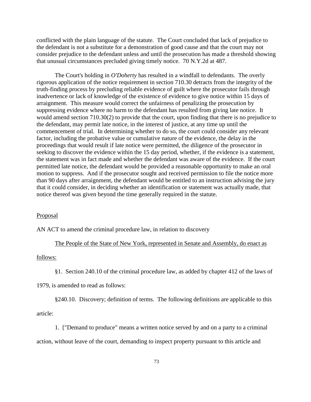conflicted with the plain language of the statute. The Court concluded that lack of prejudice to the defendant is not a substitute for a demonstration of good cause and that the court may not consider prejudice to the defendant unless and until the prosecution has made a threshold showing that unusual circumstances precluded giving timely notice. 70 N.Y.2d at 487.

The Court's holding in *O'Doherty* has resulted in a windfall to defendants. The overly rigorous application of the notice requirement in section 710.30 detracts from the integrity of the truth-finding process by precluding reliable evidence of guilt where the prosecutor fails through inadvertence or lack of knowledge of the existence of evidence to give notice within 15 days of arraignment. This measure would correct the unfairness of penalizing the prosecution by suppressing evidence where no harm to the defendant has resulted from giving late notice. It would amend section 710.30(2) to provide that the court, upon finding that there is no prejudice to the defendant, may permit late notice, in the interest of justice, at any time up until the commencement of trial. In determining whether to do so, the court could consider any relevant factor, including the probative value or cumulative nature of the evidence, the delay in the proceedings that would result if late notice were permitted, the diligence of the prosecutor in seeking to discover the evidence within the 15 day period, whether, if the evidence is a statement, the statement was in fact made and whether the defendant was aware of the evidence. If the court permitted late notice, the defendant would be provided a reasonable opportunity to make an oral motion to suppress. And if the prosecutor sought and received permission to file the notice more than 90 days after arraignment, the defendant would be entitled to an instruction advising the jury that it could consider, in deciding whether an identification or statement was actually made, that notice thereof was given beyond the time generally required in the statute.

#### Proposal

AN ACT to amend the criminal procedure law, in relation to discovery

# The People of the State of New York, represented in Senate and Assembly, do enact as

## follows:

§1. Section 240.10 of the criminal procedure law, as added by chapter 412 of the laws of

1979, is amended to read as follows:

§240.10. Discovery; definition of terms. The following definitions are applicable to this

article:

1. ["Demand to produce" means a written notice served by and on a party to a criminal

action, without leave of the court, demanding to inspect property pursuant to this article and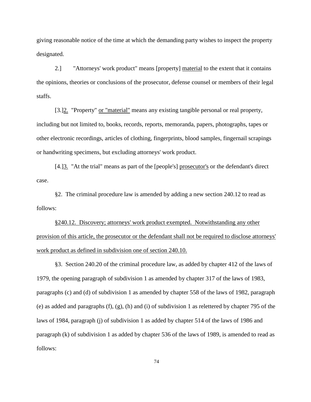giving reasonable notice of the time at which the demanding party wishes to inspect the property designated.

2.] "Attorneys' work product" means [property] material to the extent that it contains the opinions, theories or conclusions of the prosecutor, defense counsel or members of their legal staffs.

[3.]<sup>2</sup>. "Property" or "material" means any existing tangible personal or real property, including but not limited to, books, records, reports, memoranda, papers, photographs, tapes or other electronic recordings, articles of clothing, fingerprints, blood samples, fingernail scrapings or handwriting specimens, but excluding attorneys' work product.

[4.]3. "At the trial" means as part of the [people's] prosecutor's or the defendant's direct case.

§2. The criminal procedure law is amended by adding a new section 240.12 to read as follows:

§240.12. Discovery; attorneys' work product exempted. Notwithstanding any other provision of this article, the prosecutor or the defendant shall not be required to disclose attorneys' work product as defined in subdivision one of section 240.10.

§3. Section 240.20 of the criminal procedure law, as added by chapter 412 of the laws of 1979, the opening paragraph of subdivision 1 as amended by chapter 317 of the laws of 1983, paragraphs (c) and (d) of subdivision 1 as amended by chapter 558 of the laws of 1982, paragraph (e) as added and paragraphs (f), (g), (h) and (i) of subdivision 1 as relettered by chapter 795 of the laws of 1984, paragraph (j) of subdivision 1 as added by chapter 514 of the laws of 1986 and paragraph (k) of subdivision 1 as added by chapter 536 of the laws of 1989, is amended to read as follows: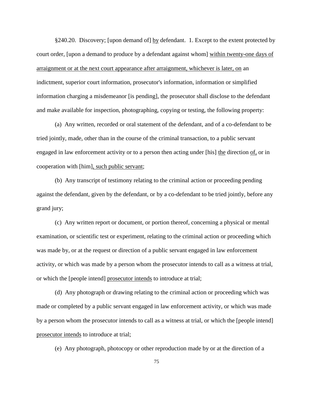§240.20. Discovery; [upon demand of] by defendant. 1. Except to the extent protected by court order, [upon a demand to produce by a defendant against whom] within twenty-one days of arraignment or at the next court appearance after arraignment, whichever is later, on an indictment, superior court information, prosecutor's information, information or simplified information charging a misdemeanor [is pending], the prosecutor shall disclose to the defendant and make available for inspection, photographing, copying or testing, the following property:

(a) Any written, recorded or oral statement of the defendant, and of a co-defendant to be tried jointly, made, other than in the course of the criminal transaction, to a public servant engaged in law enforcement activity or to a person then acting under [his] the direction of, or in cooperation with [him], such public servant;

(b) Any transcript of testimony relating to the criminal action or proceeding pending against the defendant, given by the defendant, or by a co-defendant to be tried jointly, before any grand jury;

(c) Any written report or document, or portion thereof, concerning a physical or mental examination, or scientific test or experiment, relating to the criminal action or proceeding which was made by, or at the request or direction of a public servant engaged in law enforcement activity, or which was made by a person whom the prosecutor intends to call as a witness at trial, or which the [people intend] prosecutor intends to introduce at trial;

(d) Any photograph or drawing relating to the criminal action or proceeding which was made or completed by a public servant engaged in law enforcement activity, or which was made by a person whom the prosecutor intends to call as a witness at trial, or which the [people intend] prosecutor intends to introduce at trial;

(e) Any photograph, photocopy or other reproduction made by or at the direction of a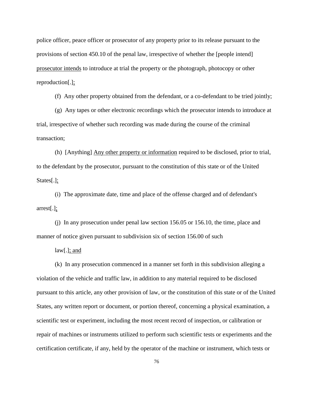police officer, peace officer or prosecutor of any property prior to its release pursuant to the provisions of section 450.10 of the penal law, irrespective of whether the [people intend] prosecutor intends to introduce at trial the property or the photograph, photocopy or other reproduction[.];

(f) Any other property obtained from the defendant, or a co-defendant to be tried jointly;

(g) Any tapes or other electronic recordings which the prosecutor intends to introduce at trial, irrespective of whether such recording was made during the course of the criminal transaction;

(h) [Anything] Any other property or information required to be disclosed, prior to trial, to the defendant by the prosecutor, pursuant to the constitution of this state or of the United States[.];

(i) The approximate date, time and place of the offense charged and of defendant's arrest[.];

(j) In any prosecution under penal law section 156.05 or 156.10, the time, place and manner of notice given pursuant to subdivision six of section 156.00 of such

 $law[.]$ ; and

(k) In any prosecution commenced in a manner set forth in this subdivision alleging a violation of the vehicle and traffic law, in addition to any material required to be disclosed pursuant to this article, any other provision of law, or the constitution of this state or of the United States, any written report or document, or portion thereof, concerning a physical examination, a scientific test or experiment, including the most recent record of inspection, or calibration or repair of machines or instruments utilized to perform such scientific tests or experiments and the certification certificate, if any, held by the operator of the machine or instrument, which tests or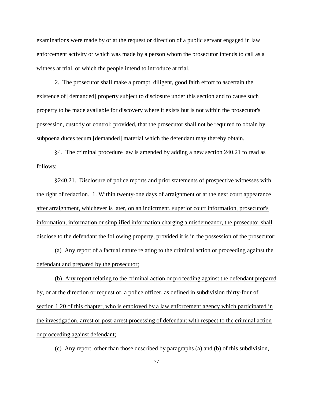examinations were made by or at the request or direction of a public servant engaged in law enforcement activity or which was made by a person whom the prosecutor intends to call as a witness at trial, or which the people intend to introduce at trial.

2. The prosecutor shall make a prompt, diligent, good faith effort to ascertain the existence of [demanded] property subject to disclosure under this section and to cause such property to be made available for discovery where it exists but is not within the prosecutor's possession, custody or control; provided, that the prosecutor shall not be required to obtain by subpoena duces tecum [demanded] material which the defendant may thereby obtain.

§4. The criminal procedure law is amended by adding a new section 240.21 to read as follows:

§240.21. Disclosure of police reports and prior statements of prospective witnesses with the right of redaction. 1. Within twenty-one days of arraignment or at the next court appearance after arraignment, whichever is later, on an indictment, superior court information, prosecutor's information, information or simplified information charging a misdemeanor, the prosecutor shall disclose to the defendant the following property, provided it is in the possession of the prosecutor:

(a) Any report of a factual nature relating to the criminal action or proceeding against the defendant and prepared by the prosecutor;

(b) Any report relating to the criminal action or proceeding against the defendant prepared by, or at the direction or request of, a police officer, as defined in subdivision thirty-four of section 1.20 of this chapter, who is employed by a law enforcement agency which participated in the investigation, arrest or post-arrest processing of defendant with respect to the criminal action or proceeding against defendant;

(c) Any report, other than those described by paragraphs (a) and (b) of this subdivision,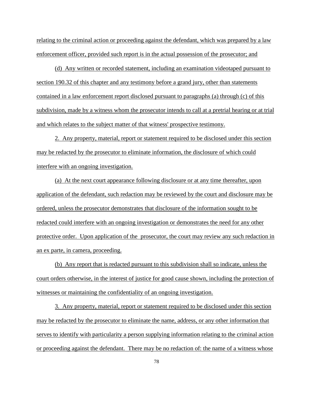relating to the criminal action or proceeding against the defendant, which was prepared by a law enforcement officer, provided such report is in the actual possession of the prosecutor; and

(d) Any written or recorded statement, including an examination videotaped pursuant to section 190.32 of this chapter and any testimony before a grand jury, other than statements contained in a law enforcement report disclosed pursuant to paragraphs (a) through (c) of this subdivision, made by a witness whom the prosecutor intends to call at a pretrial hearing or at trial and which relates to the subject matter of that witness' prospective testimony.

2. Any property, material, report or statement required to be disclosed under this section may be redacted by the prosecutor to eliminate information, the disclosure of which could interfere with an ongoing investigation.

(a) At the next court appearance following disclosure or at any time thereafter, upon application of the defendant, such redaction may be reviewed by the court and disclosure may be ordered, unless the prosecutor demonstrates that disclosure of the information sought to be redacted could interfere with an ongoing investigation or demonstrates the need for any other protective order. Upon application of the prosecutor, the court may review any such redaction in an ex parte, in camera, proceeding.

(b) Any report that is redacted pursuant to this subdivision shall so indicate, unless the court orders otherwise, in the interest of justice for good cause shown, including the protection of witnesses or maintaining the confidentiality of an ongoing investigation.

3. Any property, material, report or statement required to be disclosed under this section may be redacted by the prosecutor to eliminate the name, address, or any other information that serves to identify with particularity a person supplying information relating to the criminal action or proceeding against the defendant. There may be no redaction of: the name of a witness whose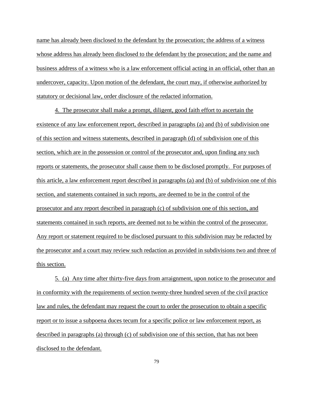name has already been disclosed to the defendant by the prosecution; the address of a witness whose address has already been disclosed to the defendant by the prosecution; and the name and business address of a witness who is a law enforcement official acting in an official, other than an undercover, capacity. Upon motion of the defendant, the court may, if otherwise authorized by statutory or decisional law, order disclosure of the redacted information.

4. The prosecutor shall make a prompt, diligent, good faith effort to ascertain the existence of any law enforcement report, described in paragraphs (a) and (b) of subdivision one of this section and witness statements, described in paragraph (d) of subdivision one of this section, which are in the possession or control of the prosecutor and, upon finding any such reports or statements, the prosecutor shall cause them to be disclosed promptly. For purposes of this article, a law enforcement report described in paragraphs (a) and (b) of subdivision one of this section, and statements contained in such reports, are deemed to be in the control of the prosecutor and any report described in paragraph (c) of subdivision one of this section, and statements contained in such reports, are deemed not to be within the control of the prosecutor. Any report or statement required to be disclosed pursuant to this subdivision may be redacted by the prosecutor and a court may review such redaction as provided in subdivisions two and three of this section.

5. (a) Any time after thirty-five days from arraignment, upon notice to the prosecutor and in conformity with the requirements of section twenty-three hundred seven of the civil practice law and rules, the defendant may request the court to order the prosecution to obtain a specific report or to issue a subpoena duces tecum for a specific police or law enforcement report, as described in paragraphs (a) through (c) of subdivision one of this section, that has not been disclosed to the defendant.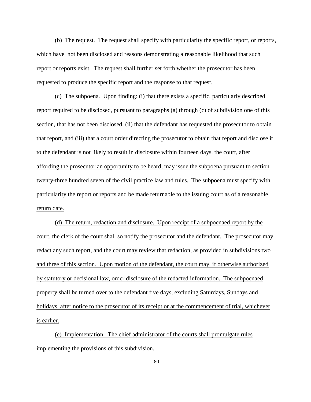(b) The request. The request shall specify with particularity the specific report, or reports, which have not been disclosed and reasons demonstrating a reasonable likelihood that such report or reports exist. The request shall further set forth whether the prosecutor has been requested to produce the specific report and the response to that request.

(c) The subpoena. Upon finding: (i) that there exists a specific, particularly described report required to be disclosed, pursuant to paragraphs (a) through (c) of subdivision one of this section, that has not been disclosed, (ii) that the defendant has requested the prosecutor to obtain that report, and (iii) that a court order directing the prosecutor to obtain that report and disclose it to the defendant is not likely to result in disclosure within fourteen days, the court, after affording the prosecutor an opportunity to be heard, may issue the subpoena pursuant to section twenty-three hundred seven of the civil practice law and rules. The subpoena must specify with particularity the report or reports and be made returnable to the issuing court as of a reasonable return date.

(d) The return, redaction and disclosure. Upon receipt of a subpoenaed report by the court, the clerk of the court shall so notify the prosecutor and the defendant. The prosecutor may redact any such report, and the court may review that redaction, as provided in subdivisions two and three of this section. Upon motion of the defendant, the court may, if otherwise authorized by statutory or decisional law, order disclosure of the redacted information. The subpoenaed property shall be turned over to the defendant five days, excluding Saturdays, Sundays and holidays, after notice to the prosecutor of its receipt or at the commencement of trial, whichever is earlier.

(e) Implementation. The chief administrator of the courts shall promulgate rules implementing the provisions of this subdivision.

80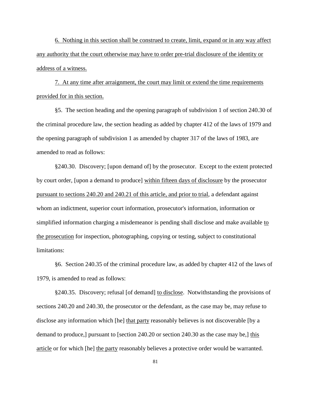6. Nothing in this section shall be construed to create, limit, expand or in any way affect any authority that the court otherwise may have to order pre-trial disclosure of the identity or address of a witness.

7. At any time after arraignment, the court may limit or extend the time requirements provided for in this section.

§5. The section heading and the opening paragraph of subdivision 1 of section 240.30 of the criminal procedure law, the section heading as added by chapter 412 of the laws of 1979 and the opening paragraph of subdivision 1 as amended by chapter 317 of the laws of 1983, are amended to read as follows:

§240.30. Discovery; [upon demand of] by the prosecutor. Except to the extent protected by court order, [upon a demand to produce] within fifteen days of disclosure by the prosecutor pursuant to sections 240.20 and 240.21 of this article, and prior to trial, a defendant against whom an indictment, superior court information, prosecutor's information, information or simplified information charging a misdemeanor is pending shall disclose and make available to the prosecution for inspection, photographing, copying or testing, subject to constitutional limitations:

§6. Section 240.35 of the criminal procedure law, as added by chapter 412 of the laws of 1979, is amended to read as follows:

§240.35. Discovery; refusal [of demand] to disclose. Notwithstanding the provisions of sections 240.20 and 240.30, the prosecutor or the defendant, as the case may be, may refuse to disclose any information which [he] that party reasonably believes is not discoverable [by a demand to produce,] pursuant to [section 240.20 or section 240.30 as the case may be,] this article or for which [he] the party reasonably believes a protective order would be warranted.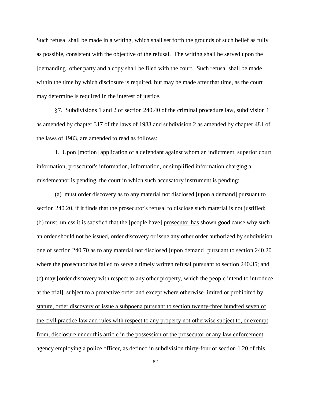Such refusal shall be made in a writing, which shall set forth the grounds of such belief as fully as possible, consistent with the objective of the refusal. The writing shall be served upon the [demanding] other party and a copy shall be filed with the court. Such refusal shall be made within the time by which disclosure is required, but may be made after that time, as the court may determine is required in the interest of justice.

§7. Subdivisions 1 and 2 of section 240.40 of the criminal procedure law, subdivision 1 as amended by chapter 317 of the laws of 1983 and subdivision 2 as amended by chapter 481 of the laws of 1983, are amended to read as follows:

1. Upon [motion] application of a defendant against whom an indictment, superior court information, prosecutor's information, information, or simplified information charging a misdemeanor is pending, the court in which such accusatory instrument is pending:

(a) must order discovery as to any material not disclosed [upon a demand] pursuant to section 240.20, if it finds that the prosecutor's refusal to disclose such material is not justified; (b) must, unless it is satisfied that the [people have] prosecutor has shown good cause why such an order should not be issued, order discovery or issue any other order authorized by subdivision one of section 240.70 as to any material not disclosed [upon demand] pursuant to section 240.20 where the prosecutor has failed to serve a timely written refusal pursuant to section 240.35; and (c) may [order discovery with respect to any other property, which the people intend to introduce at the trial], subject to a protective order and except where otherwise limited or prohibited by statute, order discovery or issue a subpoena pursuant to section twenty-three hundred seven of the civil practice law and rules with respect to any property not otherwise subject to, or exempt from, disclosure under this article in the possession of the prosecutor or any law enforcement agency employing a police officer, as defined in subdivision thirty-four of section 1.20 of this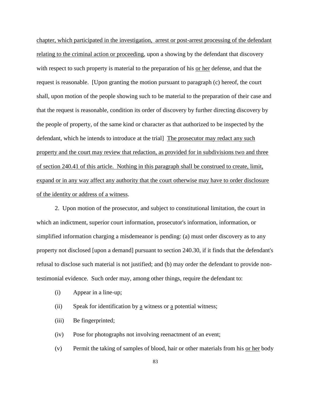chapter, which participated in the investigation, arrest or post-arrest processing of the defendant relating to the criminal action or proceeding, upon a showing by the defendant that discovery with respect to such property is material to the preparation of his or her defense, and that the request is reasonable. [Upon granting the motion pursuant to paragraph (c) hereof, the court shall, upon motion of the people showing such to be material to the preparation of their case and that the request is reasonable, condition its order of discovery by further directing discovery by the people of property, of the same kind or character as that authorized to be inspected by the defendant, which he intends to introduce at the trial] The prosecutor may redact any such property and the court may review that redaction, as provided for in subdivisions two and three of section 240.41 of this article. Nothing in this paragraph shall be construed to create, limit, expand or in any way affect any authority that the court otherwise may have to order disclosure of the identity or address of a witness.

2. Upon motion of the prosecutor, and subject to constitutional limitation, the court in which an indictment, superior court information, prosecutor's information, information, or simplified information charging a misdemeanor is pending: (a) must order discovery as to any property not disclosed [upon a demand] pursuant to section 240.30, if it finds that the defendant's refusal to disclose such material is not justified; and (b) may order the defendant to provide nontestimonial evidence. Such order may, among other things, require the defendant to:

- (i) Appear in a line-up;
- (ii) Speak for identification by a witness or a potential witness;
- (iii) Be fingerprinted;
- (iv) Pose for photographs not involving reenactment of an event;
- (v) Permit the taking of samples of blood, hair or other materials from his <u>or her</u> body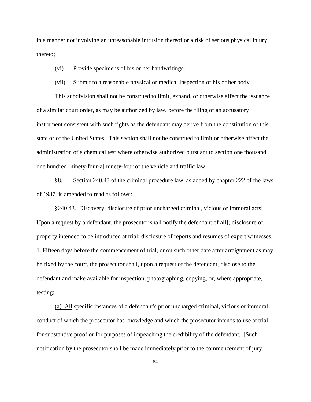in a manner not involving an unreasonable intrusion thereof or a risk of serious physical injury thereto;

- (vi) Provide specimens of his or her handwritings;
- (vii) Submit to a reasonable physical or medical inspection of his or her body.

This subdivision shall not be construed to limit, expand, or otherwise affect the issuance of a similar court order, as may be authorized by law, before the filing of an accusatory instrument consistent with such rights as the defendant may derive from the constitution of this state or of the United States. This section shall not be construed to limit or otherwise affect the administration of a chemical test where otherwise authorized pursuant to section one thousand one hundred [ninety-four-a] ninety-four of the vehicle and traffic law.

§8. Section 240.43 of the criminal procedure law, as added by chapter 222 of the laws of 1987, is amended to read as follows:

§240.43. Discovery; disclosure of prior uncharged criminal, vicious or immoral acts[. Upon a request by a defendant, the prosecutor shall notify the defendant of all]; disclosure of property intended to be introduced at trial; disclosure of reports and resumes of expert witnesses. 1. Fifteen days before the commencement of trial, or on such other date after arraignment as may be fixed by the court, the prosecutor shall, upon a request of the defendant, disclose to the defendant and make available for inspection, photographing, copying, or, where appropriate, testing:

(a) All specific instances of a defendant's prior uncharged criminal, vicious or immoral conduct of which the prosecutor has knowledge and which the prosecutor intends to use at trial for substantive proof or for purposes of impeaching the credibility of the defendant. [Such notification by the prosecutor shall be made immediately prior to the commencement of jury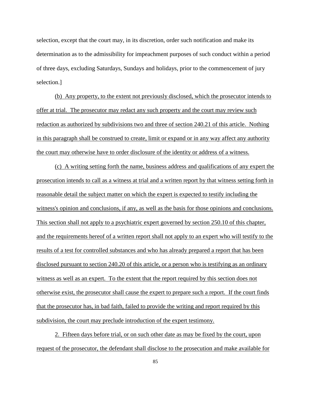selection, except that the court may, in its discretion, order such notification and make its determination as to the admissibility for impeachment purposes of such conduct within a period of three days, excluding Saturdays, Sundays and holidays, prior to the commencement of jury selection.]

(b) Any property, to the extent not previously disclosed, which the prosecutor intends to offer at trial. The prosecutor may redact any such property and the court may review such redaction as authorized by subdivisions two and three of section 240.21 of this article. Nothing in this paragraph shall be construed to create, limit or expand or in any way affect any authority the court may otherwise have to order disclosure of the identity or address of a witness.

(c) A writing setting forth the name, business address and qualifications of any expert the prosecution intends to call as a witness at trial and a written report by that witness setting forth in reasonable detail the subject matter on which the expert is expected to testify including the witness's opinion and conclusions, if any, as well as the basis for those opinions and conclusions. This section shall not apply to a psychiatric expert governed by section 250.10 of this chapter, and the requirements hereof of a written report shall not apply to an expert who will testify to the results of a test for controlled substances and who has already prepared a report that has been disclosed pursuant to section 240.20 of this article, or a person who is testifying as an ordinary witness as well as an expert. To the extent that the report required by this section does not otherwise exist, the prosecutor shall cause the expert to prepare such a report. If the court finds that the prosecutor has, in bad faith, failed to provide the writing and report required by this subdivision, the court may preclude introduction of the expert testimony.

2. Fifteen days before trial, or on such other date as may be fixed by the court, upon request of the prosecutor, the defendant shall disclose to the prosecution and make available for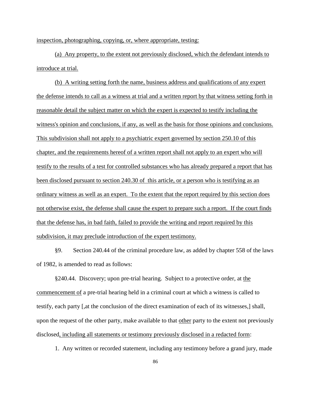inspection, photographing, copying, or, where appropriate, testing:

(a) Any property, to the extent not previously disclosed, which the defendant intends to introduce at trial.

(b) A writing setting forth the name, business address and qualifications of any expert the defense intends to call as a witness at trial and a written report by that witness setting forth in reasonable detail the subject matter on which the expert is expected to testify including the witness's opinion and conclusions, if any, as well as the basis for those opinions and conclusions. This subdivision shall not apply to a psychiatric expert governed by section 250.10 of this chapter, and the requirements hereof of a written report shall not apply to an expert who will testify to the results of a test for controlled substances who has already prepared a report that has been disclosed pursuant to section 240.30 of this article, or a person who is testifying as an ordinary witness as well as an expert. To the extent that the report required by this section does not otherwise exist, the defense shall cause the expert to prepare such a report. If the court finds that the defense has, in bad faith, failed to provide the writing and report required by this subdivision, it may preclude introduction of the expert testimony.

§9. Section 240.44 of the criminal procedure law, as added by chapter 558 of the laws of 1982, is amended to read as follows:

§240.44. Discovery; upon pre-trial hearing. Subject to a protective order, at the commencement of a pre-trial hearing held in a criminal court at which a witness is called to testify, each party [,at the conclusion of the direct examination of each of its witnesses,] shall, upon the request of the other party, make available to that other party to the extent not previously disclosed, including all statements or testimony previously disclosed in a redacted form:

1. Any written or recorded statement, including any testimony before a grand jury, made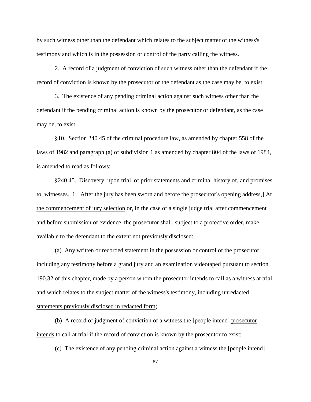by such witness other than the defendant which relates to the subject matter of the witness's testimony and which is in the possession or control of the party calling the witness.

2. A record of a judgment of conviction of such witness other than the defendant if the record of conviction is known by the prosecutor or the defendant as the case may be, to exist.

3. The existence of any pending criminal action against such witness other than the defendant if the pending criminal action is known by the prosecutor or defendant, as the case may be, to exist.

§10. Section 240.45 of the criminal procedure law, as amended by chapter 558 of the laws of 1982 and paragraph (a) of subdivision 1 as amended by chapter 804 of the laws of 1984, is amended to read as follows:

§240.45. Discovery; upon trial, of prior statements and criminal history of, and promises to, witnesses. 1. [After the jury has been sworn and before the prosecutor's opening address,] At the commencement of jury selection or, in the case of a single judge trial after commencement and before submission of evidence, the prosecutor shall, subject to a protective order, make available to the defendant to the extent not previously disclosed:

(a) Any written or recorded statement in the possession or control of the prosecutor, including any testimony before a grand jury and an examination videotaped pursuant to section 190.32 of this chapter, made by a person whom the prosecutor intends to call as a witness at trial, and which relates to the subject matter of the witness's testimony, including unredacted statements previously disclosed in redacted form;

(b) A record of judgment of conviction of a witness the [people intend] prosecutor intends to call at trial if the record of conviction is known by the prosecutor to exist;

(c) The existence of any pending criminal action against a witness the [people intend]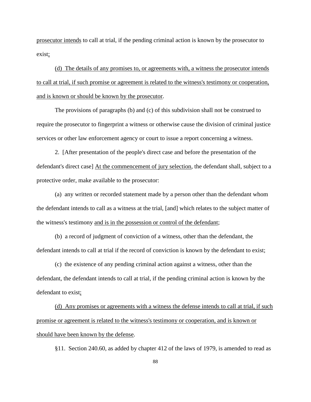prosecutor intends to call at trial, if the pending criminal action is known by the prosecutor to exist;

(d) The details of any promises to, or agreements with, a witness the prosecutor intends to call at trial, if such promise or agreement is related to the witness's testimony or cooperation, and is known or should be known by the prosecutor.

The provisions of paragraphs (b) and (c) of this subdivision shall not be construed to require the prosecutor to fingerprint a witness or otherwise cause the division of criminal justice services or other law enforcement agency or court to issue a report concerning a witness.

2. [After presentation of the people's direct case and before the presentation of the defendant's direct case] At the commencement of jury selection, the defendant shall, subject to a protective order, make available to the prosecutor:

(a) any written or recorded statement made by a person other than the defendant whom the defendant intends to call as a witness at the trial, [and] which relates to the subject matter of the witness's testimony and is in the possession or control of the defendant;

(b) a record of judgment of conviction of a witness, other than the defendant, the defendant intends to call at trial if the record of conviction is known by the defendant to exist;

(c) the existence of any pending criminal action against a witness, other than the defendant, the defendant intends to call at trial, if the pending criminal action is known by the defendant to exist;

(d) Any promises or agreements with a witness the defense intends to call at trial, if such promise or agreement is related to the witness's testimony or cooperation, and is known or should have been known by the defense.

§11. Section 240.60, as added by chapter 412 of the laws of 1979, is amended to read as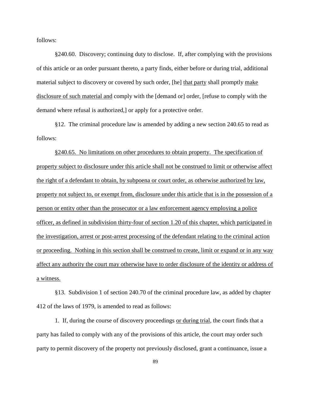follows:

§240.60. Discovery; continuing duty to disclose. If, after complying with the provisions of this article or an order pursuant thereto, a party finds, either before or during trial, additional material subject to discovery or covered by such order, [he] that party shall promptly make disclosure of such material and comply with the [demand or] order, [refuse to comply with the demand where refusal is authorized,] or apply for a protective order.

§12. The criminal procedure law is amended by adding a new section 240.65 to read as follows:

§240.65. No limitations on other procedures to obtain property. The specification of property subject to disclosure under this article shall not be construed to limit or otherwise affect the right of a defendant to obtain, by subpoena or court order, as otherwise authorized by law, property not subject to, or exempt from, disclosure under this article that is in the possession of a person or entity other than the prosecutor or a law enforcement agency employing a police officer, as defined in subdivision thirty-four of section 1.20 of this chapter, which participated in the investigation, arrest or post-arrest processing of the defendant relating to the criminal action or proceeding. Nothing in this section shall be construed to create, limit or expand or in any way affect any authority the court may otherwise have to order disclosure of the identity or address of a witness.

§13. Subdivision 1 of section 240.70 of the criminal procedure law, as added by chapter 412 of the laws of 1979, is amended to read as follows:

1. If, during the course of discovery proceedings or during trial, the court finds that a party has failed to comply with any of the provisions of this article, the court may order such party to permit discovery of the property not previously disclosed, grant a continuance, issue a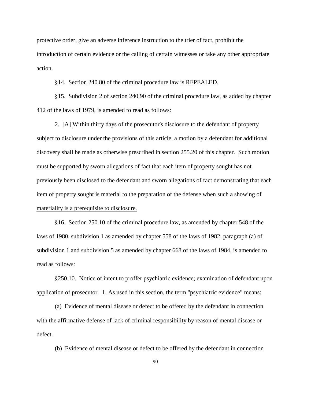protective order, give an adverse inference instruction to the trier of fact, prohibit the introduction of certain evidence or the calling of certain witnesses or take any other appropriate action.

§14. Section 240.80 of the criminal procedure law is REPEALED.

§15. Subdivision 2 of section 240.90 of the criminal procedure law, as added by chapter 412 of the laws of 1979, is amended to read as follows:

2. [A] Within thirty days of the prosecutor's disclosure to the defendant of property subject to disclosure under the provisions of this article, a motion by a defendant for additional discovery shall be made as otherwise prescribed in section 255.20 of this chapter. Such motion must be supported by sworn allegations of fact that each item of property sought has not previously been disclosed to the defendant and sworn allegations of fact demonstrating that each item of property sought is material to the preparation of the defense when such a showing of materiality is a prerequisite to disclosure.

§16. Section 250.10 of the criminal procedure law, as amended by chapter 548 of the laws of 1980, subdivision 1 as amended by chapter 558 of the laws of 1982, paragraph (a) of subdivision 1 and subdivision 5 as amended by chapter 668 of the laws of 1984, is amended to read as follows:

§250.10. Notice of intent to proffer psychiatric evidence; examination of defendant upon application of prosecutor. 1. As used in this section, the term "psychiatric evidence" means:

(a) Evidence of mental disease or defect to be offered by the defendant in connection with the affirmative defense of lack of criminal responsibility by reason of mental disease or defect.

(b) Evidence of mental disease or defect to be offered by the defendant in connection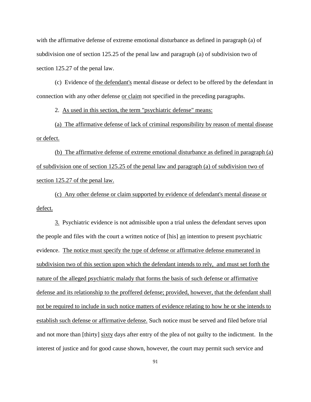with the affirmative defense of extreme emotional disturbance as defined in paragraph (a) of subdivision one of section 125.25 of the penal law and paragraph (a) of subdivision two of section 125.27 of the penal law.

(c) Evidence of the defendant's mental disease or defect to be offered by the defendant in connection with any other defense or claim not specified in the preceding paragraphs.

2. As used in this section, the term "psychiatric defense" means:

(a) The affirmative defense of lack of criminal responsibility by reason of mental disease or defect.

(b) The affirmative defense of extreme emotional disturbance as defined in paragraph (a) of subdivision one of section 125.25 of the penal law and paragraph (a) of subdivision two of section 125.27 of the penal law.

(c) Any other defense or claim supported by evidence of defendant's mental disease or defect.

3. Psychiatric evidence is not admissible upon a trial unless the defendant serves upon the people and files with the court a written notice of [his] an intention to present psychiatric evidence. The notice must specify the type of defense or affirmative defense enumerated in subdivision two of this section upon which the defendant intends to rely, and must set forth the nature of the alleged psychiatric malady that forms the basis of such defense or affirmative defense and its relationship to the proffered defense; provided, however, that the defendant shall not be required to include in such notice matters of evidence relating to how he or she intends to establish such defense or affirmative defense. Such notice must be served and filed before trial and not more than [thirty] sixty days after entry of the plea of not guilty to the indictment. In the interest of justice and for good cause shown, however, the court may permit such service and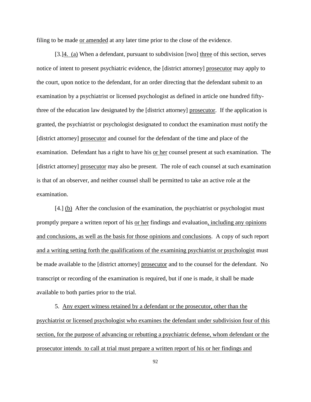filing to be made or amended at any later time prior to the close of the evidence.

[3.]4. (a) When a defendant, pursuant to subdivision [two] three of this section, serves notice of intent to present psychiatric evidence, the [district attorney] prosecutor may apply to the court, upon notice to the defendant, for an order directing that the defendant submit to an examination by a psychiatrist or licensed psychologist as defined in article one hundred fiftythree of the education law designated by the [district attorney] prosecutor. If the application is granted, the psychiatrist or psychologist designated to conduct the examination must notify the [district attorney] prosecutor and counsel for the defendant of the time and place of the examination. Defendant has a right to have his or her counsel present at such examination. The [district attorney] prosecutor may also be present. The role of each counsel at such examination is that of an observer, and neither counsel shall be permitted to take an active role at the examination.

[4.] (b) After the conclusion of the examination, the psychiatrist or psychologist must promptly prepare a written report of his or her findings and evaluation, including any opinions and conclusions, as well as the basis for those opinions and conclusions. A copy of such report and a writing setting forth the qualifications of the examining psychiatrist or psychologist must be made available to the [district attorney] prosecutor and to the counsel for the defendant. No transcript or recording of the examination is required, but if one is made, it shall be made available to both parties prior to the trial.

5. Any expert witness retained by a defendant or the prosecutor, other than the psychiatrist or licensed psychologist who examines the defendant under subdivision four of this section, for the purpose of advancing or rebutting a psychiatric defense, whom defendant or the prosecutor intends to call at trial must prepare a written report of his or her findings and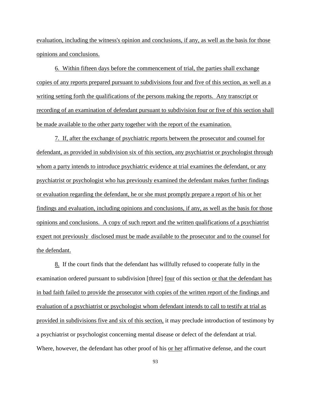evaluation, including the witness's opinion and conclusions, if any, as well as the basis for those opinions and conclusions.

6. Within fifteen days before the commencement of trial, the parties shall exchange copies of any reports prepared pursuant to subdivisions four and five of this section, as well as a writing setting forth the qualifications of the persons making the reports. Any transcript or recording of an examination of defendant pursuant to subdivision four or five of this section shall be made available to the other party together with the report of the examination.

7. If, after the exchange of psychiatric reports between the prosecutor and counsel for defendant, as provided in subdivision six of this section, any psychiatrist or psychologist through whom a party intends to introduce psychiatric evidence at trial examines the defendant, or any psychiatrist or psychologist who has previously examined the defendant makes further findings or evaluation regarding the defendant, he or she must promptly prepare a report of his or her findings and evaluation, including opinions and conclusions, if any, as well as the basis for those opinions and conclusions. A copy of such report and the written qualifications of a psychiatrist expert not previously disclosed must be made available to the prosecutor and to the counsel for the defendant.

8. If the court finds that the defendant has willfully refused to cooperate fully in the examination ordered pursuant to subdivision [three] four of this section or that the defendant has in bad faith failed to provide the prosecutor with copies of the written report of the findings and evaluation of a psychiatrist or psychologist whom defendant intends to call to testify at trial as provided in subdivisions five and six of this section, it may preclude introduction of testimony by a psychiatrist or psychologist concerning mental disease or defect of the defendant at trial. Where, however, the defendant has other proof of his or her affirmative defense, and the court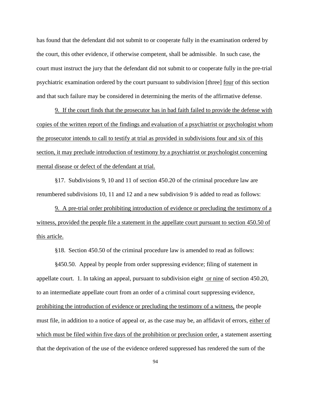has found that the defendant did not submit to or cooperate fully in the examination ordered by the court, this other evidence, if otherwise competent, shall be admissible. In such case, the court must instruct the jury that the defendant did not submit to or cooperate fully in the pre-trial psychiatric examination ordered by the court pursuant to subdivision [three] four of this section and that such failure may be considered in determining the merits of the affirmative defense.

9. If the court finds that the prosecutor has in bad faith failed to provide the defense with copies of the written report of the findings and evaluation of a psychiatrist or psychologist whom the prosecutor intends to call to testify at trial as provided in subdivisions four and six of this section, it may preclude introduction of testimony by a psychiatrist or psychologist concerning mental disease or defect of the defendant at trial.

§17. Subdivisions 9, 10 and 11 of section 450.20 of the criminal procedure law are renumbered subdivisions 10, 11 and 12 and a new subdivision 9 is added to read as follows:

9. A pre-trial order prohibiting introduction of evidence or precluding the testimony of a witness, provided the people file a statement in the appellate court pursuant to section 450.50 of this article.

§18. Section 450.50 of the criminal procedure law is amended to read as follows:

§450.50. Appeal by people from order suppressing evidence; filing of statement in appellate court. 1. In taking an appeal, pursuant to subdivision eight or nine of section 450.20, to an intermediate appellate court from an order of a criminal court suppressing evidence, prohibiting the introduction of evidence or precluding the testimony of a witness, the people must file, in addition to a notice of appeal or, as the case may be, an affidavit of errors, either of which must be filed within five days of the prohibition or preclusion order, a statement asserting that the deprivation of the use of the evidence ordered suppressed has rendered the sum of the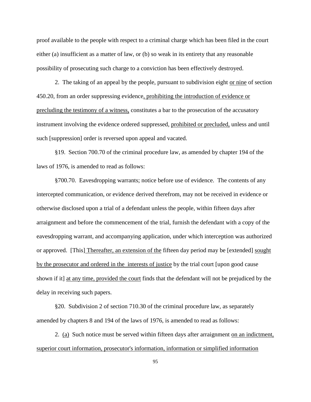proof available to the people with respect to a criminal charge which has been filed in the court either (a) insufficient as a matter of law, or (b) so weak in its entirety that any reasonable possibility of prosecuting such charge to a conviction has been effectively destroyed.

2. The taking of an appeal by the people, pursuant to subdivision eight or nine of section 450.20, from an order suppressing evidence, prohibiting the introduction of evidence or precluding the testimony of a witness, constitutes a bar to the prosecution of the accusatory instrument involving the evidence ordered suppressed, prohibited or precluded, unless and until such [suppression] order is reversed upon appeal and vacated.

§19. Section 700.70 of the criminal procedure law, as amended by chapter 194 of the laws of 1976, is amended to read as follows:

§700.70. Eavesdropping warrants; notice before use of evidence. The contents of any intercepted communication, or evidence derived therefrom, may not be received in evidence or otherwise disclosed upon a trial of a defendant unless the people, within fifteen days after arraignment and before the commencement of the trial, furnish the defendant with a copy of the eavesdropping warrant, and accompanying application, under which interception was authorized or approved. [This] Thereafter, an extension of the fifteen day period may be [extended] sought by the prosecutor and ordered in the interests of justice by the trial court [upon good cause shown if it] at any time, provided the court finds that the defendant will not be prejudiced by the delay in receiving such papers.

§20. Subdivision 2 of section 710.30 of the criminal procedure law, as separately amended by chapters 8 and 194 of the laws of 1976, is amended to read as follows:

2. (a) Such notice must be served within fifteen days after arraignment on an indictment, superior court information, prosecutor's information, information or simplified information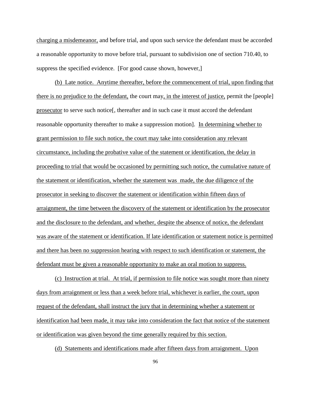charging a misdemeanor, and before trial, and upon such service the defendant must be accorded a reasonable opportunity to move before trial, pursuant to subdivision one of section 710.40, to suppress the specified evidence. [For good cause shown, however,]

(b) Late notice. Anytime thereafter, before the commencement of trial, upon finding that there is no prejudice to the defendant, the court may, in the interest of justice, permit the [people] prosecutor to serve such notice[, thereafter and in such case it must accord the defendant reasonable opportunity thereafter to make a suppression motion]. In determining whether to grant permission to file such notice, the court may take into consideration any relevant circumstance, including the probative value of the statement or identification, the delay in proceeding to trial that would be occasioned by permitting such notice, the cumulative nature of the statement or identification, whether the statement was made, the due diligence of the prosecutor in seeking to discover the statement or identification within fifteen days of arraignment, the time between the discovery of the statement or identification by the prosecutor and the disclosure to the defendant, and whether, despite the absence of notice, the defendant was aware of the statement or identification. If late identification or statement notice is permitted and there has been no suppression hearing with respect to such identification or statement, the defendant must be given a reasonable opportunity to make an oral motion to suppress.

(c) Instruction at trial. At trial, if permission to file notice was sought more than ninety days from arraignment or less than a week before trial, whichever is earlier, the court, upon request of the defendant, shall instruct the jury that in determining whether a statement or identification had been made, it may take into consideration the fact that notice of the statement or identification was given beyond the time generally required by this section.

(d) Statements and identifications made after fifteen days from arraignment. Upon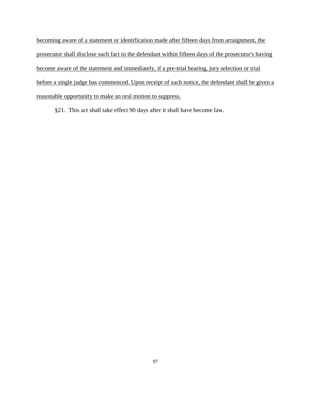becoming aware of a statement or identification made after fifteen days from arraignment, the prosecutor shall disclose such fact to the defendant within fifteen days of the prosecutor's having become aware of the statement and immediately, if a pre-trial hearing, jury selection or trial before a single judge has commenced. Upon receipt of such notice, the defendant shall be given a reasonable opportunity to make an oral motion to suppress.

§21. This act shall take effect 90 days after it shall have become law.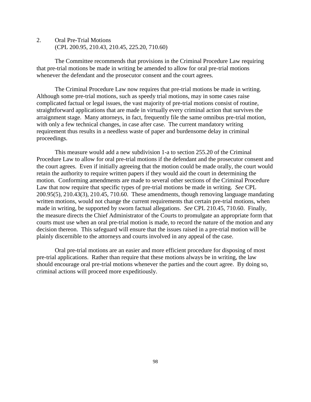2. Oral Pre-Trial Motions (CPL 200.95, 210.43, 210.45, 225.20, 710.60)

The Committee recommends that provisions in the Criminal Procedure Law requiring that pre-trial motions be made in writing be amended to allow for oral pre-trial motions whenever the defendant and the prosecutor consent and the court agrees.

The Criminal Procedure Law now requires that pre-trial motions be made in writing. Although some pre-trial motions, such as speedy trial motions, may in some cases raise complicated factual or legal issues, the vast majority of pre-trial motions consist of routine, straightforward applications that are made in virtually every criminal action that survives the arraignment stage. Many attorneys, in fact, frequently file the same omnibus pre-trial motion, with only a few technical changes, in case after case. The current mandatory writing requirement thus results in a needless waste of paper and burdensome delay in criminal proceedings.

This measure would add a new subdivision 1-a to section 255.20 of the Criminal Procedure Law to allow for oral pre-trial motions if the defendant and the prosecutor consent and the court agrees. Even if initially agreeing that the motion could be made orally, the court would retain the authority to require written papers if they would aid the court in determining the motion. Conforming amendments are made to several other sections of the Criminal Procedure Law that now require that specific types of pre-trial motions be made in writing. *See* CPL 200.95(5), 210.43(3), 210.45, 710.60. These amendments, though removing language mandating written motions, would not change the current requirements that certain pre-trial motions, when made in writing, be supported by sworn factual allegations. *See* CPL 210.45, 710.60. Finally, the measure directs the Chief Administrator of the Courts to promulgate an appropriate form that courts must use when an oral pre-trial motion is made, to record the nature of the motion and any decision thereon. This safeguard will ensure that the issues raised in a pre-trial motion will be plainly discernible to the attorneys and courts involved in any appeal of the case.

Oral pre-trial motions are an easier and more efficient procedure for disposing of most pre-trial applications. Rather than require that these motions always be in writing, the law should encourage oral pre-trial motions whenever the parties and the court agree. By doing so, criminal actions will proceed more expeditiously.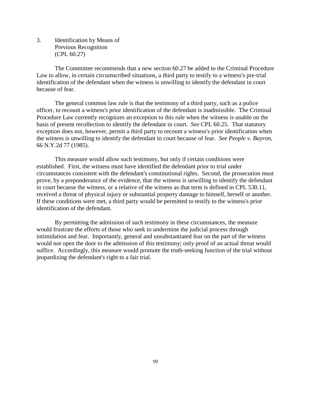3. Identification by Means of Previous Recognition (CPL 60.27)

The Committee recommends that a new section 60.27 be added to the Criminal Procedure Law to allow, in certain circumscribed situations, a third party to testify to a witness's pre-trial identification of the defendant when the witness is unwilling to identify the defendant in court because of fear.

The general common law rule is that the testimony of a third party, such as a police officer, to recount a witness's prior identification of the defendant is inadmissible. The Criminal Procedure Law currently recognizes an exception to this rule when the witness is unable on the basis of present recollection to identify the defendant in court. *See* CPL 60.25. That statutory exception does not, however, permit a third party to recount a witness's prior identification when the witness is unwilling to identify the defendant in court because of fear. *See People v. Bayron*, 66 N.Y.2d 77 (1985).

This measure would allow such testimony, but only if certain conditions were established. First, the witness must have identified the defendant prior to trial under circumstances consistent with the defendant's constitutional rights. Second, the prosecution must prove, by a preponderance of the evidence, that the witness is unwilling to identify the defendant in court because the witness, or a relative of the witness as that term is defined in CPL 530.11, received a threat of physical injury or substantial property damage to himself, herself or another. If these conditions were met, a third party would be permitted to testify to the witness's prior identification of the defendant.

By permitting the admission of such testimony in these circumstances, the measure would frustrate the efforts of those who seek to undermine the judicial process through intimidation and fear. Importantly, general and unsubstantiated fear on the part of the witness would not open the door to the admission of this testimony; only proof of an actual threat would suffice. Accordingly, this measure would promote the truth-seeking function of the trial without jeopardizing the defendant's right to a fair trial.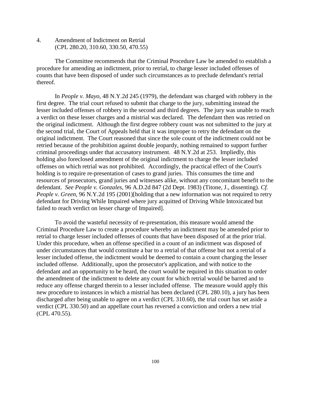4. Amendment of Indictment on Retrial (CPL 280.20, 310.60, 330.50, 470.55)

The Committee recommends that the Criminal Procedure Law be amended to establish a procedure for amending an indictment, prior to retrial, to charge lesser included offenses of counts that have been disposed of under such circumstances as to preclude defendant's retrial thereof.

In *People v. Mayo*, 48 N.Y.2d 245 (1979), the defendant was charged with robbery in the first degree. The trial court refused to submit that charge to the jury, submitting instead the lesser included offenses of robbery in the second and third degrees. The jury was unable to reach a verdict on these lesser charges and a mistrial was declared. The defendant then was retried on the original indictment. Although the first degree robbery count was not submitted to the jury at the second trial, the Court of Appeals held that it was improper to retry the defendant on the original indictment. The Court reasoned that since the sole count of the indictment could not be retried because of the prohibition against double jeopardy, nothing remained to support further criminal proceedings under that accusatory instrument. 48 N.Y.2d at 253. Impliedly, this holding also foreclosed amendment of the original indictment to charge the lesser included offenses on which retrial was not prohibited. Accordingly, the practical effect of the Court's holding is to require re-presentation of cases to grand juries. This consumes the time and resources of prosecutors, grand juries and witnesses alike, without any concomitant benefit to the defendant. *See People v. Gonzales*, 96 A.D.2d 847 (2d Dept. 1983) (Titone, J., dissenting). *Cf. People v. Green*, 96 N.Y.2d 195 (2001)[holding that a new information was not required to retry defendant for Driving While Impaired where jury acquitted of Driving While Intoxicated but failed to reach verdict on lesser charge of Impaired].

To avoid the wasteful necessity of re-presentation, this measure would amend the Criminal Procedure Law to create a procedure whereby an indictment may be amended prior to retrial to charge lesser included offenses of counts that have been disposed of at the prior trial. Under this procedure, when an offense specified in a count of an indictment was disposed of under circumstances that would constitute a bar to a retrial of that offense but not a retrial of a lesser included offense, the indictment would be deemed to contain a count charging the lesser included offense. Additionally, upon the prosecutor's application, and with notice to the defendant and an opportunity to be heard, the court would be required in this situation to order the amendment of the indictment to delete any count for which retrial would be barred and to reduce any offense charged therein to a lesser included offense. The measure would apply this new procedure to instances in which a mistrial has been declared (CPL 280.10), a jury has been discharged after being unable to agree on a verdict (CPL 310.60), the trial court has set aside a verdict (CPL 330.50) and an appellate court has reversed a conviction and orders a new trial (CPL 470.55).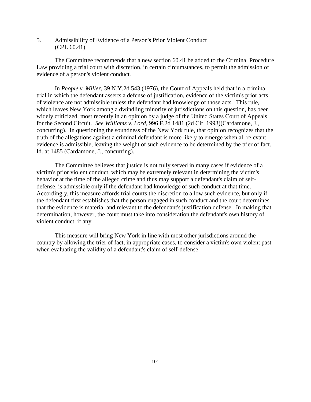5. Admissibility of Evidence of a Person's Prior Violent Conduct (CPL 60.41)

The Committee recommends that a new section 60.41 be added to the Criminal Procedure Law providing a trial court with discretion, in certain circumstances, to permit the admission of evidence of a person's violent conduct.

In *People v. Miller*, 39 N.Y.2d 543 (1976), the Court of Appeals held that in a criminal trial in which the defendant asserts a defense of justification, evidence of the victim's prior acts of violence are not admissible unless the defendant had knowledge of those acts. This rule, which leaves New York among a dwindling minority of jurisdictions on this question, has been widely criticized, most recently in an opinion by a judge of the United States Court of Appeals for the Second Circuit. *See Williams v. Lord*, 996 F.2d 1481 (2d Cir. 1993)(Cardamone, J., concurring). In questioning the soundness of the New York rule, that opinion recognizes that the truth of the allegations against a criminal defendant is more likely to emerge when all relevant evidence is admissible, leaving the weight of such evidence to be determined by the trier of fact. Id. at 1485 (Cardamone, J., concurring).

The Committee believes that justice is not fully served in many cases if evidence of a victim's prior violent conduct, which may be extremely relevant in determining the victim's behavior at the time of the alleged crime and thus may support a defendant's claim of selfdefense, is admissible only if the defendant had knowledge of such conduct at that time. Accordingly, this measure affords trial courts the discretion to allow such evidence, but only if the defendant first establishes that the person engaged in such conduct and the court determines that the evidence is material and relevant to the defendant's justification defense. In making that determination, however, the court must take into consideration the defendant's own history of violent conduct, if any.

This measure will bring New York in line with most other jurisdictions around the country by allowing the trier of fact, in appropriate cases, to consider a victim's own violent past when evaluating the validity of a defendant's claim of self-defense.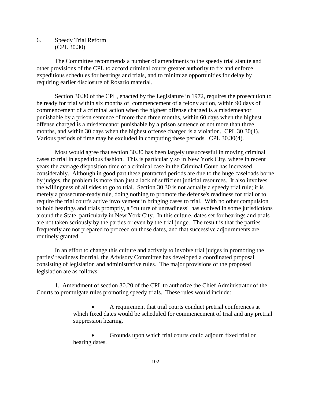6. Speedy Trial Reform (CPL 30.30)

The Committee recommends a number of amendments to the speedy trial statute and other provisions of the CPL to accord criminal courts greater authority to fix and enforce expeditious schedules for hearings and trials, and to minimize opportunities for delay by requiring earlier disclosure of Rosario material.

Section 30.30 of the CPL, enacted by the Legislature in 1972, requires the prosecution to be ready for trial within six months of commencement of a felony action, within 90 days of commencement of a criminal action when the highest offense charged is a misdemeanor punishable by a prison sentence of more than three months, within 60 days when the highest offense charged is a misdemeanor punishable by a prison sentence of not more than three months, and within 30 days when the highest offense charged is a violation. CPL 30.30(1). Various periods of time may be excluded in computing these periods. CPL 30.30(4).

Most would agree that section 30.30 has been largely unsuccessful in moving criminal cases to trial in expeditious fashion. This is particularly so in New York City, where in recent years the average disposition time of a criminal case in the Criminal Court has increased considerably. Although in good part these protracted periods are due to the huge caseloads borne by judges, the problem is more than just a lack of sufficient judicial resources. It also involves the willingness of all sides to go to trial. Section 30.30 is not actually a speedy trial rule; it is merely a prosecutor-ready rule, doing nothing to promote the defense's readiness for trial or to require the trial court's active involvement in bringing cases to trial. With no other compulsion to hold hearings and trials promptly, a "culture of unreadiness" has evolved in some jurisdictions around the State, particularly in New York City. In this culture, dates set for hearings and trials are not taken seriously by the parties or even by the trial judge. The result is that the parties frequently are not prepared to proceed on those dates, and that successive adjournments are routinely granted.

In an effort to change this culture and actively to involve trial judges in promoting the parties' readiness for trial, the Advisory Committee has developed a coordinated proposal consisting of legislation and administrative rules. The major provisions of the proposed legislation are as follows:

1. Amendment of section 30.20 of the CPL to authorize the Chief Administrator of the Courts to promulgate rules promoting speedy trials. These rules would include:

> • A requirement that trial courts conduct pretrial conferences at which fixed dates would be scheduled for commencement of trial and any pretrial suppression hearing.

• Grounds upon which trial courts could adjourn fixed trial or hearing dates.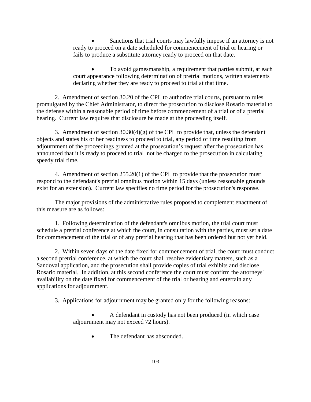• Sanctions that trial courts may lawfully impose if an attorney is not ready to proceed on a date scheduled for commencement of trial or hearing or fails to produce a substitute attorney ready to proceed on that date.

• To avoid gamesmanship, a requirement that parties submit, at each court appearance following determination of pretrial motions, written statements declaring whether they are ready to proceed to trial at that time.

2. Amendment of section 30.20 of the CPL to authorize trial courts, pursuant to rules promulgated by the Chief Administrator, to direct the prosecution to disclose Rosario material to the defense within a reasonable period of time before commencement of a trial or of a pretrial hearing. Current law requires that disclosure be made at the proceeding itself.

3. Amendment of section  $30.30(4)(g)$  of the CPL to provide that, unless the defendant objects and states his or her readiness to proceed to trial, any period of time resulting from adjournment of the proceedings granted at the prosecution's request after the prosecution has announced that it is ready to proceed to trial not be charged to the prosecution in calculating speedy trial time.

4. Amendment of section 255.20(1) of the CPL to provide that the prosecution must respond to the defendant's pretrial omnibus motion within 15 days (unless reasonable grounds exist for an extension). Current law specifies no time period for the prosecution's response.

The major provisions of the administrative rules proposed to complement enactment of this measure are as follows:

1. Following determination of the defendant's omnibus motion, the trial court must schedule a pretrial conference at which the court, in consultation with the parties, must set a date for commencement of the trial or of any pretrial hearing that has been ordered but not yet held.

2. Within seven days of the date fixed for commencement of trial, the court must conduct a second pretrial conference, at which the court shall resolve evidentiary matters, such as a Sandoval application, and the prosecution shall provide copies of trial exhibits and disclose Rosario material. In addition, at this second conference the court must confirm the attorneys' availability on the date fixed for commencement of the trial or hearing and entertain any applications for adjournment.

3. Applications for adjournment may be granted only for the following reasons:

• A defendant in custody has not been produced (in which case adjournment may not exceed 72 hours).

• The defendant has absconded.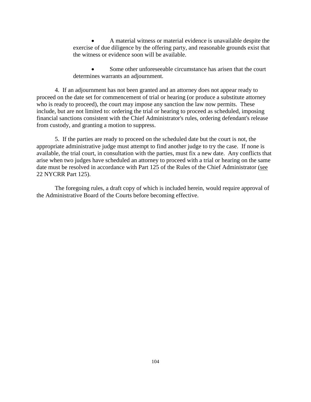• A material witness or material evidence is unavailable despite the exercise of due diligence by the offering party, and reasonable grounds exist that the witness or evidence soon will be available.

• Some other unforeseeable circumstance has arisen that the court determines warrants an adjournment.

4. If an adjournment has not been granted and an attorney does not appear ready to proceed on the date set for commencement of trial or hearing (or produce a substitute attorney who is ready to proceed), the court may impose any sanction the law now permits. These include, but are not limited to: ordering the trial or hearing to proceed as scheduled, imposing financial sanctions consistent with the Chief Administrator's rules, ordering defendant's release from custody, and granting a motion to suppress.

5. If the parties are ready to proceed on the scheduled date but the court is not, the appropriate administrative judge must attempt to find another judge to try the case. If none is available, the trial court, in consultation with the parties, must fix a new date. Any conflicts that arise when two judges have scheduled an attorney to proceed with a trial or hearing on the same date must be resolved in accordance with Part 125 of the Rules of the Chief Administrator (see 22 NYCRR Part 125).

The foregoing rules, a draft copy of which is included herein, would require approval of the Administrative Board of the Courts before becoming effective.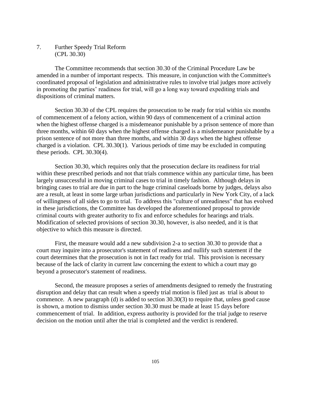7. Further Speedy Trial Reform (CPL 30.30)

The Committee recommends that section 30.30 of the Criminal Procedure Law be amended in a number of important respects. This measure, in conjunction with the Committee's coordinated proposal of legislation and administrative rules to involve trial judges more actively in promoting the parties' readiness for trial, will go a long way toward expediting trials and dispositions of criminal matters.

Section 30.30 of the CPL requires the prosecution to be ready for trial within six months of commencement of a felony action, within 90 days of commencement of a criminal action when the highest offense charged is a misdemeanor punishable by a prison sentence of more than three months, within 60 days when the highest offense charged is a misdemeanor punishable by a prison sentence of not more than three months, and within 30 days when the highest offense charged is a violation. CPL 30.30(1). Various periods of time may be excluded in computing these periods. CPL 30.30(4).

Section 30.30, which requires only that the prosecution declare its readiness for trial within these prescribed periods and not that trials commence within any particular time, has been largely unsuccessful in moving criminal cases to trial in timely fashion. Although delays in bringing cases to trial are due in part to the huge criminal caseloads borne by judges, delays also are a result, at least in some large urban jurisdictions and particularly in New York City, of a lack of willingness of all sides to go to trial. To address this "culture of unreadiness" that has evolved in these jurisdictions, the Committee has developed the aforementioned proposal to provide criminal courts with greater authority to fix and enforce schedules for hearings and trials. Modification of selected provisions of section 30.30, however, is also needed, and it is that objective to which this measure is directed.

First, the measure would add a new subdivision 2-a to section 30.30 to provide that a court may inquire into a prosecutor's statement of readiness and nullify such statement if the court determines that the prosecution is not in fact ready for trial. This provision is necessary because of the lack of clarity in current law concerning the extent to which a court may go beyond a prosecutor's statement of readiness.

Second, the measure proposes a series of amendments designed to remedy the frustrating disruption and delay that can result when a speedy trial motion is filed just as trial is about to commence. A new paragraph (d) is added to section 30.30(3) to require that, unless good cause is shown, a motion to dismiss under section 30.30 must be made at least 15 days before commencement of trial. In addition, express authority is provided for the trial judge to reserve decision on the motion until after the trial is completed and the verdict is rendered.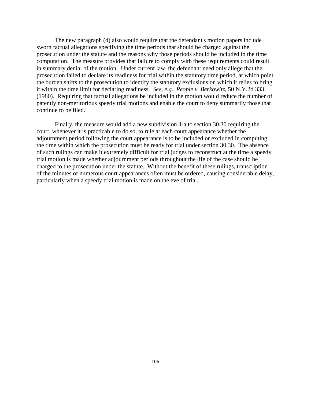The new paragraph (d) also would require that the defendant's motion papers include sworn factual allegations specifying the time periods that should be charged against the prosecution under the statute and the reasons why those periods should be included in the time computation. The measure provides that failure to comply with these requirements could result in summary denial of the motion. Under current law, the defendant need only allege that the prosecution failed to declare its readiness for trial within the statutory time period, at which point the burden shifts to the prosecution to identify the statutory exclusions on which it relies to bring it within the time limit for declaring readiness. *See, e.g., People v. Berkowitz*, 50 N.Y.2d 333 (1980). Requiring that factual allegations be included in the motion would reduce the number of patently non-meritorious speedy trial motions and enable the court to deny summarily those that continue to be filed.

Finally, the measure would add a new subdivision 4-a to section 30.30 requiring the court, whenever it is practicable to do so, to rule at each court appearance whether the adjournment period following the court appearance is to be included or excluded in computing the time within which the prosecution must be ready for trial under section 30.30. The absence of such rulings can make it extremely difficult for trial judges to reconstruct at the time a speedy trial motion is made whether adjournment periods throughout the life of the case should be charged to the prosecution under the statute. Without the benefit of these rulings, transcription of the minutes of numerous court appearances often must be ordered, causing considerable delay, particularly when a speedy trial motion is made on the eve of trial.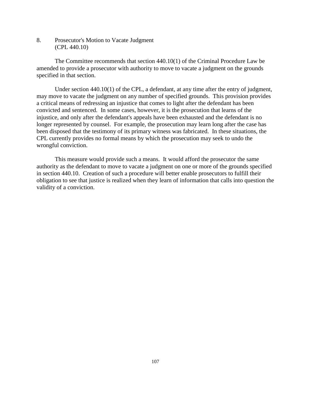8. Prosecutor's Motion to Vacate Judgment (CPL 440.10)

The Committee recommends that section 440.10(1) of the Criminal Procedure Law be amended to provide a prosecutor with authority to move to vacate a judgment on the grounds specified in that section.

Under section 440.10(1) of the CPL, a defendant, at any time after the entry of judgment, may move to vacate the judgment on any number of specified grounds. This provision provides a critical means of redressing an injustice that comes to light after the defendant has been convicted and sentenced. In some cases, however, it is the prosecution that learns of the injustice, and only after the defendant's appeals have been exhausted and the defendant is no longer represented by counsel. For example, the prosecution may learn long after the case has been disposed that the testimony of its primary witness was fabricated. In these situations, the CPL currently provides no formal means by which the prosecution may seek to undo the wrongful conviction.

This measure would provide such a means. It would afford the prosecutor the same authority as the defendant to move to vacate a judgment on one or more of the grounds specified in section 440.10. Creation of such a procedure will better enable prosecutors to fulfill their obligation to see that justice is realized when they learn of information that calls into question the validity of a conviction.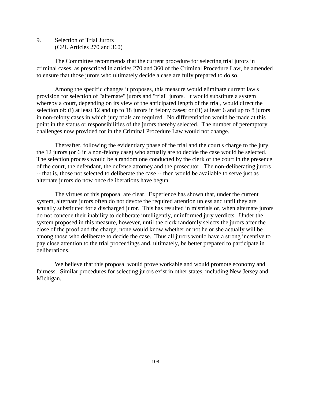9. Selection of Trial Jurors (CPL Articles 270 and 360)

The Committee recommends that the current procedure for selecting trial jurors in criminal cases, as prescribed in articles 270 and 360 of the Criminal Procedure Law, be amended to ensure that those jurors who ultimately decide a case are fully prepared to do so.

Among the specific changes it proposes, this measure would eliminate current law's provision for selection of "alternate" jurors and "trial" jurors. It would substitute a system whereby a court, depending on its view of the anticipated length of the trial, would direct the selection of: (i) at least 12 and up to 18 jurors in felony cases; or (ii) at least 6 and up to 8 jurors in non-felony cases in which jury trials are required. No differentiation would be made at this point in the status or responsibilities of the jurors thereby selected. The number of peremptory challenges now provided for in the Criminal Procedure Law would not change.

Thereafter, following the evidentiary phase of the trial and the court's charge to the jury, the 12 jurors (or 6 in a non-felony case) who actually are to decide the case would be selected. The selection process would be a random one conducted by the clerk of the court in the presence of the court, the defendant, the defense attorney and the prosecutor. The non-deliberating jurors -- that is, those not selected to deliberate the case -- then would be available to serve just as alternate jurors do now once deliberations have begun.

The virtues of this proposal are clear. Experience has shown that, under the current system, alternate jurors often do not devote the required attention unless and until they are actually substituted for a discharged juror. This has resulted in mistrials or, when alternate jurors do not concede their inability to deliberate intelligently, uninformed jury verdicts. Under the system proposed in this measure, however, until the clerk randomly selects the jurors after the close of the proof and the charge, none would know whether or not he or she actually will be among those who deliberate to decide the case. Thus all jurors would have a strong incentive to pay close attention to the trial proceedings and, ultimately, be better prepared to participate in deliberations.

We believe that this proposal would prove workable and would promote economy and fairness. Similar procedures for selecting jurors exist in other states, including New Jersey and Michigan.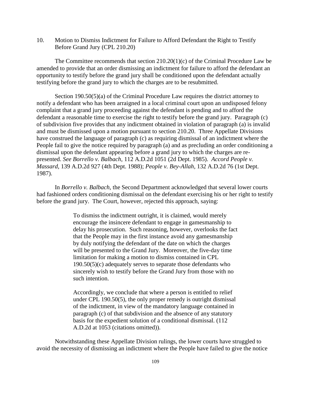10. Motion to Dismiss Indictment for Failure to Afford Defendant the Right to Testify Before Grand Jury (CPL 210.20)

The Committee recommends that section 210.20(1)(c) of the Criminal Procedure Law be amended to provide that an order dismissing an indictment for failure to afford the defendant an opportunity to testify before the grand jury shall be conditioned upon the defendant actually testifying before the grand jury to which the charges are to be resubmitted.

Section 190.50(5)(a) of the Criminal Procedure Law requires the district attorney to notify a defendant who has been arraigned in a local criminal court upon an undisposed felony complaint that a grand jury proceeding against the defendant is pending and to afford the defendant a reasonable time to exercise the right to testify before the grand jury. Paragraph (c) of subdivision five provides that any indictment obtained in violation of paragraph (a) is invalid and must be dismissed upon a motion pursuant to section 210.20. Three Appellate Divisions have construed the language of paragraph (c) as requiring dismissal of an indictment where the People fail to give the notice required by paragraph (a) and as precluding an order conditioning a dismissal upon the defendant appearing before a grand jury to which the charges are represented. *See Borrello v. Balbach*, 112 A.D.2d 1051 (2d Dept. 1985). *Accord People v. Massard*, 139 A.D.2d 927 (4th Dept. 1988); *People v. Bey-Allah*, 132 A.D.2d 76 (1st Dept. 1987).

In *Borrello v. Balbach*, the Second Department acknowledged that several lower courts had fashioned orders conditioning dismissal on the defendant exercising his or her right to testify before the grand jury. The Court, however, rejected this approach, saying:

> To dismiss the indictment outright, it is claimed, would merely encourage the insincere defendant to engage in gamesmanship to delay his prosecution. Such reasoning, however, overlooks the fact that the People may in the first instance avoid any gamesmanship by duly notifying the defendant of the date on which the charges will be presented to the Grand Jury. Moreover, the five-day time limitation for making a motion to dismiss contained in CPL 190.50(5)(c) adequately serves to separate those defendants who sincerely wish to testify before the Grand Jury from those with no such intention.

Accordingly, we conclude that where a person is entitled to relief under CPL 190.50(5), the only proper remedy is outright dismissal of the indictment, in view of the mandatory language contained in paragraph (c) of that subdivision and the absence of any statutory basis for the expedient solution of a conditional dismissal. (112 A.D.2d at 1053 (citations omitted)).

Notwithstanding these Appellate Division rulings, the lower courts have struggled to avoid the necessity of dismissing an indictment where the People have failed to give the notice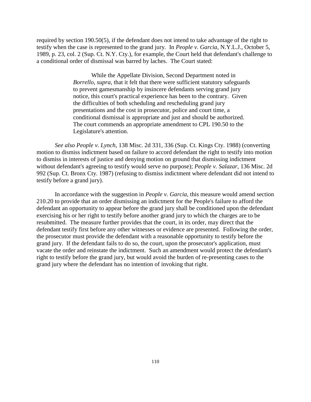required by section 190.50(5), if the defendant does not intend to take advantage of the right to testify when the case is represented to the grand jury. In *People v. Garcia*, N.Y.L.J., October 5, 1989, p. 23, col. 2 (Sup. Ct. N.Y. Cty.), for example, the Court held that defendant's challenge to a conditional order of dismissal was barred by laches. The Court stated:

> While the Appellate Division, Second Department noted in *Borrello*, *supra*, that it felt that there were sufficient statutory safeguards to prevent gamesmanship by insincere defendants serving grand jury notice, this court's practical experience has been to the contrary. Given the difficulties of both scheduling and rescheduling grand jury presentations and the cost in prosecutor, police and court time, a conditional dismissal is appropriate and just and should be authorized. The court commends an appropriate amendment to CPL 190.50 to the Legislature's attention.

*See also People v. Lynch*, 138 Misc. 2d 331, 336 (Sup. Ct. Kings Cty. 1988) (converting motion to dismiss indictment based on failure to accord defendant the right to testify into motion to dismiss in interests of justice and denying motion on ground that dismissing indictment without defendant's agreeing to testify would serve no purpose); *People v. Salazar*, 136 Misc. 2d 992 (Sup. Ct. Bronx Cty. 1987) (refusing to dismiss indictment where defendant did not intend to testify before a grand jury).

In accordance with the suggestion in *People v. Garcia*, this measure would amend section 210.20 to provide that an order dismissing an indictment for the People's failure to afford the defendant an opportunity to appear before the grand jury shall be conditioned upon the defendant exercising his or her right to testify before another grand jury to which the charges are to be resubmitted. The measure further provides that the court, in its order, may direct that the defendant testify first before any other witnesses or evidence are presented. Following the order, the prosecutor must provide the defendant with a reasonable opportunity to testify before the grand jury. If the defendant fails to do so, the court, upon the prosecutor's application, must vacate the order and reinstate the indictment. Such an amendment would protect the defendant's right to testify before the grand jury, but would avoid the burden of re-presenting cases to the grand jury where the defendant has no intention of invoking that right.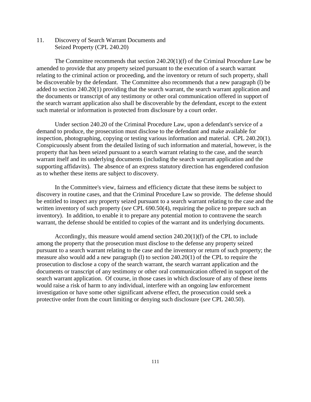11. Discovery of Search Warrant Documents and Seized Property (CPL 240.20)

The Committee recommends that section 240.20(1)(f) of the Criminal Procedure Law be amended to provide that any property seized pursuant to the execution of a search warrant relating to the criminal action or proceeding, and the inventory or return of such property, shall be discoverable by the defendant. The Committee also recommends that a new paragraph (l) be added to section 240.20(1) providing that the search warrant, the search warrant application and the documents or transcript of any testimony or other oral communication offered in support of the search warrant application also shall be discoverable by the defendant, except to the extent such material or information is protected from disclosure by a court order.

Under section 240.20 of the Criminal Procedure Law, upon a defendant's service of a demand to produce, the prosecution must disclose to the defendant and make available for inspection, photographing, copying or testing various information and material. CPL 240.20(1). Conspicuously absent from the detailed listing of such information and material, however, is the property that has been seized pursuant to a search warrant relating to the case, and the search warrant itself and its underlying documents (including the search warrant application and the supporting affidavits). The absence of an express statutory direction has engendered confusion as to whether these items are subject to discovery.

In the Committee's view, fairness and efficiency dictate that these items be subject to discovery in routine cases, and that the Criminal Procedure Law so provide. The defense should be entitled to inspect any property seized pursuant to a search warrant relating to the case and the written inventory of such property (*see* CPL 690.50(4), requiring the police to prepare such an inventory). In addition, to enable it to prepare any potential motion to contravene the search warrant, the defense should be entitled to copies of the warrant and its underlying documents.

Accordingly, this measure would amend section 240.20(1)(f) of the CPL to include among the property that the prosecution must disclose to the defense any property seized pursuant to a search warrant relating to the case and the inventory or return of such property; the measure also would add a new paragraph (l) to section 240.20(1) of the CPL to require the prosecution to disclose a copy of the search warrant, the search warrant application and the documents or transcript of any testimony or other oral communication offered in support of the search warrant application. Of course, in those cases in which disclosure of any of these items would raise a risk of harm to any individual, interfere with an ongoing law enforcement investigation or have some other significant adverse effect, the prosecution could seek a protective order from the court limiting or denying such disclosure (*see* CPL 240.50).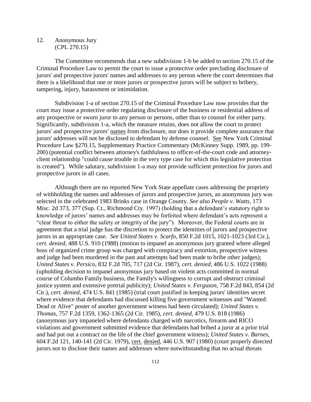## 12. Anonymous Jury (CPL 270.15)

The Committee recommends that a new subdivision 1-b be added to section 270.15 of the Criminal Procedure Law to permit the court to issue a protective order precluding disclosure of jurors' and prospective jurors' names and addresses to any person where the court determines that there is a likelihood that one or more jurors or prospective jurors will be subject to bribery, tampering, injury, harassment or intimidation.

Subdivision 1-a of section 270.15 of the Criminal Procedure Law now provides that the court may issue a protective order regulating disclosure of the business or residential address of any prospective or sworn juror to any person or persons, other than to counsel for either party. Significantly, subdivision 1-a, which the measure retains, does not allow the court to protect jurors' and prospective jurors' names from disclosure, nor does it provide complete assurance that jurors' addresses will not be disclosed to defendant by defense counsel. See New York Criminal Procedure Law §270.15, Supplementary Practice Commentary (McKinney Supp. 1989, pp. 199- 200) (potential conflict between attorney's faithfulness to officer-of-the-court code and attorneyclient relationship "could cause trouble in the very type case for which this legislative protection is created"). While salutary, subdivision 1-a may not provide sufficient protection for jurors and prospective jurors in all cases.

Although there are no reported New York State appellate cases addressing the propriety of withholding the names and addresses of jurors and prospective jurors, an anonymous jury was selected in the celebrated 1983 Brinks case in Orange County. *See also People v. Watts*, 173 Misc. 2d 373, 377 (Sup. Ct., Richmond Cty. 1997) (holding that a defendant's statutory right to knowledge of jurors' names and addresses may be forfeited where defendant's acts represent a "clear threat to either the safety or integrity of the jury"). Moreover, the Federal courts are in agreement that a trial judge has the discretion to protect the identities of jurors and prospective jurors in an appropriate case. *See United States v. Scarfo*, 850 F.2d 1015, 1021-1023 (3rd Cir.), *cert. denied*, 488 U.S. 910 (1988) (motion to impanel an anonymous jury granted where alleged boss of organized crime group was charged with conspiracy and extortion, prospective witness and judge had been murdered in the past and attempts had been made to bribe other judges); *United States v. Persico*, 832 F.2d 705, 717 (2d Cir. 1987), *cert. denied*, 486 U.S. 1022 (1988) (upholding decision to impanel anonymous jury based on violent acts committed in normal course of Columbo Family business, the Family's willingness to corrupt and obstruct criminal justice system and extensive pretrial publicity); *United States v. Ferguson*, 758 F.2d 843, 854 (2d Cir.), *cert. denied*, 474 U.S. 841 (1985) (trial court justified in keeping jurors' identities secret where evidence that defendants had discussed killing five government witnesses and "Wanted: Dead or Alive" poster of another government witness had been circulated); *United States v. Thomas*, 757 F.2d 1359, 1362-1365 (2d Cir. 1985), *cert. denied*, 479 U.S. 818 (1986) (anonymous jury impaneled where defendants charged with narcotics, firearm and RICO violations and government submitted evidence that defendants had bribed a juror at a prior trial and had put out a contract on the life of the chief government witness); *United States v. Barnes*, 604 F.2d 121, 140-141 (2d Cir. 1979), cert. denied, 446 U.S. 907 (1980) (court properly directed jurors not to disclose their names and addresses where notwithstanding that no actual threats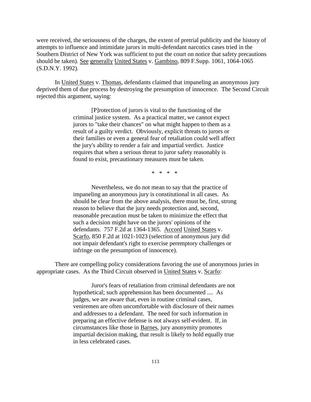were received, the seriousness of the charges, the extent of pretrial publicity and the history of attempts to influence and intimidate jurors in multi-defendant narcotics cases tried in the Southern District of New York was sufficient to put the court on notice that safety precautions should be taken). See generally United States v. Gambino, 809 F.Supp. 1061, 1064-1065 (S.D.N.Y. 1992).

In United States v. Thomas, defendants claimed that impaneling an anonymous jury deprived them of due process by destroying the presumption of innocence. The Second Circuit rejected this argument, saying:

> [P]rotection of jurors is vital to the functioning of the criminal justice system. As a practical matter, we cannot expect jurors to "take their chances" on what might happen to them as a result of a guilty verdict. Obviously, explicit threats to jurors or their families or even a general fear of retaliation could well affect the jury's ability to render a fair and impartial verdict. Justice requires that when a serious threat to juror safety reasonably is found to exist, precautionary measures must be taken.

> > \* \* \* \*

Nevertheless, we do not mean to say that the practice of impaneling an anonymous jury is constitutional in all cases. As should be clear from the above analysis, there must be, first, strong reason to believe that the jury needs protection and, second, reasonable precaution must be taken to minimize the effect that such a decision might have on the jurors' opinions of the defendants. 757 F.2d at 1364-1365. Accord United States v. Scarfo, 850 F.2d at 1021-1023 (selection of anonymous jury did not impair defendant's right to exercise peremptory challenges or infringe on the presumption of innocence).

There are compelling policy considerations favoring the use of anonymous juries in appropriate cases. As the Third Circuit observed in United States v. Scarfo:

> Juror's fears of retaliation from criminal defendants are not hypothetical; such apprehension has been documented .... As judges, we are aware that, even in routine criminal cases, veniremen are often uncomfortable with disclosure of their names and addresses to a defendant. The need for such information in preparing an effective defense is not always self-evident. If, in circumstances like those in Barnes, jury anonymity promotes impartial decision making, that result is likely to hold equally true in less celebrated cases.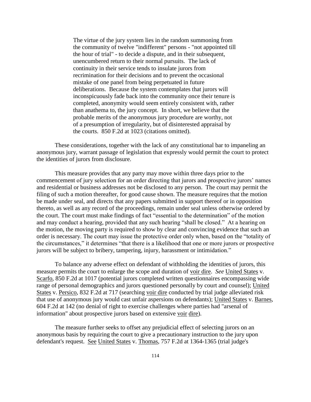The virtue of the jury system lies in the random summoning from the community of twelve "indifferent" persons - "not appointed till the hour of trial" - to decide a dispute, and in their subsequent, unencumbered return to their normal pursuits. The lack of continuity in their service tends to insulate jurors from recrimination for their decisions and to prevent the occasional mistake of one panel from being perpetuated in future deliberations. Because the system contemplates that jurors will inconspicuously fade back into the community once their tenure is completed, anonymity would seem entirely consistent with, rather than anathema to, the jury concept. In short, we believe that the probable merits of the anonymous jury procedure are worthy, not of a presumption of irregularity, but of disinterested appraisal by the courts. 850 F.2d at 1023 (citations omitted).

These considerations, together with the lack of any constitutional bar to impaneling an anonymous jury, warrant passage of legislation that expressly would permit the court to protect the identities of jurors from disclosure.

This measure provides that any party may move within three days prior to the commencement of jury selection for an order directing that jurors and prospective jurors' names and residential or business addresses not be disclosed to any person. The court may permit the filing of such a motion thereafter, for good cause shown. The measure requires that the motion be made under seal, and directs that any papers submitted in support thereof or in opposition thereto, as well as any record of the proceedings, remain under seal unless otherwise ordered by the court. The court must make findings of fact "essential to the determination" of the motion and may conduct a hearing, provided that any such hearing "shall be closed." At a hearing on the motion, the moving party is required to show by clear and convincing evidence that such an order is necessary. The court may issue the protective order only when, based on the "totality of the circumstances," it determines "that there is a likelihood that one or more jurors or prospective jurors will be subject to bribery, tampering, injury, harassment or intimidation."

To balance any adverse effect on defendant of withholding the identities of jurors, this measure permits the court to enlarge the scope and duration of voir dire. *See* United States v. Scarfo, 850 F.2d at 1017 (potential jurors completed written questionnaires encompassing wide range of personal demographics and jurors questioned personally by court and counsel); United States v. Persico, 832 F.2d at 717 (searching voir dire conducted by trial judge alleviated risk that use of anonymous jury would cast unfair aspersions on defendants); United States v. Barnes, 604 F.2d at 142 (no denial of right to exercise challenges where parties had "arsenal of information" about prospective jurors based on extensive voir dire).

The measure further seeks to offset any prejudicial effect of selecting jurors on an anonymous basis by requiring the court to give a precautionary instruction to the jury upon defendant's request. See United States v. Thomas, 757 F.2d at 1364-1365 (trial judge's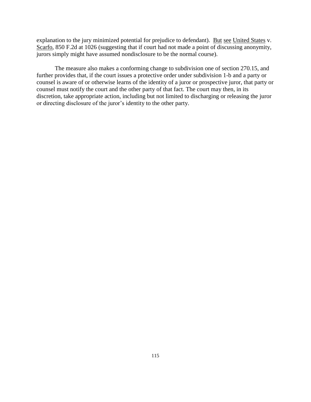explanation to the jury minimized potential for prejudice to defendant). But see United States v. Scarfo, 850 F.2d at 1026 (suggesting that if court had not made a point of discussing anonymity, jurors simply might have assumed nondisclosure to be the normal course).

The measure also makes a conforming change to subdivision one of section 270.15, and further provides that, if the court issues a protective order under subdivision 1-b and a party or counsel is aware of or otherwise learns of the identity of a juror or prospective juror, that party or counsel must notify the court and the other party of that fact. The court may then, in its discretion, take appropriate action, including but not limited to discharging or releasing the juror or directing disclosure of the juror's identity to the other party.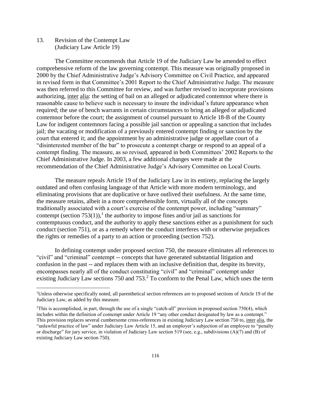## 13. Revision of the Contempt Law (Judiciary Law Article 19)

 $\overline{a}$ 

The Committee recommends that Article 19 of the Judiciary Law be amended to effect comprehensive reform of the law governing contempt. This measure was originally proposed in 2000 by the Chief Administrative Judge's Advisory Committee on Civil Practice, and appeared in revised form in that Committee's 2001 Report to the Chief Administrative Judge. The measure was then referred to this Committee for review, and was further revised to incorporate provisions authorizing, inter alia: the setting of bail on an alleged or adjudicated contemnor where there is reasonable cause to believe such is necessary to insure the individual's future appearance when required; the use of bench warrants in certain circumstances to bring an alleged or adjudicated contemnor before the court; the assignment of counsel pursuant to Article 18-B of the County Law for indigent contemnors facing a possible jail sanction or appealing a sanction that includes jail; the vacating or modification of a previously entered contempt finding or sanction by the court that entered it; and the appointment by an administrative judge or appellate court of a "disinterested member of the bar" to prosecute a contempt charge or respond to an appeal of a contempt finding. The measure, as so revised, appeared in both Committees' 2002 Reports to the Chief Administrative Judge. In 2003, a few additional changes were made at the recommendation of the Chief Administrative Judge's Advisory Committee on Local Courts.

The measure repeals Article 19 of the Judiciary Law in its entirety, replacing the largely outdated and often confusing language of that Article with more modern terminology, and eliminating provisions that are duplicative or have outlived their usefulness. At the same time, the measure retains, albeit in a more comprehensible form, virtually all of the concepts traditionally associated with a court's exercise of the contempt power, including "summary" contempt (section 753(1)),<sup>1</sup> the authority to impose fines and/or jail as sanctions for contemptuous conduct, and the authority to apply these sanctions either as a punishment for such conduct (section 751), or as a remedy where the conduct interferes with or otherwise prejudices the rights or remedies of a party to an action or proceeding (section 752).

In defining contempt under proposed section 750, the measure eliminates all references to "civil" and "criminal" contempt -- concepts that have generated substantial litigation and confusion in the past -- and replaces them with an inclusive definition that, despite its brevity, encompasses nearly all of the conduct constituting "civil" and "criminal" contempt under existing Judiciary Law sections 750 and 753.<sup>2</sup> To conform to the Penal Law, which uses the term

<sup>1</sup>Unless otherwise specifically noted, all parenthetical section references are to proposed sections of Article 19 of the Judiciary Law, as added by this measure.

 ${}^{2}$ This is accomplished, in part, through the use of a single "catch-all" provision in proposed section 750(4), which includes within the definition of contempt under Article 19 "any other conduct designated by law as a contempt." This provision replaces several cumbersome cross-references in existing Judiciary Law section 750 to, inter alia, the "unlawful practice of law" under Judiciary Law Article 15, and an employer's subjection of an employee to "penalty or discharge" for jury service, in violation of Judiciary Law section 519 (see, e.g., subdivisions (A)(7) and (B) of existing Judiciary Law section 750).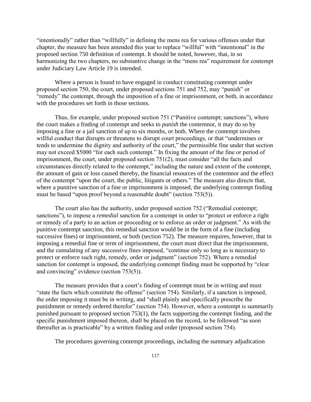"intentionally" rather than "willfully" in defining the mens rea for various offenses under that chapter, the measure has been amended this year to replace "willful" with "intentional" in the proposed section 750 definition of contempt. It should be noted, however, that, in so harmonizing the two chapters, no substantive change in the "mens rea" requirement for contempt under Judiciary Law Article 19 is intended.

Where a person is found to have engaged in conduct constituting contempt under proposed section 750, the court, under proposed sections 751 and 752, may "punish" or "remedy" the contempt, through the imposition of a fine or imprisonment, or both, in accordance with the procedures set forth in those sections.

Thus, for example, under proposed section 751 ("Punitive contempt; sanctions"), where the court makes a finding of contempt and seeks to *punish* the contemnor, it may do so by imposing a fine or a jail sanction of up to six months, or both. Where the contempt involves willful conduct that disrupts or threatens to disrupt court proceedings, or that "undermines or tends to undermine the dignity and authority of the court," the permissible fine under that section may not exceed \$5000 "for each such contempt." In fixing the amount of the fine or period of imprisonment, the court, under proposed section 751(2), must consider "all the facts and circumstances directly related to the contempt," including the nature and extent of the contempt, the amount of gain or loss caused thereby, the financial resources of the contemnor and the effect of the contempt "upon the court, the public, litigants or others." The measure also directs that, where a punitive sanction of a fine or imprisonment is imposed, the underlying contempt finding must be based "upon proof beyond a reasonable doubt" (section 753(5)).

The court also has the authority, under proposed section 752 ("Remedial contempt; sanctions"), to impose a *remedial* sanction for a contempt in order to "protect or enforce a right or remedy of a party to an action or proceeding or to enforce an order or judgment." As with the punitive contempt sanction, this remedial sanction would be in the form of a fine (including successive fines) or imprisonment, or both (section 752). The measure requires, however, that in imposing a remedial fine or term of imprisonment, the court must direct that the imprisonment, and the cumulating of any successive fines imposed, "continue only so long as is necessary to protect or enforce such right, remedy, order or judgment" (section 752). Where a remedial sanction for contempt is imposed, the underlying contempt finding must be supported by "clear and convincing" evidence (section 753(5)).

The measure provides that a court's finding of contempt must be in writing and must "state the facts which constitute the offense" (section 754). Similarly, if a sanction is imposed, the order imposing it must be in writing, and "shall plainly and specifically prescribe the punishment or remedy ordered therefor" (section 754). However, where a contempt is summarily punished pursuant to proposed section 753(1), the facts supporting the contempt finding, and the specific punishment imposed thereon, shall be placed on the record, to be followed "as soon thereafter as is practicable" by a written finding and order (proposed section 754).

The procedures governing contempt proceedings, including the summary adjudication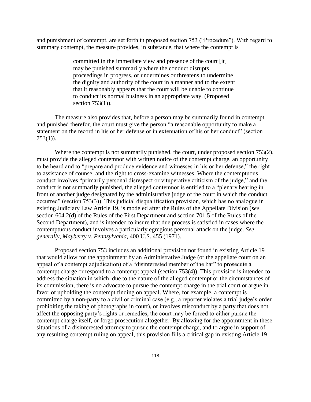and punishment of contempt, are set forth in proposed section 753 ("Procedure"). With regard to summary contempt, the measure provides, in substance, that where the contempt is

> committed in the immediate view and presence of the court [it] may be punished summarily where the conduct disrupts proceedings in progress, or undermines or threatens to undermine the dignity and authority of the court in a manner and to the extent that it reasonably appears that the court will be unable to continue to conduct its normal business in an appropriate way. (Proposed section  $753(1)$ ).

The measure also provides that, before a person may be summarily found in contempt and punished therefor, the court must give the person "a reasonable opportunity to make a statement on the record in his or her defense or in extenuation of his or her conduct" (section 753(1)).

Where the contempt is not summarily punished, the court, under proposed section 753(2), must provide the alleged contemnor with written notice of the contempt charge, an opportunity to be heard and to "prepare and produce evidence and witnesses in his or her defense," the right to assistance of counsel and the right to cross-examine witnesses. Where the contemptuous conduct involves "primarily personal disrespect or vituperative criticism of the judge," and the conduct is not summarily punished, the alleged contemnor is entitled to a "plenary hearing in front of another judge designated by the administrative judge of the court in which the conduct occurred" (section 753(3)). This judicial disqualification provision, which has no analogue in existing Judiciary Law Article 19, is modeled after the Rules of the Appellate Division (*see*, section 604.2(d) of the Rules of the First Department and section 701.5 of the Rules of the Second Department), and is intended to insure that due process is satisfied in cases where the contemptuous conduct involves a particularly egregious personal attack on the judge. *See, generally, Mayberry v. Pennsylvania*, 400 U.S. 455 (1971).

Proposed section 753 includes an additional provision not found in existing Article 19 that would allow for the appointment by an Administrative Judge (or the appellate court on an appeal of a contempt adjudication) of a "disinterested member of the bar" to prosecute a contempt charge or respond to a contempt appeal (section 753(4)). This provision is intended to address the situation in which, due to the nature of the alleged contempt or the circumstances of its commission, there is no advocate to pursue the contempt charge in the trial court or argue in favor of upholding the contempt finding on appeal. Where, for example, a contempt is committed by a non-party to a civil or criminal case (e.g., a reporter violates a trial judge's order prohibiting the taking of photographs in court), or involves misconduct by a party that does not affect the opposing party's rights or remedies, the court may be forced to either pursue the contempt charge itself, or forgo prosecution altogether. By allowing for the appointment in these situations of a disinterested attorney to pursue the contempt charge, and to argue in support of any resulting contempt ruling on appeal, this provision fills a critical gap in existing Article 19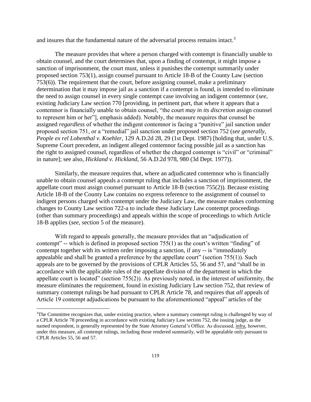and insures that the fundamental nature of the adversarial process remains intact.<sup>3</sup>

The measure provides that where a person charged with contempt is financially unable to obtain counsel, and the court determines that, upon a finding of contempt, it might impose a sanction of imprisonment, the court must, unless it punishes the contempt summarily under proposed section 753(1), assign counsel pursuant to Article 18-B of the County Law (section 753(6)). The requirement that the court, before assigning counsel, make a preliminary determination that it may impose jail as a sanction if a contempt is found, is intended to eliminate the need to assign counsel in every single contempt case involving an indigent contemnor (*see*, existing Judiciary Law section 770 [providing, in pertinent part, that where it appears that a contemnor is financially unable to obtain counsel, "the court *may in its discretion* assign counsel to represent him or her"], emphasis added). Notably, the measure requires that counsel be assigned *regardless* of whether the indigent contemnor is facing a "punitive" jail sanction under proposed section 751, or a "remedial" jail sanction under proposed section 752 (*see generally, People ex rel Lobenthal v. Koehler*, 129 A.D.2d 28, 29 (1st Dept. 1987) [holding that, under U.S. Supreme Court precedent, an indigent alleged contemnor facing possible jail as a sanction has the right to assigned counsel, regardless of whether the charged contempt is "civil" or "criminal" in nature]; see also, *Hickland v. Hickland*, 56 A.D.2d 978, 980 (3d Dept. 1977)).

Similarly, the measure requires that, where an adjudicated contemnor who is financially unable to obtain counsel appeals a contempt ruling that includes a sanction of imprisonment, the appellate court must assign counsel pursuant to Article 18-B (section 755(2)). Because existing Article 18-B of the County Law contains no express reference to the assignment of counsel to indigent persons charged with contempt under the Judiciary Law, the measure makes conforming changes to County Law section 722-a to include these Judiciary Law contempt proceedings (other than summary proceedings) and appeals within the scope of proceedings to which Article 18-B applies (*see*, section 5 of the measure).

With regard to appeals generally, the measure provides that an "adjudication of contempt" -- which is defined in proposed section 755(1) as the court's written "finding" of contempt together with its written order imposing a sanction, if any -- is "immediately appealable and shall be granted a preference by the appellate court" (section  $755(1)$ ). Such appeals are to be governed by the provisions of CPLR Articles 55, 56 and 57, and "shall be in accordance with the applicable rules of the appellate division of the department in which the appellate court is located" (section 755(2)). As previously noted, in the interest of uniformity, the measure eliminates the requirement, found in existing Judiciary Law section 752, that review of summary contempt rulings be had pursuant to CPLR Article 78, and requires that *all* appeals of Article 19 contempt adjudications be pursuant to the aforementioned "appeal" articles of the

 $\overline{a}$ 

<sup>&</sup>lt;sup>3</sup>The Committee recognizes that, under existing practice, where a summary contempt ruling is challenged by way of a CPLR Article 78 proceeding in accordance with existing Judiciary Law section 752, the issuing judge, as the named respondent, is generally represented by the State Attorney General's Office. As discussed, infra, however, under this measure, all contempt rulings, including those rendered summarily, will be appealable only pursuant to CPLR Articles 55, 56 and 57.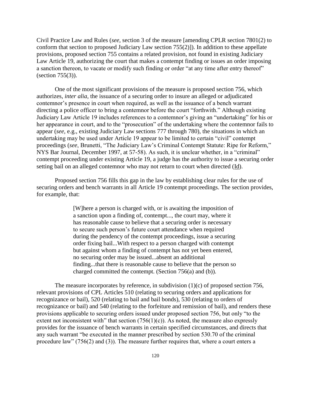Civil Practice Law and Rules (*see*, section 3 of the measure [amending CPLR section 7801(2) to conform that section to proposed Judiciary Law section 755(2)]). In addition to these appellate provisions, proposed section 755 contains a related provision, not found in existing Judiciary Law Article 19, authorizing the court that makes a contempt finding or issues an order imposing a sanction thereon, to vacate or modify such finding or order "at any time after entry thereof" (section 755(3)).

One of the most significant provisions of the measure is proposed section 756, which authorizes, *inter alia*, the issuance of a securing order to insure an alleged or adjudicated contemnor's presence in court when required, as well as the issuance of a bench warrant directing a police officer to bring a contemnor before the court "forthwith." Although existing Judiciary Law Article 19 includes references to a contemnor's giving an "undertaking" for his or her appearance in court, and to the "prosecution" of the undertaking where the contemnor fails to appear (*see*, e.g., existing Judiciary Law sections 777 through 780), the situations in which an undertaking may be used under Article 19 appear to be limited to certain "civil" contempt proceedings (*see*, Brunetti, "The Judiciary Law's Criminal Contempt Statute: Ripe for Reform," NYS Bar Journal, December 1997, at 57-58). As such, it is unclear whether, in a "criminal" contempt proceeding under existing Article 19, a judge has the authority to issue a securing order setting bail on an alleged contemnor who may not return to court when directed (Id).

Proposed section 756 fills this gap in the law by establishing clear rules for the use of securing orders and bench warrants in all Article 19 contempt proceedings. The section provides, for example, that:

> [W]here a person is charged with, or is awaiting the imposition of a sanction upon a finding of, contempt..., the court may, where it has reasonable cause to believe that a securing order is necessary to secure such person's future court attendance when required during the pendency of the contempt proceedings, issue a securing order fixing bail...With respect to a person charged with contempt but against whom a finding of contempt has not yet been entered, no securing order may be issued...absent an additional finding...that there is reasonable cause to believe that the person so charged committed the contempt. (Section 756(a) and (b)).

The measure incorporates by reference, in subdivision  $(1)(c)$  of proposed section 756, relevant provisions of CPL Articles 510 (relating to securing orders and applications for recognizance or bail), 520 (relating to bail and bail bonds), 530 (relating to orders of recognizance or bail) and 540 (relating to the forfeiture and remission of bail), and renders these provisions applicable to securing orders issued under proposed section 756, but only "to the extent not inconsistent with" that section  $(756(1)(c))$ . As noted, the measure also expressly provides for the issuance of bench warrants in certain specified circumstances, and directs that any such warrant "be executed in the manner prescribed by section 530.70 of the criminal procedure law" (756(2) and (3)). The measure further requires that, where a court enters a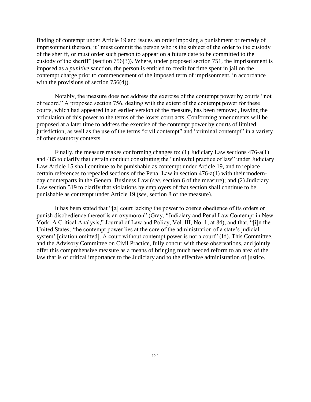finding of contempt under Article 19 and issues an order imposing a punishment or remedy of imprisonment thereon, it "must commit the person who is the subject of the order to the custody of the sheriff, or must order such person to appear on a future date to be committed to the custody of the sheriff" (section 756(3)). Where, under proposed section 751, the imprisonment is imposed as a *punitive* sanction, the person is entitled to credit for time spent in jail on the contempt charge prior to commencement of the imposed term of imprisonment, in accordance with the provisions of section 756(4)).

Notably, the measure does not address the exercise of the contempt power by courts "not of record." A proposed section 756, dealing with the extent of the contempt power for these courts, which had appeared in an earlier version of the measure, has been removed, leaving the articulation of this power to the terms of the lower court acts. Conforming amendments will be proposed at a later time to address the exercise of the contempt power by courts of limited jurisdiction, as well as the use of the terms "civil contempt" and "criminal contempt" in a variety of other statutory contexts.

Finally, the measure makes conforming changes to: (1) Judiciary Law sections 476-a(1) and 485 to clarify that certain conduct constituting the "unlawful practice of law" under Judiciary Law Article 15 shall continue to be punishable as contempt under Article 19, and to replace certain references to repealed sections of the Penal Law in section 476-a(1) with their modernday counterparts in the General Business Law (*see*, section 6 of the measure); and (2) Judiciary Law section 519 to clarify that violations by employers of that section shall continue to be punishable as contempt under Article 19 (*see*, section 8 of the measure).

It has been stated that "[a] court lacking the power to coerce obedience of its orders or punish disobedience thereof is an oxymoron" (Gray, "Judiciary and Penal Law Contempt in New York: A Critical Analysis," Journal of Law and Policy, Vol. III, No. 1, at 84), and that, "[i]n the United States, 'the contempt power lies at the core of the administration of a state's judicial system' [citation omitted]. A court without contempt power is not a court" (Id). This Committee, and the Advisory Committee on Civil Practice, fully concur with these observations, and jointly offer this comprehensive measure as a means of bringing much needed reform to an area of the law that is of critical importance to the Judiciary and to the effective administration of justice.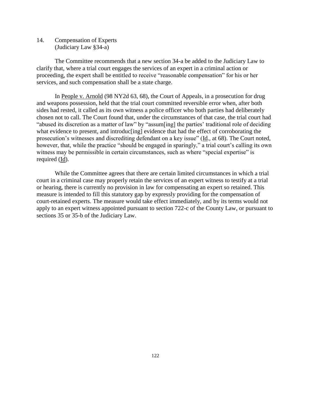14. Compensation of Experts (Judiciary Law §34-a)

The Committee recommends that a new section 34-a be added to the Judiciary Law to clarify that, where a trial court engages the services of an expert in a criminal action or proceeding, the expert shall be entitled to receive "reasonable compensation" for his or her services, and such compensation shall be a state charge.

In People v. Arnold (98 NY2d 63, 68), the Court of Appeals, in a prosecution for drug and weapons possession, held that the trial court committed reversible error when, after both sides had rested, it called as its own witness a police officer who both parties had deliberately chosen not to call. The Court found that, under the circumstances of that case, the trial court had "abused its discretion as a matter of law" by "assum[ing] the parties' traditional role of deciding what evidence to present, and introduc[ing] evidence that had the effect of corroborating the prosecution's witnesses and discrediting defendant on a key issue" (Id., at 68). The Court noted, however, that, while the practice "should be engaged in sparingly," a trial court's calling its own witness may be permissible in certain circumstances, such as where "special expertise" is required (Id).

While the Committee agrees that there are certain limited circumstances in which a trial court in a criminal case may properly retain the services of an expert witness to testify at a trial or hearing, there is currently no provision in law for compensating an expert so retained. This measure is intended to fill this statutory gap by expressly providing for the compensation of court-retained experts. The measure would take effect immediately, and by its terms would not apply to an expert witness appointed pursuant to section 722-c of the County Law, or pursuant to sections 35 or 35-b of the Judiciary Law.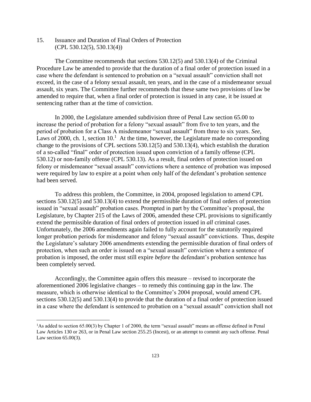15. Issuance and Duration of Final Orders of Protection (CPL 530.12(5), 530.13(4))

The Committee recommends that sections 530.12(5) and 530.13(4) of the Criminal Procedure Law be amended to provide that the duration of a final order of protection issued in a case where the defendant is sentenced to probation on a "sexual assault" conviction shall not exceed, in the case of a felony sexual assault, ten years, and in the case of a misdemeanor sexual assault, six years. The Committee further recommends that these same two provisions of law be amended to require that, when a final order of protection is issued in any case, it be issued at sentencing rather than at the time of conviction.

In 2000, the Legislature amended subdivision three of Penal Law section 65.00 to increase the period of probation for a felony "sexual assault" from five to ten years, and the period of probation for a Class A misdemeanor "sexual assault" from three to six years. *See*, Laws of 2000, ch. 1, section  $10<sup>1</sup>$  At the time, however, the Legislature made no corresponding change to the provisions of CPL sections 530.12(5) and 530.13(4), which establish the duration of a so-called "final" order of protection issued upon conviction of a family offense (CPL 530.12) or non-family offense (CPL 530.13). As a result, final orders of protection issued on felony or misdemeanor "sexual assault" convictions where a sentence of probation was imposed were required by law to expire at a point when only half of the defendant's probation sentence had been served.

To address this problem, the Committee, in 2004, proposed legislation to amend CPL sections 530.12(5) and 530.13(4) to extend the permissible duration of final orders of protection issued in "sexual assault" probation cases. Prompted in part by the Committee's proposal, the Legislature, by Chapter 215 of the Laws of 2006, amended these CPL provisions to significantly extend the permissible duration of final orders of protection issued in *all* criminal cases. Unfortunately, the 2006 amendments again failed to fully account for the statutorily required longer probation periods for misdemeanor and felony "sexual assault" convictions. Thus, despite the Legislature's salutary 2006 amendments extending the permissible duration of final orders of protection, when such an order is issued on a "sexual assault" conviction where a sentence of probation is imposed, the order must still expire *before* the defendant's probation sentence has been completely served.

Accordingly, the Committee again offers this measure – revised to incorporate the aforementioned 2006 legislative changes – to remedy this continuing gap in the law. The measure, which is otherwise identical to the Committee's 2004 proposal, would amend CPL sections 530.12(5) and 530.13(4) to provide that the duration of a final order of protection issued in a case where the defendant is sentenced to probation on a "sexual assault" conviction shall not

 $\overline{a}$ 

<sup>&</sup>lt;sup>1</sup>As added to section 65.00(3) by Chapter 1 of 2000, the term "sexual assault" means an offense defined in Penal Law Articles 130 or 263, or in Penal Law section 255.25 (Incest), or an attempt to commit any such offense. Penal Law section 65.00(3).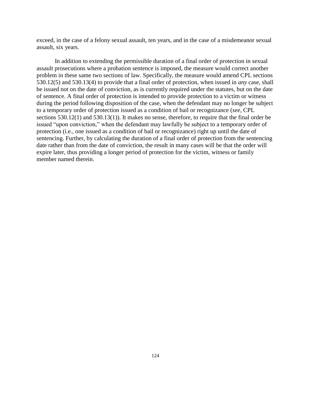exceed, in the case of a felony sexual assault, ten years, and in the case of a misdemeanor sexual assault, six years.

In addition to extending the permissible duration of a final order of protection in sexual assault prosecutions where a probation sentence is imposed, the measure would correct another problem in these same two sections of law. Specifically, the measure would amend CPL sections 530.12(5) and 530.13(4) to provide that a final order of protection, when issued in *any* case, shall be issued not on the date of conviction, as is currently required under the statutes, but on the date of sentence. A final order of protection is intended to provide protection to a victim or witness during the period following disposition of the case, when the defendant may no longer be subject to a temporary order of protection issued as a condition of bail or recognizance (*see,* CPL sections 530.12(1) and 530.13(1)). It makes no sense, therefore, to require that the final order be issued "upon conviction," when the defendant may lawfully be subject to a temporary order of protection (i.e., one issued as a condition of bail or recognizance) right up until the date of sentencing. Further, by calculating the duration of a final order of protection from the sentencing date rather than from the date of conviction, the result in many cases will be that the order will expire later, thus providing a longer period of protection for the victim, witness or family member named therein.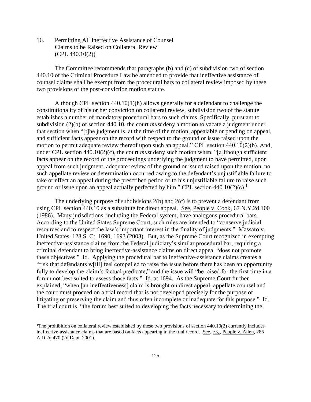16. Permitting All Ineffective Assistance of Counsel Claims to be Raised on Collateral Review (CPL 440.10(2))

The Committee recommends that paragraphs (b) and (c) of subdivision two of section 440.10 of the Criminal Procedure Law be amended to provide that ineffective assistance of counsel claims shall be exempt from the procedural bars to collateral review imposed by these two provisions of the post-conviction motion statute.

Although CPL section 440.10(1)(h) allows generally for a defendant to challenge the constitutionality of his or her conviction on collateral review, subdivision two of the statute establishes a number of mandatory procedural bars to such claims. Specifically, pursuant to subdivision (2)(b) of section 440.10, the court *must* deny a motion to vacate a judgment under that section when "[t]he judgment is, at the time of the motion, appealable or pending on appeal, and sufficient facts appear on the record with respect to the ground or issue raised upon the motion to permit adequate review thereof upon such an appeal." CPL section 440.10(2)(b). And, under CPL section 440.10(2)(c), the court *must* deny such motion when, "[a]lthough sufficient facts appear on the record of the proceedings underlying the judgment to have permitted, upon appeal from such judgment, adequate review of the ground or issued raised upon the motion, no such appellate review or determination occurred owing to the defendant's unjustifiable failure to take or effect an appeal during the prescribed period or to his unjustifiable failure to raise such ground or issue upon an appeal actually perfected by him." CPL section  $440.10(2)(c)$ .<sup>1</sup>

The underlying purpose of subdivisions 2(b) and 2(c) is to prevent a defendant from using CPL section 440.10 as a substitute for direct appeal. See, People v. Cook, 67 N.Y.2d 100 (1986). Many jurisdictions, including the Federal system, have analogous procedural bars. According to the United States Supreme Court, such rules are intended to "conserve judicial resources and to respect the law's important interest in the finality of judgments." Massaro v. United States, 123 S. Ct. 1690, 1693 (2003). But, as the Supreme Court recognized in exempting ineffective-assistance claims from the Federal judiciary's similar procedural bar, requiring a criminal defendant to bring ineffective-assistance claims on direct appeal "does not promote these objectives." Id. Applying the procedural bar to ineffective-assistance claims creates a "risk that defendants w[ill] feel compelled to raise the issue before there has been an opportunity fully to develop the claim's factual predicate," and the issue will "be raised for the first time in a forum not best suited to assess those facts." Id. at 1694. As the Supreme Court further explained, "when [an ineffectiveness] claim is brought on direct appeal, appellate counsel and the court must proceed on a trial record that is not developed precisely for the purpose of litigating or preserving the claim and thus often incomplete or inadequate for this purpose." Id. The trial court is, "the forum best suited to developing the facts necessary to determining the

 $\overline{a}$ 

<sup>&</sup>lt;sup>1</sup>The prohibition on collateral review established by these two provisions of section  $440.10(2)$  currently includes ineffective-assistance claims that are based on facts appearing in the trial record. See, e.g., People v. Allen, 285 A.D.2d 470 (2d Dept. 2001).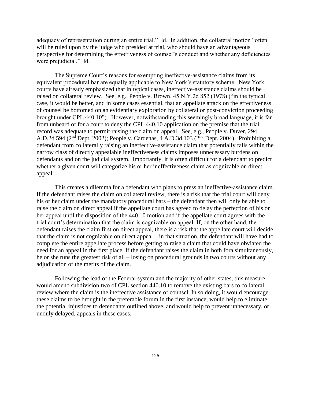adequacy of representation during an entire trial."  $\underline{Id}$ . In addition, the collateral motion "often will be ruled upon by the judge who presided at trial, who should have an advantageous perspective for determining the effectiveness of counsel's conduct and whether any deficiencies were prejudicial." Id.

The Supreme Court's reasons for exempting ineffective-assistance claims from its equivalent procedural bar are equally applicable to New York's statutory scheme. New York courts have already emphasized that in typical cases, ineffective-assistance claims should be raised on collateral review. See, e.g., People v. Brown, 45 N.Y.2d 852 (1978) ("in the typical case, it would be better, and in some cases essential, that an appellate attack on the effectiveness of counsel be bottomed on an evidentiary exploration by collateral or post-conviction proceeding brought under CPL 440.10"). However, notwithstanding this seemingly broad language, it is far from unheard of for a court to deny the CPL 440.10 application on the premise that the trial record was adequate to permit raising the claim on appeal. See, e.g., People v. Duver, 294 A.D.2d 594 (2nd Dept. 2002); People v. Cardenas, 4 A.D.3d 103 (2nd Dept. 2004). Prohibiting a defendant from collaterally raising an ineffective-assistance claim that potentially falls within the narrow class of directly appealable ineffectiveness claims imposes unnecessary burdens on defendants and on the judicial system. Importantly, it is often difficult for a defendant to predict whether a given court will categorize his or her ineffectiveness claim as cognizable on direct appeal.

This creates a dilemma for a defendant who plans to press an ineffective-assistance claim. If the defendant raises the claim on collateral review, there is a risk that the trial court will deny his or her claim under the mandatory procedural bars – the defendant then will only be able to raise the claim on direct appeal if the appellate court has agreed to delay the perfection of his or her appeal until the disposition of the 440.10 motion and if the appellate court agrees with the trial court's determination that the claim is cognizable on appeal. If, on the other hand, the defendant raises the claim first on direct appeal, there is a risk that the appellate court will decide that the claim is not cognizable on direct appeal – in that situation, the defendant will have had to complete the entire appellate process before getting to raise a claim that could have obviated the need for an appeal in the first place. If the defendant raises the claim in both fora simultaneously, he or she runs the greatest risk of all – losing on procedural grounds in two courts without any adjudication of the merits of the claim.

Following the lead of the Federal system and the majority of other states, this measure would amend subdivision two of CPL section 440.10 to remove the existing bars to collateral review where the claim is the ineffective assistance of counsel. In so doing, it would encourage these claims to be brought in the preferable forum in the first instance, would help to eliminate the potential injustices to defendants outlined above, and would help to prevent unnecessary, or unduly delayed, appeals in these cases.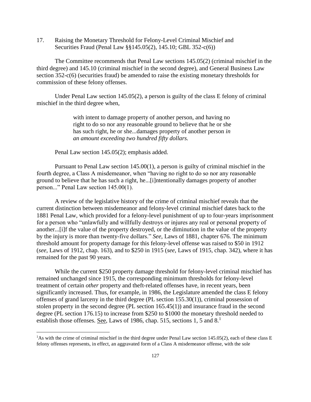17. Raising the Monetary Threshold for Felony-Level Criminal Mischief and Securities Fraud (Penal Law §§145.05(2), 145.10; GBL 352-c(6))

The Committee recommends that Penal Law sections 145.05(2) (criminal mischief in the third degree) and 145.10 (criminal mischief in the second degree), and General Business Law section 352-c(6) (securities fraud) be amended to raise the existing monetary thresholds for commission of these felony offenses.

Under Penal Law section  $145.05(2)$ , a person is guilty of the class E felony of criminal mischief in the third degree when,

> with intent to damage property of another person, and having no right to do so nor any reasonable ground to believe that he or she has such right, he or she...damages property of another person *in an amount exceeding two hundred fifty dollars.*

Penal Law section 145.05(2); emphasis added.

 $\overline{a}$ 

Pursuant to Penal Law section 145.00(1), a person is guilty of criminal mischief in the fourth degree, a Class A misdemeanor, when "having no right to do so nor any reasonable ground to believe that he has such a right, he...[i]ntentionally damages property of another person..." Penal Law section 145.00(1).

A review of the legislative history of the crime of criminal mischief reveals that the current distinction between misdemeanor and felony-level criminal mischief dates back to the 1881 Penal Law, which provided for a felony-level punishment of up to four-years imprisonment for a person who "unlawfully and willfully destroys or injures any real or personal property of another...[i]f the value of the property destroyed, or the diminution in the value of the property by the injury is more than twenty-five dollars." *See*, Laws of 1881, chapter 676. The minimum threshold amount for property damage for this felony-level offense was raised to \$50 in 1912 (*see*, Laws of 1912, chap. 163), and to \$250 in 1915 (*see*, Laws of 1915, chap. 342), where it has remained for the past 90 years.

While the current \$250 property damage threshold for felony-level criminal mischief has remained unchanged since 1915, the corresponding minimum thresholds for felony-level treatment of certain *other* property and theft-related offenses have, in recent years, been significantly increased. Thus, for example, in 1986, the Legislature amended the class E felony offenses of grand larceny in the third degree (PL section 155.30(1)), criminal possession of stolen property in the second degree (PL section 165.45(1)) and insurance fraud in the second degree (PL section 176.15) to increase from \$250 to \$1000 the monetary threshold needed to establish those offenses. See, Laws of 1986, chap. 515, sections 1, 5 and  $8<sup>1</sup>$ 

<sup>&</sup>lt;sup>1</sup>As with the crime of criminal mischief in the third degree under Penal Law section 145.05(2), each of these class E felony offenses represents, in effect, an aggravated form of a Class A misdemeanor offense, with the sole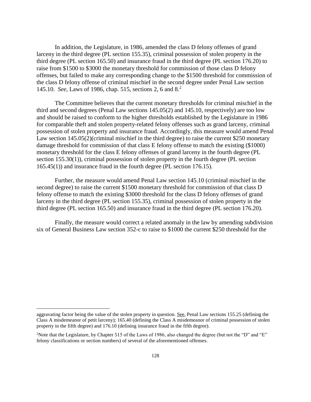In addition, the Legislature, in 1986, amended the class D felony offenses of grand larceny in the third degree (PL section 155.35), criminal possession of stolen property in the third degree (PL section 165.50) and insurance fraud in the third degree (PL section 176.20) to raise from \$1500 to \$3000 the monetary threshold for commission of those class D felony offenses, but failed to make any corresponding change to the \$1500 threshold for commission of the class D felony offense of criminal mischief in the second degree under Penal Law section 145.10. *See*, Laws of 1986, chap. 515, sections 2, 6 and 8.<sup>2</sup>

The Committee believes that the current monetary thresholds for criminal mischief in the third and second degrees (Penal Law sections 145.05(2) and 145.10, respectively) are too low and should be raised to conform to the higher thresholds established by the Legislature in 1986 for comparable theft and stolen property-related felony offenses such as grand larceny, criminal possession of stolen property and insurance fraud. Accordingly, this measure would amend Penal Law section 145.05(2)(criminal mischief in the third degree) to raise the current \$250 monetary damage threshold for commission of that class E felony offense to match the existing (\$1000) monetary threshold for the class E felony offenses of grand larceny in the fourth degree (PL section 155.30(1)), criminal possession of stolen property in the fourth degree (PL section 165.45(1)) and insurance fraud in the fourth degree (PL section 176.15).

Further, the measure would amend Penal Law section 145.10 (criminal mischief in the second degree) to raise the current \$1500 monetary threshold for commission of that class D felony offense to match the existing \$3000 threshold for the class D felony offenses of grand larceny in the third degree (PL section 155.35), criminal possession of stolen property in the third degree (PL section 165.50) and insurance fraud in the third degree (PL section 176.20).

Finally, the measure would correct a related anomaly in the law by amending subdivision six of General Business Law section 352-c to raise to \$1000 the current \$250 threshold for the

 $\overline{a}$ 

aggravating factor being the value of the stolen property in question. See, Penal Law sections 155.25 (defining the Class A misdemeanor of petit larceny); 165.40 (defining the Class A misdemeanor of criminal possession of stolen property in the fifth degree) and 176.10 (defining insurance fraud in the fifth degree).

<sup>&</sup>lt;sup>2</sup>Note that the Legislature, by Chapter 515 of the Laws of 1986, also changed the degree (but not the "D" and "E" felony classifications or section numbers) of several of the aforementioned offenses.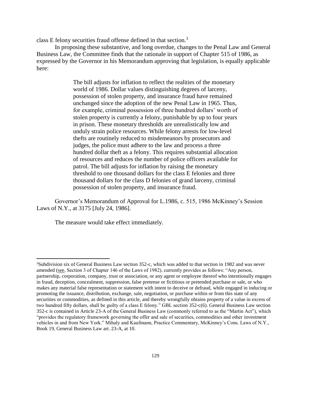class E felony securities fraud offense defined in that section.<sup>3</sup>

In proposing these substantive, and long overdue, changes to the Penal Law and General Business Law, the Committee finds that the rationale in support of Chapter 515 of 1986, as expressed by the Governor in his Memorandum approving that legislation, is equally applicable here:

> The bill adjusts for inflation to reflect the realities of the monetary world of 1986. Dollar values distinguishing degrees of larceny, possession of stolen property, and insurance fraud have remained unchanged since the adoption of the new Penal Law in 1965. Thus, for example, criminal possession of three hundred dollars' worth of stolen property is currently a felony, punishable by up to four years in prison. These monetary thresholds are unrealistically low and unduly strain police resources. While felony arrests for low-level thefts are routinely reduced to misdemeanors by prosecutors and judges, the police must adhere to the law and process a three hundred dollar theft as a felony. This requires substantial allocation of resources and reduces the number of police officers available for patrol. The bill adjusts for inflation by raising the monetary threshold to one thousand dollars for the class E felonies and three thousand dollars for the class D felonies of grand larceny, criminal possession of stolen property, and insurance fraud.

Governor's Memorandum of Approval for L.1986, c. 515, 1986 McKinney's Session Laws of N.Y., at 3175 [July 24, 1986].

The measure would take effect immediately.

 $\overline{a}$ 

<sup>3</sup>Subdivision six of General Business Law section 352-c, which was added to that section in 1982 and was never amended (see, Section 3 of Chapter 146 of the Laws of 1982), currently provides as follows: "Any person, partnership, corporation, company, trust or association, or any agent or employee thereof who intentionally engages in fraud, deception, concealment, suppression, false pretense or fictitious or pretended purchase or sale, or who makes any material false representation or statement with intent to deceive or defraud, while engaged in inducing or promoting the issuance, distribution, exchange, sale, negotiation, or purchase within or from this state of any securities or commodities, as defined in this article, and thereby wrongfully obtains property of a value in excess of two hundred fifty dollars, shall be guilty of a class E felony." GBL section 352-c(6). General Business Law section 352-c is contained in Article 23-A of the General Business Law (commonly referred to as the "Martin Act"), which "provides the regulatory framework governing the offer and sale of securities, commodities and other investment vehicles in and from New York." Mihaly and Kaufmann, Practice Commentary, McKinney's Cons. Laws of N.Y., Book 19, General Business Law art. 23-A, at 10.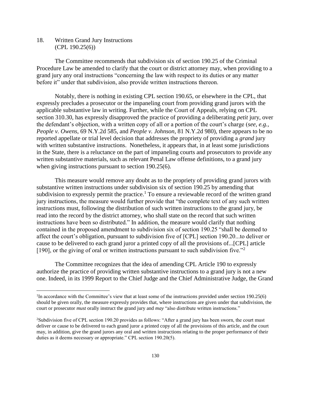18. Written Grand Jury Instructions (CPL 190.25(6))

 $\overline{a}$ 

The Committee recommends that subdivision six of section 190.25 of the Criminal Procedure Law be amended to clarify that the court or district attorney may, when providing to a grand jury any oral instructions "concerning the law with respect to its duties or any matter before it" under that subdivision, also provide written instructions thereon.

Notably, there is nothing in existing CPL section 190.65, or elsewhere in the CPL, that expressly precludes a prosecutor or the impaneling court from providing grand jurors with the applicable substantive law in writing. Further, while the Court of Appeals, relying on CPL section 310.30, has expressly disapproved the practice of providing a deliberating *petit* jury, over the defendant's objection, with a written copy of all or a portion of the court's charge (*see, e.g., People v. Owens*, 69 N.Y.2d 585, and *People v. Johnson*, 81 N.Y.2d 980), there appears to be no reported appellate or trial level decision that addresses the propriety of providing a *grand* jury with written substantive instructions. Nonetheless, it appears that, in at least some jurisdictions in the State, there is a reluctance on the part of impaneling courts and prosecutors to provide any written substantive materials, such as relevant Penal Law offense definitions, to a grand jury when giving instructions pursuant to section 190.25(6).

This measure would remove any doubt as to the propriety of providing grand jurors with substantive written instructions under subdivision six of section 190.25 by amending that subdivision to expressly permit the practice.<sup>1</sup> To ensure a reviewable record of the written grand jury instructions, the measure would further provide that "the complete text of any such written instructions must, following the distribution of such written instructions to the grand jury, be read into the record by the district attorney, who shall state on the record that such written instructions have been so distributed." In addition, the measure would clarify that nothing contained in the proposed amendment to subdivision six of section 190.25 "shall be deemed to affect the court's obligation, pursuant to subdivision five of [CPL] section 190.20...to deliver or cause to be delivered to each grand juror a printed copy of all the provisions of...[CPL] article [190], or the giving of oral or written instructions pursuant to such subdivision five."<sup>2</sup>

The Committee recognizes that the idea of amending CPL Article 190 to expressly authorize the practice of providing written substantive instructions to a grand jury is not a new one. Indeed, in its 1999 Report to the Chief Judge and the Chief Administrative Judge, the Grand

<sup>&</sup>lt;sup>1</sup>In accordance with the Committee's view that at least some of the instructions provided under section 190.25(6) should be given orally, the measure expressly provides that, where instructions are given under that subdivision, the court or prosecutor *must* orally instruct the grand jury and *may* "also distribute written instructions."

<sup>2</sup>Subdivision five of CPL section 190.20 provides as follows: "After a grand jury has been sworn, the court must deliver or cause to be delivered to each grand juror a printed copy of all the provisions of this article, and the court may, in addition, give the grand jurors any oral and written instructions relating to the proper performance of their duties as it deems necessary or appropriate." CPL section 190.20(5).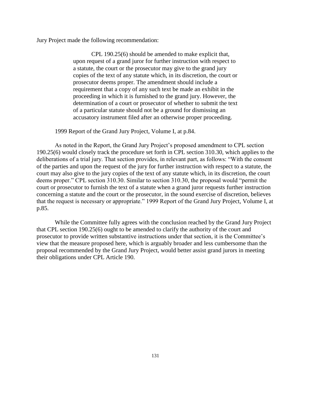Jury Project made the following recommendation:

CPL 190.25(6) should be amended to make explicit that, upon request of a grand juror for further instruction with respect to a statute, the court or the prosecutor may give to the grand jury copies of the text of any statute which, in its discretion, the court or prosecutor deems proper. The amendment should include a requirement that a copy of any such text be made an exhibit in the proceeding in which it is furnished to the grand jury. However, the determination of a court or prosecutor of whether to submit the text of a particular statute should not be a ground for dismissing an accusatory instrument filed after an otherwise proper proceeding.

1999 Report of the Grand Jury Project, Volume I, at p.84.

As noted in the Report, the Grand Jury Project's proposed amendment to CPL section 190.25(6) would closely track the procedure set forth in CPL section 310.30, which applies to the deliberations of a trial jury. That section provides, in relevant part, as follows: "With the consent of the parties and upon the request of the jury for further instruction with respect to a statute, the court may also give to the jury copies of the text of any statute which, in its discretion, the court deems proper." CPL section 310.30. Similar to section 310.30, the proposal would "permit the court or prosecutor to furnish the text of a statute when a grand juror requests further instruction concerning a statute and the court or the prosecutor, in the sound exercise of discretion, believes that the request is necessary or appropriate." 1999 Report of the Grand Jury Project, Volume I, at p.85.

While the Committee fully agrees with the conclusion reached by the Grand Jury Project that CPL section 190.25(6) ought to be amended to clarify the authority of the court and prosecutor to provide written substantive instructions under that section, it is the Committee's view that the measure proposed here, which is arguably broader and less cumbersome than the proposal recommended by the Grand Jury Project, would better assist grand jurors in meeting their obligations under CPL Article 190.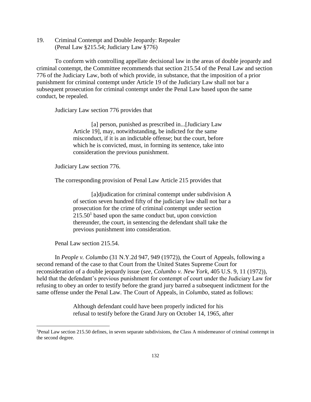19. Criminal Contempt and Double Jeopardy: Repealer (Penal Law §215.54; Judiciary Law §776)

To conform with controlling appellate decisional law in the areas of double jeopardy and criminal contempt, the Committee recommends that section 215.54 of the Penal Law and section 776 of the Judiciary Law, both of which provide, in substance, that the imposition of a prior punishment for criminal contempt under Article 19 of the Judiciary Law shall not bar a subsequent prosecution for criminal contempt under the Penal Law based upon the same conduct, be repealed.

Judiciary Law section 776 provides that

[a] person, punished as prescribed in...[Judiciary Law Article 19], may, notwithstanding, be indicted for the same misconduct, if it is an indictable offense; but the court, before which he is convicted, must, in forming its sentence, take into consideration the previous punishment.

Judiciary Law section 776.

The corresponding provision of Penal Law Article 215 provides that

[a]djudication for criminal contempt under subdivision A of section seven hundred fifty of the judiciary law shall not bar a prosecution for the crime of criminal contempt under section  $215.50<sup>1</sup>$  based upon the same conduct but, upon conviction thereunder, the court, in sentencing the defendant shall take the previous punishment into consideration.

Penal Law section 215.54.

 $\overline{a}$ 

In *People v. Columbo* (31 N.Y.2d 947, 949 (1972)), the Court of Appeals, following a second remand of the case to that Court from the United States Supreme Court for reconsideration of a double jeopardy issue (*see, Columbo v. New York*, 405 U.S. 9, 11 (1972)), held that the defendant's previous punishment for contempt of court under the Judiciary Law for refusing to obey an order to testify before the grand jury barred a subsequent indictment for the same offense under the Penal Law. The Court of Appeals, in *Columbo*, stated as follows:

> Although defendant could have been properly indicted for his refusal to testify before the Grand Jury on October 14, 1965, after

<sup>1</sup>Penal Law section 215.50 defines, in seven separate subdivisions, the Class A misdemeanor of criminal contempt in the second degree.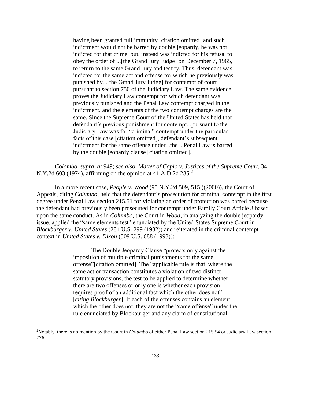having been granted full immunity [citation omitted] and such indictment would not be barred by double jeopardy, he was not indicted for that crime, but, instead was indicted for his refusal to obey the order of ...[the Grand Jury Judge] on December 7, 1965, to return to the same Grand Jury and testify. Thus, defendant was indicted for the same act and offense for which he previously was punished by...[the Grand Jury Judge] for contempt of court pursuant to section 750 of the Judiciary Law. The same evidence proves the Judiciary Law contempt for which defendant was previously punished and the Penal Law contempt charged in the indictment, and the elements of the two contempt charges are the same. Since the Supreme Court of the United States has held that defendant's previous punishment for contempt...pursuant to the Judiciary Law was for "criminal" contempt under the particular facts of this case [citation omitted], defendant's subsequent indictment for the same offense under...the ...Penal Law is barred by the double jeopardy clause [citation omitted].

*Colombo, supra, at* 949; *see also, Matter of Capio v. Justices of the Supreme Court*, 34 N.Y.2d 603 (1974), affirming on the opinion at 41 A.D.2d 235.<sup>2</sup>

In a more recent case, *People v. Wood* (95 N.Y.2d 509, 515 ((2000)), the Court of Appeals, citing *Columbo*, held that the defendant's prosecution for criminal contempt in the first degree under Penal Law section 215.51 for violating an order of protection was barred because the defendant had previously been prosecuted for contempt under Family Court Article 8 based upon the same conduct. As in *Columbo*, the Court in *Wood*, in analyzing the double jeopardy issue, applied the "same elements test" enunciated by the United States Supreme Court in *Blockburger v. United States* (284 U.S. 299 (1932)) and reiterated in the criminal contempt context in *United States v. Dixon* (509 U.S. 688 (1993)):

> The Double Jeopardy Clause "protects only against the imposition of multiple criminal punishments for the same offense"[citation omitted]. The "applicable rule is that, where the same act or transaction constitutes a violation of two distinct statutory provisions, the test to be applied to determine whether there are two offenses or only one is whether each provision requires proof of an additional fact which the other does not" [*citing Blockburger*]. If each of the offenses contains an element which the other does not, they are not the "same offense" under the rule enunciated by Blockburger and any claim of constitutional

 $\overline{a}$ 

<sup>2</sup>Notably, there is no mention by the Court in *Columbo* of either Penal Law section 215.54 or Judiciary Law section 776.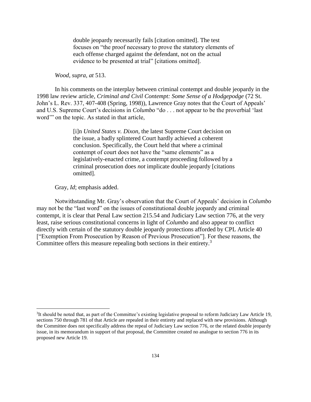double jeopardy necessarily fails [citation omitted]. The test focuses on "the proof necessary to prove the statutory elements of each offense charged against the defendant, not on the actual evidence to be presented at trial" [citations omitted].

## *Wood, supra, at* 513.

In his comments on the interplay between criminal contempt and double jeopardy in the 1998 law review article, *Criminal and Civil Contempt: Some Sense of a Hodgepodge* (72 St. John's L. Rev. 337, 407-408 (Spring, 1998)), Lawrence Gray notes that the Court of Appeals' and U.S. Supreme Court's decisions in *Columbo* "do . . . not appear to be the proverbial 'last word'" on the topic. As stated in that article,

> [i]n *United States v. Dixon*, the latest Supreme Court decision on the issue, a badly splintered Court hardly achieved a coherent conclusion. Specifically, the Court held that where a criminal contempt of court does not have the "same elements" as a legislatively-enacted crime, a contempt proceeding followed by a criminal prosecution does *not* implicate double jeopardy [citations omitted].

Gray, *Id*; emphasis added.

 $\overline{a}$ 

Notwithstanding Mr. Gray's observation that the Court of Appeals' decision in *Columbo* may not be the "last word" on the issues of constitutional double jeopardy and criminal contempt, it is clear that Penal Law section 215.54 and Judiciary Law section 776, at the very least, raise serious constitutional concerns in light of *Columbo* and also appear to conflict directly with certain of the statutory double jeopardy protections afforded by CPL Article 40 ["Exemption From Prosecution by Reason of Previous Prosecution"]. For these reasons, the Committee offers this measure repealing both sections in their entirety.<sup>3</sup>

<sup>&</sup>lt;sup>3</sup>It should be noted that, as part of the Committee's existing legislative proposal to reform Judiciary Law Article 19, sections 750 through 781 of that Article are repealed in their entirety and replaced with new provisions. Although the Committee does not specifically address the repeal of Judiciary Law section 776, or the related double jeopardy issue, in its memorandum in support of that proposal, the Committee created no analogue to section 776 in its proposed new Article 19.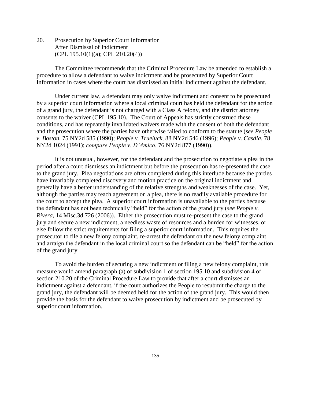20. Prosecution by Superior Court Information After Dismissal of Indictment (CPL 195.10(1)(a); CPL 210.20(4))

The Committee recommends that the Criminal Procedure Law be amended to establish a procedure to allow a defendant to waive indictment and be prosecuted by Superior Court Information in cases where the court has dismissed an initial indictment against the defendant.

Under current law, a defendant may only waive indictment and consent to be prosecuted by a superior court information where a local criminal court has held the defendant for the action of a grand jury, the defendant is not charged with a Class A felony, and the district attorney consents to the waiver (CPL 195.10). The Court of Appeals has strictly construed these conditions, and has repeatedly invalidated waivers made with the consent of both the defendant and the prosecution where the parties have otherwise failed to conform to the statute (*see People v. Boston*, 75 NY2d 585 (1990); *People v. Trueluck*, 88 NY2d 546 (1996); *People v. Casdia*, 78 NY2d 1024 (1991); *compare People v. D'Amico*, 76 NY2d 877 (1990)).

It is not unusual, however, for the defendant and the prosecution to negotiate a plea in the period after a court dismisses an indictment but before the prosecution has re-presented the case to the grand jury. Plea negotiations are often completed during this interlude because the parties have invariably completed discovery and motion practice on the original indictment and generally have a better understanding of the relative strengths and weaknesses of the case. Yet, although the parties may reach agreement on a plea, there is no readily available procedure for the court to accept the plea. A superior court information is unavailable to the parties because the defendant has not been technically "held" for the action of the grand jury (*see People v. Rivera*, 14 Misc.3d 726 (2006)). Either the prosecution must re-present the case to the grand jury and secure a new indictment, a needless waste of resources and a burden for witnesses, or else follow the strict requirements for filing a superior court information. This requires the prosecutor to file a new felony complaint, re-arrest the defendant on the new felony complaint and arraign the defendant in the local criminal court so the defendant can be "held" for the action of the grand jury.

To avoid the burden of securing a new indictment or filing a new felony complaint, this measure would amend paragraph (a) of subdivision 1 of section 195.10 and subdivision 4 of section 210.20 of the Criminal Procedure Law to provide that after a court dismisses an indictment against a defendant, if the court authorizes the People to resubmit the charge to the grand jury, the defendant will be deemed held for the action of the grand jury. This would then provide the basis for the defendant to waive prosecution by indictment and be prosecuted by superior court information.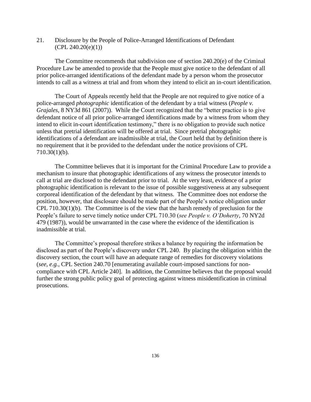21. Disclosure by the People of Police-Arranged Identifications of Defendant  $(CPL 240.20(e)(1))$ 

The Committee recommends that subdivision one of section 240.20(e) of the Criminal Procedure Law be amended to provide that the People must give notice to the defendant of all prior police-arranged identifications of the defendant made by a person whom the prosecutor intends to call as a witness at trial and from whom they intend to elicit an in-court identification.

The Court of Appeals recently held that the People are not required to give notice of a police-arranged *photographic* identification of the defendant by a trial witness (*People v. Grajales*, 8 NY3d 861 (2007)). While the Court recognized that the "better practice is to give defendant notice of all prior police-arranged identifications made by a witness from whom they intend to elicit in-court identification testimony," there is no obligation to provide such notice unless that pretrial identification will be offered at trial. Since pretrial photographic identifications of a defendant are inadmissible at trial, the Court held that by definition there is no requirement that it be provided to the defendant under the notice provisions of CPL 710.30(1)(b).

The Committee believes that it is important for the Criminal Procedure Law to provide a mechanism to insure that photographic identifications of any witness the prosecutor intends to call at trial are disclosed to the defendant prior to trial. At the very least, evidence of a prior photographic identification is relevant to the issue of possible suggestiveness at any subsequent corporeal identification of the defendant by that witness. The Committee does not endorse the position, however, that disclosure should be made part of the People's notice obligation under CPL 710.30(1)(b). The Committee is of the view that the harsh remedy of preclusion for the People's failure to serve timely notice under CPL 710.30 (*see People v. O'Doherty*, 70 NY2d 479 (1987)), would be unwarranted in the case where the evidence of the identification is inadmissible at trial.

The Committee's proposal therefore strikes a balance by requiring the information be disclosed as part of the People's discovery under CPL 240. By placing the obligation within the discovery section, the court will have an adequate range of remedies for discovery violations (*see, e.g.*, CPL Section 240.70 [enumerating available court-imposed sanctions for noncompliance with CPL Article 240]. In addition, the Committee believes that the proposal would further the strong public policy goal of protecting against witness misidentification in criminal prosecutions.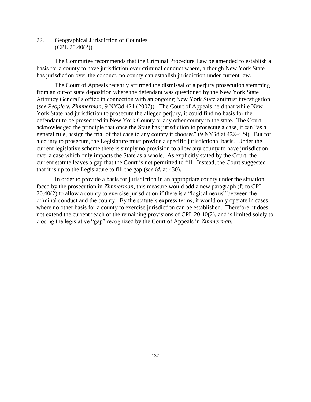22. Geographical Jurisdiction of Counties (CPL 20.40(2))

The Committee recommends that the Criminal Procedure Law be amended to establish a basis for a county to have jurisdiction over criminal conduct where, although New York State has jurisdiction over the conduct, no county can establish jurisdiction under current law.

The Court of Appeals recently affirmed the dismissal of a perjury prosecution stemming from an out-of state deposition where the defendant was questioned by the New York State Attorney General's office in connection with an ongoing New York State antitrust investigation (*see People v. Zimmerman*, 9 NY3d 421 (2007)). The Court of Appeals held that while New York State had jurisdiction to prosecute the alleged perjury, it could find no basis for the defendant to be prosecuted in New York County or any other county in the state. The Court acknowledged the principle that once the State has jurisdiction to prosecute a case, it can "as a general rule, assign the trial of that case to any county it chooses" (9 NY3d at 428-429). But for a county to prosecute, the Legislature must provide a specific jurisdictional basis. Under the current legislative scheme there is simply no provision to allow any county to have jurisdiction over a case which only impacts the State as a whole. As explicitly stated by the Court, the current statute leaves a gap that the Court is not permitted to fill. Instead, the Court suggested that it is up to the Legislature to fill the gap (*see id*. at 430).

In order to provide a basis for jurisdiction in an appropriate county under the situation faced by the prosecution in *Zimmerman*, this measure would add a new paragraph (f) to CPL 20.40(2) to allow a county to exercise jurisdiction if there is a "logical nexus" between the criminal conduct and the county. By the statute's express terms, it would only operate in cases where no other basis for a county to exercise jurisdiction can be established. Therefore, it does not extend the current reach of the remaining provisions of CPL 20.40(2), and is limited solely to closing the legislative "gap" recognized by the Court of Appeals in *Zimmerman*.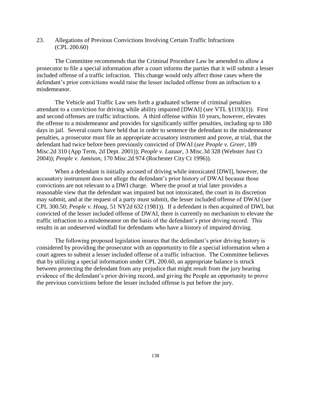23. Allegations of Previous Convictions Involving Certain Traffic Infractions (CPL 200.60)

The Committee recommends that the Criminal Procedure Law be amended to allow a prosecutor to file a special information after a court informs the parties that it will submit a lesser included offense of a traffic infraction. This change would only affect those cases where the defendant's prior convictions would raise the lesser included offense from an infraction to a misdemeanor.

The Vehicle and Traffic Law sets forth a graduated scheme of criminal penalties attendant to a conviction for driving while ability impaired [DWAI] (*see* VTL §1193(1)). First and second offenses are traffic infractions. A third offense within 10 years, however, elevates the offense to a misdemeanor and provides for significantly stiffer penalties, including up to 180 days in jail. Several courts have held that in order to sentence the defendant to the misdemeanor penalties, a prosecutor must file an appropriate accusatory instrument and prove, at trial, that the defendant had twice before been previously convicted of DWAI (*see People v. Greer*, 189 Misc.2d 310 (App Term, 2d Dept. 2001)); *People v. Lazaar*, 3 Misc.3d 328 (Webster Just Ct 2004)); *People v. Jamison*, 170 Misc.2d 974 (Rochester City Ct 1996)).

When a defendant is initially accused of driving while intoxicated [DWI], however, the accusatory instrument does not allege the defendant's prior history of DWAI because those convictions are not relevant to a DWI charge. Where the proof at trial later provides a reasonable view that the defendant was impaired but not intoxicated, the court in its discretion may submit, and at the request of a party must submit, the lesser included offense of DWAI (*see* CPL 300.50; *People v. Hoag*, 51 NY2d 632 (1981)). If a defendant is then acquitted of DWI, but convicted of the lesser included offense of DWAI, there is currently no mechanism to elevate the traffic infraction to a misdemeanor on the basis of the defendant's prior driving record. This results in an undeserved windfall for defendants who have a history of impaired driving.

The following proposed legislation insures that the defendant's prior driving history is considered by providing the prosecutor with an opportunity to file a special information when a court agrees to submit a lesser included offense of a traffic infraction. The Committee believes that by utilizing a special information under CPL 200.60, an appropriate balance is struck between protecting the defendant from any prejudice that might result from the jury hearing evidence of the defendant's prior driving record, and giving the People an opportunity to prove the previous convictions before the lesser included offense is put before the jury.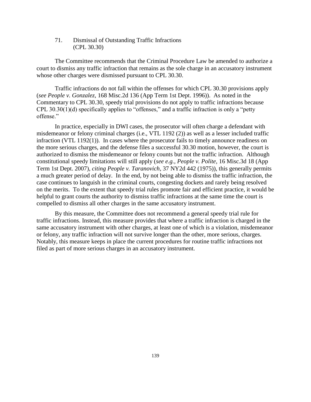71. Dismissal of Outstanding Traffic Infractions (CPL 30.30)

The Committee recommends that the Criminal Procedure Law be amended to authorize a court to dismiss any traffic infraction that remains as the sole charge in an accusatory instrument whose other charges were dismissed pursuant to CPL 30.30.

Traffic infractions do not fall within the offenses for which CPL 30.30 provisions apply (*see People v. Gonzalez*, 168 Misc.2d 136 (App Term 1st Dept. 1996)). As noted in the Commentary to CPL 30.30, speedy trial provisions do not apply to traffic infractions because CPL 30.30(1)(d) specifically applies to "offenses," and a traffic infraction is only a "petty offense."

In practice, especially in DWI cases, the prosecutor will often charge a defendant with misdemeanor or felony criminal charges (i.e., VTL 1192 (2)) as well as a lesser included traffic infraction (VTL 1192(1)). In cases where the prosecutor fails to timely announce readiness on the more serious charges, and the defense files a successful 30.30 motion, however, the court is authorized to dismiss the misdemeanor or felony counts but not the traffic infraction. Although constitutional speedy limitations will still apply (*see e.g., People v. Polite,* 16 Misc.3d 18 (App Term 1st Dept. 2007), *citing People v. Taranovich*, 37 NY2d 442 (1975)), this generally permits a much greater period of delay. In the end, by not being able to dismiss the traffic infraction, the case continues to languish in the criminal courts, congesting dockets and rarely being resolved on the merits. To the extent that speedy trial rules promote fair and efficient practice, it would be helpful to grant courts the authority to dismiss traffic infractions at the same time the court is compelled to dismiss all other charges in the same accusatory instrument.

By this measure, the Committee does not recommend a general speedy trial rule for traffic infractions. Instead, this measure provides that where a traffic infraction is charged in the same accusatory instrument with other charges, at least one of which is a violation, misdemeanor or felony, any traffic infraction will not survive longer than the other, more serious, charges. Notably, this measure keeps in place the current procedures for routine traffic infractions not filed as part of more serious charges in an accusatory instrument.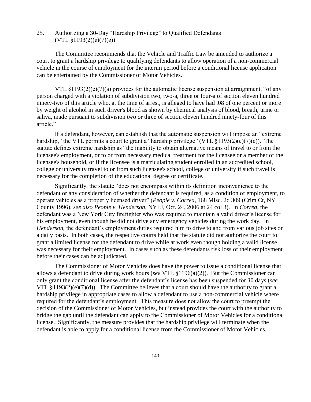25. Authorizing a 30-Day "Hardship Privilege" to Qualified Defendants  $(VTL \S1193(2)(e)(7)(e))$ 

The Committee recommends that the Vehicle and Traffic Law be amended to authorize a court to grant a hardship privilege to qualifying defendants to allow operation of a non-commercial vehicle in the course of employment for the interim period before a conditional license application can be entertained by the Commissioner of Motor Vehicles.

VTL §1193(2)(e)(7)(a) provides for the automatic license suspension at arraignment, "of any person charged with a violation of subdivision two, two-a, three or four-a of section eleven hundred ninety-two of this article who, at the time of arrest, is alleged to have had .08 of one percent or more by weight of alcohol in such driver's blood as shown by chemical analysis of blood, breath, urine or saliva, made pursuant to subdivision two or three of section eleven hundred ninety-four of this article."

If a defendant, however, can establish that the automatic suspension will impose an "extreme hardship," the VTL permits a court to grant a "hardship privilege" (VTL §1193(2)(e)(7)(e)). The statute defines extreme hardship as "the inability to obtain alternative means of travel to or from the licensee's employment, or to or from necessary medical treatment for the licensee or a member of the licensee's household, or if the licensee is a matriculating student enrolled in an accredited school, college or university travel to or from such licensee's school, college or university if such travel is necessary for the completion of the educational degree or certificate.

Significantly, the statute "does not encompass within its definition inconvenience to the defendant or any consideration of whether the defendant is required, as a condition of employment, to operate vehicles as a properly licensed driver" (*People v. Correa*, 168 Misc. 2d 309 (Crim Ct, NY County 1996), *see also People v. Henderson*, NYLJ, Oct. 24, 2006 at 24 col 3). In *Correa*, the defendant was a New York City firefighter who was required to maintain a valid driver's license for his employment, even though he did not drive any emergency vehicles during the work day. In *Henderson,* the defendant's employment duties required him to drive to and from various job sites on a daily basis. In both cases, the respective courts held that the statute did not authorize the court to grant a limited license for the defendant to drive while at work even though holding a valid license was necessary for their employment. In cases such as these defendants risk loss of their employment before their cases can be adjudicated.

The Commissioner of Motor Vehicles does have the power to issue a conditional license that allows a defendant to drive during work hours (*see* VTL §1196(a)(2)). But the Commissioner can only grant the conditional license after the defendant's license has been suspended for 30 days (*see* VTL  $$1193(2)(e)(7)(d)$ . The Committee believes that a court should have the authority to grant a hardship privilege in appropriate cases to allow a defendant to use a non-commercial vehicle where required for the defendant's employment. This measure does not allow the court to preempt the decision of the Commissioner of Motor Vehicles, but instead provides the court with the authority to bridge the gap until the defendant can apply to the Commissioner of Motor Vehicles for a conditional license. Significantly, the measure provides that the hardship privilege will terminate when the defendant is able to apply for a conditional license from the Commissioner of Motor Vehicles.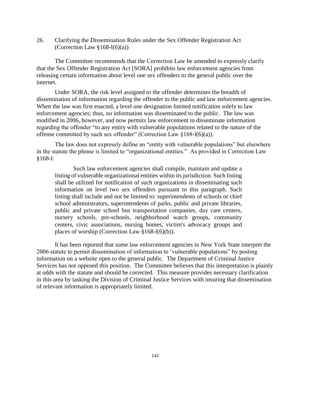26. Clarifying the Dissemination Rules under the Sex Offender Registration Act (Correction Law  $§168-1(6)(a)$ )

The Committee recommends that the Correction Law be amended to expressly clarify that the Sex Offender Registration Act [SORA] prohibits law enforcement agencies from releasing certain information about level one sex offenders to the general public over the internet.

Under SORA, the risk level assigned to the offender determines the breadth of dissemination of information regarding the offender to the public and law enforcement agencies. When the law was first enacted, a level one designation limited notification solely to law enforcement agencies; thus, no information was disseminated to the public. The law was modified in 2006, however, and now permits law enforcement to disseminate information regarding the offender "to any entity with vulnerable populations related to the nature of the offense committed by such sex offender" (Correction Law §168-l(6)(a)).

The law does not expressly define an "entity with vulnerable populations" but elsewhere in the statute the phrase is limited to "organizational entities." As provided in Correction Law §168-l:

Such law enforcement agencies shall compile, maintain and update a listing of vulnerable organizational entities within its jurisdiction. Such listing shall be utilized for notification of such organizations in disseminating such information on level two sex offenders pursuant to this paragraph. Such listing shall include and not be limited to: superintendents of schools or chief school administrators, superintendents of parks, public and private libraries, public and private school bus transportation companies, day care centers, nursery schools, pre-schools, neighborhood watch groups, community centers, civic associations, nursing homes, victim's advocacy groups and places of worship (Correction Law §168-l(6)(b)).

It has been reported that some law enforcement agencies in New York State interpret the 2006 statute to permit dissemination of information to 'vulnerable populations" by posting information on a website open to the general public. The Department of Criminal Justice Services has not opposed this position. The Committee believes that this interpretation is plainly at odds with the statute and should be corrected. This measure provides necessary clarification in this area by tasking the Division of Criminal Justice Services with insuring that dissemination of relevant information is appropriately limited.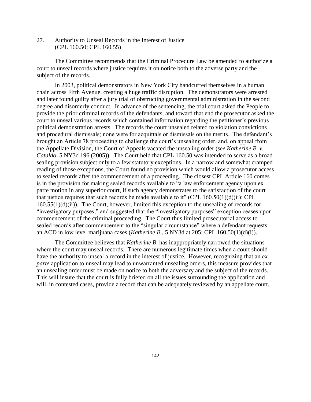27. Authority to Unseal Records in the Interest of Justice (CPL 160.50; CPL 160.55)

The Committee recommends that the Criminal Procedure Law be amended to authorize a court to unseal records where justice requires it on notice both to the adverse party and the subject of the records.

In 2003, political demonstrators in New York City handcuffed themselves in a human chain across Fifth Avenue, creating a huge traffic disruption. The demonstrators were arrested and later found guilty after a jury trial of obstructing governmental administration in the second degree and disorderly conduct. In advance of the sentencing, the trial court asked the People to provide the prior criminal records of the defendants, and toward that end the prosecutor asked the court to unseal various records which contained information regarding the petitioner's previous political demonstration arrests. The records the court unsealed related to violation convictions and procedural dismissals; none were for acquittals or dismissals on the merits. The defendant's brought an Article 78 proceeding to challenge the court's unsealing order, and, on appeal from the Appellate Division, the Court of Appeals vacated the unsealing order (*see Katherine B. v. Cataldo,* 5 NY3d 196 (2005)). The Court held that CPL 160.50 was intended to serve as a broad sealing provision subject only to a few statutory exceptions. In a narrow and somewhat cramped reading of those exceptions, the Court found no provision which would allow a prosecutor access to sealed records after the commencement of a proceeding. The closest CPL Article 160 comes is in the provision for making sealed records available to "a law enforcement agency upon ex parte motion in any superior court, if such agency demonstrates to the satisfaction of the court that justice requires that such records be made available to it" (CPL  $160.50(1)(d)(ii)$ ; CPL  $160.55(1)(d)(ii)$ . The Court, however, limited this exception to the unsealing of records for "investigatory purposes," and suggested that the "investigatory purposes" exception ceases upon commencement of the criminal proceeding. The Court thus limited prosecutorial access to sealed records after commencement to the "singular circumstance" where a defendant requests an ACD in low level marijuana cases (*Katherine B.,* 5 NY3d at 205; CPL 160.50(1)(d)(i)).

The Committee believes that *Katherine B*. has inappropriately narrowed the situations where the court may unseal records. There are numerous legitimate times when a court should have the authority to unseal a record in the interest of justice. However, recognizing that an *ex parte* application to unseal may lead to unwarranted unsealing orders, this measure provides that an unsealing order must be made on notice to both the adversary and the subject of the records. This will insure that the court is fully briefed on all the issues surrounding the application and will, in contested cases, provide a record that can be adequately reviewed by an appellate court.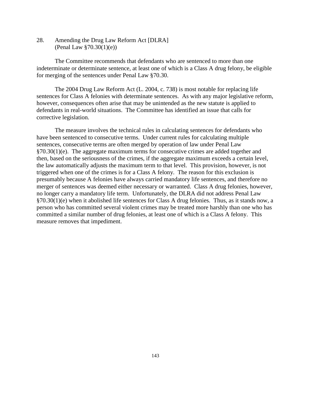28. Amending the Drug Law Reform Act [DLRA] (Penal Law §70.30(1)(e))

The Committee recommends that defendants who are sentenced to more than one indeterminate or determinate sentence, at least one of which is a Class A drug felony, be eligible for merging of the sentences under Penal Law §70.30.

The 2004 Drug Law Reform Act (L. 2004, c. 738) is most notable for replacing life sentences for Class A felonies with determinate sentences. As with any major legislative reform, however, consequences often arise that may be unintended as the new statute is applied to defendants in real-world situations. The Committee has identified an issue that calls for corrective legislation.

The measure involves the technical rules in calculating sentences for defendants who have been sentenced to consecutive terms. Under current rules for calculating multiple sentences, consecutive terms are often merged by operation of law under Penal Law §70.30(1)(e). The aggregate maximum terms for consecutive crimes are added together and then, based on the seriousness of the crimes, if the aggregate maximum exceeds a certain level, the law automatically adjusts the maximum term to that level. This provision, however, is not triggered when one of the crimes is for a Class A felony. The reason for this exclusion is presumably because A felonies have always carried mandatory life sentences, and therefore no merger of sentences was deemed either necessary or warranted. Class A drug felonies, however, no longer carry a mandatory life term. Unfortunately, the DLRA did not address Penal Law  $\S70.30(1)(e)$  when it abolished life sentences for Class A drug felonies. Thus, as it stands now, a person who has committed several violent crimes may be treated more harshly than one who has committed a similar number of drug felonies, at least one of which is a Class A felony. This measure removes that impediment.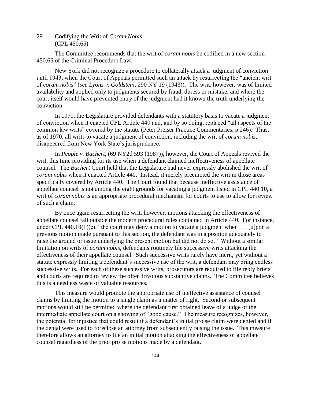29. Codifying the Writ of *Coram Nobis* (CPL 450.65)

The Committee recommends that the writ of *coram nobis* be codified in a new section 450.65 of the Criminal Procedure Law.

New York did not recognize a procedure to collaterally attack a judgment of conviction until 1943, when the Court of Appeals permitted such an attack by resurrecting the "ancient writ of *coram nobis*" (*see Lyons v. Goldstein*, 290 NY 19 (1943)). The writ, however, was of limited availability and applied only to judgments secured by fraud, duress or mistake, and where the court itself would have prevented entry of the judgment had it known the truth underlying the conviction.

In 1970, the Legislature provided defendants with a statutory basis to vacate a judgment of conviction when it enacted CPL Article 440 and, and by so doing, replaced "all aspects of the common law writs" covered by the statute (Peter Preiser Practice Commentaries, p 246). Thus, as of 1970, all writs to vacate a judgment of conviction, including the writ of *coram nobis*, disappeared from New York State's jurisprudence.

In *People v. Bachert*, (69 NY2d 593 (1987)), however, the Court of Appeals revived the writ, this time providing for its use when a defendant claimed ineffectiveness of appellate counsel. The *Bachert* Court held that the Legislature had never expressly abolished the writ of *coram nobis* when it enacted Article 440. Instead, it merely preempted the writ in those areas specifically covered by Article 440. The Court found that because ineffective assistance of appellate counsel is not among the eight grounds for vacating a judgment listed in CPL 440.10, a writ of *coram nobis* is an appropriate procedural mechanism for courts to use to allow for review of such a claim.

By once again resurrecting the writ, however, motions attacking the effectiveness of appellate counsel fall outside the modern procedural rules contained in Article 440. For instance, under CPL 440.10(1)(c), "the court may deny a motion to vacate a judgment when  $\dots$  [u]pon a previous motion made pursuant to this section, the defendant was in a position adequately to raise the ground or issue underlying the present motion but did not do so." Without a similar limitation on writs of *coram nobis*, defendants routinely file successive writs attacking the effectiveness of their appellate counsel. Such successive writs rarely have merit, yet without a statute expressly limiting a defendant's successive use of the writ, a defendant may bring endless successive writs. For each of these successive writs, prosecutors are required to file reply briefs and courts are required to review the often frivolous substantive claims. The Committee believes this is a needless waste of valuable resources.

This measure would promote the appropriate use of ineffective assistance of counsel claims by limiting the motion to a single claim as a matter of right. Second or subsequent motions would still be permitted where the defendant first obtained leave of a judge of the intermediate appellate court on a showing of "good cause." The measure recognizes, however, the potential for injustice that could result if a defendant's initial pro se claim were denied and if the denial were used to foreclose an attorney from subsequently raising the issue. This measure therefore allows an attorney to file an initial motion attacking the effectiveness of appellate counsel regardless of the prior pro se motions made by a defendant.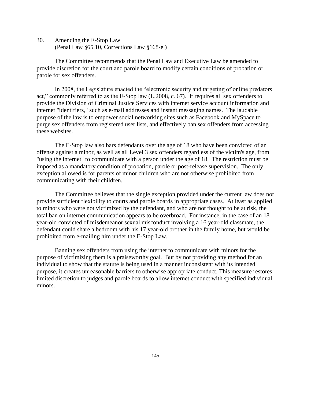30. Amending the E-Stop Law (Penal Law §65.10, Corrections Law §168-e )

The Committee recommends that the Penal Law and Executive Law be amended to provide discretion for the court and parole board to modify certain conditions of probation or parole for sex offenders.

In 2008, the Legislature enacted the "electronic security and targeting of online predators act," commonly referred to as the E-Stop law (L.2008, c. 67). It requires all sex offenders to provide the Division of Criminal Justice Services with internet service account information and internet "identifiers," such as e-mail addresses and instant messaging names. The laudable purpose of the law is to empower social networking sites such as Facebook and MySpace to purge sex offenders from registered user lists, and effectively ban sex offenders from accessing these websites.

The E-Stop law also bars defendants over the age of 18 who have been convicted of an offense against a minor, as well as all Level 3 sex offenders regardless of the victim's age, from "using the internet" to communicate with a person under the age of 18. The restriction must be imposed as a mandatory condition of probation, parole or post-release supervision. The only exception allowed is for parents of minor children who are not otherwise prohibited from communicating with their children.

The Committee believes that the single exception provided under the current law does not provide sufficient flexibility to courts and parole boards in appropriate cases. At least as applied to minors who were not victimized by the defendant, and who are not thought to be at risk, the total ban on internet communication appears to be overbroad. For instance, in the case of an 18 year-old convicted of misdemeanor sexual misconduct involving a 16 year-old classmate, the defendant could share a bedroom with his 17 year-old brother in the family home, but would be prohibited from e-mailing him under the E-Stop Law.

Banning sex offenders from using the internet to communicate with minors for the purpose of victimizing them is a praiseworthy goal. But by not providing any method for an individual to show that the statute is being used in a manner inconsistent with its intended purpose, it creates unreasonable barriers to otherwise appropriate conduct. This measure restores limited discretion to judges and parole boards to allow internet conduct with specified individual minors.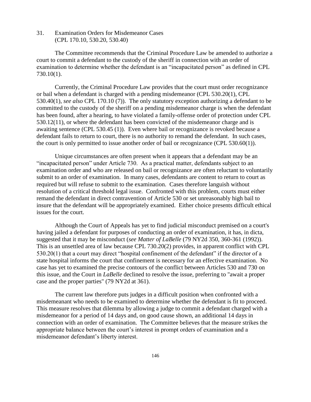31. Examination Orders for Misdemeanor Cases (CPL 170.10, 530.20, 530.40)

The Committee recommends that the Criminal Procedure Law be amended to authorize a court to commit a defendant to the custody of the sheriff in connection with an order of examination to determine whether the defendant is an "incapacitated person" as defined in CPL 730.10(1).

Currently, the Criminal Procedure Law provides that the court must order recognizance or bail when a defendant is charged with a pending misdemeanor (CPL 530.20(1), CPL 530.40(1), *see also* CPL 170.10 (7)). The only statutory exception authorizing a defendant to be committed to the custody of the sheriff on a pending misdemeanor charge is when the defendant has been found, after a hearing, to have violated a family-offense order of protection under CPL 530.12(11), or where the defendant has been convicted of the misdemeanor charge and is awaiting sentence (CPL 530.45 (1)). Even where bail or recognizance is revoked because a defendant fails to return to court, there is no authority to remand the defendant. In such cases, the court is only permitted to issue another order of bail or recognizance (CPL 530.60(1)).

Unique circumstances are often present when it appears that a defendant may be an "incapacitated person" under Article 730. As a practical matter, defendants subject to an examination order and who are released on bail or recognizance are often reluctant to voluntarily submit to an order of examination. In many cases, defendants are content to return to court as required but will refuse to submit to the examination. Cases therefore languish without resolution of a critical threshold legal issue. Confronted with this problem, courts must either remand the defendant in direct contravention of Article 530 or set unreasonably high bail to insure that the defendant will be appropriately examined. Either choice presents difficult ethical issues for the court.

Although the Court of Appeals has yet to find judicial misconduct premised on a court's having jailed a defendant for purposes of conducting an order of examination, it has, in dicta, suggested that it may be misconduct (*see Matter of LaBelle* (79 NY2d 350, 360-361 (1992)). This is an unsettled area of law because CPL 730.20(2) provides, in apparent conflict with CPL 530.20(1) that a court may direct "hospital confinement of the defendant" if the director of a state hospital informs the court that confinement is necessary for an effective examination. No case has yet to examined the precise contours of the conflict between Articles 530 and 730 on this issue, and the Court in *LaBelle* declined to resolve the issue, preferring to "await a proper case and the proper parties" (79 NY2d at 361).

The current law therefore puts judges in a difficult position when confronted with a misdemeanant who needs to be examined to determine whether the defendant is fit to proceed. This measure resolves that dilemma by allowing a judge to commit a defendant charged with a misdemeanor for a period of 14 days and, on good cause shown, an additional 14 days in connection with an order of examination. The Committee believes that the measure strikes the appropriate balance between the court's interest in prompt orders of examination and a misdemeanor defendant's liberty interest.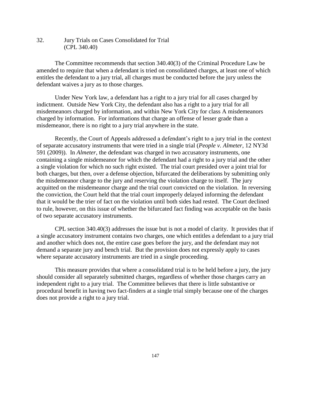# 32. Jury Trials on Cases Consolidated for Trial (CPL 340.40)

The Committee recommends that section 340.40(3) of the Criminal Procedure Law be amended to require that when a defendant is tried on consolidated charges, at least one of which entitles the defendant to a jury trial, all charges must be conducted before the jury unless the defendant waives a jury as to those charges.

Under New York law, a defendant has a right to a jury trial for all cases charged by indictment. Outside New York City, the defendant also has a right to a jury trial for all misdemeanors charged by information, and within New York City for class A misdemeanors charged by information. For informations that charge an offense of lesser grade than a misdemeanor, there is no right to a jury trial anywhere in the state.

Recently, the Court of Appeals addressed a defendant's right to a jury trial in the context of separate accusatory instruments that were tried in a single trial (*People v. Almeter*, 12 NY3d 591 (2009)). In *Almeter*, the defendant was charged in two accusatory instruments, one containing a single misdemeanor for which the defendant had a right to a jury trial and the other a single violation for which no such right existed. The trial court presided over a joint trial for both charges, but then, over a defense objection, bifurcated the deliberations by submitting only the misdemeanor charge to the jury and reserving the violation charge to itself. The jury acquitted on the misdemeanor charge and the trial court convicted on the violation. In reversing the conviction, the Court held that the trial court improperly delayed informing the defendant that it would be the trier of fact on the violation until both sides had rested. The Court declined to rule, however, on this issue of whether the bifurcated fact finding was acceptable on the basis of two separate accusatory instruments.

CPL section 340.40(3) addresses the issue but is not a model of clarity. It provides that if a single accusatory instrument contains two charges, one which entitles a defendant to a jury trial and another which does not, the entire case goes before the jury, and the defendant may not demand a separate jury and bench trial. But the provision does not expressly apply to cases where separate accusatory instruments are tried in a single proceeding.

This measure provides that where a consolidated trial is to be held before a jury, the jury should consider all separately submitted charges, regardless of whether those charges carry an independent right to a jury trial. The Committee believes that there is little substantive or procedural benefit in having two fact-finders at a single trial simply because one of the charges does not provide a right to a jury trial.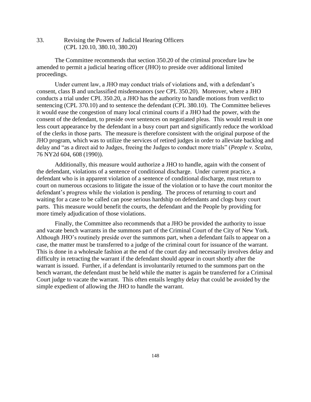33. Revising the Powers of Judicial Hearing Officers (CPL 120.10, 380.10, 380.20)

The Committee recommends that section 350.20 of the criminal procedure law be amended to permit a judicial hearing officer (JHO) to preside over additional limited proceedings.

Under current law, a JHO may conduct trials of violations and, with a defendant's consent, class B and unclassified misdemeanors (*see* CPL 350.20). Moreover, where a JHO conducts a trial under CPL 350.20, a JHO has the authority to handle motions from verdict to sentencing (CPL 370.10) and to sentence the defendant (CPL 380.10). The Committee believes it would ease the congestion of many local criminal courts if a JHO had the power, with the consent of the defendant, to preside over sentences on negotiated pleas. This would result in one less court appearance by the defendant in a busy court part and significantly reduce the workload of the clerks in those parts. The measure is therefore consistent with the original purpose of the JHO program, which was to utilize the services of retired judges in order to alleviate backlog and delay and "as a direct aid to Judges, freeing the Judges to conduct more trials" (*People v. Scalza*, 76 NY2d 604, 608 (1990)).

Additionally, this measure would authorize a JHO to handle, again with the consent of the defendant, violations of a sentence of conditional discharge. Under current practice, a defendant who is in apparent violation of a sentence of conditional discharge, must return to court on numerous occasions to litigate the issue of the violation or to have the court monitor the defendant's progress while the violation is pending. The process of returning to court and waiting for a case to be called can pose serious hardship on defendants and clogs busy court parts. This measure would benefit the courts, the defendant and the People by providing for more timely adjudication of those violations.

Finally, the Committee also recommends that a JHO be provided the authority to issue and vacate bench warrants in the summons part of the Criminal Court of the City of New York. Although JHO's routinely preside over the summons part, when a defendant fails to appear on a case, the matter must be transferred to a judge of the criminal court for issuance of the warrant. This is done in a wholesale fashion at the end of the court day and necessarily involves delay and difficulty in retracting the warrant if the defendant should appear in court shortly after the warrant is issued. Further, if a defendant is involuntarily returned to the summons part on the bench warrant, the defendant must be held while the matter is again be transferred for a Criminal Court judge to vacate the warrant. This often entails lengthy delay that could be avoided by the simple expedient of allowing the JHO to handle the warrant.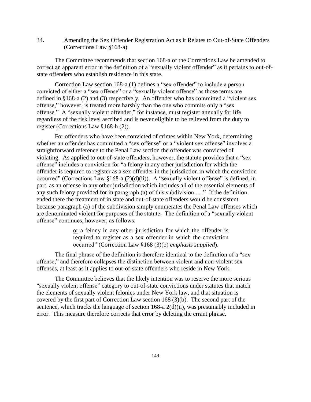34**.** Amending the Sex Offender Registration Act as it Relates to Out-of-State Offenders (Corrections Law §168-a)

The Committee recommends that section 168-a of the Corrections Law be amended to correct an apparent error in the definition of a "sexually violent offender" as it pertains to out-ofstate offenders who establish residence in this state.

Correction Law section 168-a (1) defines a "sex offender" to include a person convicted of either a "sex offense" or a "sexually violent offense" as those terms are defined in §168-a (2) and (3) respectively. An offender who has committed a "violent sex offense," however, is treated more harshly than the one who commits only a "sex offense." A "sexually violent offender," for instance, must register annually for life regardless of the risk level ascribed and is never eligible to be relieved from the duty to register (Corrections Law §168-h (2)).

For offenders who have been convicted of crimes within New York, determining whether an offender has committed a "sex offense" or a "violent sex offense" involves a straightforward reference to the Penal Law section the offender was convicted of violating. As applied to out-of-state offenders, however, the statute provides that a "sex offense" includes a conviction for "a felony in any other jurisdiction for which the offender is required to register as a sex offender in the jurisdiction in which the conviction occurred" (Corrections Law §168-a (2)(d)(ii)). A "sexually violent offense" is defined, in part, as an offense in any other jurisdiction which includes all of the essential elements of any such felony provided for in paragraph (a) of this subdivision . . ." If the definition ended there the treatment of in state and out-of-state offenders would be consistent because paragraph (a) of the subdivision simply enumerates the Penal Law offenses which are denominated violent for purposes of the statute. The definition of a "sexually violent offense" continues, however, as follows:

> or a felony in any other jurisdiction for which the offender is required to register as a sex offender in which the conviction occurred" (Correction Law §168 (3)(b) *emphasis supplied*).

The final phrase of the definition is therefore identical to the definition of a "sex offense," and therefore collapses the distinction between violent and non-violent sex offenses, at least as it applies to out-of-state offenders who reside in New York.

The Committee believes that the likely intention was to reserve the more serious "sexually violent offense" category to out-of-state convictions under statutes that match the elements of sexually violent felonies under New York law, and that situation is covered by the first part of Correction Law section 168 (3)(b). The second part of the sentence, which tracks the language of section 168-a 2(d)(ii), was presumably included in error. This measure therefore corrects that error by deleting the errant phrase.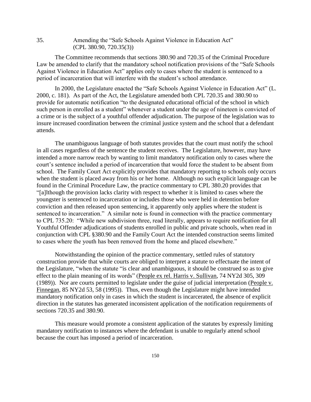35. Amending the "Safe Schools Against Violence in Education Act" (CPL 380.90, 720.35(3))

The Committee recommends that sections 380.90 and 720.35 of the Criminal Procedure Law be amended to clarify that the mandatory school notification provisions of the "Safe Schools Against Violence in Education Act" applies only to cases where the student is sentenced to a period of incarceration that will interfere with the student's school attendance.

In 2000, the Legislature enacted the "Safe Schools Against Violence in Education Act" (L. 2000, c. 181). As part of the Act, the Legislature amended both CPL 720.35 and 380.90 to provide for automatic notification "to the designated educational official of the school in which such person in enrolled as a student" whenever a student under the age of nineteen is convicted of a crime or is the subject of a youthful offender adjudication. The purpose of the legislation was to insure increased coordination between the criminal justice system and the school that a defendant attends.

The unambiguous language of both statutes provides that the court must notify the school in all cases regardless of the sentence the student receives. The Legislature, however, may have intended a more narrow reach by wanting to limit mandatory notification only to cases where the court's sentence included a period of incarceration that would force the student to be absent from school. The Family Court Act explicitly provides that mandatory reporting to schools only occurs when the student is placed away from his or her home. Although no such explicit language can be found in the Criminal Procedure Law, the practice commentary to CPL 380.20 provides that "[a]lthough the provision lacks clarity with respect to whether it is limited to cases where the youngster is sentenced to incarceration or includes those who were held in detention before conviction and then released upon sentencing, it apparently only applies where the student is sentenced to incarceration." A similar note is found in connection with the practice commentary to CPL 735.20: "While new subdivision three, read literally, appears to require notification for all Youthful Offender adjudications of students enrolled in public and private schools, when read in conjunction with CPL §380.90 and the Family Court Act the intended construction seems limited to cases where the youth has been removed from the home and placed elsewhere."

Notwithstanding the opinion of the practice commentary, settled rules of statutory construction provide that while courts are obliged to interpret a statute to effectuate the intent of the Legislature, "when the statute "is clear and unambiguous, it should be construed so as to give effect to the plain meaning of its words" (People ex rel. Harris v. Sullivan, 74 NY2d 305, 309 (1989)). Nor are courts permitted to legislate under the guise of judicial interpretation (People v. Finnegan, 85 NY2d 53, 58 (1995)). Thus, even though the Legislature might have intended mandatory notification only in cases in which the student is incarcerated, the absence of explicit direction in the statutes has generated inconsistent application of the notification requirements of sections 720.35 and 380.90.

This measure would promote a consistent application of the statutes by expressly limiting mandatory notification to instances where the defendant is unable to regularly attend school because the court has imposed a period of incarceration.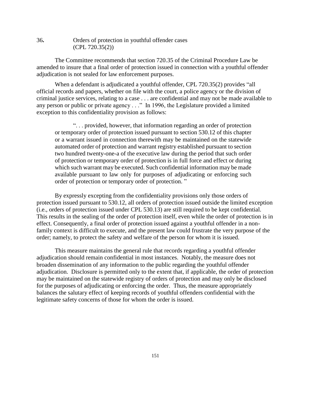### 36**.** Orders of protection in youthful offender cases (CPL 720.35(2))

The Committee recommends that section 720.35 of the Criminal Procedure Law be amended to insure that a final order of protection issued in connection with a youthful offender adjudication is not sealed for law enforcement purposes.

When a defendant is adjudicated a youthful offender, CPL 720.35(2) provides "all official records and papers, whether on file with the court, a police agency or the division of criminal justice services, relating to a case . . . are confidential and may not be made available to any person or public or private agency . . ." In 1996, the Legislature provided a limited exception to this confidentiality provision as follows:

". . . provided, however, that information regarding an order of protection or temporary order of protection issued pursuant to section 530.12 of this chapter or a warrant issued in connection therewith may be maintained on the statewide automated order of protection and warrant registry established pursuant to section two hundred twenty-one-a of the executive law during the period that such order of protection or temporary order of protection is in full force and effect or during which such warrant may be executed. Such confidential information may be made available pursuant to law only for purposes of adjudicating or enforcing such order of protection or temporary order of protection. "

By expressly excepting from the confidentiality provisions only those orders of protection issued pursuant to 530.12, all orders of protection issued outside the limited exception (i.e., orders of protection issued under CPL 530.13) are still required to be kept confidential. This results in the sealing of the order of protection itself, even while the order of protection is in effect. Consequently, a final order of protection issued against a youthful offender in a nonfamily context is difficult to execute, and the present law could frustrate the very purpose of the order; namely, to protect the safety and welfare of the person for whom it is issued.

This measure maintains the general rule that records regarding a youthful offender adjudication should remain confidential in most instances. Notably, the measure does not broaden dissemination of any information to the public regarding the youthful offender adjudication. Disclosure is permitted only to the extent that, if applicable, the order of protection may be maintained on the statewide registry of orders of protection and may only be disclosed for the purposes of adjudicating or enforcing the order. Thus, the measure appropriately balances the salutary effect of keeping records of youthful offenders confidential with the legitimate safety concerns of those for whom the order is issued.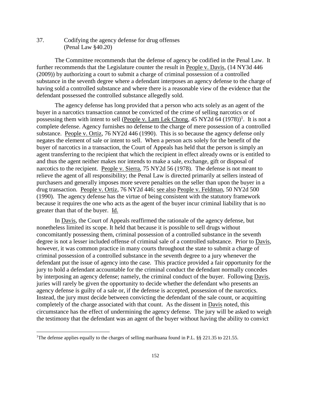37. Codifying the agency defense for drug offenses (Penal Law §40.20)

The Committee recommends that the defense of agency be codified in the Penal Law. It further recommends that the Legislature counter the result in People v. Davis, (14 NY3d 446 (2009)) by authorizing a court to submit a charge of criminal possession of a controlled substance in the seventh degree where a defendant interposes an agency defense to the charge of having sold a controlled substance and where there is a reasonable view of the evidence that the defendant possessed the controlled substance allegedly sold.

The agency defense has long provided that a person who acts solely as an agent of the buyer in a narcotics transaction cannot be convicted of the crime of selling narcotics or of possessing them with intent to sell (People v. Lam Lek Chong, 45 NY2d 64 (1978))<sup>1</sup>. It is not a complete defense. Agency furnishes no defense to the charge of mere possession of a controlled substance. People v. Ortiz, 76 NY2d 446 (1990). This is so because the agency defense only negates the element of sale or intent to sell. When a person acts solely for the benefit of the buyer of narcotics in a transaction, the Court of Appeals has held that the person is simply an agent transferring to the recipient that which the recipient in effect already owns or is entitled to and thus the agent neither makes nor intends to make a sale, exchange, gift or disposal of narcotics to the recipient. People v. Sierra, 75 NY2d 56 (1978). The defense is not meant to relieve the agent of all responsibility; the Penal Law is directed primarily at sellers instead of purchasers and generally imposes more severe penalties on the seller than upon the buyer in a drug transaction. People v. Ortiz, 76 NY2d 446; see also People v. Feldman, 50 NY2d 500 (1990). The agency defense has the virtue of being consistent with the statutory framework because it requires the one who acts as the agent of the buyer incur criminal liability that is no greater than that of the buyer. Id.

In Davis, the Court of Appeals reaffirmed the rationale of the agency defense, but nonetheless limited its scope. It held that because it is possible to sell drugs without concomitantly possessing them, criminal possession of a controlled substance in the seventh degree is not a lesser included offense of criminal sale of a controlled substance. Prior to Davis, however, it was common practice in many courts throughout the state to submit a charge of criminal possession of a controlled substance in the seventh degree to a jury whenever the defendant put the issue of agency into the case. This practice provided a fair opportunity for the jury to hold a defendant accountable for the criminal conduct the defendant normally concedes by interposing an agency defense; namely, the criminal conduct of the buyer. Following Davis, juries will rarely be given the opportunity to decide whether the defendant who presents an agency defense is guilty of a sale or, if the defense is accepted, possession of the narcotics. Instead, the jury must decide between convicting the defendant of the sale count, or acquitting completely of the charge associated with that count. As the dissent in Davis noted, this circumstance has the effect of undermining the agency defense. The jury will be asked to weigh the testimony that the defendant was an agent of the buyer without having the ability to convict

 $\overline{a}$ 

<sup>&</sup>lt;sup>1</sup>The defense applies equally to the charges of selling marihuana found in P.L. §§ 221.35 to 221.55.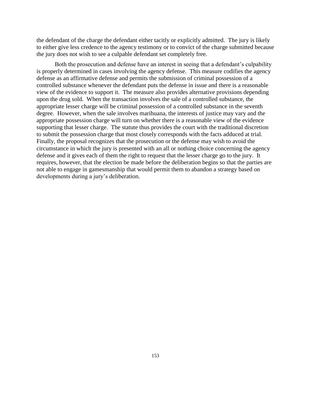the defendant of the charge the defendant either tacitly or explicitly admitted. The jury is likely to either give less credence to the agency testimony or to convict of the charge submitted because the jury does not wish to see a culpable defendant set completely free.

Both the prosecution and defense have an interest in seeing that a defendant's culpability is properly determined in cases involving the agency defense. This measure codifies the agency defense as an affirmative defense and permits the submission of criminal possession of a controlled substance whenever the defendant puts the defense in issue and there is a reasonable view of the evidence to support it. The measure also provides alternative provisions depending upon the drug sold. When the transaction involves the sale of a controlled substance, the appropriate lesser charge will be criminal possession of a controlled substance in the seventh degree. However, when the sale involves marihuana, the interests of justice may vary and the appropriate possession charge will turn on whether there is a reasonable view of the evidence supporting that lesser charge. The statute thus provides the court with the traditional discretion to submit the possession charge that most closely corresponds with the facts adduced at trial. Finally, the proposal recognizes that the prosecution or the defense may wish to avoid the circumstance in which the jury is presented with an all or nothing choice concerning the agency defense and it gives each of them the right to request that the lesser charge go to the jury. It requires, however, that the election be made before the deliberation begins so that the parties are not able to engage in gamesmanship that would permit them to abandon a strategy based on developments during a jury's deliberation.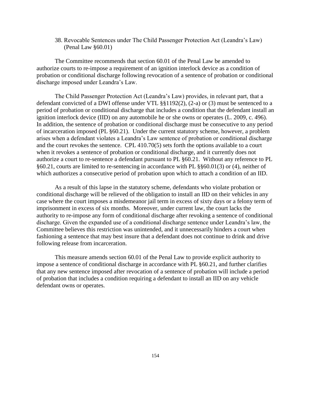38. Revocable Sentences under The Child Passenger Protection Act (Leandra's Law) (Penal Law §60.01)

The Committee recommends that section 60.01 of the Penal Law be amended to authorize courts to re-impose a requirement of an ignition interlock device as a condition of probation or conditional discharge following revocation of a sentence of probation or conditional discharge imposed under Leandra's Law.

The Child Passenger Protection Act (Leandra's Law) provides, in relevant part, that a defendant convicted of a DWI offense under VTL §§1192(2), (2-a) or (3) must be sentenced to a period of probation or conditional discharge that includes a condition that the defendant install an ignition interlock device (IID) on any automobile he or she owns or operates (L. 2009, c. 496). In addition, the sentence of probation or conditional discharge must be consecutive to any period of incarceration imposed (PL §60.21). Under the current statutory scheme, however, a problem arises when a defendant violates a Leandra's Law sentence of probation or conditional discharge and the court revokes the sentence. CPL 410.70(5) sets forth the options available to a court when it revokes a sentence of probation or conditional discharge, and it currently does not authorize a court to re-sentence a defendant pursuant to PL §60.21. Without any reference to PL §60.21, courts are limited to re-sentencing in accordance with PL §§60.01(3) or (4), neither of which authorizes a consecutive period of probation upon which to attach a condition of an IID.

As a result of this lapse in the statutory scheme, defendants who violate probation or conditional discharge will be relieved of the obligation to install an IID on their vehicles in any case where the court imposes a misdemeanor jail term in excess of sixty days or a felony term of imprisonment in excess of six months. Moreover, under current law, the court lacks the authority to re-impose any form of conditional discharge after revoking a sentence of conditional discharge. Given the expanded use of a conditional discharge sentence under Leandra's law, the Committee believes this restriction was unintended, and it unnecessarily hinders a court when fashioning a sentence that may best insure that a defendant does not continue to drink and drive following release from incarceration.

This measure amends section 60.01 of the Penal Law to provide explicit authority to impose a sentence of conditional discharge in accordance with PL §60.21, and further clarifies that any new sentence imposed after revocation of a sentence of probation will include a period of probation that includes a condition requiring a defendant to install an IID on any vehicle defendant owns or operates.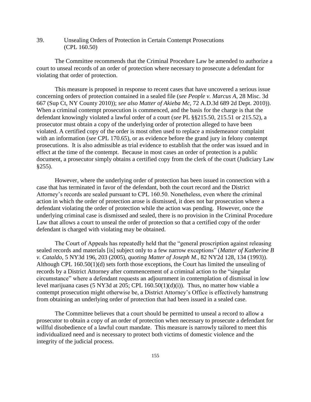39. Unsealing Orders of Protection in Certain Contempt Prosecutions (CPL 160.50)

The Committee recommends that the Criminal Procedure Law be amended to authorize a court to unseal records of an order of protection where necessary to prosecute a defendant for violating that order of protection.

This measure is proposed in response to recent cases that have uncovered a serious issue concerning orders of protection contained in a sealed file (*see People v. Marcus A*, 28 Misc. 3d 667 (Sup Ct, NY County 2010)); *see also Matter of Akieba Mc*, 72 A.D.3d 689 2d Dept. 2010)). When a criminal contempt prosecution is commenced, and the basis for the charge is that the defendant knowingly violated a lawful order of a court (*see* PL §§215.50, 215.51 or 215.52), a prosecutor must obtain a copy of the underlying order of protection alleged to have been violated. A certified copy of the order is most often used to replace a misdemeanor complaint with an information (*see* CPL 170.65), or as evidence before the grand jury in felony contempt prosecutions. It is also admissible as trial evidence to establish that the order was issued and in effect at the time of the contempt. Because in most cases an order of protection is a public document, a prosecutor simply obtains a certified copy from the clerk of the court (Judiciary Law  $§255$ ).

However, where the underlying order of protection has been issued in connection with a case that has terminated in favor of the defendant, both the court record and the District Attorney's records are sealed pursuant to CPL 160.50. Nonetheless, even where the criminal action in which the order of protection arose is dismissed, it does not bar prosecution where a defendant violating the order of protection while the action was pending. However, once the underlying criminal case is dismissed and sealed, there is no provision in the Criminal Procedure Law that allows a court to unseal the order of protection so that a certified copy of the order defendant is charged with violating may be obtained.

The Court of Appeals has repeatedly held that the "general proscription against releasing sealed records and materials [is] subject only to a few narrow exceptions" (*Matter of Katherine B v. Cataldo*, 5 NY3d 196, 203 (2005), *quoting Matter of Joseph M*., 82 NY2d 128, 134 (1993)). Although CPL 160.50(1)(d) sets forth those exceptions, the Court has limited the unsealing of records by a District Attorney after commencement of a criminal action to the "singular circumstance" where a defendant requests an adjournment in contemplation of dismissal in low level marijuana cases (5 NY3d at 205; CPL 160.50(1)(d)(i)). Thus, no matter how viable a contempt prosecution might otherwise be, a District Attorney's Office is effectively hamstrung from obtaining an underlying order of protection that had been issued in a sealed case.

The Committee believes that a court should be permitted to unseal a record to allow a prosecutor to obtain a copy of an order of protection when necessary to prosecute a defendant for willful disobedience of a lawful court mandate. This measure is narrowly tailored to meet this individualized need and is necessary to protect both victims of domestic violence and the integrity of the judicial process.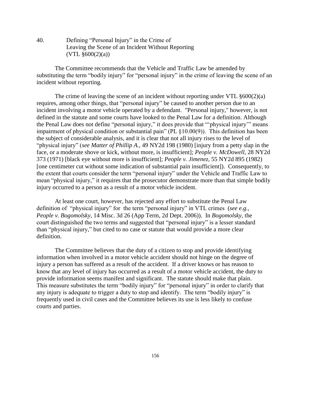40. Defining "Personal Injury" in the Crime of Leaving the Scene of an Incident Without Reporting  $(VTL \S 600(2)(a))$ 

The Committee recommends that the Vehicle and Traffic Law be amended by substituting the term "bodily injury" for "personal injury" in the crime of leaving the scene of an incident without reporting.

The crime of leaving the scene of an incident without reporting under VTL  $\S600(2)(a)$ requires, among other things, that "personal injury" be caused to another person due to an incident involving a motor vehicle operated by a defendant. "Personal injury," however, is not defined in the statute and some courts have looked to the Penal Law for a definition. Although the Penal Law does not define "personal injury," it does provide that "'physical injury'" means impairment of physical condition or substantial pain" (PL §10.00(9)). This definition has been the subject of considerable analysis, and it is clear that not all injury rises to the level of "physical injury" (*see Matter of Phillip A.,* 49 NY2d 198 (1980) [injury from a petty slap in the face, or a moderate shove or kick, without more, is insufficient]; *People v. McDowell*, 28 NY2d 373 (1971) [black eye without more is insufficient]; *People v. Jimenez,* 55 NY2d 895 (1982) [one centimeter cut without some indication of substantial pain insufficient]). Consequently, to the extent that courts consider the term "personal injury" under the Vehicle and Traffic Law to mean "physical injury," it requires that the prosecutor demonstrate more than that simple bodily injury occurred to a person as a result of a motor vehicle incident.

At least one court, however, has rejected any effort to substitute the Penal Law definition of "physical injury" for the term "personal injury" in VTL crimes (*see e.g., People v. Bogomolsky*, 14 Misc. 3d 26 (App Term, 2d Dept. 2006)). In *Bogomolsky,* the court distinguished the two terms and suggested that "personal injury" is a lesser standard than "physical injury," but cited to no case or statute that would provide a more clear definition.

The Committee believes that the duty of a citizen to stop and provide identifying information when involved in a motor vehicle accident should not hinge on the degree of injury a person has suffered as a result of the accident. If a driver knows or has reason to know that any level of injury has occurred as a result of a motor vehicle accident, the duty to provide information seems manifest and significant. The statute should make that plain. This measure substitutes the term "bodily injury" for "personal injury" in order to clarify that any injury is adequate to trigger a duty to stop and identify. The term "bodily injury" is frequently used in civil cases and the Committee believes its use is less likely to confuse courts and parties.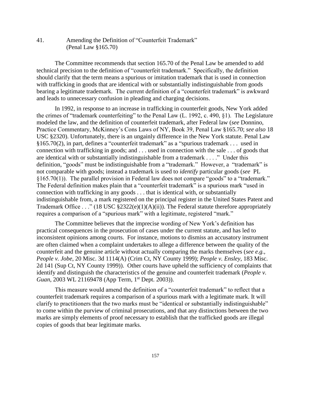41. Amending the Definition of "Counterfeit Trademark" (Penal Law §165.70)

The Committee recommends that section 165.70 of the Penal Law be amended to add technical precision to the definition of "counterfeit trademark." Specifically, the definition should clarify that the term means a spurious or imitation trademark that is used in connection with trafficking in goods that are identical with or substantially indistinguishable from goods bearing a legitimate trademark. The current definition of a "counterfeit trademark" is awkward and leads to unnecessary confusion in pleading and charging decisions.

In 1992, in response to an increase in trafficking in counterfeit goods, New York added the crimes of "trademark counterfeiting" to the Penal Law (L. 1992, c. 490, §1). The Legislature modeled the law, and the definition of counterfeit trademark, after Federal law (*see* Donnino, Practice Commentary, McKinney's Cons Laws of NY, Book 39, Penal Law §165.70; *see also* 18 USC §2320). Unfortunately, there is an ungainly difference in the New York statute. Penal Law §165.70(2), in part, defines a "counterfeit trademark" as a "spurious trademark . . . used in connection with trafficking in goods; and . . . used in connection with the sale . . . of goods that are identical with or substantially indistinguishable from a trademark . . . ." Under this definition, "goods" must be indistinguishable from a "trademark." However, a "trademark" is not comparable with goods; instead a trademark is used to *identify* particular goods (*see* PL §165.70(1)). The parallel provision in Federal law does not compare "goods" to a "trademark." The Federal definition makes plain that a "counterfeit trademark" is a spurious mark "used in connection with trafficking in any goods . . . that is identical with, or substantially indistinguishable from, a mark registered on the principal register in the United States Patent and Trademark Office . . ." (18 USC  $\S2322(e)(1)(A)(ii)$ ). The Federal statute therefore appropriately requires a comparison of a "spurious mark" with a legitimate, registered "mark."

The Committee believes that the imprecise wording of New York's definition has practical consequences in the prosecution of cases under the current statute, and has led to inconsistent opinions among courts. For instance, motions to dismiss an accusatory instrument are often claimed when a complaint undertakes to allege a difference between the quality of the counterfeit and the genuine article without actually comparing the marks themselves (*see e.g., People v. Jobe*, 20 Misc. 3d 1114(A) (Crim Ct, NY County 1999); *People v. Ensley*, 183 Misc. 2d 141 (Sup Ct, NY County 1999)). Other courts have upheld the sufficiency of complaints that identify and distinguish the characteristics of the genuine and counterfeit trademark (*People v.*  Guan, 2003 WL 21169478 (App Term, 1<sup>st</sup> Dept. 2003)).

This measure would amend the definition of a "counterfeit trademark" to reflect that a counterfeit trademark requires a comparison of a spurious mark with a legitimate mark. It will clarify to practitioners that the two marks must be "identical or substantially indistinguishable" to come within the purview of criminal prosecutions, and that any distinctions between the two marks are simply elements of proof necessary to establish that the trafficked goods are illegal copies of goods that bear legitimate marks.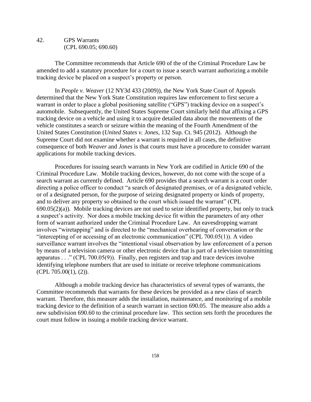#### 42. GPS Warrants (CPL 690.05; 690.60)

The Committee recommends that Article 690 of the of the Criminal Procedure Law be amended to add a statutory procedure for a court to issue a search warrant authorizing a mobile tracking device be placed on a suspect's property or person.

In *People v. Weaver* (12 NY3d 433 (2009)), the New York State Court of Appeals determined that the New York State Constitution requires law enforcement to first secure a warrant in order to place a global positioning satellite ("GPS") tracking device on a suspect's automobile. Subsequently, the United States Supreme Court similarly held that affixing a GPS tracking device on a vehicle and using it to acquire detailed data about the movements of the vehicle constitutes a search or seizure within the meaning of the Fourth Amendment of the United States Constitution (*United States v. Jones,* 132 Sup. Ct. 945 (2012). Although the Supreme Court did not examine whether a warrant is required in all cases, the definitive consequence of both *Weaver* and *Jones* is that courts must have a procedure to consider warrant applications for mobile tracking devices.

Procedures for issuing search warrants in New York are codified in Article 690 of the Criminal Procedure Law. Mobile tracking devices, however, do not come with the scope of a search warrant as currently defined. Article 690 provides that a search warrant is a court order directing a police officer to conduct "a search of designated premises, or of a designated vehicle, or of a designated person, for the purpose of seizing designated property or kinds of property, and to deliver any property so obtained to the court which issued the warrant" (CPL 690.05(2)(a)). Mobile tracking devices are not used to seize identified property, but only to track a suspect's activity. Nor does a mobile tracking device fit within the parameters of any other form of warrant authorized under the Criminal Procedure Law. An eavesdropping warrant involves "wiretapping" and is directed to the "mechanical overhearing of conversation or the "intercepting of or accessing of an electronic communication" (CPL 700.05(1)). A video surveillance warrant involves the "intentional visual observation by law enforcement of a person by means of a television camera or other electronic device that is part of a television transmitting apparatus . . ." (CPL 700.05(9)). Finally, pen registers and trap and trace devices involve identifying telephone numbers that are used to initiate or receive telephone communications (CPL 705.00(1), (2)).

Although a mobile tracking device has characteristics of several types of warrants, the Committee recommends that warrants for these devices be provided as a new class of search warrant. Therefore, this measure adds the installation, maintenance, and monitoring of a mobile tracking device to the definition of a search warrant in section 690.05. The measure also adds a new subdivision 690.60 to the criminal procedure law. This section sets forth the procedures the court must follow in issuing a mobile tracking device warrant.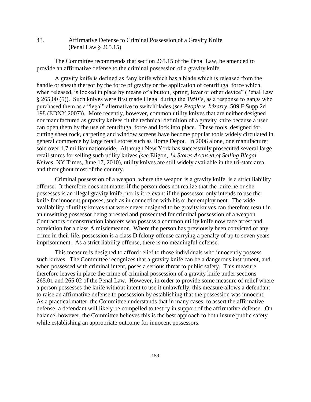43. Affirmative Defense to Criminal Possession of a Gravity Knife (Penal Law § 265.15)

The Committee recommends that section 265.15 of the Penal Law, be amended to provide an affirmative defense to the criminal possession of a gravity knife.

A gravity knife is defined as "any knife which has a blade which is released from the handle or sheath thereof by the force of gravity or the application of centrifugal force which, when released, is locked in place by means of a button, spring, lever or other device" (Penal Law § 265.00 (5)). Such knives were first made illegal during the 1950's, as a response to gangs who purchased them as a "legal" alternative to switchblades (*see People v. Irizarry*, 509 F.Supp 2d 198 (EDNY 2007)). More recently, however, common utility knives that are neither designed nor manufactured as gravity knives fit the technical definition of a gravity knife because a user can open them by the use of centrifugal force and lock into place. These tools, designed for cutting sheet rock, carpeting and window screens have become popular tools widely circulated in general commerce by large retail stores such as Home Depot. In 2006 alone, one manufacturer sold over 1.7 million nationwide. Although New York has successfully prosecuted several large retail stores for selling such utility knives *(see* Eligon, *14 Stores Accused of Selling Illegal Knives*, NY Times, June 17, 2010), utility knives are still widely available in the tri-state area and throughout most of the country.

Criminal possession of a weapon, where the weapon is a gravity knife, is a strict liability offense. It therefore does not matter if the person does not realize that the knife he or she possesses is an illegal gravity knife, nor is it relevant if the possessor only intends to use the knife for innocent purposes, such as in connection with his or her employment. The wide availability of utility knives that were never designed to be gravity knives can therefore result in an unwitting possessor being arrested and prosecuted for criminal possession of a weapon. Contractors or construction laborers who possess a common utility knife now face arrest and conviction for a class A misdemeanor. Where the person has previously been convicted of any crime in their life, possession is a class D felony offense carrying a penalty of up to seven years imprisonment. As a strict liability offense, there is no meaningful defense.

This measure is designed to afford relief to those individuals who innocently possess such knives. The Committee recognizes that a gravity knife can be a dangerous instrument, and when possessed with criminal intent, poses a serious threat to public safety. This measure therefore leaves in place the crime of criminal possession of a gravity knife under sections 265.01 and 265.02 of the Penal Law. However, in order to provide some measure of relief where a person possesses the knife without intent to use it unlawfully, this measure allows a defendant to raise an affirmative defense to possession by establishing that the possession was innocent. As a practical matter, the Committee understands that in many cases, to assert the affirmative defense, a defendant will likely be compelled to testify in support of the affirmative defense. On balance, however, the Committee believes this is the best approach to both insure public safety while establishing an appropriate outcome for innocent possessors.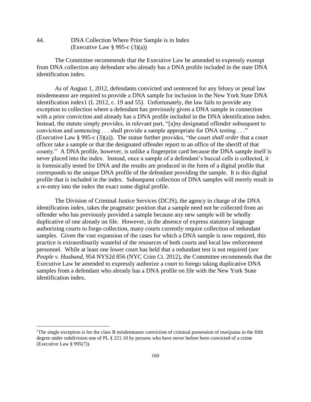44. DNA Collection Where Prior Sample is in Index (Executive Law  $\S$  995-c  $(3)(a)$ )

The Committee recommends that the Executive Law be amended to expressly exempt from DNA collection any defendant who already has a DNA profile included in the state DNA identification index.

As of August 1, 2012, defendants convicted and sentenced for any felony or penal law misdemeanor are required to provide a DNA sample for inclusion in the New York State DNA identification index1 (L 2012, c. 19 and 55). Unfortunately, the law fails to provide any exception to collection where a defendant has previously given a DNA sample in connection with a prior conviction and already has a DNA profile included in the DNA identification index. Instead, the statute simply provides, in relevant part, "[a]ny designated offender subsequent to conviction and sentencing . . . shall provide a sample appropriate for DNA testing . . ." (Executive Law § 995-c (3)(a)). The statue further provides, "the court *shall order* that a court officer take a sample or that the designated offender report to an office of the sheriff of that county." A DNA profile, however, is unlike a fingerprint card because the DNA sample itself is never placed into the index. Instead, once a sample of a defendant's buccal cells is collected, it is forensically tested for DNA and the results are produced in the form of a digital profile that corresponds to the unique DNA profile of the defendant providing the sample. It is this digital profile that is included in the index. Subsequent collection of DNA samples will merely result in a re-entry into the index the exact some digital profile.

The Division of Criminal Justice Services (DCJS), the agency in charge of the DNA identification index, takes the pragmatic position that a sample need not be collected from an offender who has previously provided a sample because any new sample will be wholly duplicative of one already on file. However, in the absence of express statutory language authorizing courts to forgo collection, many courts currently require collection of redundant samples. Given the vast expansion of the cases for which a DNA sample is now required, this practice is extraordinarily wasteful of the resources of both courts and local law enforcement personnel. While at least one lower court has held that a redundant test is not required (*see People v. Husband*, 954 NYS2d 856 (NYC Crim Ct. 2012), the Committee recommends that the Executive Law be amended to expressly authorize a court to forego taking duplicative DNA samples from a defendant who already has a DNA profile on file with the New York State identification index.

 $\overline{a}$ 

<sup>&</sup>lt;sup>1</sup>The single exception is for the class B misdemeanor conviction of criminal possession of marijuana in the fifth degree under subdivision one of PL § 221.10 by persons who have never before been convicted of a crime (Executive Law § 995(7)).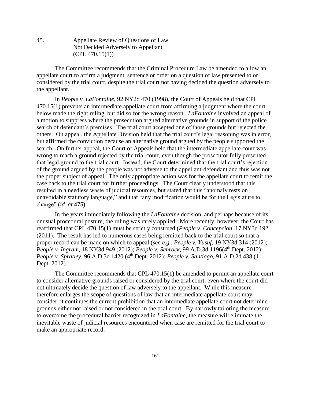45. Appellate Review of Questions of Law Not Decided Adversely to Appellant  $(CPL 470.15(1))$ 

The Committee recommends that the Criminal Procedure Law be amended to allow an appellate court to affirm a judgment, sentence or order on a question of law presented to or considered by the trial court, despite the trial court not having decided the question adversely to the appellant.

In *People v. LaFontaine*, 92 NY2d 470 (1998), the Court of Appeals held that CPL 470.15(1) prevents an intermediate appellate court from affirming a judgment where the court below made the right ruling, but did so for the wrong reason. *LaFontaine* involved an appeal of a motion to suppress where the prosecution argued alternative grounds in support of the police search of defendant's premises. The trial court accepted one of those grounds but rejected the others. On appeal, the Appellate Division held that the trial court's legal reasoning was in error, but affirmed the conviction because an alternative ground argued by the people supported the search. On further appeal, the Court of Appeals held that the intermediate appellate court was wrong to reach a ground rejected by the trial court, even though the prosecutor fully presented that legal ground to the trial court. Instead, the Court determined that the trial court's rejection of the ground argued by the people was not adverse to the appellant-defendant and thus was not the proper subject of appeal. The only appropriate action was for the appellate court to remit the case back to the trial court for further proceedings. The Court clearly understood that this resulted in a needless waste of judicial resources, but stated that this "anomaly rests on unavoidable statutory language," and that "any modification would be for the Legislature to change" (*id. at* 475).

In the years immediately following the *LaFontaine* decision, and perhaps because of its unusual procedural posture, the ruling was rarely applied. More recently, however, the Court has reaffirmed that CPL 470.15(1) must be strictly construed (*People v. Concepcion*, 17 NY3d 192 (2011). The result has led to numerous cases being remitted back to the trial court so that a proper record can be made on which to appeal (*see e.g., People v. Yusuf*, 19 NY3d 314 (2012); *People v. Ingram*, 18 NY3d 949 (2012); *People v. Schrock*, 99 A.D.3d 1196(4<sup>th</sup> Dept. 2012); *People v. Spratley*, 96 A.D.3d 1420 (4<sup>th</sup> Dept. 2012); *People v. Santiago*, 91 A.D.2d 438 (1<sup>st</sup>) Dept. 2012).

The Committee recommends that CPL 470.15(1) be amended to permit an appellate court to consider alternative grounds raised or considered by the trial court, even where the court did not ultimately decide the question of law adversely to the appellant. While this measure therefore enlarges the scope of questions of law that an intermediate appellate court may consider, it continues the current prohibition that an intermediate appellate court not determine grounds either not raised or not considered in the trial court. By narrowly tailoring the measure to overcome the procedural barrier recognized in *LaFontaine*, the measure will eliminate the inevitable waste of judicial resources encountered when case are remitted for the trial court to make an appropriate record.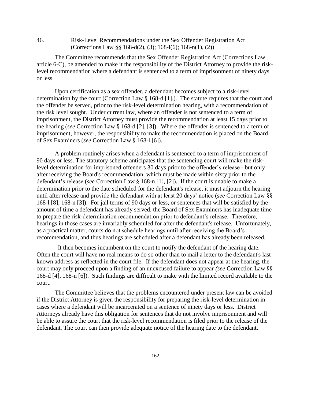46. Risk-Level Recommendations under the Sex Offender Registration Act (Corrections Law §§ 168-d(2), (3); 168-l(6); 168-n(1), (2))

The Committee recommends that the Sex Offender Registration Act (Corrections Law article 6-C), be amended to make it the responsibility of the District Attorney to provide the risklevel recommendation where a defendant is sentenced to a term of imprisonment of ninety days or less.

Upon certification as a sex offender, a defendant becomes subject to a risk-level determination by the court (Correction Law § 168-d [1],). The statute requires that the court and the offender be served, prior to the risk-level determination hearing, with a recommendation of the risk level sought. Under current law, where an offender is not sentenced to a term of imprisonment, the District Attorney must provide the recommendation at least 15 days prior to the hearing (*see* Correction Law § 168-d [2], [3]). Where the offender is sentenced to a term of imprisonment, however, the responsibility to make the recommendation is placed on the Board of Sex Examiners (*see* Correction Law § 168-l [6]).

A problem routinely arises when a defendant is sentenced to a term of imprisonment of 90 days or less. The statutory scheme anticipates that the sentencing court will make the risklevel determination for imprisoned offenders 30 days prior to the offender's release - but only after receiving the Board's recommendation, which must be made within sixty prior to the defendant's release (*see* Correction Law § 168-n [1], [2]). If the court is unable to make a determination prior to the date scheduled for the defendant's release, it must adjourn the hearing until after release and provide the defendant with at least 20 days' notice (*see* Correction Law §§ 168-l [8]; 168-n [3]). For jail terms of 90 days or less, or sentences that will be satisfied by the amount of time a defendant has already served, the Board of Sex Examiners has inadequate time to prepare the risk-determination recommendation prior to defendant's release. Therefore, hearings in those cases are invariably scheduled for after the defendant's release. Unfortunately, as a practical matter, courts do not schedule hearings until after receiving the Board's recommendation, and thus hearings are scheduled after a defendant has already been released.

 It then becomes incumbent on the court to notify the defendant of the hearing date. Often the court will have no real means to do so other than to mail a letter to the defendant's last known address as reflected in the court file. If the defendant does not appear at the hearing, the court may only proceed upon a finding of an unexcused failure to appear *(see* Correction Law §§ 168-d [4], 168-n [6]). Such findings are difficult to make with the limited record available to the court.

The Committee believes that the problems encountered under present law can be avoided if the District Attorney is given the responsibility for preparing the risk-level determination in cases where a defendant will be incarcerated on a sentence of ninety days or less. District Attorneys already have this obligation for sentences that do not involve imprisonment and will be able to assure the court that the risk-level recommendation is filed prior to the release of the defendant. The court can then provide adequate notice of the hearing date to the defendant.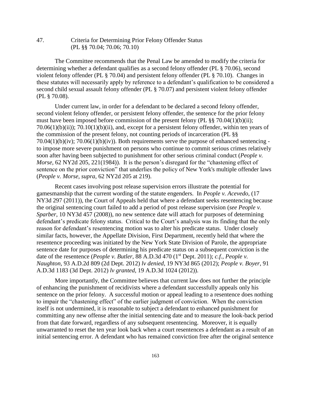47. Criteria for Determining Prior Felony Offender Status (PL §§ 70.04; 70.06; 70.10)

The Committee recommends that the Penal Law be amended to modify the criteria for determining whether a defendant qualifies as a second felony offender (PL § 70.06), second violent felony offender (PL § 70.04) and persistent felony offender (PL § 70.10). Changes in these statutes will necessarily apply by reference to a defendant's qualification to be considered a second child sexual assault felony offender (PL § 70.07) and persistent violent felony offender (PL § 70.08).

Under current law, in order for a defendant to be declared a second felony offender, second violent felony offender, or persistent felony offender, the sentence for the prior felony must have been imposed before commission of the present felony (PL §§ 70.04(1)(b)(ii);  $70.06(1)(b)(ii)$ ;  $70.10(1)(b)(ii)$ , and, except for a persistent felony offender, within ten years of the commission of the present felony, not counting periods of incarceration (PL §§ 70.04(1)(b)(iv); 70.06(1)(b)(iv)). Both requirements serve the purpose of enhanced sentencing to impose more severe punishment on persons who continue to commit serious crimes relatively soon after having been subjected to punishment for other serious criminal conduct (*People v. Morse*, 62 NY2d 205, 221(1984)). It is the person's disregard for the "chastening effect of sentence on the prior conviction" that underlies the policy of New York's multiple offender laws (*People v. Morse, supra*, 62 NY2d 205 at 219).

Recent cases involving post release supervision errors illustrate the potential for gamesmanship that the current wording of the statute engenders. In *People v. Acevedo*, (17 NY3d 297 (2011)), the Court of Appeals held that where a defendant seeks resentencing because the original sentencing court failed to add a period of post release supervision (*see People v. Sparber*, 10 NY3d 457 (2008)), no new sentence date will attach for purposes of determining defendant's predicate felony status. Critical to the Court's analysis was its finding that the only reason for defendant's resentencing motion was to alter his predicate status. Under closely similar facts, however, the Appellate Division, First Department, recently held that where the resentence proceeding was initiated by the New York State Division of Parole, the appropriate sentence date for purposes of determining his predicate status on a subsequent conviction is the date of the resentence (*People v. Butler*, 88 A.D.3d 470 (1<sup>st</sup> Dept. 2011); *c.f., People v. Naughton*, 93 A.D.2d 809 (2d Dept. 2012) *lv denied*, 19 NY3d 865 (2012); *People v. Boyer*, 91 A.D.3d 1183 (3d Dept. 2012) *lv granted*, 19 A.D.3d 1024 (2012)).

More importantly, the Committee believes that current law does not further the principle of enhancing the punishment of recidivists where a defendant successfully appeals only his sentence on the prior felony. A successful motion or appeal leading to a resentence does nothing to impair the "chastening effect" of the earlier judgment of conviction. When the conviction itself is not undermined, it is reasonable to subject a defendant to enhanced punishment for committing any new offense after the initial sentencing date and to measure the look-back period from that date forward, regardless of any subsequent resentencing. Moreover, it is equally unwarranted to reset the ten year look back when a court resentences a defendant as a result of an initial sentencing error. A defendant who has remained conviction free after the original sentence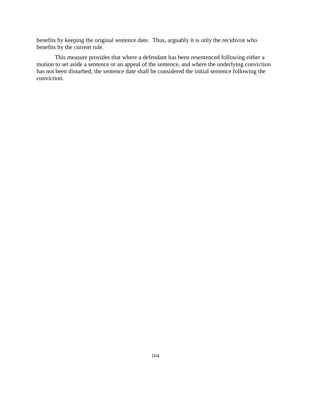benefits by keeping the original sentence date. Thus, arguably it is only the recidivist who benefits by the current rule.

This measure provides that where a defendant has been resentenced following either a motion to set aside a sentence or an appeal of the sentence, and where the underlying conviction has not been disturbed, the sentence date shall be considered the initial sentence following the conviction.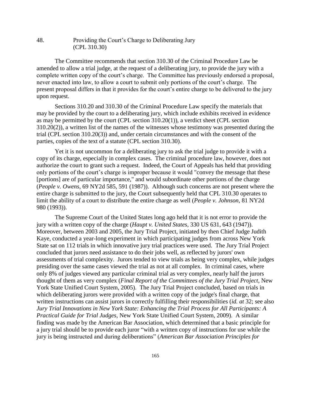#### 48. Providing the Court's Charge to Deliberating Jury (CPL 310.30)

The Committee recommends that section 310.30 of the Criminal Procedure Law be amended to allow a trial judge, at the request of a deliberating jury, to provide the jury with a complete written copy of the court's charge. The Committee has previously endorsed a proposal, never enacted into law, to allow a court to submit only portions of the court's charge. The present proposal differs in that it provides for the court's entire charge to be delivered to the jury upon request.

Sections 310.20 and 310.30 of the Criminal Procedure Law specify the materials that may be provided by the court to a deliberating jury, which include exhibits received in evidence as may be permitted by the court (CPL section 310.20(1)), a verdict sheet (CPL section 310.20(2)), a written list of the names of the witnesses whose testimony was presented during the trial (CPL section 310.20(3)) and, under certain circumstances and with the consent of the parties, copies of the text of a statute (CPL section 310.30).

Yet it is not uncommon for a deliberating jury to ask the trial judge to provide it with a copy of its charge, especially in complex cases. The criminal procedure law, however, does not authorize the court to grant such a request. Indeed, the Court of Appeals has held that providing only portions of the court's charge is improper because it would "convey the message that these [portions] are of particular importance," and would subordinate other portions of the charge (*People v. Owens*, 69 NY2d 585, 591 (1987)). Although such concerns are not present where the entire charge is submitted to the jury, the Court subsequently held that CPL 310.30 operates to limit the ability of a court to distribute the entire charge as well (*People v. Johnson*, 81 NY2d 980 (1993)).

The Supreme Court of the United States long ago held that it is not error to provide the jury with a written copy of the charge (*Haupt v. United States*, 330 US 631, 643 (1947)). Moreover, between 2003 and 2005, the Jury Trial Project, initiated by then Chief Judge Judith Kaye, conducted a year-long experiment in which participating judges from across New York State sat on 112 trials in which innovative jury trial practices were used. The Jury Trial Project concluded that jurors need assistance to do their jobs well, as reflected by jurors' own assessments of trial complexity. Jurors tended to view trials as being very complex, while judges presiding over the same cases viewed the trial as not at all complex. In criminal cases, where only 8% of judges viewed any particular criminal trial as very complex, nearly half the jurors thought of them as very complex (*Final Report of the Committees of the Jury Trial Project*, New York State Unified Court System, 2005). The Jury Trial Project concluded, based on trials in which deliberating jurors were provided with a written copy of the judge's final charge, that written instructions can assist jurors in correctly fulfilling their responsibilities (*id. at* 32; see also *Jury Trial Innovations in New York State: Enhancing the Trial Process for All Participants: A Practical Guide for Trial Judges*, New York State Unified Court System, 2009). A similar finding was made by the American Bar Association, which determined that a basic principle for a jury trial should be to provide each juror "with a written copy of instructions for use while the jury is being instructed and during deliberations" (*American Bar Association Principles for*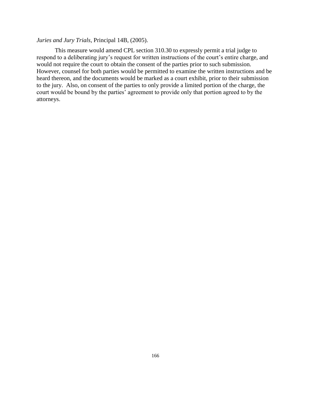### *Juries and Jury Trials*, Principal 14B, (2005).

This measure would amend CPL section 310.30 to expressly permit a trial judge to respond to a deliberating jury's request for written instructions of the court's entire charge, and would not require the court to obtain the consent of the parties prior to such submission. However, counsel for both parties would be permitted to examine the written instructions and be heard thereon, and the documents would be marked as a court exhibit, prior to their submission to the jury. Also, on consent of the parties to only provide a limited portion of the charge, the court would be bound by the parties' agreement to provide only that portion agreed to by the attorneys.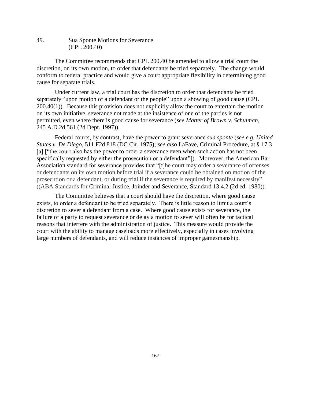## 49. Sua Sponte Motions for Severance (CPL 200.40)

The Committee recommends that CPL 200.40 be amended to allow a trial court the discretion, on its own motion, to order that defendants be tried separately. The change would conform to federal practice and would give a court appropriate flexibility in determining good cause for separate trials.

Under current law, a trial court has the discretion to order that defendants be tried separately "upon motion of a defendant or the people" upon a showing of good cause (CPL 200.40(1)). Because this provision does not explicitly allow the court to entertain the motion on its own initiative, severance not made at the insistence of one of the parties is not permitted, even where there is good cause for severance (*see Matter of Brown v. Schulman*, 245 A.D.2d 561 (2d Dept. 1997)).

Federal courts, by contrast, have the power to grant severance *sua sponte* (*see e.g. United States v. De Diego*, 511 F2d 818 (DC Cir. 1975); *see also* LaFave, Criminal Procedure, at § 17.3 [a] ["the court also has the power to order a severance even when such action has not been specifically requested by either the prosecution or a defendant"]). Moreover, the American Bar Association standard for severance provides that "[t]he court may order a severance of offenses or defendants on its own motion before trial if a severance could be obtained on motion of the prosecution or a defendant, or during trial if the severance is required by manifest necessity" ((ABA Standards for Criminal Justice, Joinder and Severance, Standard 13.4.2 (2d ed. 1980)).

The Committee believes that a court should have the discretion, where good cause exists, to order a defendant to be tried separately. There is little reason to limit a court's discretion to sever a defendant from a case. Where good cause exists for severance, the failure of a party to request severance or delay a motion to sever will often be for tactical reasons that interfere with the administration of justice. This measure would provide the court with the ability to manage caseloads more effectively, especially in cases involving large numbers of defendants, and will reduce instances of improper gamesmanship.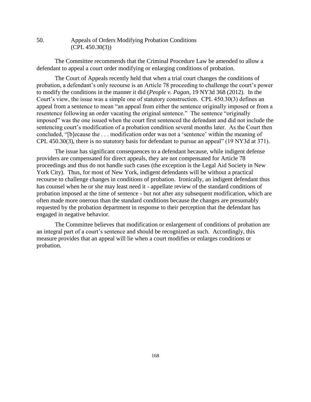| 50. | Appeals of Orders Modifying Probation Conditions |
|-----|--------------------------------------------------|
|     | (CPL 450.30(3))                                  |

The Committee recommends that the Criminal Procedure Law be amended to allow a defendant to appeal a court order modifying or enlarging conditions of probation.

The Court of Appeals recently held that when a trial court changes the conditions of probation, a defendant's only recourse is an Article 78 proceeding to challenge the court's power to modify the conditions in the manner it did (*People v. Pagan*, 19 NY3d 368 (2012). In the Court's view, the issue was a simple one of statutory construction. CPL 450.30(3) defines an appeal from a sentence to mean "an appeal from either the sentence originally imposed or from a resentence following an order vacating the original sentence." The sentence "originally imposed" was the one issued when the court first sentenced the defendant and did not include the sentencing court's modification of a probation condition several months later. As the Court then concluded, "[b]ecause the . . . modification order was not a 'sentence' within the meaning of CPL 450.30(3), there is no statutory basis for defendant to pursue an appeal" (19 NY3d at 371).

The issue has significant consequences to a defendant because, while indigent defense providers are compensated for direct appeals, they are not compensated for Article 78 proceedings and thus do not handle such cases (the exception is the Legal Aid Society in New York City). Thus, for most of New York, indigent defendants will be without a practical recourse to challenge changes in conditions of probation. Ironically, an indigent defendant thus has counsel when he or she may least need it - appellate review of the standard conditions of probation imposed at the time of sentence - but not after any subsequent modification, which are often made more onerous than the standard conditions because the changes are presumably requested by the probation department in response to their perception that the defendant has engaged in negative behavior.

The Committee believes that modification or enlargement of conditions of probation are an integral part of a court's sentence and should be recognized as such. Accordingly, this measure provides that an appeal will lie when a court modifies or enlarges conditions or probation.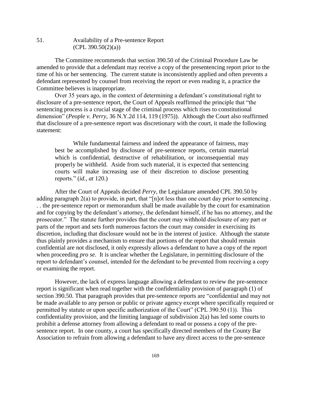# 51. Availability of a Pre-sentence Report  $(CPL 390.50(2)(a))$

The Committee recommends that section 390.50 of the Criminal Procedure Law be amended to provide that a defendant may receive a copy of the presentencing report prior to the time of his or her sentencing. The current statute is inconsistently applied and often prevents a defendant represented by counsel from receiving the report or even reading it, a practice the Committee believes is inappropriate.

Over 35 years ago, in the context of determining a defendant's constitutional right to disclosure of a pre-sentence report, the Court of Appeals reaffirmed the principle that "the sentencing process is a crucial stage of the criminal process which rises to constitutional dimension" (*People v. Perry*, 36 N.Y.2d 114, 119 (1975)). Although the Court also reaffirmed that disclosure of a pre-sentence report was discretionary with the court, it made the following statement:

While fundamental fairness and indeed the appearance of fairness, may best be accomplished by disclosure of pre-sentence reports, certain material which is confidential, destructive of rehabilitation, or inconsequential may properly be withheld. Aside from such material, it is expected that sentencing courts will make increasing use of their discretion to disclose presenting reports." (*id., at* 120.)

After the Court of Appeals decided *Perry*, the Legislature amended CPL 390.50 by adding paragraph 2(a) to provide, in part, that "[n]ot less than one court day prior to sentencing . . . the pre-sentence report or memorandum shall be made available by the court for examination and for copying by the defendant's attorney, the defendant himself, if he has no attorney, and the prosecutor." The statute further provides that the court may withhold disclosure of any part or parts of the report and sets forth numerous factors the court may consider in exercising its discretion, including that disclosure would not be in the interest of justice. Although the statute thus plainly provides a mechanism to ensure that portions of the report that should remain confidential are not disclosed, it only expressly allows a defendant to have a copy of the report when proceeding *pro se*. It is unclear whether the Legislature, in permitting disclosure of the report to defendant's counsel, intended for the defendant to be prevented from receiving a copy or examining the report.

However, the lack of express language allowing a defendant to review the pre-sentence report is significant when read together with the confidentiality provision of paragraph (1) of section 390.50. That paragraph provides that pre-sentence reports are "confidential and may not be made available to any person or public or private agency except where specifically required or permitted by statute or upon specific authorization of the Court" (CPL 390.50 (1)). This confidentiality provision, and the limiting language of subdivision 2(a) has led some courts to prohibit a defense attorney from allowing a defendant to read or possess a copy of the presentence report. In one county, a court has specifically directed members of the County Bar Association to refrain from allowing a defendant to have any direct access to the pre-sentence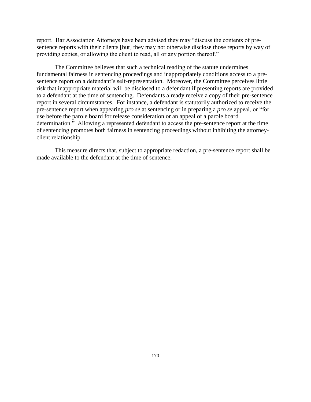report. Bar Association Attorneys have been advised they may "discuss the contents of presentence reports with their clients [but] they may not otherwise disclose those reports by way of providing copies, or allowing the client to read, all or any portion thereof."

The Committee believes that such a technical reading of the statute undermines fundamental fairness in sentencing proceedings and inappropriately conditions access to a presentence report on a defendant's self-representation. Moreover, the Committee perceives little risk that inappropriate material will be disclosed to a defendant if presenting reports are provided to a defendant at the time of sentencing. Defendants already receive a copy of their pre-sentence report in several circumstances. For instance, a defendant is statutorily authorized to receive the pre-sentence report when appearing *pro se* at sentencing or in preparing a *pro se* appeal, or "for use before the parole board for release consideration or an appeal of a parole board determination." Allowing a represented defendant to access the pre-sentence report at the time of sentencing promotes both fairness in sentencing proceedings without inhibiting the attorneyclient relationship.

This measure directs that, subject to appropriate redaction, a pre-sentence report shall be made available to the defendant at the time of sentence.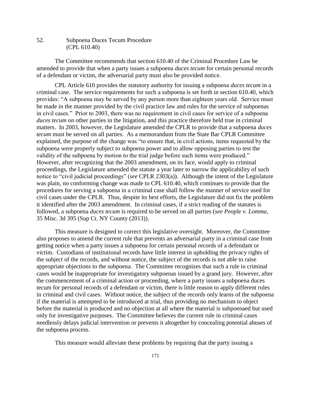# 52. Subpoena Duces Tecum Procedure (CPL 610.40)

The Committee recommends that section 610.40 of the Criminal Procedure Law be amended to provide that when a party issues a subpoena *duces tecum* for certain personal records of a defendant or victim, the adversarial party must also be provided notice.

CPL Article 610 provides the statutory authority for issuing a subpoena *duces tecum* in a criminal case. The service requirements for such a subpoena is set forth in section 610.40, which provides: "A subpoena may be served by any person more than eighteen years old. Service must be made in the manner provided by the civil practice law and rules for the service of subpoenas in civil cases." Prior to 2003, there was no requirement in civil cases for service of a subpoena *duces tecum* on other parties in the litigation, and this practice therefore held true in criminal matters. In 2003, however, the Legislature amended the CPLR to provide that a subpoena *duces tecum* must be served on all parties. As a memorandum from the State Bar CPLR Committee explained, the purpose of the change was "to ensure that, in civil actions, items requested by the subpoena were properly subject to subpoena power and to allow opposing parties to test the validity of the subpoena by motion to the trial judge before such items were produced." However, after recognizing that the 2003 amendment, on its face, would apply to criminal proceedings, the Legislature amended the statute a year later to narrow the applicability of such notice to "civil judicial proceedings" (*see* CPLR 2303(a)). Although the intent of the Legislature was plain, no conforming change was made to CPL 610.40, which continues to provide that the procedures for serving a subpoena in a criminal case shall follow the manner of service used for civil cases under the CPLR. Thus, despite its best efforts, the Legislature did not fix the problem it identified after the 2003 amendment. In criminal cases, if a strict reading of the statutes is followed, a subpoena *duces tecum* is required to be served on all parties (*see People v. Lomma*, 35 Misc. 3d 395 (Sup Ct. NY County (2013)).

This measure is designed to correct this legislative oversight. Moreover, the Committee also proposes to amend the current rule that prevents an adversarial party in a criminal case from getting notice when a party issues a subpoena for certain personal records of a defendant or victim. Custodians of institutional records have little interest in upholding the privacy rights of the subject of the records, and without notice, the subject of the records is not able to raise appropriate objections to the subpoena. The Committee recognizes that such a rule in criminal cases would be inappropriate for investigatory subpoenas issued by a grand jury. However, after the commencement of a criminal action or proceeding, where a party issues a subpoena duces tecum for personal records of a defendant or victim, there is little reason to apply different rules in criminal and civil cases. Without notice, the subject of the records only learns of the subpoena if the material is attempted to be introduced at trial, thus providing no mechanism to object before the material is produced and no objection at all where the material is subpoenaed but used only for investigative purposes. The Committee believes the current rule in criminal cases needlessly delays judicial intervention or prevents it altogether by concealing potential abuses of the subpoena process.

This measure would alleviate these problems by requiring that the party issuing a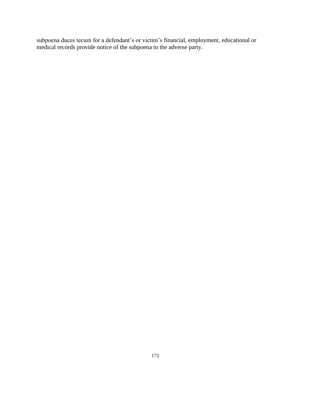subpoena duces tecum for a defendant's or victim's financial, employment, educational or medical records provide notice of the subpoena to the adverse party.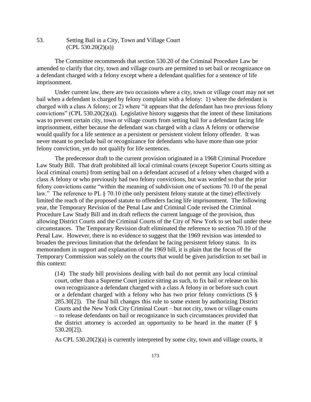53. Setting Bail in a City, Town and Village Court  $(CPL 530.20(2)(a))$ 

The Committee recommends that section 530.20 of the Criminal Procedure Law be amended to clarify that city, town and village courts are permitted to set bail or recognizance on a defendant charged with a felony except where a defendant qualifies for a sentence of life imprisonment.

Under current law, there are two occasions where a city, town or village court may not set bail when a defendant is charged by felony complaint with a felony: 1) where the defendant is charged with a class A felony; or 2) where "it appears that the defendant has two previous felony convictions" (CPL 530.20(2)(a)). Legislative history suggests that the intent of these limitations was to prevent certain city, town or village courts from setting bail for a defendant facing life imprisonment, either because the defendant was charged with a class A felony or otherwise would qualify for a life sentence as a persistent or persistent violent felony offender. It was never meant to preclude bail or recognizance for defendants who have more than one prior felony conviction, yet do not qualify for life sentences.

The predecessor draft to the current provision originated in a 1968 Criminal Procedure Law Study Bill. That draft prohibited all local criminal courts (except Superior Courts sitting as local criminal courts) from setting bail on a defendant accused of a felony when charged with a class A felony or who previously had two felony convictions, but was worded so that the prior felony convictions came "within the meaning of subdivision one of sections 70.10 of the penal law." The reference to PL § 70.10 (the only persistent felony statute at the time) effectively limited the reach of the proposed statute to offenders facing life imprisonment. The following year, the Temporary Revision of the Penal Law and Criminal Code revised the Criminal Procedure Law Study Bill and its draft reflects the current language of the provision, thus allowing District Courts and the Criminal Courts of the City of New York to set bail under these circumstances. The Temporary Revision draft eliminated the reference to section 70.10 of the Penal Law. However, there is no evidence to suggest that the 1969 revision was intended to broaden the previous limitation that the defendant be facing persistent felony status. In its memorandum in support and explanation of the 1969 bill, it is plain that the focus of the Temporary Commission was solely on the courts that would be given jurisdiction to set bail in this context:

(14) The study bill provisions dealing with bail do not permit any local criminal court, other than a Supreme Court justice sitting as such, to fix bail or release on his own recognizance a defendant charged with a class A felony in or before such court or a defendant charged with a felony who has two prior felony convictions (S § 285.30[2]). The final bill changes this rule to some extent by authorizing District Courts and the New York City Criminal Court – but not city, town or village courts – to release defendants on bail or recognizance in such circumstances provided that the district attorney is accorded an opportunity to be heard in the matter  $(F \S)$ 530.20[2]).

As CPL 530.20(2)(a) is currently interpreted by some city, town and village courts, it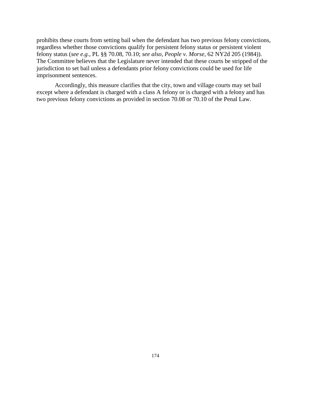prohibits these courts from setting bail when the defendant has two previous felony convictions, regardless whether those convictions qualify for persistent felony status or persistent violent felony status (*see e.g.,* PL §§ 70.08, 70.10; *see also, People v. Morse*, 62 NY2d 205 (1984)). The Committee believes that the Legislature never intended that these courts be stripped of the jurisdiction to set bail unless a defendants prior felony convictions could be used for life imprisonment sentences.

Accordingly, this measure clarifies that the city, town and village courts may set bail except where a defendant is charged with a class A felony or is charged with a felony and has two previous felony convictions as provided in section 70.08 or 70.10 of the Penal Law.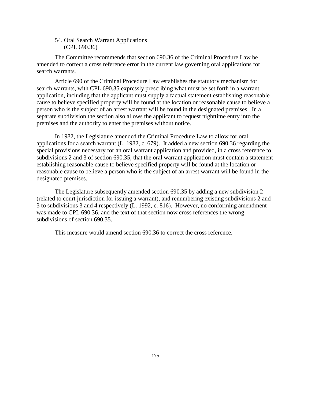54. Oral Search Warrant Applications (CPL 690.36)

The Committee recommends that section 690.36 of the Criminal Procedure Law be amended to correct a cross reference error in the current law governing oral applications for search warrants.

Article 690 of the Criminal Procedure Law establishes the statutory mechanism for search warrants, with CPL 690.35 expressly prescribing what must be set forth in a warrant application, including that the applicant must supply a factual statement establishing reasonable cause to believe specified property will be found at the location or reasonable cause to believe a person who is the subject of an arrest warrant will be found in the designated premises. In a separate subdivision the section also allows the applicant to request nighttime entry into the premises and the authority to enter the premises without notice.

In 1982, the Legislature amended the Criminal Procedure Law to allow for oral applications for a search warrant (L. 1982, c. 679). It added a new section 690.36 regarding the special provisions necessary for an oral warrant application and provided, in a cross reference to subdivisions 2 and 3 of section 690.35, that the oral warrant application must contain a statement establishing reasonable cause to believe specified property will be found at the location or reasonable cause to believe a person who is the subject of an arrest warrant will be found in the designated premises.

The Legislature subsequently amended section 690.35 by adding a new subdivision 2 (related to court jurisdiction for issuing a warrant), and renumbering existing subdivisions 2 and 3 to subdivisions 3 and 4 respectively (L. 1992, c. 816). However, no conforming amendment was made to CPL 690.36, and the text of that section now cross references the wrong subdivisions of section 690.35.

This measure would amend section 690.36 to correct the cross reference.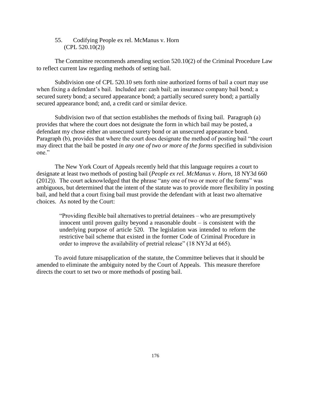# 55. Codifying People ex rel. McManus v. Horn (CPL 520.10(2))

The Committee recommends amending section 520.10(2) of the Criminal Procedure Law to reflect current law regarding methods of setting bail.

Subdivision one of CPL 520.10 sets forth nine authorized forms of bail a court may use when fixing a defendant's bail. Included are: cash bail; an insurance company bail bond; a secured surety bond; a secured appearance bond; a partially secured surety bond; a partially secured appearance bond; and, a credit card or similar device.

Subdivision two of that section establishes the methods of fixing bail. Paragraph (a) provides that where the court does not designate the form in which bail may be posted, a defendant my chose either an unsecured surety bond or an unsecured appearance bond. Paragraph (b), provides that where the court does designate the method of posting bail "the court may direct that the bail be posted *in any one of two or more of the forms* specified in subdivision one."

The New York Court of Appeals recently held that this language requires a court to designate at least two methods of posting bail (*People ex rel. McManus v. Horn*, 18 NY3d 660 (2012)). The court acknowledged that the phrase "any one of two or more of the forms" was ambiguous, but determined that the intent of the statute was to provide more flexibility in posting bail, and held that a court fixing bail must provide the defendant with at least two alternative choices. As noted by the Court:

"Providing flexible bail alternatives to pretrial detainees – who are presumptively innocent until proven guilty beyond a reasonable doubt – is consistent with the underlying purpose of article 520. The legislation was intended to reform the restrictive bail scheme that existed in the former Code of Criminal Procedure in order to improve the availability of pretrial release" (18 NY3d at 665).

To avoid future misapplication of the statute, the Committee believes that it should be amended to eliminate the ambiguity noted by the Court of Appeals. This measure therefore directs the court to set two or more methods of posting bail.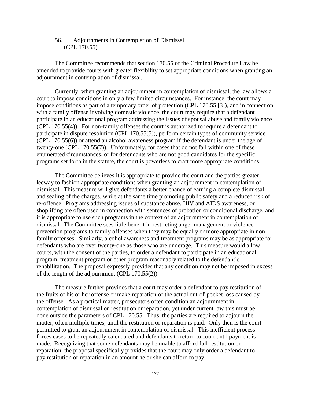## 56. Adjournments in Contemplation of Dismissal (CPL 170.55)

The Committee recommends that section 170.55 of the Criminal Procedure Law be amended to provide courts with greater flexibility to set appropriate conditions when granting an adjournment in contemplation of dismissal.

Currently, when granting an adjournment in contemplation of dismissal, the law allows a court to impose conditions in only a few limited circumstances. For instance, the court may impose conditions as part of a temporary order of protection (CPL 170.55 [3]), and in connection with a family offense involving domestic violence, the court may require that a defendant participate in an educational program addressing the issues of spousal abuse and family violence (CPL 170.55(4)). For non-family offenses the court is authorized to require a defendant to participate in dispute resolution (CPL 170.55(5)), perform certain types of community service (CPL 170.55(6)) or attend an alcohol awareness program if the defendant is under the age of twenty-one (CPL 170.55(7)). Unfortunately, for cases that do not fall within one of these enumerated circumstances, or for defendants who are not good candidates for the specific programs set forth in the statute, the court is powerless to craft more appropriate conditions.

The Committee believes it is appropriate to provide the court and the parties greater leeway to fashion appropriate conditions when granting an adjournment in contemplation of dismissal. This measure will give defendants a better chance of earning a complete dismissal and sealing of the charges, while at the same time promoting public safety and a reduced risk of re-offense. Programs addressing issues of substance abuse, HIV and AIDS awareness, or shoplifting are often used in connection with sentences of probation or conditional discharge, and it is appropriate to use such programs in the context of an adjournment in contemplation of dismissal. The Committee sees little benefit in restricting anger management or violence prevention programs to family offenses when they may be equally or more appropriate in nonfamily offenses. Similarly, alcohol awareness and treatment programs may be as appropriate for defendants who are over twenty-one as those who are underage. This measure would allow courts, with the consent of the parties, to order a defendant to participate in an educational program, treatment program or other program reasonably related to the defendant's rehabilitation. The proposal expressly provides that any condition may not be imposed in excess of the length of the adjournment (CPL 170.55(2)).

The measure further provides that a court may order a defendant to pay restitution of the fruits of his or her offense or make reparation of the actual out-of-pocket loss caused by the offense. As a practical matter, prosecutors often condition an adjournment in contemplation of dismissal on restitution or reparation, yet under current law this must be done outside the parameters of CPL 170.55. Thus, the parties are required to adjourn the matter, often multiple times, until the restitution or reparation is paid. Only then is the court permitted to grant an adjournment in contemplation of dismissal. This inefficient process forces cases to be repeatedly calendared and defendants to return to court until payment is made. Recognizing that some defendants may be unable to afford full restitution or reparation, the proposal specifically provides that the court may only order a defendant to pay restitution or reparation in an amount he or she can afford to pay.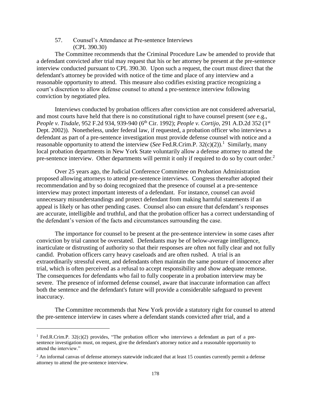57. Counsel's Attendance at Pre-sentence Interviews (CPL 390.30)

The Committee recommends that the Criminal Procedure Law be amended to provide that a defendant convicted after trial may request that his or her attorney be present at the pre-sentence interview conducted pursuant to CPL 390.30. Upon such a request, the court must direct that the defendant's attorney be provided with notice of the time and place of any interview and a reasonable opportunity to attend. This measure also codifies existing practice recognizing a court's discretion to allow defense counsel to attend a pre-sentence interview following conviction by negotiated plea.

Interviews conducted by probation officers after conviction are not considered adversarial, and most courts have held that there is no constitutional right to have counsel present (*see* e.g., *People v. Tisdale*, 952 F.2d 934, 939-940 (6<sup>th</sup> Cir. 1992); *People v. Cortijo*, 291 A.D.2d 352 (1<sup>st</sup>) Dept. 2002)). Nonetheless, under federal law, if requested, a probation officer who interviews a defendant as part of a pre-sentence investigation must provide defense counsel with notice and a reasonable opportunity to attend the interview (*See* Fed.R.Crim.P. 32(c)(2)).<sup>1</sup> Similarly, many local probation departments in New York State voluntarily allow a defense attorney to attend the pre-sentence interview. Other departments will permit it only if required to do so by court order.<sup>2</sup>

Over 25 years ago, the Judicial Conference Committee on Probation Administration proposed allowing attorneys to attend pre-sentence interviews. Congress thereafter adopted their recommendation and by so doing recognized that the presence of counsel at a pre-sentence interview may protect important interests of a defendant. For instance, counsel can avoid unnecessary misunderstandings and protect defendant from making harmful statements if an appeal is likely or has other pending cases. Counsel also can ensure that defendant's responses are accurate, intelligible and truthful, and that the probation officer has a correct understanding of the defendant's version of the facts and circumstances surrounding the case.

The importance for counsel to be present at the pre-sentence interview in some cases after conviction by trial cannot be overstated. Defendants may be of below-average intelligence, inarticulate or distrusting of authority so that their responses are often not fully clear and not fully candid. Probation officers carry heavy caseloads and are often rushed. A trial is an extraordinarily stressful event, and defendants often maintain the same posture of innocence after trial, which is often perceived as a refusal to accept responsibility and show adequate remorse. The consequences for defendants who fail to fully cooperate in a probation interview may be severe. The presence of informed defense counsel, aware that inaccurate information can affect both the sentence and the defendant's future will provide a considerable safeguard to prevent inaccuracy.

The Committee recommends that New York provide a statutory right for counsel to attend the pre-sentence interview in cases where a defendant stands convicted after trial, and a

 $\overline{a}$ 

<sup>&</sup>lt;sup>1</sup> Fed.R.Crim.P.  $32(c)(2)$  provides, "The probation officer who interviews a defendant as part of a presentence investigation must, on request, give the defendant's attorney notice and a reasonable opportunity to attend the interview."

<sup>&</sup>lt;sup>2</sup> An informal canvas of defense attorneys statewide indicated that at least 15 counties currently permit a defense attorney to attend the pre-sentence interview.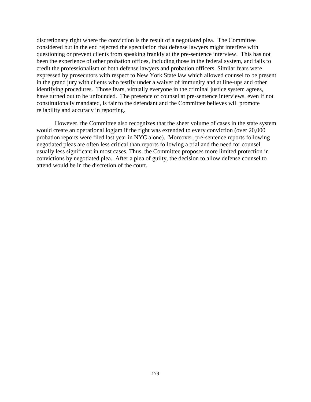discretionary right where the conviction is the result of a negotiated plea. The Committee considered but in the end rejected the speculation that defense lawyers might interfere with questioning or prevent clients from speaking frankly at the pre-sentence interview. This has not been the experience of other probation offices, including those in the federal system, and fails to credit the professionalism of both defense lawyers and probation officers. Similar fears were expressed by prosecutors with respect to New York State law which allowed counsel to be present in the grand jury with clients who testify under a waiver of immunity and at line-ups and other identifying procedures. Those fears, virtually everyone in the criminal justice system agrees, have turned out to be unfounded. The presence of counsel at pre-sentence interviews, even if not constitutionally mandated, is fair to the defendant and the Committee believes will promote reliability and accuracy in reporting.

However, the Committee also recognizes that the sheer volume of cases in the state system would create an operational logjam if the right was extended to every conviction (over 20,000 probation reports were filed last year in NYC alone). Moreover, pre-sentence reports following negotiated pleas are often less critical than reports following a trial and the need for counsel usually less significant in most cases. Thus, the Committee proposes more limited protection in convictions by negotiated plea. After a plea of guilty, the decision to allow defense counsel to attend would be in the discretion of the court.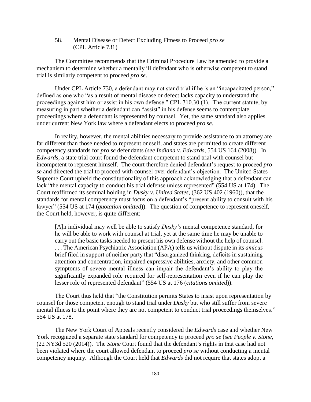58. Mental Disease or Defect Excluding Fitness to Proceed *pro se* (CPL Article 731)

The Committee recommends that the Criminal Procedure Law be amended to provide a mechanism to determine whether a mentally ill defendant who is otherwise competent to stand trial is similarly competent to proceed *pro se*.

Under CPL Article 730, a defendant may not stand trial if he is an "incapacitated person," defined as one who "as a result of mental disease or defect lacks capacity to understand the proceedings against him or assist in his own defense." CPL 710.30 (1). The current statute, by measuring in part whether a defendant can "assist" in his defense seems to contemplate proceedings where a defendant is represented by counsel. Yet, the same standard also applies under current New York law where a defendant elects to proceed *pro se.* 

In reality, however, the mental abilities necessary to provide assistance to an attorney are far different than those needed to represent oneself, and states are permitted to create different competency standards for *pro se* defendants (*see Indiana v. Edwards,* 554 US 164 (2008)). In *Edwards*, a state trial court found the defendant competent to stand trial with counsel but incompetent to represent himself. The court therefore denied defendant's request to proceed *pro se* and directed the trial to proceed with counsel over defendant's objection. The United States Supreme Court upheld the constitutionality of this approach acknowledging that a defendant can lack "the mental capacity to conduct his trial defense unless represented" (554 US at 174). The Court reaffirmed its seminal holding in *Dusky v. United States,* (362 US 402 (1960)), that the standards for mental competency must focus on a defendant's "present ability to consult with his lawyer" (554 US at 174 (*quotation omitted*)). The question of competence to represent oneself, the Court held, however, is quite different:

[A]n individual may well be able to satisfy *Dusky's* mental competence standard, for he will be able to work with counsel at trial, yet at the same time he may be unable to carry out the basic tasks needed to present his own defense without the help of counsel. . . . The American Psychiatric Association (APA) tells us without dispute in its *amicus*  brief filed in support of neither party that "disorganized thinking, deficits in sustaining attention and concentration, impaired expressive abilities, anxiety, and other common symptoms of severe mental illness can impair the defendant's ability to play the significantly expanded role required for self-representation even if he can play the lesser role of represented defendant" (554 US at 176 (*citations omitted*)).

The Court thus held that "the Constitution permits States to insist upon representation by counsel for those competent enough to stand trial under *Dusky* but who still suffer from severe mental illness to the point where they are not competent to conduct trial proceedings themselves." 554 US at 178.

The New York Court of Appeals recently considered the *Edwards* case and whether New York recognized a separate state standard for competency to proceed *pro se* (*see People v. Stone,*  (22 NY3d 520 (2014)). The *Stone* Court found that the defendant's rights in that case had not been violated where the court allowed defendant to proceed *pro se* without conducting a mental competency inquiry. Although the Court held that *Edwards* did not require that states adopt a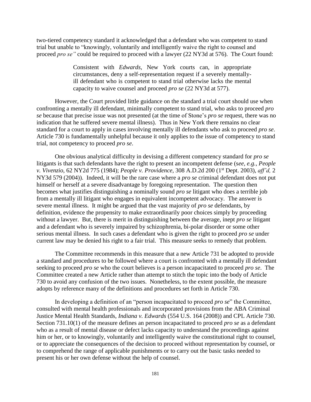two-tiered competency standard it acknowledged that a defendant who was competent to stand trial but unable to "knowingly, voluntarily and intelligently waive the right to counsel and proceed *pro se"* could be required to proceed with a lawyer (22 NY3d at 576). The Court found:

> Consistent with *Edwards,* New York courts can, in appropriate circumstances, deny a self-representation request if a severely mentallyill defendant who is competent to stand trial otherwise lacks the mental capacity to waive counsel and proceed *pro se* (22 NY3d at 577).

However, the Court provided little guidance on the standard a trial court should use when confronting a mentally ill defendant, minimally competent to stand trial, who asks to proceed *pro se* because that precise issue was not presented (at the time of Stone's *pro se* request, there was no indication that he suffered severe mental illness). Thus in New York there remains no clear standard for a court to apply in cases involving mentally ill defendants who ask to proceed *pro se*. Article 730 is fundamentally unhelpful because it only applies to the issue of competency to stand trial, not competency to proceed *pro se*.

One obvious analytical difficulty in devising a different competency standard for *pro se*  litigants is that such defendants have the right to present an incompetent defense (s*ee, e.g., People v. Vivenzio*, 62 NY2d 775 (1984); *People v. Providence,* 308 A.D.2d 200 (1st Dept. 2003), *aff'd,* 2 NY3d 579 (2004)). Indeed, it will be the rare case where a *pro se* criminal defendant does not put himself or herself at a severe disadvantage by foregoing representation. The question then becomes what justifies distinguishing a nominally sound *pro se* litigant who does a terrible job from a mentally ill litigant who engages in equivalent incompetent advocacy. The answer is severe mental illness. It might be argued that the vast majority of *pro se* defendants, by definition, evidence the propensity to make extraordinarily poor choices simply by proceeding without a lawyer. But, there is merit in distinguishing between the average, inept *pro se* litigant and a defendant who is severely impaired by schizophrenia, bi-polar disorder or some other serious mental illness. In such cases a defendant who is given the right to proceed *pro se* under current law may be denied his right to a fair trial. This measure seeks to remedy that problem.

The Committee recommends in this measure that a new Article 731 be adopted to provide a standard and procedures to be followed where a court is confronted with a mentally ill defendant seeking to proceed *pro se* who the court believes is a person incapacitated to proceed *pro se*. The Committee created a new Article rather than attempt to stitch the topic into the body of Article 730 to avoid any confusion of the two issues. Nonetheless, to the extent possible, the measure adopts by reference many of the definitions and procedures set forth in Article 730.

In developing a definition of an "person incapacitated to proceed *pro se*" the Committee, consulted with mental health professionals and incorporated provisions from the ABA Criminal Justice Mental Health Standards, *Indiana v. Edwards* (554 U.S. 164 (2008)) and CPL Article 730. Section 731.10(1) of the measure defines an person incapacitated to proceed *pro se* as a defendant who as a result of mental disease or defect lacks capacity to understand the proceedings against him or her, or to knowingly, voluntarily and intelligently waive the constitutional right to counsel, or to appreciate the consequences of the decision to proceed without representation by counsel, or to comprehend the range of applicable punishments or to carry out the basic tasks needed to present his or her own defense without the help of counsel.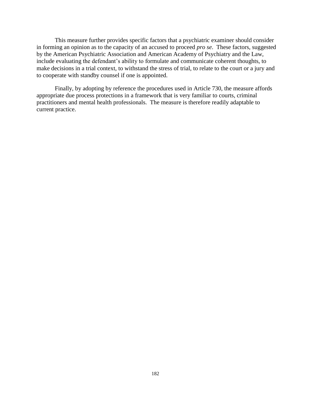This measure further provides specific factors that a psychiatric examiner should consider in forming an opinion as to the capacity of an accused to proceed *pro se*. These factors, suggested by the American Psychiatric Association and American Academy of Psychiatry and the Law, include evaluating the defendant's ability to formulate and communicate coherent thoughts, to make decisions in a trial context, to withstand the stress of trial, to relate to the court or a jury and to cooperate with standby counsel if one is appointed.

Finally, by adopting by reference the procedures used in Article 730, the measure affords appropriate due process protections in a framework that is very familiar to courts, criminal practitioners and mental health professionals. The measure is therefore readily adaptable to current practice.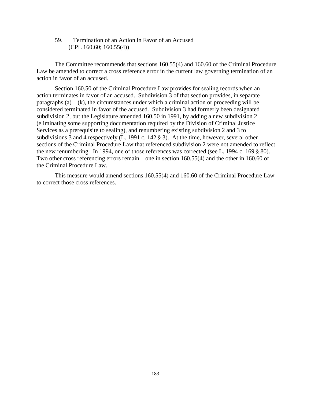59. Termination of an Action in Favor of an Accused (CPL 160.60; 160.55(4))

The Committee recommends that sections 160.55(4) and 160.60 of the Criminal Procedure Law be amended to correct a cross reference error in the current law governing termination of an action in favor of an accused.

Section 160.50 of the Criminal Procedure Law provides for sealing records when an action terminates in favor of an accused. Subdivision 3 of that section provides, in separate paragraphs  $(a) - (k)$ , the circumstances under which a criminal action or proceeding will be considered terminated in favor of the accused. Subdivision 3 had formerly been designated subdivision 2, but the Legislature amended 160.50 in 1991, by adding a new subdivision 2 (eliminating some supporting documentation required by the Division of Criminal Justice Services as a prerequisite to sealing), and renumbering existing subdivision 2 and 3 to subdivisions 3 and 4 respectively (L. 1991 c. 142 § 3). At the time, however, several other sections of the Criminal Procedure Law that referenced subdivision 2 were not amended to reflect the new renumbering. In 1994, one of those references was corrected (see L. 1994 c. 169 § 80). Two other cross referencing errors remain – one in section 160.55(4) and the other in 160.60 of the Criminal Procedure Law.

This measure would amend sections 160.55(4) and 160.60 of the Criminal Procedure Law to correct those cross references.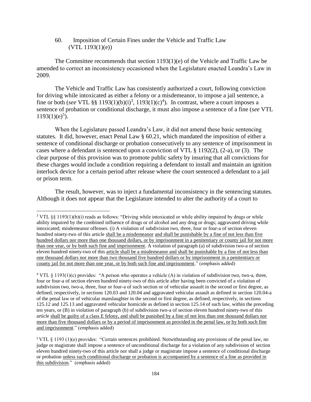60. Imposition of Certain Fines under the Vehicle and Traffic Law  $(VTL 1193(1)(e))$ 

The Committee recommends that section 1193(1)(e) of the Vehicle and Traffic Law be amended to correct an inconsistency occasioned when the Legislature enacted Leandra's Law in 2009.

The Vehicle and Traffic Law has consistently authorized a court, following conviction for driving while intoxicated as either a felony or a misdemeanor, to impose a jail sentence, a fine or both (*see* VTL §§ 1193(1)(b)(i)<sup>3</sup>, 1193(1)(c)<sup>4</sup>). In contrast, where a court imposes a sentence of probation or conditional discharge, it must also impose a sentence of a fine (*see* VTL  $1193(1)(e)^5$ ).

When the Legislature passed Leandra's Law, it did not amend these basic sentencing statutes. It did, however, enact Penal Law § 60.21, which mandated the imposition of either a sentence of conditional discharge or probation consecutively to any sentence of imprisonment in cases where a defendant is sentenced upon a conviction of VTL § 1192(2), (2-a), or (3). The clear purpose of this provision was to promote public safety by insuring that all convictions for these charges would include a condition requiring a defendant to install and maintain an ignition interlock device for a certain period after release where the court sentenced a defendant to a jail or prison term.

The result, however, was to inject a fundamental inconsistency in the sentencing statutes. Although it does not appear that the Legislature intended to alter the authority of a court to

 $\overline{a}$ 

<sup>&</sup>lt;sup>3</sup> VTL §§ 1193(1)(b)(i) reads as follows: "Driving while intoxicated or while ability impaired by drugs or while ability impaired by the combined influence of drugs or of alcohol and any drug or drugs; aggravated driving while intoxicated; misdemeanor offenses. (i) A violation of [subdivision two,](http://web2.westlaw.com/find/default.wl?mt=NewYork&db=1000155&rs=WLW14.10&docname=NYVTS1192&rp=%2ffind%2fdefault.wl&findtype=L&ordoc=2739448&tc=-1&vr=2.0&fn=_top&sv=Split&tf=-1&referencepositiontype=T&pbc=A18966D8&referenceposition=SP%3b57e60000f6d46&utid=1) [three,](http://web2.westlaw.com/find/default.wl?mt=NewYork&db=1000155&rs=WLW14.10&docname=NYVTS1192&rp=%2ffind%2fdefault.wl&findtype=L&ordoc=2739448&tc=-1&vr=2.0&fn=_top&sv=Split&tf=-1&referencepositiontype=T&pbc=A18966D8&referenceposition=SP%3b236f00000e5f2&utid=1) four or four-a [of section eleven](http://web2.westlaw.com/find/default.wl?mt=NewYork&db=1000155&rs=WLW14.10&docname=NYVTS1192&rp=%2ffind%2fdefault.wl&findtype=L&ordoc=2739448&tc=-1&vr=2.0&fn=_top&sv=Split&tf=-1&referencepositiontype=T&pbc=A18966D8&referenceposition=SP%3be3c60000039e4&utid=1)  [hundred ninety-two](http://web2.westlaw.com/find/default.wl?mt=NewYork&db=1000155&rs=WLW14.10&docname=NYVTS1192&rp=%2ffind%2fdefault.wl&findtype=L&ordoc=2739448&tc=-1&vr=2.0&fn=_top&sv=Split&tf=-1&referencepositiontype=T&pbc=A18966D8&referenceposition=SP%3be3c60000039e4&utid=1) of this article shall be a misdemeanor and shall be punishable by a fine of not less than five hundred dollars nor more than one thousand dollars, or by imprisonment in a penitentiary or county jail for not more than one year, or by both such fine and imprisonment. A violation of paragraph [\(a\)](http://web2.westlaw.com/find/default.wl?mt=NewYork&db=1000155&rs=WLW14.10&docname=NYVTS1192&rp=%2ffind%2fdefault.wl&findtype=L&ordoc=2739448&tc=-1&vr=2.0&fn=_top&sv=Split&tf=-1&pbc=A18966D8&utid=1) o[f subdivision two-a of section](http://web2.westlaw.com/find/default.wl?mt=NewYork&db=1000155&rs=WLW14.10&docname=NYVTS1192&rp=%2ffind%2fdefault.wl&findtype=L&ordoc=2739448&tc=-1&vr=2.0&fn=_top&sv=Split&tf=-1&referencepositiontype=T&pbc=A18966D8&referenceposition=SP%3be46c000001ea7&utid=1)  [eleven hundred ninety-two](http://web2.westlaw.com/find/default.wl?mt=NewYork&db=1000155&rs=WLW14.10&docname=NYVTS1192&rp=%2ffind%2fdefault.wl&findtype=L&ordoc=2739448&tc=-1&vr=2.0&fn=_top&sv=Split&tf=-1&referencepositiontype=T&pbc=A18966D8&referenceposition=SP%3be46c000001ea7&utid=1) of this article shall be a misdemeanor and shall be punishable by a fine of not less than one thousand dollars nor more than two thousand five hundred dollars or by imprisonment in a penitentiary or county jail for not more than one year, or by both such fine and imprisonment." (emphasis added)

<sup>&</sup>lt;sup>4</sup> VTL § 1193(1)(c) provides: "A person who operates a vehicle (A) in violation of subdivision two, two-a, three, [four or four-a of section eleven hundred ninety-two](http://web2.westlaw.com/find/default.wl?mt=NewYork&db=1000155&rs=WLW14.10&docname=NYVTS1192&rp=%2ffind%2fdefault.wl&findtype=L&ordoc=2739448&tc=-1&vr=2.0&fn=_top&sv=Split&tf=-1&referencepositiontype=T&pbc=A18966D8&referenceposition=SP%3b57e60000f6d46&utid=1) of this article after having been convicted of a violation of subdivision two, two-a, three, four or four-a of such section or of vehicular assault in the second or first degree, as defined, respectively, in sections 120.03 and 120.04 and aggravated vehicular assault as defined in [section 120.04-a](http://web2.westlaw.com/find/default.wl?mt=NewYork&db=1000115&rs=WLW14.10&docname=NYPES120.04-A&rp=%2ffind%2fdefault.wl&findtype=L&ordoc=2739448&tc=-1&vr=2.0&fn=_top&sv=Split&tf=-1&pbc=A18966D8&utid=1)  [of the penal law](http://web2.westlaw.com/find/default.wl?mt=NewYork&db=1000115&rs=WLW14.10&docname=NYPES120.04-A&rp=%2ffind%2fdefault.wl&findtype=L&ordoc=2739448&tc=-1&vr=2.0&fn=_top&sv=Split&tf=-1&pbc=A18966D8&utid=1) or of vehicular manslaughter in the second or first degree, as defined, respectively, in sections 125.12 and 125.13 and aggravated vehicular homicide as defined in section 125.14 of such law, within the preceding ten years, or (B) in violation of paragraph [\(b\)](http://web2.westlaw.com/find/default.wl?mt=NewYork&db=1000155&rs=WLW14.10&docname=NYVTS1192&rp=%2ffind%2fdefault.wl&findtype=L&ordoc=2739448&tc=-1&vr=2.0&fn=_top&sv=Split&tf=-1&pbc=A18966D8&utid=1) of [subdivision two-a of section eleven hundred ninety-two](http://web2.westlaw.com/find/default.wl?mt=NewYork&db=1000155&rs=WLW14.10&docname=NYVTS1192&rp=%2ffind%2fdefault.wl&findtype=L&ordoc=2739448&tc=-1&vr=2.0&fn=_top&sv=Split&tf=-1&referencepositiontype=T&pbc=A18966D8&referenceposition=SP%3be46c000001ea7&utid=1) of this article shall be guilty of a class E felony, and shall be punished by a fine of not less than one thousand dollars nor more than five thousand dollars or by a period of imprisonment as provided in the penal law, or by both such fine and imprisonment." (emphasis added)

<sup>5</sup> VTL § 1193 (1)(e) provides: "Certain sentences prohibited. Notwithstanding any provisions of the penal law, no judge or magistrate shall impose a sentence of unconditional discharge for a violation of any subdivision of [section](http://web2.westlaw.com/find/default.wl?mt=NewYork&db=1000155&rs=WLW14.10&docname=NYVTS1192&rp=%2ffind%2fdefault.wl&findtype=L&ordoc=2739448&tc=-1&vr=2.0&fn=_top&sv=Split&tf=-1&pbc=24BEAE4A&utid=1)  [eleven hundred ninety-two](http://web2.westlaw.com/find/default.wl?mt=NewYork&db=1000155&rs=WLW14.10&docname=NYVTS1192&rp=%2ffind%2fdefault.wl&findtype=L&ordoc=2739448&tc=-1&vr=2.0&fn=_top&sv=Split&tf=-1&pbc=24BEAE4A&utid=1) of this article nor shall a judge or magistrate impose a sentence of conditional discharge or probation unless such conditional discharge or probation is accompanied by a sentence of a fine as provided in this subdivision." (emphasis added)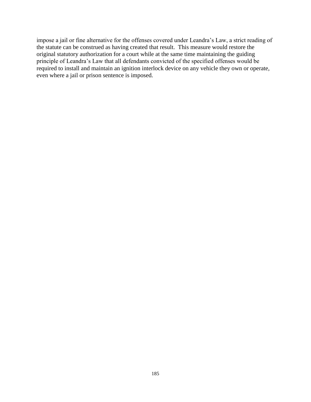impose a jail or fine alternative for the offenses covered under Leandra's Law, a strict reading of the statute can be construed as having created that result. This measure would restore the original statutory authorization for a court while at the same time maintaining the guiding principle of Leandra's Law that all defendants convicted of the specified offenses would be required to install and maintain an ignition interlock device on any vehicle they own or operate, even where a jail or prison sentence is imposed.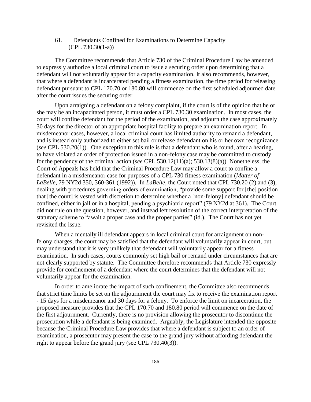61. Defendants Confined for Examinations to Determine Capacity (CPL 730.30(1-a))

The Committee recommends that Article 730 of the Criminal Procedure Law be amended to expressly authorize a local criminal court to issue a securing order upon determining that a defendant will not voluntarily appear for a capacity examination. It also recommends, however, that where a defendant is incarcerated pending a fitness examination, the time period for releasing defendant pursuant to CPL 170.70 or 180.80 will commence on the first scheduled adjourned date after the court issues the securing order.

Upon arraigning a defendant on a felony complaint, if the court is of the opinion that he or she may be an incapacitated person, it must order a CPL 730.30 examination. In most cases, the court will confine defendant for the period of the examination, and adjourn the case approximately 30 days for the director of an appropriate hospital facility to prepare an examination report. In misdemeanor cases, however, a local criminal court has limited authority to remand a defendant, and is instead only authorized to either set bail or release defendant on his or her own recognizance (*see* CPL 530.20(1)). One exception to this rule is that a defendant who is found, after a hearing, to have violated an order of protection issued in a non-felony case may be committed to custody for the pendency of the criminal action (*see* CPL 530.12(11)(a); 530.13(8)(a)). Nonetheless, the Court of Appeals has held that the Criminal Procedure Law may allow a court to confine a defendant in a misdemeanor case for purposes of a CPL 730 fitness examination (*Matter of LaBelle*, 79 NY2d 350, 360-361 (1992)). In *LaBelle*, the Court noted that CPL 730.20 (2) and (3), dealing with procedures governing orders of examination, "provide some support for [the] position that [the court] is vested with discretion to determine whether a [non-felony] defendant should be confined, either in jail or in a hospital, pending a psychiatric report" (79 NY2d at 361). The Court did not rule on the question, however, and instead left resolution of the correct interpretation of the statutory scheme to "await a proper case and the proper parties" (id.). The Court has not yet revisited the issue.

When a mentally ill defendant appears in local criminal court for arraignment on nonfelony charges, the court may be satisfied that the defendant will voluntarily appear in court, but may understand that it is very unlikely that defendant will voluntarily appear for a fitness examination. In such cases, courts commonly set high bail or remand under circumstances that are not clearly supported by statute. The Committee therefore recommends that Article 730 expressly provide for confinement of a defendant where the court determines that the defendant will not voluntarily appear for the examination.

In order to ameliorate the impact of such confinement, the Committee also recommends that strict time limits be set on the adjournment the court may fix to receive the examination report - 15 days for a misdemeanor and 30 days for a felony. To enforce the limit on incarceration, the proposed measure provides that the CPL 170.70 and 180.80 period will commence on the date of the first adjournment. Currently, there is no provision allowing the prosecutor to discontinue the prosecution while a defendant is being examined. Arguably, the Legislature intended the opposite because the Criminal Procedure Law provides that where a defendant is subject to an order of examination, a prosecutor may present the case to the grand jury without affording defendant the right to appear before the grand jury (see CPL 730.40(3)).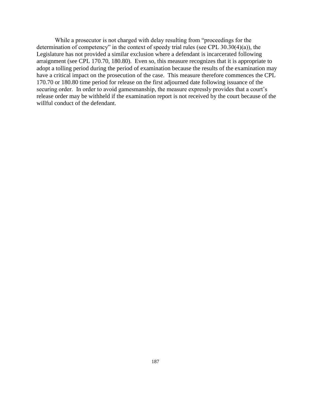While a prosecutor is not charged with delay resulting from "proceedings for the determination of competency" in the context of speedy trial rules (see CPL 30.30(4)(a)), the Legislature has not provided a similar exclusion where a defendant is incarcerated following arraignment (see CPL 170.70, 180.80). Even so, this measure recognizes that it is appropriate to adopt a tolling period during the period of examination because the results of the examination may have a critical impact on the prosecution of the case. This measure therefore commences the CPL 170.70 or 180.80 time period for release on the first adjourned date following issuance of the securing order. In order to avoid gamesmanship, the measure expressly provides that a court's release order may be withheld if the examination report is not received by the court because of the willful conduct of the defendant.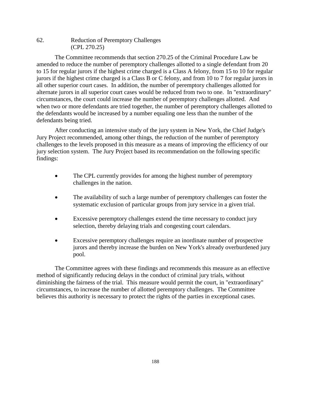## 62. Reduction of Peremptory Challenges (CPL 270.25)

The Committee recommends that section 270.25 of the Criminal Procedure Law be amended to reduce the number of peremptory challenges allotted to a single defendant from 20 to 15 for regular jurors if the highest crime charged is a Class A felony, from 15 to 10 for regular jurors if the highest crime charged is a Class B or C felony, and from 10 to 7 for regular jurors in all other superior court cases. In addition, the number of peremptory challenges allotted for alternate jurors in all superior court cases would be reduced from two to one. In "extraordinary" circumstances, the court could increase the number of peremptory challenges allotted. And when two or more defendants are tried together, the number of peremptory challenges allotted to the defendants would be increased by a number equaling one less than the number of the defendants being tried.

After conducting an intensive study of the jury system in New York, the Chief Judge's Jury Project recommended, among other things, the reduction of the number of peremptory challenges to the levels proposed in this measure as a means of improving the efficiency of our jury selection system. The Jury Project based its recommendation on the following specific findings:

- The CPL currently provides for among the highest number of peremptory challenges in the nation.
- The availability of such a large number of peremptory challenges can foster the systematic exclusion of particular groups from jury service in a given trial.
- Excessive peremptory challenges extend the time necessary to conduct jury selection, thereby delaying trials and congesting court calendars.
- Excessive peremptory challenges require an inordinate number of prospective jurors and thereby increase the burden on New York's already overburdened jury pool.

The Committee agrees with these findings and recommends this measure as an effective method of significantly reducing delays in the conduct of criminal jury trials, without diminishing the fairness of the trial. This measure would permit the court, in "extraordinary" circumstances, to increase the number of allotted peremptory challenges. The Committee believes this authority is necessary to protect the rights of the parties in exceptional cases.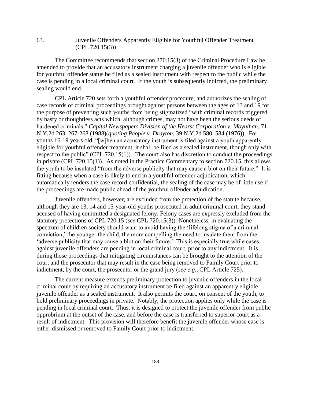63. Juvenile Offenders Apparently Eligible for Youthful Offender Treatment (CPL 720.15(3))

The Committee recommends that section 270.15(3) of the Criminal Procedure Law be amended to provide that an accusatory instrument charging a juvenile offender who is eligible for youthful offender status be filed as a sealed instrument with respect to the public while the case is pending in a local criminal court. If the youth is subsequently indicted, the preliminary sealing would end.

CPL Article 720 sets forth a youthful offender procedure, and authorizes the sealing of case records of criminal proceedings brought against persons between the ages of 13 and 19 for the purpose of preventing such youths from being stigmatized "with criminal records triggered by hasty or thoughtless acts which, although crimes, may not have been the serious deeds of hardened criminals." *Capital Newspapers Division of the Hearst Corporation v. Moynihan*, 71 N.Y.2d 263, 267-268 (1988)(*quoting People v. Drayton*, 39 N.Y.2d 580, 584 (1976)). For youths 16-19 years old, "[w]hen an accusatory instrument is filed against a youth apparently eligible for youthful offender treatment, it shall be filed as a sealed instrument, though only with respect to the public" (CPL 720.15(1)). The court also has discretion to conduct the proceedings in private (CPL 720.15(1)). As noted in the Practice Commentary to section 720.15, this allows the youth to be insulated "from the adverse publicity that may cause a blot on their future." It is fitting because when a case is likely to end in a youthful offender adjudication, which automatically renders the case record confidential, the sealing of the case may be of little use if the proceedings are made public ahead of the youthful offender adjudication.

Juvenile offenders, however, are excluded from the protection of the statute because, although they are 13, 14 and 15-year-old youths prosecuted in adult criminal court, they stand accused of having committed a designated felony. Felony cases are expressly excluded from the statutory protections of CPL 720.15 (*see* CPL 720.15(3)). Nonetheless, in evaluating the spectrum of children society should want to avoid having the 'lifelong stigma of a criminal conviction,' the younger the child, the more compelling the need to insulate them from the 'adverse publicity that may cause a blot on their future.' This is especially true while cases against juvenile offenders are pending in local criminal court, prior to any indictment. It is during those proceedings that mitigating circumstances can be brought to the attention of the court and the prosecutor that may result in the case being removed to Family Court prior to indictment, by the court, the prosecutor or the grand jury (*see e.g.,* CPL Article 725).

The current measure extends preliminary protection to juvenile offenders in the local criminal court by requiring an accusatory instrument be filed against an apparently eligible juvenile offender as a sealed instrument. It also permits the court, on consent of the youth, to hold preliminary proceedings in private. Notably, the protection applies only while the case is pending in local criminal court. Thus, it is designed to protect the juvenile offender from public opprobrium at the outset of the case, and before the case is transferred to superior court as a result of indictment. This provision will therefore benefit the juvenile offender whose case is either dismissed or removed to Family Court prior to indictment.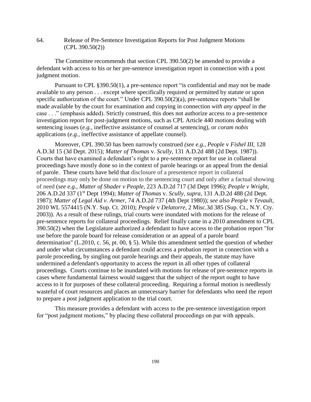64. Release of Pre-Sentence Investigation Reports for Post Judgment Motions (CPL 390.50(2))

The Committee recommends that section CPL 390.50(2) be amended to provide a defendant with access to his or her pre-sentence investigation report in connection with a post judgment motion.

Pursuant to CPL §390.50(1), a pre-sentence report "is confidential and may not be made available to any person . . . except where specifically required or permitted by statute or upon specific authorization of the court." Under CPL 390.50(2)(a), pre-sentence reports "shall be made available by the court for examination and copying in connection *with any appeal* in the case . . ." (emphasis added). Strictly construed, this does not authorize access to a pre-sentence investigation report for post-judgment motions, such as CPL Article 440 motions dealing with sentencing issues (*e.g.,* ineffective assistance of counsel at sentencing), or *coram nobis*  applications (*e.g.,* ineffective assistance of appellate counsel).

Moreover, CPL 390.50 has been narrowly construed *(see e.g., People* v *Fishel III,* 128 A.D.3d 15 (3d Dept. 2015); *Matter of Thomas* v. *Scully,* 131 A.D.2d 488 (2d Dept. 1987)). Courts that have examined a defendant's right to a pre-sentence report for use in collateral proceedings have mostly done so in the context of parole hearings or an appeal from the denial of parole. These courts have held that disclosure of a presentence report in collateral proceedings may only be done on motion to the sentencing court and only after a factual showing of need (*see e.g., Matter of Shader v People,* 223 A.D.2d 717 (3d Dept 1996); *People v Wright*, 206 A.D.2d 337 (1st Dept 1994); *Matter of Thomas* v. *Scully, supra,* 131 A.D.2d 488 (2d Dept. 1987); *Matter of Legal Aid v. Armer,* 74 A.D.2d 737 (4th Dept 1980)); *see also People* v *Tevault,*  2010 WL 5574415 (N.Y. Sup. Ct. 2010); *People* v *Delatorre,* 2 Misc.3d 385 (Sup. Ct., N.Y. Cty. 2003)). As a result of these rulings, trial courts were inundated with motions for the release of pre-sentence reports for collateral proceedings. Relief finally came in a 2010 amendment to CPL 390.50(2) when the Legislature authorized a defendant to have access to the probation report "for use before the parole board for release consideration or an appeal of a parole board determination" (L.2010, c. 56, pt. 00, § 5). While this amendment settled the question of whether and under what circumstances a defendant could access a probation report in connection with a parole proceeding, by singling out parole hearings and their appeals, the statute may have undermined a defendant's opportunity to access the report in all other types of collateral proceedings. Courts continue to be inundated with motions for release of pre-sentence reports in cases where fundamental fairness would suggest that the subject of the report ought to have access to it for purposes of these collateral proceeding. Requiring a formal motion is needlessly wasteful of court resources and places an unnecessary barrier for defendants who need the report to prepare a post judgment application to the trial court.

This measure provides a defendant with access to the pre-sentence investigation report for "post judgment motions," by placing these collateral proceedings on par with appeals.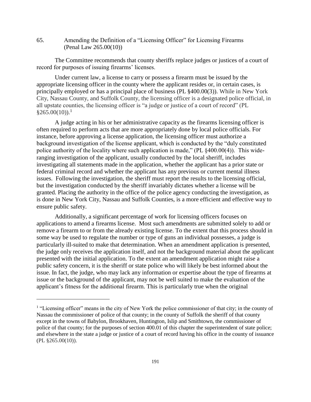65. Amending the Definition of a "Licensing Officer" for Licensing Firearms (Penal Law 265.00(10))

The Committee recommends that county sheriffs replace judges or justices of a court of record for purposes of issuing firearms' licenses.

Under current law, a license to carry or possess a firearm must be issued by the appropriate licensing officer in the county where the applicant resides or, in certain cases, is principally employed or has a principal place of business (PL §400.00(3)). While in New York City, Nassau County, and Suffolk County, the licensing officer is a designated police official, in all upstate counties, the licensing officer is "a judge or justice of a court of record" (PL  $$265.00(10).<sup>1</sup>$ 

A judge acting in his or her administrative capacity as the firearms licensing officer is often required to perform acts that are more appropriately done by local police officials. For instance, before approving a license application, the licensing officer must authorize a background investigation of the license applicant, which is conducted by the "duly constituted police authority of the locality where such application is made," (PL §400.00(4)). This wideranging investigation of the applicant, usually conducted by the local sheriff, includes investigating all statements made in the application, whether the applicant has a prior state or federal criminal record and whether the applicant has any previous or current mental illness issues. Following the investigation, the sheriff must report the results to the licensing official, but the investigation conducted by the sheriff invariably dictates whether a license will be granted. Placing the authority in the office of the police agency conducting the investigation, as is done in New York City, Nassau and Suffolk Counties, is a more efficient and effective way to ensure public safety.

Additionally, a significant percentage of work for licensing officers focuses on applications to amend a firearms license. Most such amendments are submitted solely to add or remove a firearm to or from the already existing license. To the extent that this process should in some way be used to regulate the number or type of guns an individual possesses, a judge is particularly ill-suited to make that determination. When an amendment application is presented, the judge only receives the application itself, and not the background material about the applicant presented with the initial application. To the extent an amendment application might raise a public safety concern, it is the sheriff or state police who will likely be best informed about the issue. In fact, the judge, who may lack any information or expertise about the type of firearms at issue or the background of the applicant, may not be well suited to make the evaluation of the applicant's fitness for the additional firearm. This is particularly true when the original

 $\overline{a}$ 

<sup>&</sup>lt;sup>1</sup> "Licensing officer" means in the city of New York the police commissioner of that city; in the county of Nassau the commissioner of police of that county; in the county of Suffolk the sheriff of that county except in the towns of Babylon, Brookhaven, Huntington, Islip and Smithtown, the commissioner of police of that county; for the purposes of [section 400.01](http://www.westlaw.com/Link/Document/FullText?findType=L&pubNum=1000115&cite=NYPES400.01&originatingDoc=NBA4C5AE0F80411E28136F9A85E321584&refType=LQ&originationContext=document&vr=3.0&rs=cblt1.0&transitionType=DocumentItem&contextData=(sc.Category)) of this chapter the superintendent of state police; and elsewhere in the state a judge or justice of a court of record having his office in the county of issuance (PL §265.00(10)).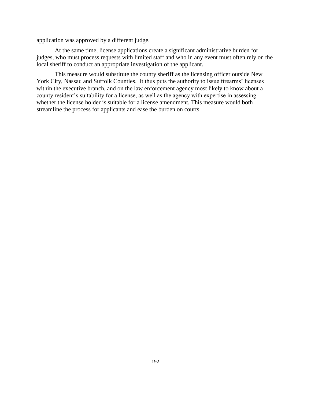application was approved by a different judge.

At the same time, license applications create a significant administrative burden for judges, who must process requests with limited staff and who in any event must often rely on the local sheriff to conduct an appropriate investigation of the applicant.

This measure would substitute the county sheriff as the licensing officer outside New York City, Nassau and Suffolk Counties. It thus puts the authority to issue firearms' licenses within the executive branch, and on the law enforcement agency most likely to know about a county resident's suitability for a license, as well as the agency with expertise in assessing whether the license holder is suitable for a license amendment. This measure would both streamline the process for applicants and ease the burden on courts.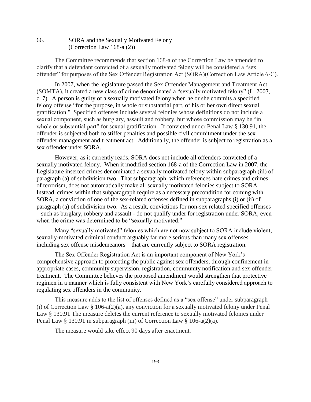#### 66. SORA and the Sexually Motivated Felony (Correction Law 168-a (2))

The Committee recommends that section 168-a of the Correction Law be amended to clarify that a defendant convicted of a sexually motivated felony will be considered a "sex offender" for purposes of the Sex Offender Registration Act (SORA)(Correction Law Article 6-C).

In 2007, when the legislature passed the Sex Offender Management and Treatment Act (SOMTA), it created a new class of crime denominated a "sexually motivated felony" (L. 2007, c. 7). A person is guilty of a sexually motivated felony when he or she commits a specified felony offense "for the purpose, in whole or substantial part, of his or her own direct sexual gratification." Specified offenses include several felonies whose definitions do not include a sexual component, such as burglary, assault and robbery, but whose commission may be "in whole or substantial part" for sexual gratification. If convicted under Penal Law § 130.91, the offender is subjected both to stiffer penalties and possible civil commitment under the sex offender management and treatment act. Additionally, the offender is subject to registration as a sex offender under SORA.

However, as it currently reads, SORA does not include all offenders convicted of a sexually motivated felony. When it modified section 168-a of the Correction Law in 2007, the Legislature inserted crimes denominated a sexually motivated felony within subparagraph (iii) of paragraph (a) of subdivision two. That subparagraph, which references hate crimes and crimes of terrorism, does not automatically make all sexually motivated felonies subject to SORA. Instead, crimes within that subparagraph require as a necessary precondition for coming with SORA, a conviction of one of the sex-related offenses defined in subparagraphs (i) or (ii) of paragraph (a) of subdivision two. As a result, convictions for non-sex related specified offenses – such as burglary, robbery and assault - do not qualify under for registration under SORA, even when the crime was determined to be "sexually motivated."

Many "sexually motivated" felonies which are not now subject to SORA include violent, sexually-motivated criminal conduct arguably far more serious than many sex offenses – including sex offense misdemeanors – that are currently subject to SORA registration.

The Sex Offender Registration Act is an important component of New York's comprehensive approach to protecting the public against sex offenders, through confinement in appropriate cases, community supervision, registration, community notification and sex offender treatment. The Committee believes the proposed amendment would strengthen that protective regimen in a manner which is fully consistent with New York's carefully considered approach to regulating sex offenders in the community.

This measure adds to the list of offenses defined as a "sex offense" under subparagraph (i) of Correction Law § 106-a(2)(a), any conviction for a sexually motivated felony under Penal Law § 130.91 The measure deletes the current reference to sexually motivated felonies under Penal Law § 130.91 in subparagraph (iii) of Correction Law § 106-a(2)(a).

The measure would take effect 90 days after enactment.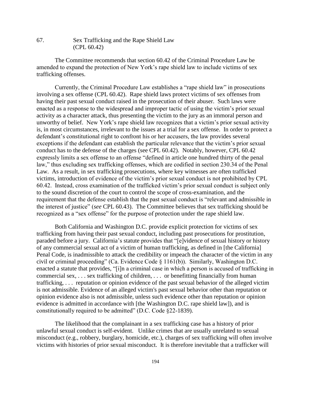# 67. Sex Trafficking and the Rape Shield Law (CPL 60.42)

The Committee recommends that section 60.42 of the Criminal Procedure Law be amended to expand the protection of New York's rape shield law to include victims of sex trafficking offenses.

Currently, the Criminal Procedure Law establishes a "rape shield law" in prosecutions involving a sex offense (CPL 60.42). Rape shield laws protect victims of sex offenses from having their past sexual conduct raised in the prosecution of their abuser. Such laws were enacted as a response to the widespread and improper tactic of using the victim's prior sexual activity as a character attack, thus presenting the victim to the jury as an immoral person and unworthy of belief. New York's rape shield law recognizes that a victim's prior sexual activity is, in most circumstances, irrelevant to the issues at a trial for a sex offense. In order to protect a defendant's constitutional right to confront his or her accusers, the law provides several exceptions if the defendant can establish the particular relevance that the victim's prior sexual conduct has to the defense of the charges (see CPL 60.42). Notably, however, CPL 60.42 expressly limits a sex offense to an offense "defined in article one hundred thirty of the penal law," thus excluding sex trafficking offenses, which are codified in section 230.34 of the Penal Law. As a result, in sex trafficking prosecutions, where key witnesses are often trafficked victims, introduction of evidence of the victim's prior sexual conduct is not prohibited by CPL 60.42. Instead, cross examination of the trafficked victim's prior sexual conduct is subject only to the sound discretion of the court to control the scope of cross-examination, and the requirement that the defense establish that the past sexual conduct is "relevant and admissible in the interest of justice" (*see* CPL 60.43). The Committee believes that sex trafficking should be recognized as a "sex offense" for the purpose of protection under the rape shield law.

Both California and Washington D.C. provide explicit protection for victims of sex trafficking from having their past sexual conduct, including past prosecutions for prostitution, paraded before a jury. California's statute provides that "[e]vidence of sexual history or history of any commercial sexual act of a victim of human trafficking, as defined in [the California] Penal Code, is inadmissible to attack the credibility or impeach the character of the victim in any civil or criminal proceeding" (Ca. Evidence Code § 1161(b)). Similarly, Washington D.C. enacted a statute that provides, "[i]n a criminal case in which a person is accused of trafficking in commercial sex, . . . sex trafficking of children, . . . or benefitting financially from human trafficking, . . . reputation or opinion evidence of the past sexual behavior of the alleged victim is not admissible. Evidence of an alleged victim's past sexual behavior other than reputation or opinion evidence also is not admissible, unless such evidence other than reputation or opinion evidence is admitted in accordance with [the Washington D.C. rape shield law]), and is constitutionally required to be admitted" (D.C. Code §22-1839).

The likelihood that the complainant in a sex trafficking case has a history of prior unlawful sexual conduct is self-evident. Unlike crimes that are usually unrelated to sexual misconduct (e.g., robbery, burglary, homicide, etc.), charges of sex trafficking will often involve victims with histories of prior sexual misconduct. It is therefore inevitable that a trafficker will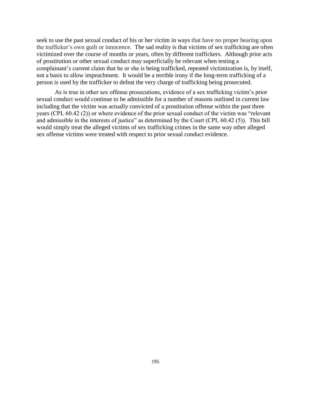seek to use the past sexual conduct of his or her victim in ways that have no proper bearing upon the trafficker's own guilt or innocence. The sad reality is that victims of sex trafficking are often victimized over the course of months or years, often by different traffickers. Although prior acts of prostitution or other sexual conduct may superficially be relevant when testing a complainant's current claim that he or she is being trafficked, repeated victimization is, by itself, not a basis to allow impeachment. It would be a terrible irony if the long-term trafficking of a person is used by the trafficker to defeat the very charge of trafficking being prosecuted.

As is true in other sex offense prosecutions, evidence of a sex trafficking victim's prior sexual conduct would continue to be admissible for a number of reasons outlined in current law including that the victim was actually convicted of a prostitution offense within the past three years (CPL 60.42 (2)) or where evidence of the prior sexual conduct of the victim was "relevant and admissible in the interests of justice" as determined by the Court (CPL 60.42 (5)). This bill would simply treat the alleged victims of sex trafficking crimes in the same way other alleged sex offense victims were treated with respect to prior sexual conduct evidence.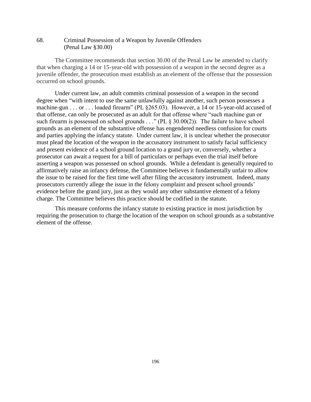#### 68. Criminal Possession of a Weapon by Juvenile Offenders (Penal Law §30.00)

The Committee recommends that section 30.00 of the Penal Law be amended to clarify that when charging a 14 or 15-year-old with possession of a weapon in the second degree as a juvenile offender, the prosecution must establish as an element of the offense that the possession occurred on school grounds.

Under current law, an adult commits criminal possession of a weapon in the second degree when "with intent to use the same unlawfully against another, such person possesses a machine-gun . . . or . . . loaded firearm" (PL §265.03). However, a 14 or 15-year-old accused of that offense, can only be prosecuted as an adult for that offense where "such machine gun or such firearm is possessed on school grounds . . ." (PL § 30.00(2)). The failure to have school grounds as an element of the substantive offense has engendered needless confusion for courts and parties applying the infancy statute. Under current law, it is unclear whether the prosecutor must plead the location of the weapon in the accusatory instrument to satisfy facial sufficiency and present evidence of a school ground location to a grand jury or, conversely, whether a prosecutor can await a request for a bill of particulars or perhaps even the trial itself before asserting a weapon was possessed on school grounds. While a defendant is generally required to affirmatively raise an infancy defense, the Committee believes it fundamentally unfair to allow the issue to be raised for the first time well after filing the accusatory instrument. Indeed, many prosecutors currently allege the issue in the felony complaint and present school grounds' evidence before the grand jury, just as they would any other substantive element of a felony charge. The Committee believes this practice should be codified in the statute.

This measure conforms the infancy statute to existing practice in most jurisdiction by requiring the prosecution to charge the location of the weapon on school grounds as a substantive element of the offense.